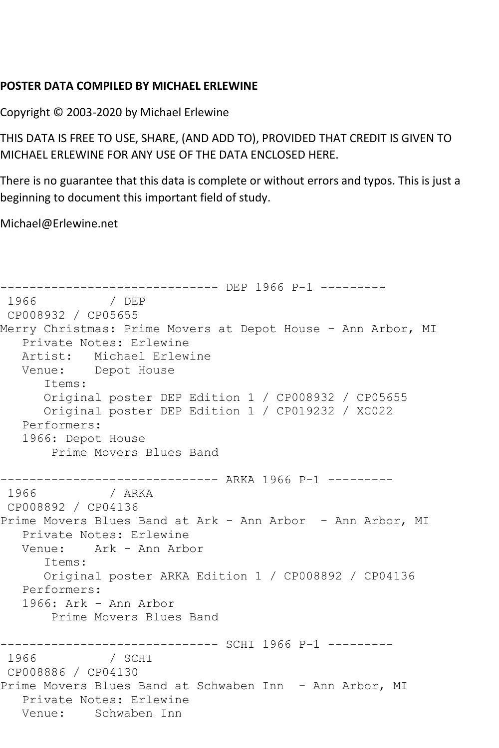## **POSTER DATA COMPILED BY MICHAEL ERLEWINE**

Copyright © 2003-2020 by Michael Erlewine

THIS DATA IS FREE TO USE, SHARE, (AND ADD TO), PROVIDED THAT CREDIT IS GIVEN TO MICHAEL ERLEWINE FOR ANY USE OF THE DATA ENCLOSED HERE.

There is no guarantee that this data is complete or without errors and typos. This is just a beginning to document this important field of study.

Michael@Erlewine.net

------------------------------- DEP 1966 P-1 ---------<br>1966 / DEP 1966 / DEP CP008932 / CP05655 Merry Christmas: Prime Movers at Depot House - Ann Arbor, MI Private Notes: Erlewine Artist: Michael Erlewine Venue: Depot House Items: Original poster DEP Edition 1 / CP008932 / CP05655 Original poster DEP Edition 1 / CP019232 / XC022 Performers: 1966: Depot House Prime Movers Blues Band ------------------------------ ARKA 1966 P-1 --------- 1966 / ARKA CP008892 / CP04136 Prime Movers Blues Band at Ark - Ann Arbor - Ann Arbor, MI Private Notes: Erlewine Venue: Ark - Ann Arbor Items: Original poster ARKA Edition 1 / CP008892 / CP04136 Performers: 1966: Ark - Ann Arbor Prime Movers Blues Band ------------------------------ SCHI 1966 P-1 --------- 1966 / SCHI CP008886 / CP04130 Prime Movers Blues Band at Schwaben Inn - Ann Arbor, MI Private Notes: Erlewine Venue: Schwaben Inn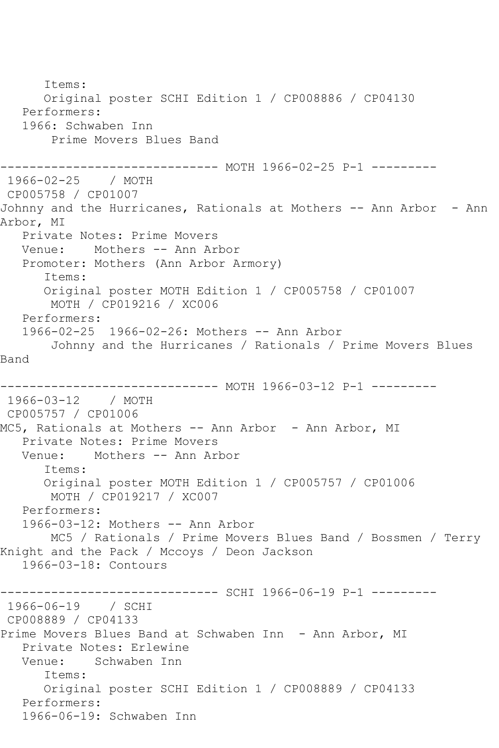Items: Original poster SCHI Edition 1 / CP008886 / CP04130 Performers: 1966: Schwaben Inn Prime Movers Blues Band ------------------------------ MOTH 1966-02-25 P-1 --------- 1966-02-25 / MOTH CP005758 / CP01007 Johnny and the Hurricanes, Rationals at Mothers -- Ann Arbor - Ann Arbor, MI Private Notes: Prime Movers Venue: Mothers -- Ann Arbor Promoter: Mothers (Ann Arbor Armory) Items: Original poster MOTH Edition 1 / CP005758 / CP01007 MOTH / CP019216 / XC006 Performers: 1966-02-25 1966-02-26: Mothers -- Ann Arbor Johnny and the Hurricanes / Rationals / Prime Movers Blues Band ------------------------------ MOTH 1966-03-12 P-1 --------- 1966-03-12 / MOTH CP005757 / CP01006 MC5, Rationals at Mothers -- Ann Arbor - Ann Arbor, MI Private Notes: Prime Movers Venue: Mothers -- Ann Arbor Items: Original poster MOTH Edition 1 / CP005757 / CP01006 MOTH / CP019217 / XC007 Performers: 1966-03-12: Mothers -- Ann Arbor MC5 / Rationals / Prime Movers Blues Band / Bossmen / Terry Knight and the Pack / Mccoys / Deon Jackson 1966-03-18: Contours ------------------------------ SCHI 1966-06-19 P-1 --------- 1966-06-19 / SCHI CP008889 / CP04133 Prime Movers Blues Band at Schwaben Inn - Ann Arbor, MI Private Notes: Erlewine Venue: Schwaben Inn Items: Original poster SCHI Edition 1 / CP008889 / CP04133 Performers: 1966-06-19: Schwaben Inn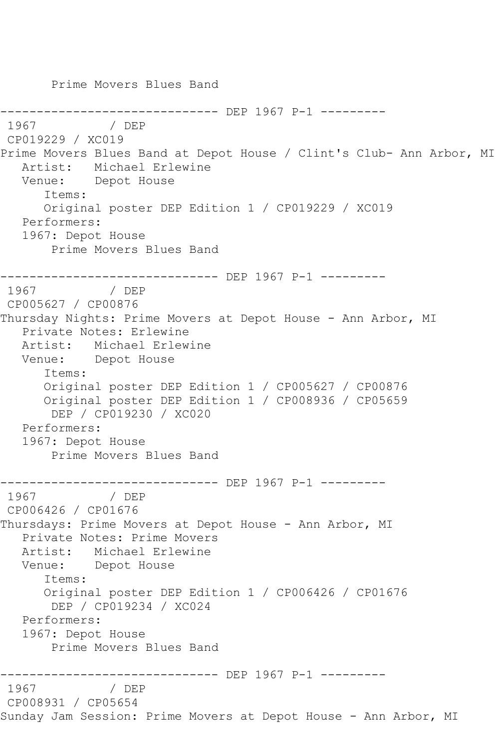Prime Movers Blues Band ------------------------------- DEP 1967 P-1 ----------<br>1967 / DEP 1967 / DEP CP019229 / XC019 Prime Movers Blues Band at Depot House / Clint's Club- Ann Arbor, MI Artist: Michael Erlewine Venue: Depot House Items: Original poster DEP Edition 1 / CP019229 / XC019 Performers: 1967: Depot House Prime Movers Blues Band ------------------------------ DEP 1967 P-1 --------- 1967 / DEP CP005627 / CP00876 Thursday Nights: Prime Movers at Depot House - Ann Arbor, MI Private Notes: Erlewine Artist: Michael Erlewine Venue: Depot House Items: Original poster DEP Edition 1 / CP005627 / CP00876 Original poster DEP Edition 1 / CP008936 / CP05659 DEP / CP019230 / XC020 Performers: 1967: Depot House Prime Movers Blues Band -------------------------------- DEP 1967 P-1 ---------<br>1967 / DEP 1967 / DEP CP006426 / CP01676 Thursdays: Prime Movers at Depot House - Ann Arbor, MI Private Notes: Prime Movers Artist: Michael Erlewine Venue: Depot House Items: Original poster DEP Edition 1 / CP006426 / CP01676 DEP / CP019234 / XC024 Performers: 1967: Depot House Prime Movers Blues Band -------------------------------- DEP 1967 P-1 ---------<br>1967 / DEP 1967 / DEP CP008931 / CP05654 Sunday Jam Session: Prime Movers at Depot House - Ann Arbor, MI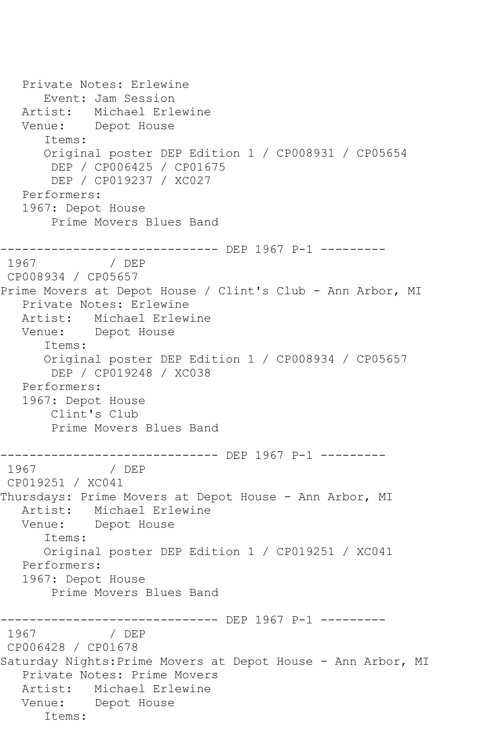Private Notes: Erlewine Event: Jam Session Artist: Michael Erlewine Venue: Depot House Items: Original poster DEP Edition 1 / CP008931 / CP05654 DEP / CP006425 / CP01675 DEP / CP019237 / XC027 Performers: 1967: Depot House Prime Movers Blues Band ------------------------------ DEP 1967 P-1 --------- 1967 / DEP CP008934 / CP05657 Prime Movers at Depot House / Clint's Club - Ann Arbor, MI Private Notes: Erlewine Artist: Michael Erlewine Venue: Depot House Items: Original poster DEP Edition 1 / CP008934 / CP05657 DEP / CP019248 / XC038 Performers: 1967: Depot House Clint's Club Prime Movers Blues Band ------------------------------ DEP 1967 P-1 --------- 1967 / DEP CP019251 / XC041 Thursdays: Prime Movers at Depot House - Ann Arbor, MI Artist: Michael Erlewine Venue: Depot House Items: Original poster DEP Edition 1 / CP019251 / XC041 Performers: 1967: Depot House Prime Movers Blues Band ------------------------------ DEP 1967 P-1 --------- 1967 / DEP CP006428 / CP01678 Saturday Nights:Prime Movers at Depot House - Ann Arbor, MI Private Notes: Prime Movers Artist: Michael Erlewine Venue: Depot House Items: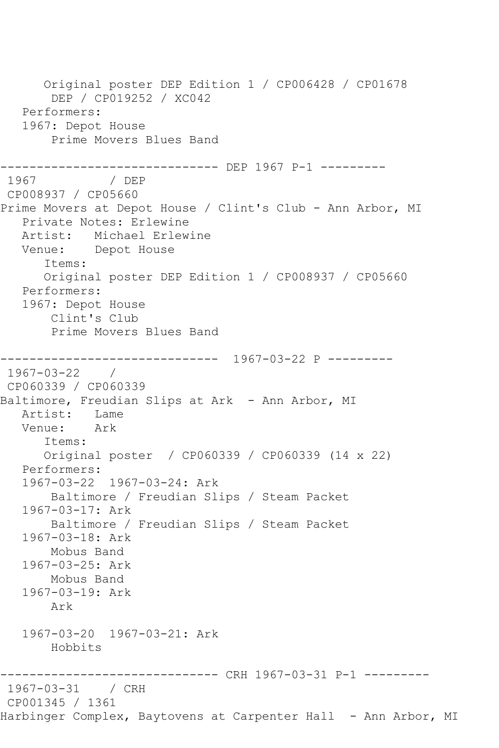Original poster DEP Edition 1 / CP006428 / CP01678 DEP / CP019252 / XC042 Performers: 1967: Depot House Prime Movers Blues Band ------------------------------ DEP 1967 P-1 --------- 1967 / DEP CP008937 / CP05660 Prime Movers at Depot House / Clint's Club - Ann Arbor, MI Private Notes: Erlewine Artist: Michael Erlewine Venue: Depot House Items: Original poster DEP Edition 1 / CP008937 / CP05660 Performers: 1967: Depot House Clint's Club Prime Movers Blues Band ------------------------------ 1967-03-22 P --------- 1967-03-22 / CP060339 / CP060339 Baltimore, Freudian Slips at Ark - Ann Arbor, MI Artist: Lame<br>Venue: Ark Venue: Items: Original poster / CP060339 / CP060339 (14 x 22) Performers: 1967-03-22 1967-03-24: Ark Baltimore / Freudian Slips / Steam Packet 1967-03-17: Ark Baltimore / Freudian Slips / Steam Packet 1967-03-18: Ark Mobus Band 1967-03-25: Ark Mobus Band 1967-03-19: Ark Ark 1967-03-20 1967-03-21: Ark Hobbits ------------------------------ CRH 1967-03-31 P-1 --------- 1967-03-31 / CRH CP001345 / 1361 Harbinger Complex, Baytovens at Carpenter Hall - Ann Arbor, MI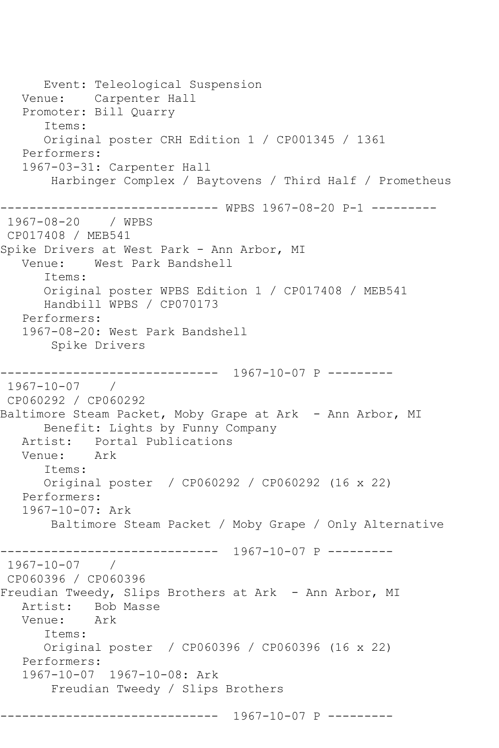Event: Teleological Suspension Venue: Carpenter Hall Promoter: Bill Quarry Items: Original poster CRH Edition 1 / CP001345 / 1361 Performers: 1967-03-31: Carpenter Hall Harbinger Complex / Baytovens / Third Half / Prometheus ------------------------------ WPBS 1967-08-20 P-1 --------- 1967-08-20 / WPBS CP017408 / MEB541 Spike Drivers at West Park - Ann Arbor, MI Venue: West Park Bandshell Items: Original poster WPBS Edition 1 / CP017408 / MEB541 Handbill WPBS / CP070173 Performers: 1967-08-20: West Park Bandshell Spike Drivers ------------------------------ 1967-10-07 P --------- 1967-10-07 / CP060292 / CP060292 Baltimore Steam Packet, Moby Grape at Ark - Ann Arbor, MI Benefit: Lights by Funny Company Artist: Portal Publications<br>Venue: Ark Venue: Items: Original poster / CP060292 / CP060292 (16 x 22) Performers: 1967-10-07: Ark Baltimore Steam Packet / Moby Grape / Only Alternative ------------------------------ 1967-10-07 P --------- 1967-10-07 / CP060396 / CP060396 Freudian Tweedy, Slips Brothers at Ark - Ann Arbor, MI Artist: Bob Masse<br>Venue: Ark Venue: Items: Original poster / CP060396 / CP060396 (16 x 22) Performers: 1967-10-07 1967-10-08: Ark Freudian Tweedy / Slips Brothers ------------------------------ 1967-10-07 P ---------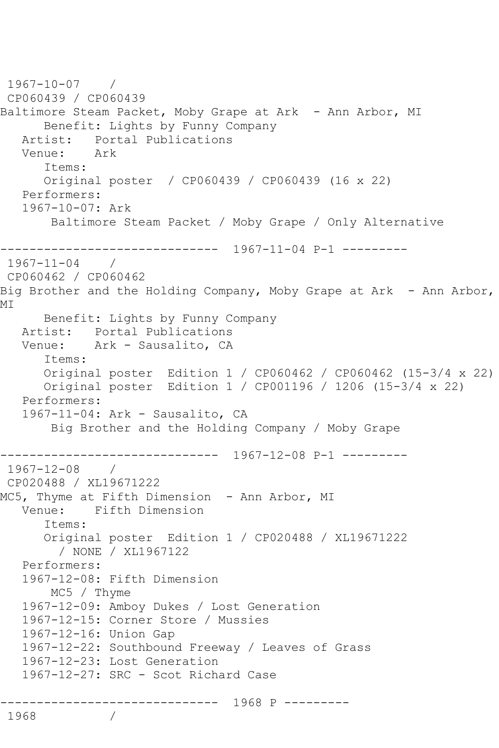```
1967-10-07 / 
CP060439 / CP060439
Baltimore Steam Packet, Moby Grape at Ark - Ann Arbor, MI
       Benefit: Lights by Funny Company
   Artist: Portal Publications<br>Venue: Ark
   Venue\cdot Items:
       Original poster / CP060439 / CP060439 (16 x 22)
    Performers:
    1967-10-07: Ark
        Baltimore Steam Packet / Moby Grape / Only Alternative
      ------------------------------ 1967-11-04 P-1 ---------
1967-11-04 / 
CP060462 / CP060462
Big Brother and the Holding Company, Moby Grape at Ark - Ann Arbor,
MI
   Benefit: Lights by Funny Company<br>Artist: Portal Publications
   Artist: Portal Publications<br>Venue: Ark - Sausalito, CA
            Ark - Sausalito, CA
       Items:
       Original poster Edition 1 / CP060462 / CP060462 (15-3/4 x 22)
       Original poster Edition 1 / CP001196 / 1206 (15-3/4 x 22)
    Performers:
    1967-11-04: Ark - Sausalito, CA
        Big Brother and the Holding Company / Moby Grape
         ------------------------------ 1967-12-08 P-1 ---------
1967-12-08 / 
CP020488 / XL19671222
MC5, Thyme at Fifth Dimension - Ann Arbor, MI
    Venue: Fifth Dimension
       Items:
       Original poster Edition 1 / CP020488 / XL19671222
         / NONE / XL1967122
    Performers:
    1967-12-08: Fifth Dimension
        MC5 / Thyme
    1967-12-09: Amboy Dukes / Lost Generation
    1967-12-15: Corner Store / Mussies
    1967-12-16: Union Gap
    1967-12-22: Southbound Freeway / Leaves of Grass
    1967-12-23: Lost Generation
    1967-12-27: SRC - Scot Richard Case
              ------------------------------ 1968 P ---------
1968
```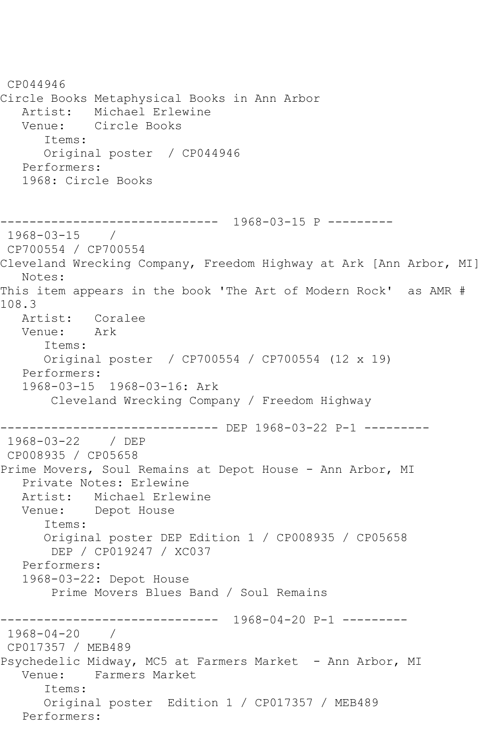CP044946 Circle Books Metaphysical Books in Ann Arbor Michael Erlewine Venue: Circle Books Items: Original poster / CP044946 Performers: 1968: Circle Books ------------------------------ 1968-03-15 P --------- 1968-03-15 / CP700554 / CP700554 Cleveland Wrecking Company, Freedom Highway at Ark [Ann Arbor, MI] Notes: This item appears in the book 'The Art of Modern Rock' as AMR # 108.3 Artist: Coralee<br>Venue: Ark Venue: Items: Original poster / CP700554 / CP700554 (12 x 19) Performers: 1968-03-15 1968-03-16: Ark Cleveland Wrecking Company / Freedom Highway ------------------------------ DEP 1968-03-22 P-1 --------- 1968-03-22 / DEP CP008935 / CP05658 Prime Movers, Soul Remains at Depot House - Ann Arbor, MI Private Notes: Erlewine Artist: Michael Erlewine Venue: Depot House Items: Original poster DEP Edition 1 / CP008935 / CP05658 DEP / CP019247 / XC037 Performers: 1968-03-22: Depot House Prime Movers Blues Band / Soul Remains ------------------------------ 1968-04-20 P-1 --------- 1968-04-20 / CP017357 / MEB489 Psychedelic Midway, MC5 at Farmers Market - Ann Arbor, MI Venue: Farmers Market Items: Original poster Edition 1 / CP017357 / MEB489 Performers: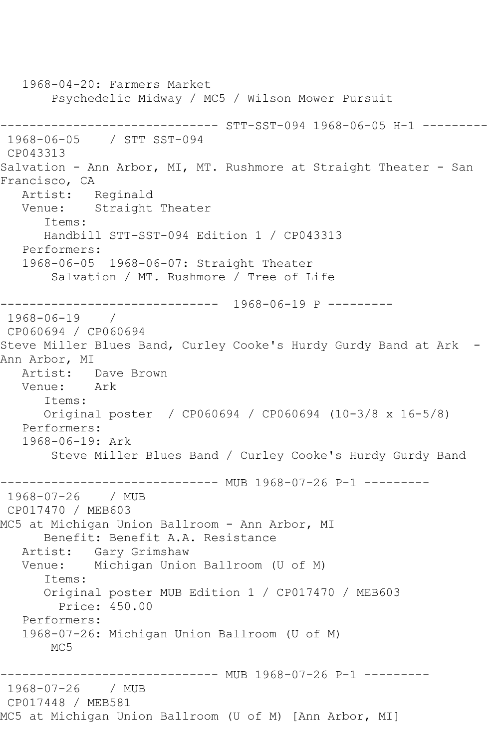1968-04-20: Farmers Market Psychedelic Midway / MC5 / Wilson Mower Pursuit ------------------------------ STT-SST-094 1968-06-05 H-1 --------- 1968-06-05 / STT SST-094 CP043313 Salvation - Ann Arbor, MI, MT. Rushmore at Straight Theater - San Francisco, CA Artist: Reginald Venue: Straight Theater Items: Handbill STT-SST-094 Edition 1 / CP043313 Performers: 1968-06-05 1968-06-07: Straight Theater Salvation / MT. Rushmore / Tree of Life ------------------------------ 1968-06-19 P --------- 1968-06-19 / CP060694 / CP060694 Steve Miller Blues Band, Curley Cooke's Hurdy Gurdy Band at Ark - Ann Arbor, MI Artist: Dave Brown Venue: Ark Items: Original poster / CP060694 / CP060694 (10-3/8 x 16-5/8) Performers: 1968-06-19: Ark Steve Miller Blues Band / Curley Cooke's Hurdy Gurdy Band ------------------------------ MUB 1968-07-26 P-1 --------- 1968-07-26 / MUB CP017470 / MEB603 MC5 at Michigan Union Ballroom - Ann Arbor, MI Benefit: Benefit A.A. Resistance Artist: Gary Grimshaw Venue: Michigan Union Ballroom (U of M) Items: Original poster MUB Edition 1 / CP017470 / MEB603 Price: 450.00 Performers: 1968-07-26: Michigan Union Ballroom (U of M) MC5 ------------------------------ MUB 1968-07-26 P-1 --------- 1968-07-26 / MUB CP017448 / MEB581 MC5 at Michigan Union Ballroom (U of M) [Ann Arbor, MI]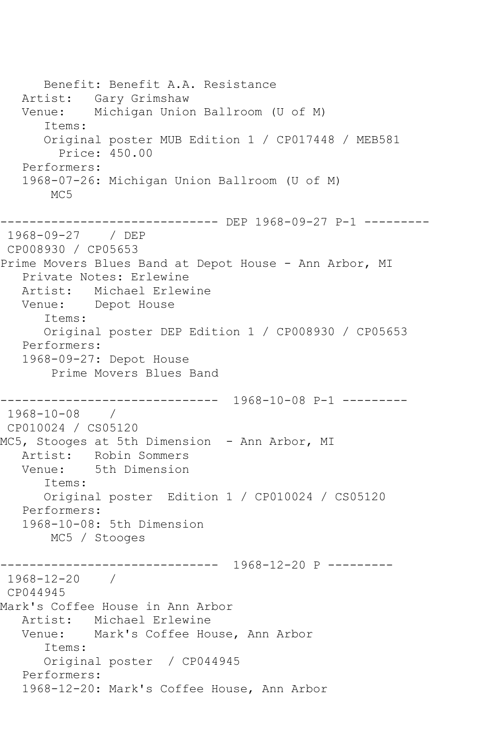Benefit: Benefit A.A. Resistance Artist: Gary Grimshaw Venue: Michigan Union Ballroom (U of M) Items: Original poster MUB Edition 1 / CP017448 / MEB581 Price: 450.00 Performers: 1968-07-26: Michigan Union Ballroom (U of M) MC<sub>5</sub> ----------------------------- DEP 1968-09-27 P-1 ---------1968-09-27 / DEP CP008930 / CP05653 Prime Movers Blues Band at Depot House - Ann Arbor, MI Private Notes: Erlewine Artist: Michael Erlewine Venue: Depot House Items: Original poster DEP Edition 1 / CP008930 / CP05653 Performers: 1968-09-27: Depot House Prime Movers Blues Band ------------------------------ 1968-10-08 P-1 --------- 1968-10-08 / CP010024 / CS05120 MC5, Stooges at 5th Dimension - Ann Arbor, MI Artist: Robin Sommers<br>Venue: 5th Dimension 5th Dimension Items: Original poster Edition 1 / CP010024 / CS05120 Performers: 1968-10-08: 5th Dimension MC5 / Stooges ------------------------------ 1968-12-20 P --------- 1968-12-20 / CP044945 Mark's Coffee House in Ann Arbor Artist: Michael Erlewine Venue: Mark's Coffee House, Ann Arbor Items: Original poster / CP044945 Performers: 1968-12-20: Mark's Coffee House, Ann Arbor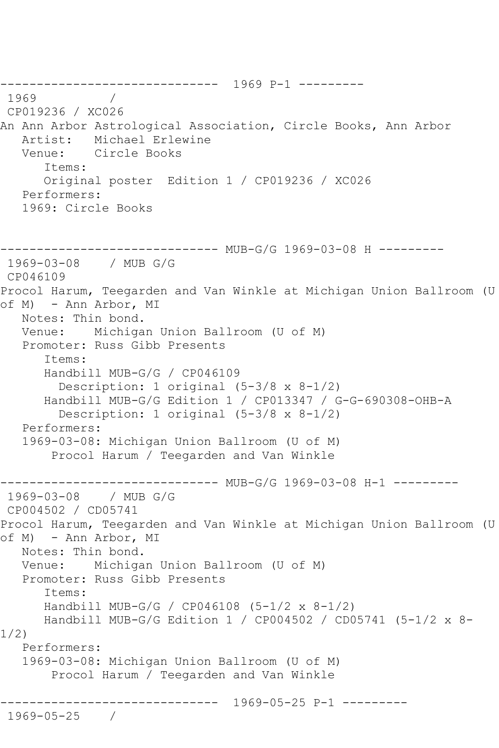```
------------------------------ 1969 P-1 ---------
1969
CP019236 / XC026
An Ann Arbor Astrological Association, Circle Books, Ann Arbor
   Artist: Michael Erlewine
   Venue: Circle Books
       Items:
       Original poster Edition 1 / CP019236 / XC026
   Performers:
   1969: Circle Books
       ------------------------------ MUB-G/G 1969-03-08 H ---------
1969-03-08 / MUB G/G
CP046109
Procol Harum, Teegarden and Van Winkle at Michigan Union Ballroom (U 
of M) - Ann Arbor, MI
   Notes: Thin bond.
   Venue: Michigan Union Ballroom (U of M)
    Promoter: Russ Gibb Presents
       Items:
       Handbill MUB-G/G / CP046109
         Description: 1 original (5-3/8 x 8-1/2)
       Handbill MUB-G/G Edition 1 / CP013347 / G-G-690308-OHB-A
         Description: 1 original (5-3/8 x 8-1/2)
   Performers:
    1969-03-08: Michigan Union Ballroom (U of M)
        Procol Harum / Teegarden and Van Winkle
------------------------------ MUB-G/G 1969-03-08 H-1 ---------<br>1969-03-08   / MUB G/G
1969-03-08
CP004502 / CD05741
Procol Harum, Teegarden and Van Winkle at Michigan Union Ballroom (U 
of M) - Ann Arbor, MI
   Notes: Thin bond.
   Venue: Michigan Union Ballroom (U of M)
   Promoter: Russ Gibb Presents
       Items:
       Handbill MUB-G/G / CP046108 (5-1/2 x 8-1/2)
       Handbill MUB-G/G Edition 1 / CP004502 / CD05741 (5-1/2 x 8-
1/2)
   Performers:
    1969-03-08: Michigan Union Ballroom (U of M)
        Procol Harum / Teegarden and Van Winkle
              ------------------------------ 1969-05-25 P-1 ---------
1969-05-25 /
```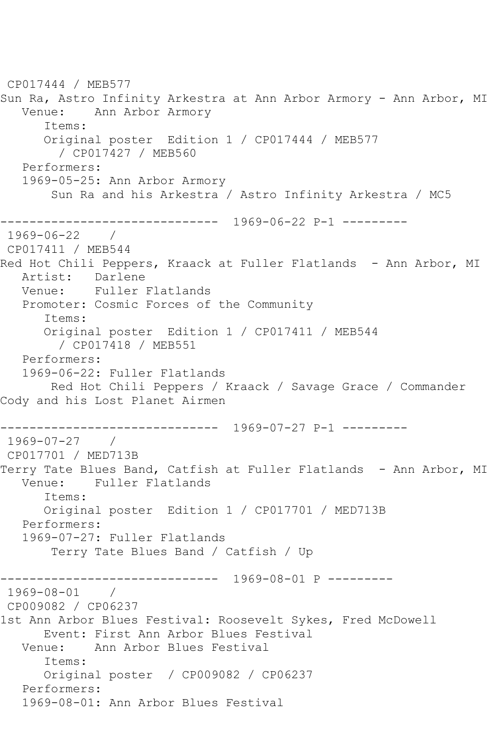CP017444 / MEB577 Sun Ra, Astro Infinity Arkestra at Ann Arbor Armory - Ann Arbor, MI Venue: Ann Arbor Armory Items: Original poster Edition 1 / CP017444 / MEB577 / CP017427 / MEB560 Performers: 1969-05-25: Ann Arbor Armory Sun Ra and his Arkestra / Astro Infinity Arkestra / MC5 ------------------------------ 1969-06-22 P-1 --------- 1969-06-22 / CP017411 / MEB544 Red Hot Chili Peppers, Kraack at Fuller Flatlands - Ann Arbor, MI Artist: Darlene Venue: Fuller Flatlands Promoter: Cosmic Forces of the Community Items: Original poster Edition 1 / CP017411 / MEB544 / CP017418 / MEB551 Performers: 1969-06-22: Fuller Flatlands Red Hot Chili Peppers / Kraack / Savage Grace / Commander Cody and his Lost Planet Airmen ------------------------------ 1969-07-27 P-1 --------- 1969-07-27 / CP017701 / MED713B Terry Tate Blues Band, Catfish at Fuller Flatlands - Ann Arbor, MI Venue: Fuller Flatlands Items: Original poster Edition 1 / CP017701 / MED713B Performers: 1969-07-27: Fuller Flatlands Terry Tate Blues Band / Catfish / Up ------------------------------ 1969-08-01 P --------- 1969-08-01 / CP009082 / CP06237 1st Ann Arbor Blues Festival: Roosevelt Sykes, Fred McDowell Event: First Ann Arbor Blues Festival<br>Venue: Ann Arbor Blues Festival Ann Arbor Blues Festival Items: Original poster / CP009082 / CP06237 Performers: 1969-08-01: Ann Arbor Blues Festival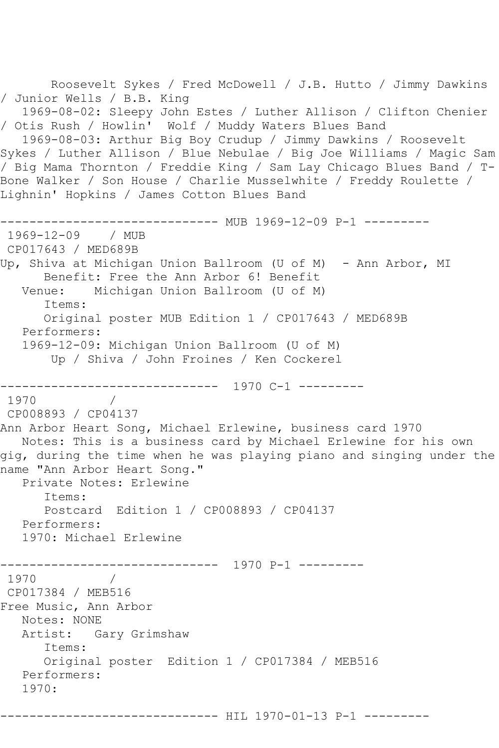```
 Roosevelt Sykes / Fred McDowell / J.B. Hutto / Jimmy Dawkins 
/ Junior Wells / B.B. King
   1969-08-02: Sleepy John Estes / Luther Allison / Clifton Chenier 
/ Otis Rush / Howlin' Wolf / Muddy Waters Blues Band
   1969-08-03: Arthur Big Boy Crudup / Jimmy Dawkins / Roosevelt 
Sykes / Luther Allison / Blue Nebulae / Big Joe Williams / Magic Sam 
/ Big Mama Thornton / Freddie King / Sam Lay Chicago Blues Band / T-
Bone Walker / Son House / Charlie Musselwhite / Freddy Roulette / 
Lighnin' Hopkins / James Cotton Blues Band
------------------------------ MUB 1969-12-09 P-1 ---------
1969-12-09 / MUB 
CP017643 / MED689B
Up, Shiva at Michigan Union Ballroom (U of M) - Ann Arbor, MI
      Benefit: Free the Ann Arbor 6! Benefit
   Venue: Michigan Union Ballroom (U of M)
       Items:
      Original poster MUB Edition 1 / CP017643 / MED689B
   Performers:
   1969-12-09: Michigan Union Ballroom (U of M)
       Up / Shiva / John Froines / Ken Cockerel
     ------------------------------ 1970 C-1 ---------
1970
CP008893 / CP04137
Ann Arbor Heart Song, Michael Erlewine, business card 1970
   Notes: This is a business card by Michael Erlewine for his own 
gig, during the time when he was playing piano and singing under the 
name "Ann Arbor Heart Song."
   Private Notes: Erlewine
       Items:
       Postcard Edition 1 / CP008893 / CP04137
   Performers:
   1970: Michael Erlewine
------------------------------ 1970 P-1 ---------
         \frac{1}{2}CP017384 / MEB516
Free Music, Ann Arbor
   Notes: NONE
   Artist: Gary Grimshaw
       Items:
       Original poster Edition 1 / CP017384 / MEB516
   Performers:
   1970:
          -------------------- HIL 1970-01-13 P-1 ---------
```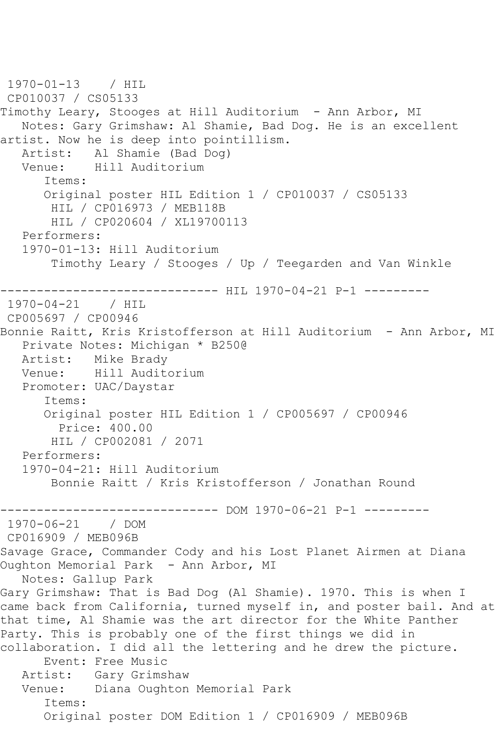```
1970-01-13 / HIL 
CP010037 / CS05133
Timothy Leary, Stooges at Hill Auditorium - Ann Arbor, MI
    Notes: Gary Grimshaw: Al Shamie, Bad Dog. He is an excellent 
artist. Now he is deep into pointillism.
  Artist: Al Shamie (Bad Dog)<br>Venue: Hill Auditorium
            Hill Auditorium
       Items:
       Original poster HIL Edition 1 / CP010037 / CS05133
        HIL / CP016973 / MEB118B
        HIL / CP020604 / XL19700113
    Performers:
    1970-01-13: Hill Auditorium
        Timothy Leary / Stooges / Up / Teegarden and Van Winkle
      ------------------------------ HIL 1970-04-21 P-1 ---------
1970-04-21 / HIL 
CP005697 / CP00946
Bonnie Raitt, Kris Kristofferson at Hill Auditorium - Ann Arbor, MI
   Private Notes: Michigan * B250@
   Artist: Mike Brady
   Venue: Hill Auditorium
    Promoter: UAC/Daystar
       Items:
       Original poster HIL Edition 1 / CP005697 / CP00946
         Price: 400.00
        HIL / CP002081 / 2071
   Performers:
    1970-04-21: Hill Auditorium
        Bonnie Raitt / Kris Kristofferson / Jonathan Round
              ------------------------------ DOM 1970-06-21 P-1 ---------
1970 - 06 - 21CP016909 / MEB096B
Savage Grace, Commander Cody and his Lost Planet Airmen at Diana 
Oughton Memorial Park - Ann Arbor, MI
   Notes: Gallup Park
Gary Grimshaw: That is Bad Dog (Al Shamie). 1970. This is when I 
came back from California, turned myself in, and poster bail. And at 
that time, Al Shamie was the art director for the White Panther 
Party. This is probably one of the first things we did in 
collaboration. I did all the lettering and he drew the picture.
       Event: Free Music
   Artist: Gary Grimshaw
   Venue: Diana Oughton Memorial Park
       Items:
       Original poster DOM Edition 1 / CP016909 / MEB096B
```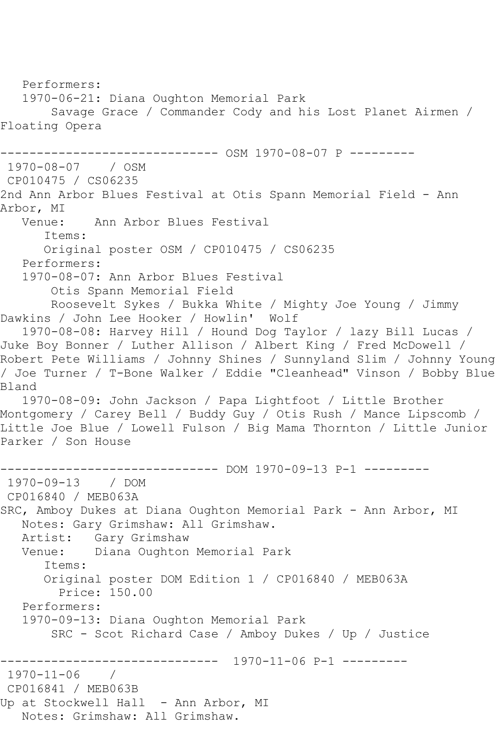Performers: 1970-06-21: Diana Oughton Memorial Park Savage Grace / Commander Cody and his Lost Planet Airmen / Floating Opera ------------ OSM 1970-08-07 P ---------1970-08-07 / OSM CP010475 / CS06235 2nd Ann Arbor Blues Festival at Otis Spann Memorial Field - Ann Arbor, MI<br>:Venue Ann Arbor Blues Festival Items: Original poster OSM / CP010475 / CS06235 Performers: 1970-08-07: Ann Arbor Blues Festival Otis Spann Memorial Field Roosevelt Sykes / Bukka White / Mighty Joe Young / Jimmy Dawkins / John Lee Hooker / Howlin' Wolf 1970-08-08: Harvey Hill / Hound Dog Taylor / lazy Bill Lucas / Juke Boy Bonner / Luther Allison / Albert King / Fred McDowell / Robert Pete Williams / Johnny Shines / Sunnyland Slim / Johnny Young / Joe Turner / T-Bone Walker / Eddie "Cleanhead" Vinson / Bobby Blue Bland 1970-08-09: John Jackson / Papa Lightfoot / Little Brother Montgomery / Carey Bell / Buddy Guy / Otis Rush / Mance Lipscomb / Little Joe Blue / Lowell Fulson / Big Mama Thornton / Little Junior Parker / Son House ------------------------------ DOM 1970-09-13 P-1 --------- 1970-09-13 / DOM CP016840 / MEB063A SRC, Amboy Dukes at Diana Oughton Memorial Park - Ann Arbor, MI Notes: Gary Grimshaw: All Grimshaw. Artist: Gary Grimshaw Venue: Diana Oughton Memorial Park Items: Original poster DOM Edition 1 / CP016840 / MEB063A Price: 150.00 Performers: 1970-09-13: Diana Oughton Memorial Park SRC - Scot Richard Case / Amboy Dukes / Up / Justice ------------------------------ 1970-11-06 P-1 --------- 1970-11-06 / CP016841 / MEB063B Up at Stockwell Hall - Ann Arbor, MI Notes: Grimshaw: All Grimshaw.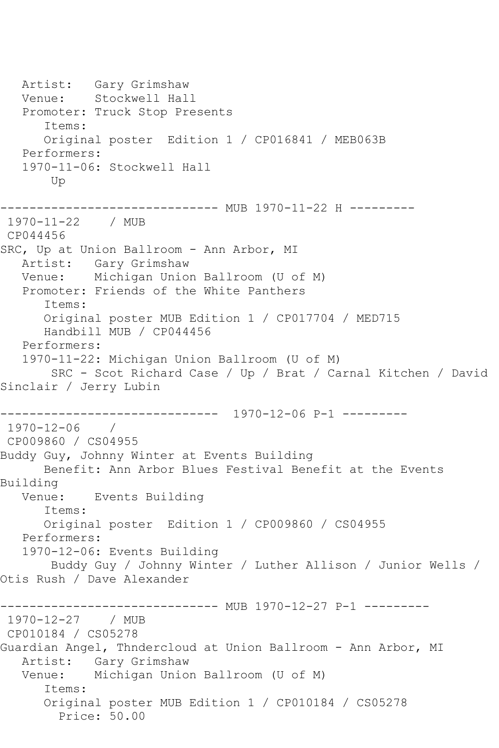Artist: Gary Grimshaw Venue: Stockwell Hall Promoter: Truck Stop Presents Items: Original poster Edition 1 / CP016841 / MEB063B Performers: 1970-11-06: Stockwell Hall Up ------------------------------ MUB 1970-11-22 H --------- 1970-11-22 / MUB CP044456 SRC, Up at Union Ballroom - Ann Arbor, MI Artist: Gary Grimshaw Venue: Michigan Union Ballroom (U of M) Promoter: Friends of the White Panthers Items: Original poster MUB Edition 1 / CP017704 / MED715 Handbill MUB / CP044456 Performers: 1970-11-22: Michigan Union Ballroom (U of M) SRC - Scot Richard Case / Up / Brat / Carnal Kitchen / David Sinclair / Jerry Lubin ------------------------------ 1970-12-06 P-1 --------- 1970-12-06 / CP009860 / CS04955 Buddy Guy, Johnny Winter at Events Building Benefit: Ann Arbor Blues Festival Benefit at the Events Building<br>Venue: Events Building Items: Original poster Edition 1 / CP009860 / CS04955 Performers: 1970-12-06: Events Building Buddy Guy / Johnny Winter / Luther Allison / Junior Wells / Otis Rush / Dave Alexander ------------------------------ MUB 1970-12-27 P-1 --------- 1970-12-27 / MUB CP010184 / CS05278 Guardian Angel, Thndercloud at Union Ballroom - Ann Arbor, MI Artist: Gary Grimshaw Venue: Michigan Union Ballroom (U of M) Items: Original poster MUB Edition 1 / CP010184 / CS05278 Price: 50.00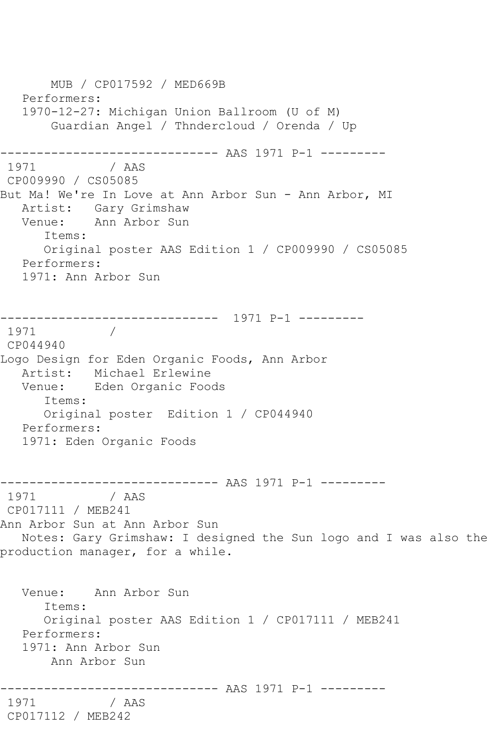MUB / CP017592 / MED669B Performers: 1970-12-27: Michigan Union Ballroom (U of M) Guardian Angel / Thndercloud / Orenda / Up ------------------------------ AAS 1971 P-1 --------- 1971 / AAS CP009990 / CS05085 But Ma! We're In Love at Ann Arbor Sun - Ann Arbor, MI Artist: Gary Grimshaw<br>Venue: Ann Arbor Sun Ann Arbor Sun Items: Original poster AAS Edition 1 / CP009990 / CS05085 Performers: 1971: Ann Arbor Sun ------------------------------ 1971 P-1 --------- 1971 CP044940 Logo Design for Eden Organic Foods, Ann Arbor Artist: Michael Erlewine<br>Venue: Eden Organic Food Eden Organic Foods Items: Original poster Edition 1 / CP044940 Performers: 1971: Eden Organic Foods ------------------------------ AAS 1971 P-1 --------- 1971 / AAS CP017111 / MEB241 Ann Arbor Sun at Ann Arbor Sun Notes: Gary Grimshaw: I designed the Sun logo and I was also the production manager, for a while. Venue: Ann Arbor Sun Items: Original poster AAS Edition 1 / CP017111 / MEB241 Performers: 1971: Ann Arbor Sun Ann Arbor Sun ------------------------------ AAS 1971 P-1 --------- 1971 / AAS CP017112 / MEB242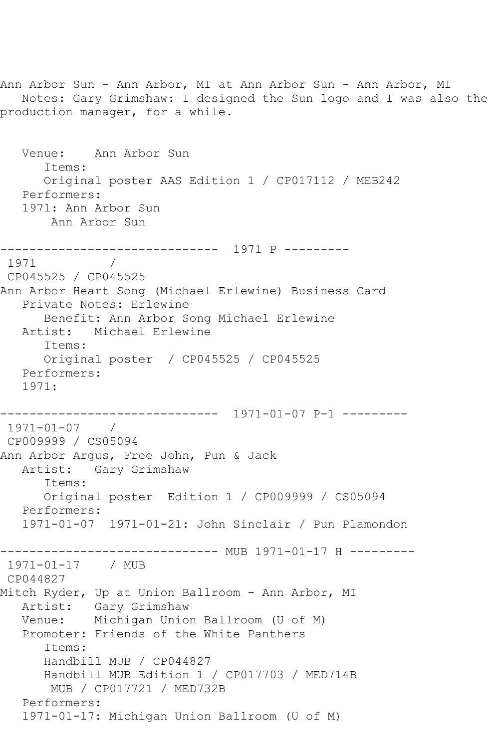Ann Arbor Sun - Ann Arbor, MI at Ann Arbor Sun - Ann Arbor, MI Notes: Gary Grimshaw: I designed the Sun logo and I was also the production manager, for a while. Venue: Ann Arbor Sun Items: Original poster AAS Edition 1 / CP017112 / MEB242 Performers: 1971: Ann Arbor Sun Ann Arbor Sun ------------------------------ 1971 P --------- 1971 / CP045525 / CP045525 Ann Arbor Heart Song (Michael Erlewine) Business Card Private Notes: Erlewine Benefit: Ann Arbor Song Michael Erlewine Artist: Michael Erlewine Items: Original poster / CP045525 / CP045525 Performers: 1971: ------------------------------ 1971-01-07 P-1 --------- 1971-01-07 / CP009999 / CS05094 Ann Arbor Argus, Free John, Pun & Jack Artist: Gary Grimshaw Items: Original poster Edition 1 / CP009999 / CS05094 Performers: 1971-01-07 1971-01-21: John Sinclair / Pun Plamondon --------------- MUB 1971-01-17 H ---------1971-01-17 / MUB CP044827 Mitch Ryder, Up at Union Ballroom - Ann Arbor, MI Artist: Gary Grimshaw Venue: Michigan Union Ballroom (U of M) Promoter: Friends of the White Panthers Items: Handbill MUB / CP044827 Handbill MUB Edition 1 / CP017703 / MED714B MUB / CP017721 / MED732B Performers: 1971-01-17: Michigan Union Ballroom (U of M)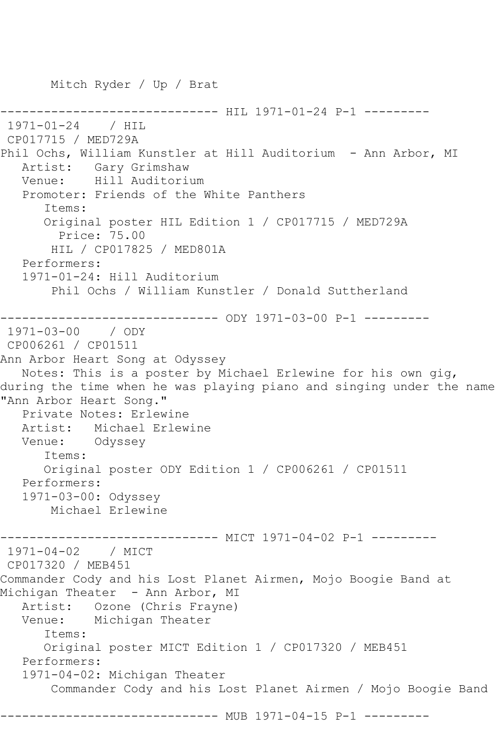Mitch Ryder / Up / Brat

------------------------------ HIL 1971-01-24 P-1 --------- 1971-01-24 / HIL CP017715 / MED729A Phil Ochs, William Kunstler at Hill Auditorium - Ann Arbor, MI Artist: Gary Grimshaw Venue: Hill Auditorium Promoter: Friends of the White Panthers Items: Original poster HIL Edition 1 / CP017715 / MED729A Price: 75.00 HIL / CP017825 / MED801A Performers: 1971-01-24: Hill Auditorium Phil Ochs / William Kunstler / Donald Suttherland ------------------------------ ODY 1971-03-00 P-1 --------- 1971-03-00 / ODY CP006261 / CP01511 Ann Arbor Heart Song at Odyssey Notes: This is a poster by Michael Erlewine for his own gig, during the time when he was playing piano and singing under the name "Ann Arbor Heart Song." Private Notes: Erlewine Artist: Michael Erlewine Venue: Odyssey Items: Original poster ODY Edition 1 / CP006261 / CP01511 Performers: 1971-03-00: Odyssey Michael Erlewine ------------------------------ MICT 1971-04-02 P-1 --------- 1971-04-02 / MICT CP017320 / MEB451 Commander Cody and his Lost Planet Airmen, Mojo Boogie Band at Michigan Theater - Ann Arbor, MI Artist: Ozone (Chris Frayne)<br>Venue: Michigan Theater Michigan Theater Items: Original poster MICT Edition 1 / CP017320 / MEB451 Performers: 1971-04-02: Michigan Theater Commander Cody and his Lost Planet Airmen / Mojo Boogie Band ------------------------------ MUB 1971-04-15 P-1 ---------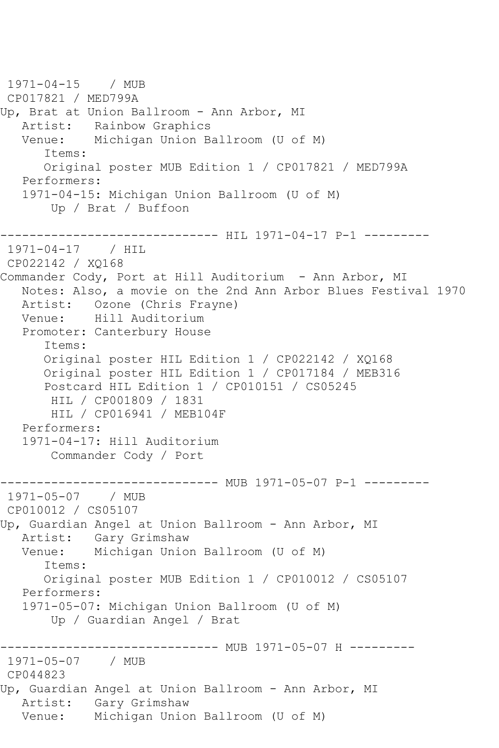```
1971-04-15 / MUB 
CP017821 / MED799A
Up, Brat at Union Ballroom - Ann Arbor, MI
   Artist: Rainbow Graphics<br>Venue: Michigan Union B
            Michigan Union Ballroom (U of M)
       Items:
       Original poster MUB Edition 1 / CP017821 / MED799A
    Performers:
    1971-04-15: Michigan Union Ballroom (U of M)
        Up / Brat / Buffoon
               ------------------------------ HIL 1971-04-17 P-1 ---------
1971 - 04 - 17CP022142 / XQ168
Commander Cody, Port at Hill Auditorium - Ann Arbor, MI
    Notes: Also, a movie on the 2nd Ann Arbor Blues Festival 1970
   Artist: Ozone (Chris Frayne)<br>Venue: Hill Auditorium
            Hill Auditorium
    Promoter: Canterbury House
       Items:
       Original poster HIL Edition 1 / CP022142 / XQ168
       Original poster HIL Edition 1 / CP017184 / MEB316
       Postcard HIL Edition 1 / CP010151 / CS05245
        HIL / CP001809 / 1831
        HIL / CP016941 / MEB104F
    Performers:
    1971-04-17: Hill Auditorium
        Commander Cody / Port
------------------------------ MUB 1971-05-07 P-1 ---------<br>1971-05-07   / MUB
1971 - 05 - 07CP010012 / CS05107
Up, Guardian Angel at Union Ballroom - Ann Arbor, MI
    Artist: Gary Grimshaw
    Venue: Michigan Union Ballroom (U of M)
       Items:
       Original poster MUB Edition 1 / CP010012 / CS05107
    Performers:
    1971-05-07: Michigan Union Ballroom (U of M)
        Up / Guardian Angel / Brat
         ------------------------------ MUB 1971-05-07 H ---------
1971-05-07 / MUB 
CP044823
Up, Guardian Angel at Union Ballroom - Ann Arbor, MI
    Artist: Gary Grimshaw
   Venue: Michigan Union Ballroom (U of M)
```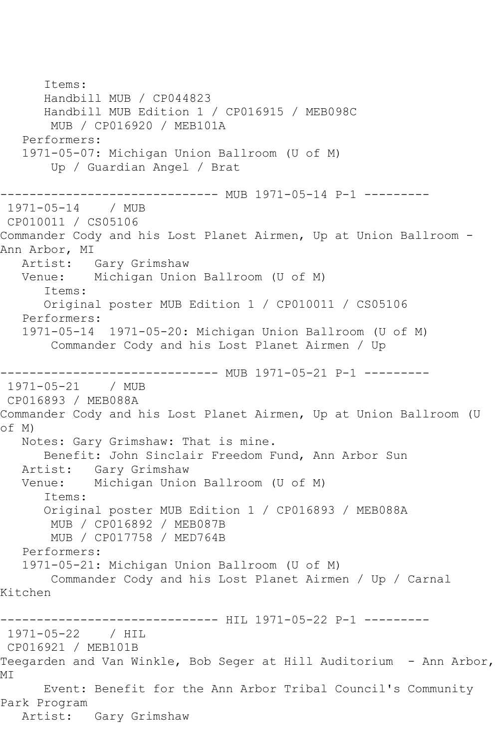Items: Handbill MUB / CP044823 Handbill MUB Edition 1 / CP016915 / MEB098C MUB / CP016920 / MEB101A Performers: 1971-05-07: Michigan Union Ballroom (U of M) Up / Guardian Angel / Brat ------------ MUB 1971-05-14 P-1 ---------1971-05-14 / MUB CP010011 / CS05106 Commander Cody and his Lost Planet Airmen, Up at Union Ballroom - Ann Arbor, MI Artist: Gary Grimshaw Venue: Michigan Union Ballroom (U of M) Items: Original poster MUB Edition 1 / CP010011 / CS05106 Performers: 1971-05-14 1971-05-20: Michigan Union Ballroom (U of M) Commander Cody and his Lost Planet Airmen / Up ------------------------------ MUB 1971-05-21 P-1 --------- 1971-05-21 / MUB CP016893 / MEB088A Commander Cody and his Lost Planet Airmen, Up at Union Ballroom (U of M) Notes: Gary Grimshaw: That is mine. Benefit: John Sinclair Freedom Fund, Ann Arbor Sun Artist: Gary Grimshaw Venue: Michigan Union Ballroom (U of M) Items: Original poster MUB Edition 1 / CP016893 / MEB088A MUB / CP016892 / MEB087B MUB / CP017758 / MED764B Performers: 1971-05-21: Michigan Union Ballroom (U of M) Commander Cody and his Lost Planet Airmen / Up / Carnal Kitchen ----------------------------- HIL 1971-05-22 P-1 ----------1971-05-22 / HIL CP016921 / MEB101B Teegarden and Van Winkle, Bob Seger at Hill Auditorium - Ann Arbor, MI Event: Benefit for the Ann Arbor Tribal Council's Community Park Program Artist: Gary Grimshaw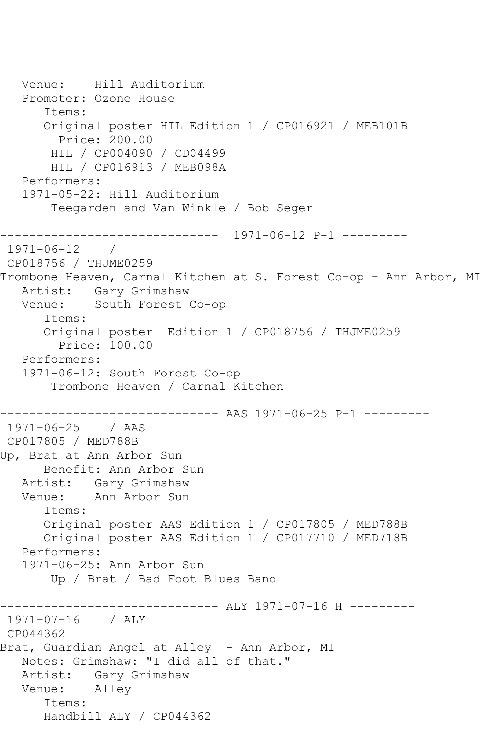Venue: Hill Auditorium Promoter: Ozone House Items: Original poster HIL Edition 1 / CP016921 / MEB101B Price: 200.00 HIL / CP004090 / CD04499 HIL / CP016913 / MEB098A Performers: 1971-05-22: Hill Auditorium Teegarden and Van Winkle / Bob Seger ------------------------------ 1971-06-12 P-1 ---------  $1971 - 06 - 12$  / CP018756 / THJME0259 Trombone Heaven, Carnal Kitchen at S. Forest Co-op - Ann Arbor, MI Artist: Gary Grimshaw Venue: South Forest Co-op Items: Original poster Edition 1 / CP018756 / THJME0259 Price: 100.00 Performers: 1971-06-12: South Forest Co-op Trombone Heaven / Carnal Kitchen ------------------------------ AAS 1971-06-25 P-1 --------- 1971-06-25 / AAS CP017805 / MED788B Up, Brat at Ann Arbor Sun Benefit: Ann Arbor Sun Artist: Gary Grimshaw Venue: Ann Arbor Sun Items: Original poster AAS Edition 1 / CP017805 / MED788B Original poster AAS Edition 1 / CP017710 / MED718B Performers: 1971-06-25: Ann Arbor Sun Up / Brat / Bad Foot Blues Band ----------- ALY 1971-07-16 H ---------1971-07-16 / ALY CP044362 Brat, Guardian Angel at Alley - Ann Arbor, MI Notes: Grimshaw: "I did all of that." Artist: Gary Grimshaw Venue: Alley Items: Handbill ALY / CP044362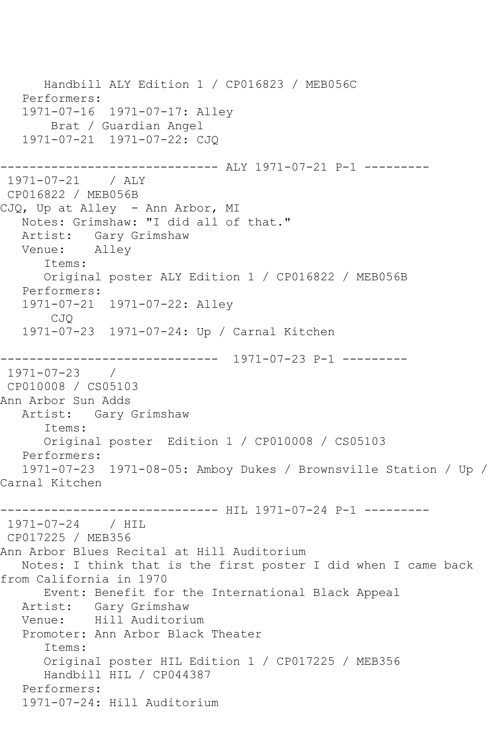```
 Handbill ALY Edition 1 / CP016823 / MEB056C
   Performers:
   1971-07-16 1971-07-17: Alley
       Brat / Guardian Angel
   1971-07-21 1971-07-22: CJQ
------------------------------ ALY 1971-07-21 P-1 ---------
1971-07-21 / ALY 
CP016822 / MEB056B
CJQ, Up at Alley - Ann Arbor, MI
   Notes: Grimshaw: "I did all of that."
   Artist: Gary Grimshaw
   Venue: Alley
      Items:
      Original poster ALY Edition 1 / CP016822 / MEB056B
   Performers:
   1971-07-21 1971-07-22: Alley
       CJQ
   1971-07-23 1971-07-24: Up / Carnal Kitchen
------------------------------ 1971-07-23 P-1 ---------
1971-07-23 / 
CP010008 / CS05103
Ann Arbor Sun Adds
   Artist: Gary Grimshaw
      Items:
      Original poster Edition 1 / CP010008 / CS05103
   Performers:
   1971-07-23 1971-08-05: Amboy Dukes / Brownsville Station / Up / 
Carnal Kitchen
------------------------------ HIL 1971-07-24 P-1 ---------
1971-07-24 / HIL 
CP017225 / MEB356
Ann Arbor Blues Recital at Hill Auditorium
   Notes: I think that is the first poster I did when I came back 
from California in 1970
      Event: Benefit for the International Black Appeal
   Artist: Gary Grimshaw
   Venue: Hill Auditorium
   Promoter: Ann Arbor Black Theater
      Items:
      Original poster HIL Edition 1 / CP017225 / MEB356
      Handbill HIL / CP044387
   Performers:
   1971-07-24: Hill Auditorium
```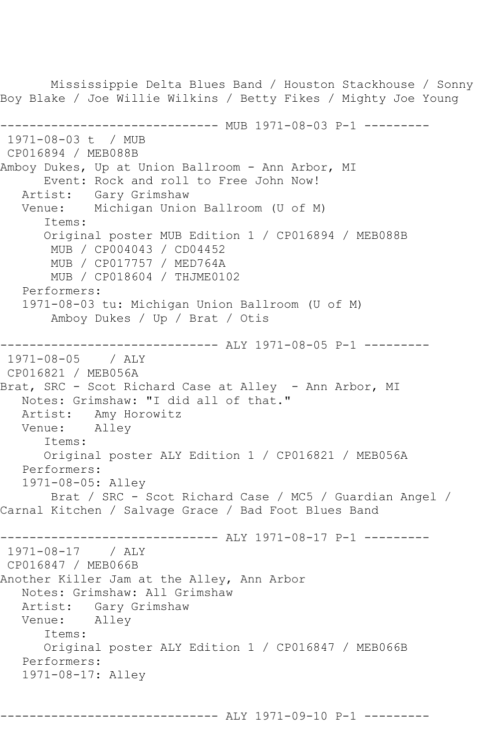Mississippie Delta Blues Band / Houston Stackhouse / Sonny Boy Blake / Joe Willie Wilkins / Betty Fikes / Mighty Joe Young ------------------------------ MUB 1971-08-03 P-1 --------- 1971-08-03 t / MUB CP016894 / MEB088B Amboy Dukes, Up at Union Ballroom - Ann Arbor, MI Event: Rock and roll to Free John Now! Artist: Gary Grimshaw Venue: Michigan Union Ballroom (U of M) Items: Original poster MUB Edition 1 / CP016894 / MEB088B MUB / CP004043 / CD04452 MUB / CP017757 / MED764A MUB / CP018604 / THJME0102 Performers: 1971-08-03 tu: Michigan Union Ballroom (U of M) Amboy Dukes / Up / Brat / Otis ------------------------------ ALY 1971-08-05 P-1 --------- 1971-08-05 / ALY CP016821 / MEB056A Brat, SRC - Scot Richard Case at Alley - Ann Arbor, MI Notes: Grimshaw: "I did all of that." Artist: Amy Horowitz<br>Venue: Allev Venue: Items: Original poster ALY Edition 1 / CP016821 / MEB056A Performers: 1971-08-05: Alley Brat / SRC - Scot Richard Case / MC5 / Guardian Angel / Carnal Kitchen / Salvage Grace / Bad Foot Blues Band ------------------------------ ALY 1971-08-17 P-1 --------- 1971-08-17 / ALY CP016847 / MEB066B Another Killer Jam at the Alley, Ann Arbor Notes: Grimshaw: All Grimshaw Artist: Gary Grimshaw Venue: Alley Items: Original poster ALY Edition 1 / CP016847 / MEB066B Performers: 1971-08-17: Alley

------------------------------ ALY 1971-09-10 P-1 ---------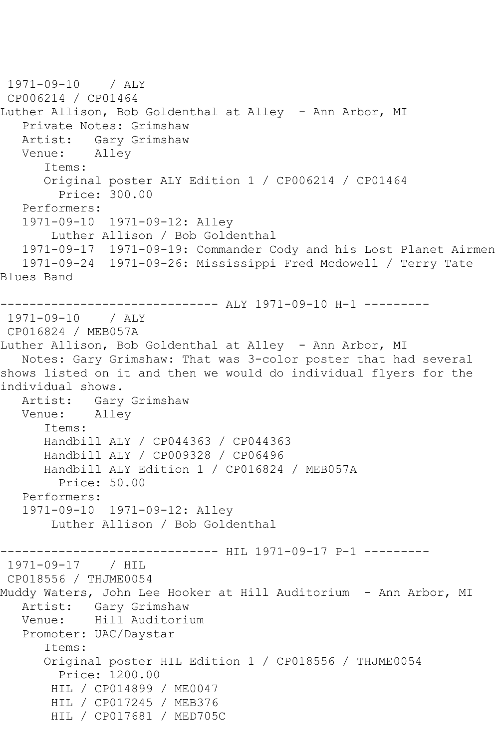1971-09-10 / ALY CP006214 / CP01464 Luther Allison, Bob Goldenthal at Alley - Ann Arbor, MI Private Notes: Grimshaw Artist: Gary Grimshaw Venue: Alley Items: Original poster ALY Edition 1 / CP006214 / CP01464 Price: 300.00 Performers: 1971-09-10 1971-09-12: Alley Luther Allison / Bob Goldenthal 1971-09-17 1971-09-19: Commander Cody and his Lost Planet Airmen 1971-09-24 1971-09-26: Mississippi Fred Mcdowell / Terry Tate Blues Band ------------------------------ ALY 1971-09-10 H-1 --------- 1971-09-10 / ALY CP016824 / MEB057A Luther Allison, Bob Goldenthal at Alley - Ann Arbor, MI Notes: Gary Grimshaw: That was 3-color poster that had several shows listed on it and then we would do individual flyers for the individual shows. Artist: Gary Grimshaw Venue: Alley Items: Handbill ALY / CP044363 / CP044363 Handbill ALY / CP009328 / CP06496 Handbill ALY Edition 1 / CP016824 / MEB057A Price: 50.00 Performers: 1971-09-10 1971-09-12: Alley Luther Allison / Bob Goldenthal ---------- HIL 1971-09-17 P-1 ----------1971-09-17 / HIL CP018556 / THJME0054 Muddy Waters, John Lee Hooker at Hill Auditorium - Ann Arbor, MI Artist: Gary Grimshaw<br>Venue: Hill Auditori Hill Auditorium Promoter: UAC/Daystar Items: Original poster HIL Edition 1 / CP018556 / THJME0054 Price: 1200.00 HIL / CP014899 / ME0047 HIL / CP017245 / MEB376 HIL / CP017681 / MED705C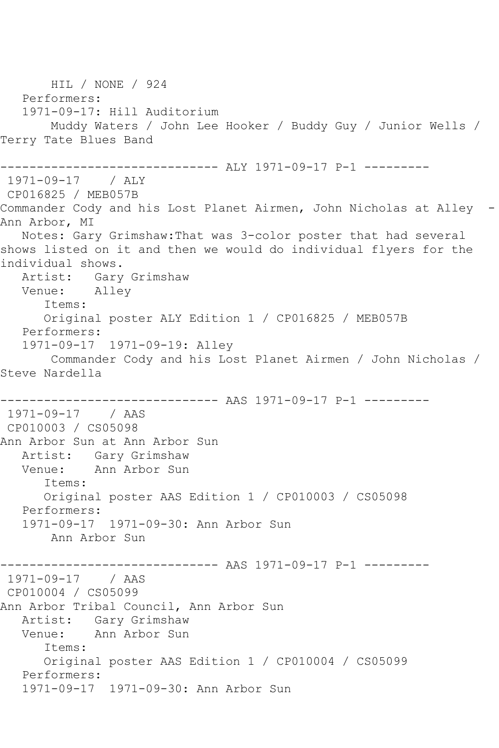HIL / NONE / 924 Performers: 1971-09-17: Hill Auditorium Muddy Waters / John Lee Hooker / Buddy Guy / Junior Wells / Terry Tate Blues Band ------------------------------ ALY 1971-09-17 P-1 --------- 1971-09-17 / ALY CP016825 / MEB057B Commander Cody and his Lost Planet Airmen, John Nicholas at Alley - Ann Arbor, MI Notes: Gary Grimshaw:That was 3-color poster that had several shows listed on it and then we would do individual flyers for the individual shows. Artist: Gary Grimshaw Venue: Alley Items: Original poster ALY Edition 1 / CP016825 / MEB057B Performers: 1971-09-17 1971-09-19: Alley Commander Cody and his Lost Planet Airmen / John Nicholas / Steve Nardella ------------------------------ AAS 1971-09-17 P-1 --------- 1971-09-17 / AAS CP010003 / CS05098 Ann Arbor Sun at Ann Arbor Sun Artist: Gary Grimshaw Venue: Ann Arbor Sun Items: Original poster AAS Edition 1 / CP010003 / CS05098 Performers: 1971-09-17 1971-09-30: Ann Arbor Sun Ann Arbor Sun ------------------------------ AAS 1971-09-17 P-1 --------- 1971-09-17 / AAS CP010004 / CS05099 Ann Arbor Tribal Council, Ann Arbor Sun Artist: Gary Grimshaw Venue: Ann Arbor Sun Items: Original poster AAS Edition 1 / CP010004 / CS05099 Performers: 1971-09-17 1971-09-30: Ann Arbor Sun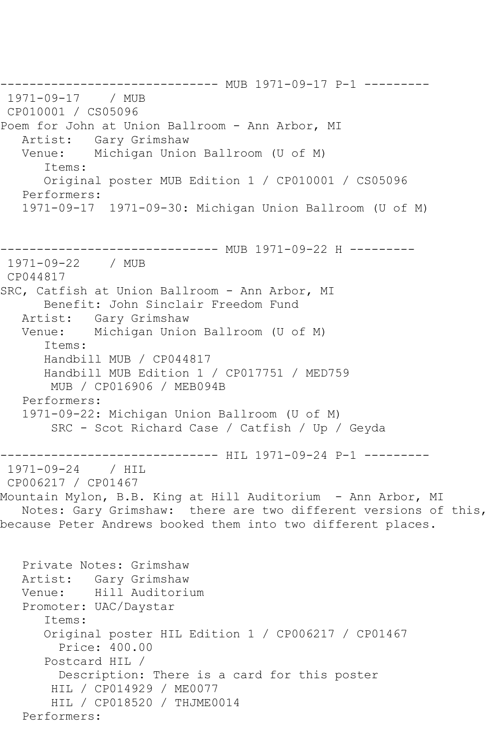------------------------------ MUB 1971-09-17 P-1 --------- 1971-09-17 / MUB CP010001 / CS05096 Poem for John at Union Ballroom - Ann Arbor, MI Artist: Gary Grimshaw Venue: Michigan Union Ballroom (U of M) Items: Original poster MUB Edition 1 / CP010001 / CS05096 Performers: 1971-09-17 1971-09-30: Michigan Union Ballroom (U of M) ------------------------------ MUB 1971-09-22 H --------- 1971-09-22 / MUB CP044817 SRC, Catfish at Union Ballroom - Ann Arbor, MI Benefit: John Sinclair Freedom Fund Artist: Gary Grimshaw Venue: Michigan Union Ballroom (U of M) Items: Handbill MUB / CP044817 Handbill MUB Edition 1 / CP017751 / MED759 MUB / CP016906 / MEB094B Performers: 1971-09-22: Michigan Union Ballroom (U of M) SRC - Scot Richard Case / Catfish / Up / Geyda ------------------------------ HIL 1971-09-24 P-1 --------- 1971-09-24 / HIL CP006217 / CP01467 Mountain Mylon, B.B. King at Hill Auditorium - Ann Arbor, MI Notes: Gary Grimshaw: there are two different versions of this, because Peter Andrews booked them into two different places. Private Notes: Grimshaw Artist: Gary Grimshaw Venue: Hill Auditorium Promoter: UAC/Daystar Items: Original poster HIL Edition 1 / CP006217 / CP01467 Price: 400.00 Postcard HIL / Description: There is a card for this poster HIL / CP014929 / ME0077 HIL / CP018520 / THJME0014 Performers: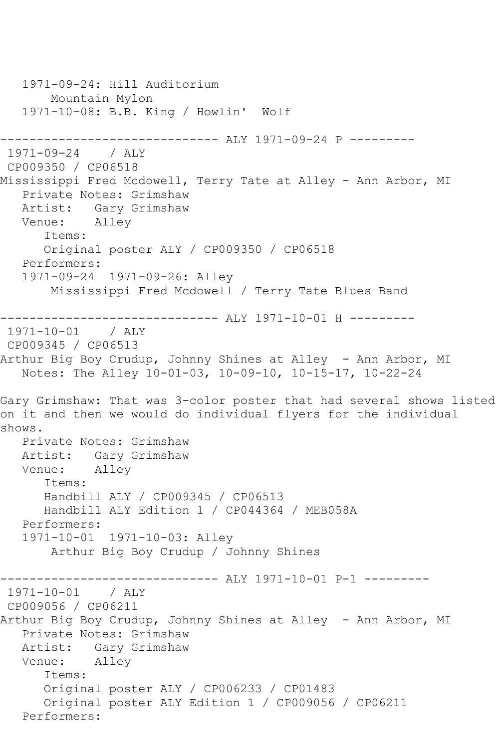1971-09-24: Hill Auditorium Mountain Mylon 1971-10-08: B.B. King / Howlin' Wolf ------------------------------ ALY 1971-09-24 P --------- 1971-09-24 / ALY CP009350 / CP06518 Mississippi Fred Mcdowell, Terry Tate at Alley - Ann Arbor, MI Private Notes: Grimshaw Artist: Gary Grimshaw<br>Venue: Allev Alley Items: Original poster ALY / CP009350 / CP06518 Performers: 1971-09-24 1971-09-26: Alley Mississippi Fred Mcdowell / Terry Tate Blues Band ------------------------------ ALY 1971-10-01 H --------- 1971-10-01 / ALY CP009345 / CP06513 Arthur Big Boy Crudup, Johnny Shines at Alley - Ann Arbor, MI Notes: The Alley 10-01-03, 10-09-10, 10-15-17, 10-22-24 Gary Grimshaw: That was 3-color poster that had several shows listed on it and then we would do individual flyers for the individual shows. Private Notes: Grimshaw Artist: Gary Grimshaw Venue: Alley Items: Handbill ALY / CP009345 / CP06513 Handbill ALY Edition 1 / CP044364 / MEB058A Performers: 1971-10-01 1971-10-03: Alley Arthur Big Boy Crudup / Johnny Shines ------------------------------ ALY 1971-10-01 P-1 --------- 1971-10-01 / ALY CP009056 / CP06211 Arthur Big Boy Crudup, Johnny Shines at Alley - Ann Arbor, MI Private Notes: Grimshaw Artist: Gary Grimshaw Venue: Alley Items: Original poster ALY / CP006233 / CP01483 Original poster ALY Edition 1 / CP009056 / CP06211 Performers: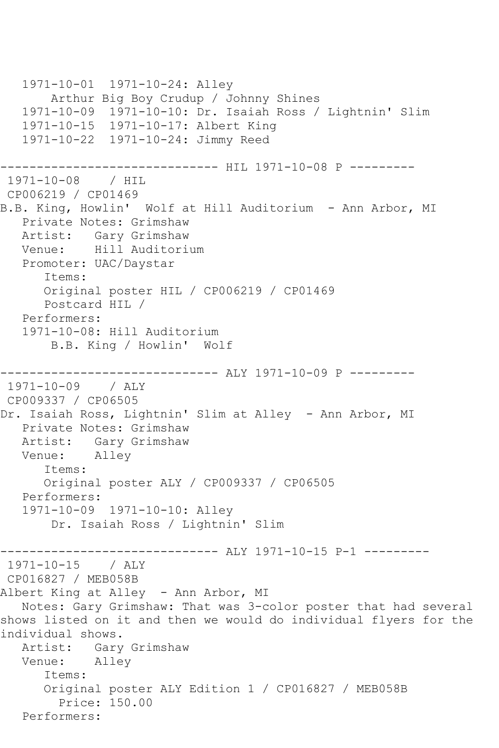```
 1971-10-01 1971-10-24: Alley
       Arthur Big Boy Crudup / Johnny Shines
   1971-10-09 1971-10-10: Dr. Isaiah Ross / Lightnin' Slim
   1971-10-15 1971-10-17: Albert King
   1971-10-22 1971-10-24: Jimmy Reed
------------------------------ HIL 1971-10-08 P ---------
1971-10-08 / HIL 
CP006219 / CP01469
B.B. King, Howlin' Wolf at Hill Auditorium - Ann Arbor, MI
   Private Notes: Grimshaw
   Artist: Gary Grimshaw
   Venue: Hill Auditorium
   Promoter: UAC/Daystar
      Items:
      Original poster HIL / CP006219 / CP01469
      Postcard HIL / 
   Performers:
   1971-10-08: Hill Auditorium
       B.B. King / Howlin' Wolf
                    ----------- ALY 1971-10-09 P ---------
1971-10-09 / ALY 
CP009337 / CP06505
Dr. Isaiah Ross, Lightnin' Slim at Alley - Ann Arbor, MI
   Private Notes: Grimshaw
   Artist: Gary Grimshaw
   Venue: Alley
      Items:
      Original poster ALY / CP009337 / CP06505
   Performers:
   1971-10-09 1971-10-10: Alley
       Dr. Isaiah Ross / Lightnin' Slim
        ------------------------------ ALY 1971-10-15 P-1 ---------
1971-10-15 / ALY 
CP016827 / MEB058B
Albert King at Alley - Ann Arbor, MI
   Notes: Gary Grimshaw: That was 3-color poster that had several 
shows listed on it and then we would do individual flyers for the 
individual shows.
   Artist: Gary Grimshaw
   Venue: Alley
      Items:
      Original poster ALY Edition 1 / CP016827 / MEB058B
         Price: 150.00
   Performers:
```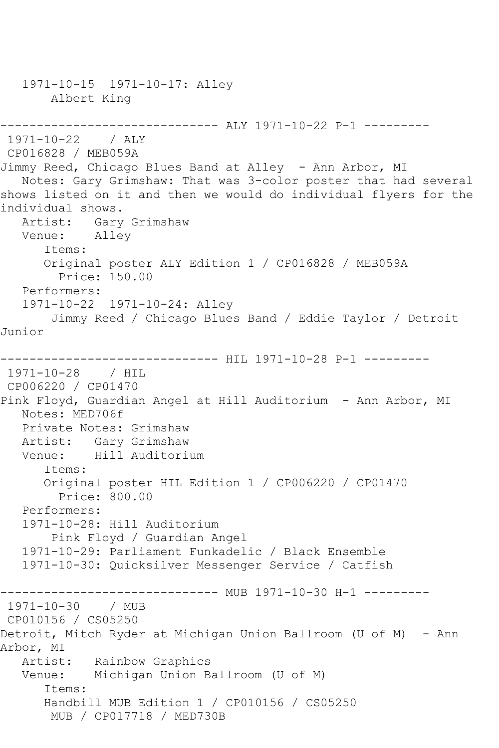1971-10-15 1971-10-17: Alley Albert King ------------------------------ ALY 1971-10-22 P-1 --------- 1971-10-22 / ALY CP016828 / MEB059A Jimmy Reed, Chicago Blues Band at Alley - Ann Arbor, MI Notes: Gary Grimshaw: That was 3-color poster that had several shows listed on it and then we would do individual flyers for the individual shows. Artist: Gary Grimshaw Venue: Alley Items: Original poster ALY Edition 1 / CP016828 / MEB059A Price: 150.00 Performers: 1971-10-22 1971-10-24: Alley Jimmy Reed / Chicago Blues Band / Eddie Taylor / Detroit Junior ----------------------------- HIL 1971-10-28 P-1 ----------1971-10-28 / HIL CP006220 / CP01470 Pink Floyd, Guardian Angel at Hill Auditorium - Ann Arbor, MI Notes: MED706f Private Notes: Grimshaw Artist: Gary Grimshaw Venue: Hill Auditorium Items: Original poster HIL Edition 1 / CP006220 / CP01470 Price: 800.00 Performers: 1971-10-28: Hill Auditorium Pink Floyd / Guardian Angel 1971-10-29: Parliament Funkadelic / Black Ensemble 1971-10-30: Quicksilver Messenger Service / Catfish ----------- MUB 1971-10-30 H-1 ---------1971-10-30 / MUB CP010156 / CS05250 Detroit, Mitch Ryder at Michigan Union Ballroom (U of M) - Ann Arbor, MI Artist: Rainbow Graphics Venue: Michigan Union Ballroom (U of M) Items: Handbill MUB Edition 1 / CP010156 / CS05250 MUB / CP017718 / MED730B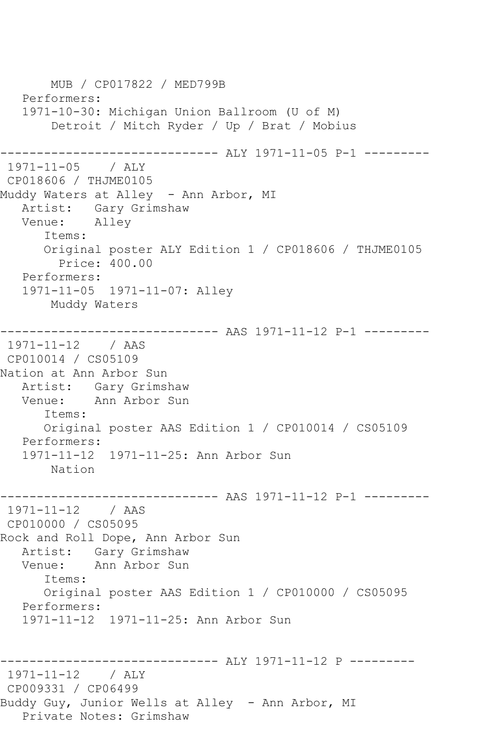MUB / CP017822 / MED799B Performers: 1971-10-30: Michigan Union Ballroom (U of M) Detroit / Mitch Ryder / Up / Brat / Mobius ------------------------------ ALY 1971-11-05 P-1 --------- 1971-11-05 / ALY CP018606 / THJME0105 Muddy Waters at Alley - Ann Arbor, MI Artist: Gary Grimshaw<br>Venue: Allev Alley Items: Original poster ALY Edition 1 / CP018606 / THJME0105 Price: 400.00 Performers: 1971-11-05 1971-11-07: Alley Muddy Waters ------------------------------ AAS 1971-11-12 P-1 --------- 1971-11-12 / AAS CP010014 / CS05109 Nation at Ann Arbor Sun Artist: Gary Grimshaw<br>Venue: Ann Arbor Sun Ann Arbor Sun Items: Original poster AAS Edition 1 / CP010014 / CS05109 Performers: 1971-11-12 1971-11-25: Ann Arbor Sun Nation ------------------------------ AAS 1971-11-12 P-1 --------- 1971-11-12 / AAS CP010000 / CS05095 Rock and Roll Dope, Ann Arbor Sun Artist: Gary Grimshaw Venue: Ann Arbor Sun Items: Original poster AAS Edition 1 / CP010000 / CS05095 Performers: 1971-11-12 1971-11-25: Ann Arbor Sun ------------------------------ ALY 1971-11-12 P --------- 1971-11-12 / ALY CP009331 / CP06499 Buddy Guy, Junior Wells at Alley - Ann Arbor, MI Private Notes: Grimshaw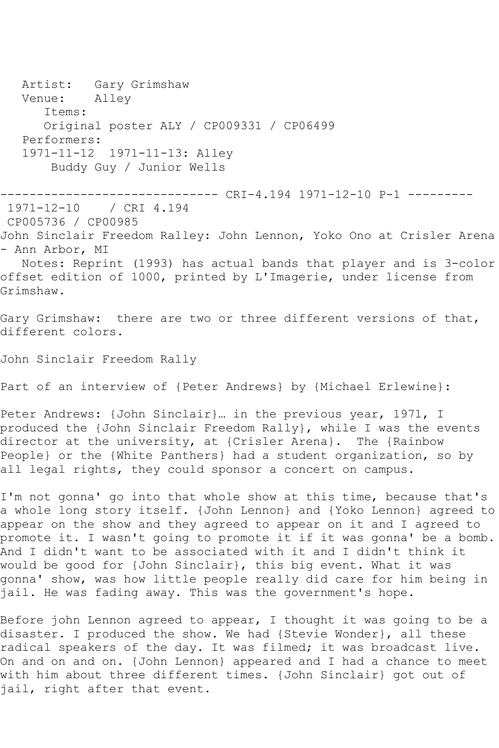Artist: Gary Grimshaw<br>Venue: Alley Venue: Items: Original poster ALY / CP009331 / CP06499 Performers: 1971-11-12 1971-11-13: Alley Buddy Guy / Junior Wells ------------------------------ CRI-4.194 1971-12-10 P-1 --------- / CRI 4.194 CP005736 / CP00985 John Sinclair Freedom Ralley: John Lennon, Yoko Ono at Crisler Arena - Ann Arbor, MI Notes: Reprint (1993) has actual bands that player and is 3-color offset edition of 1000, printed by L'Imagerie, under license from Grimshaw. Gary Grimshaw: there are two or three different versions of that, different colors. John Sinclair Freedom Rally Part of an interview of {Peter Andrews} by {Michael Erlewine}: Peter Andrews: {John Sinclair}… in the previous year, 1971, I produced the {John Sinclair Freedom Rally}, while I was the events director at the university, at {Crisler Arena}. The {Rainbow People} or the {White Panthers} had a student organization, so by all legal rights, they could sponsor a concert on campus. I'm not gonna' go into that whole show at this time, because that's a whole long story itself. {John Lennon} and {Yoko Lennon} agreed to appear on the show and they agreed to appear on it and I agreed to promote it. I wasn't going to promote it if it was gonna' be a bomb. And I didn't want to be associated with it and I didn't think it would be good for {John Sinclair}, this big event. What it was gonna' show, was how little people really did care for him being in jail. He was fading away. This was the government's hope.

Before john Lennon agreed to appear, I thought it was going to be a disaster. I produced the show. We had {Stevie Wonder}, all these radical speakers of the day. It was filmed; it was broadcast live. On and on and on. {John Lennon} appeared and I had a chance to meet with him about three different times. {John Sinclair} got out of jail, right after that event.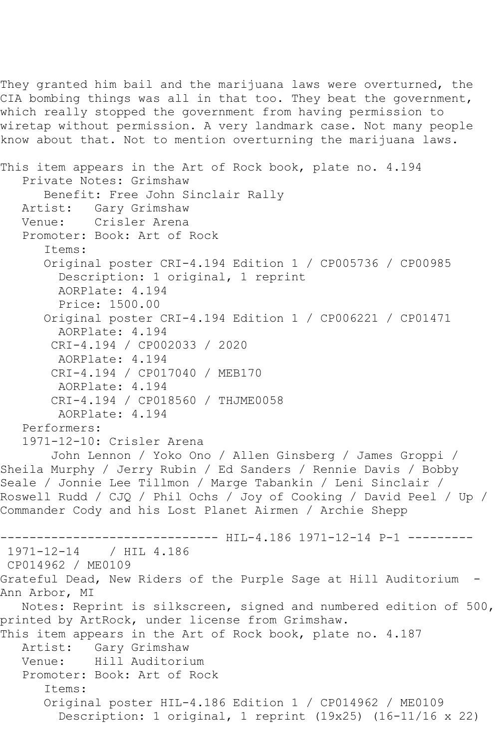They granted him bail and the marijuana laws were overturned, the CIA bombing things was all in that too. They beat the government, which really stopped the government from having permission to wiretap without permission. A very landmark case. Not many people know about that. Not to mention overturning the marijuana laws.

```
This item appears in the Art of Rock book, plate no. 4.194
   Private Notes: Grimshaw
       Benefit: Free John Sinclair Rally
   Artist: Gary Grimshaw
   Venue: Crisler Arena
   Promoter: Book: Art of Rock
       Items:
       Original poster CRI-4.194 Edition 1 / CP005736 / CP00985
         Description: 1 original, 1 reprint
         AORPlate: 4.194 
         Price: 1500.00
       Original poster CRI-4.194 Edition 1 / CP006221 / CP01471
         AORPlate: 4.194 
        CRI-4.194 / CP002033 / 2020
         AORPlate: 4.194 
        CRI-4.194 / CP017040 / MEB170
        AORPlate: 4.194 
        CRI-4.194 / CP018560 / THJME0058
         AORPlate: 4.194 
   Performers:
   1971-12-10: Crisler Arena
        John Lennon / Yoko Ono / Allen Ginsberg / James Groppi / 
Sheila Murphy / Jerry Rubin / Ed Sanders / Rennie Davis / Bobby 
Seale / Jonnie Lee Tillmon / Marge Tabankin / Leni Sinclair / 
Roswell Rudd / CJQ / Phil Ochs / Joy of Cooking / David Peel / Up / 
Commander Cody and his Lost Planet Airmen / Archie Shepp
------------------------------ HIL-4.186 1971-12-14 P-1 ---------
1971-12-14 / HIL 4.186
CP014962 / ME0109
Grateful Dead, New Riders of the Purple Sage at Hill Auditorium -
Ann Arbor, MI
   Notes: Reprint is silkscreen, signed and numbered edition of 500, 
printed by ArtRock, under license from Grimshaw.
This item appears in the Art of Rock book, plate no. 4.187
   Artist: Gary Grimshaw
   Venue: Hill Auditorium
   Promoter: Book: Art of Rock
       Items:
       Original poster HIL-4.186 Edition 1 / CP014962 / ME0109
         Description: 1 original, 1 reprint (19x25) (16-11/16 x 22)
```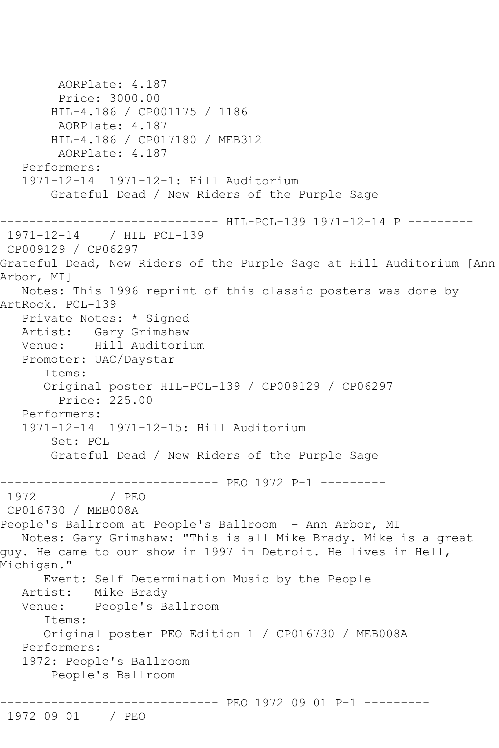```
 AORPlate: 4.187 
        Price: 3000.00
        HIL-4.186 / CP001175 / 1186
        AORPlate: 4.187 
        HIL-4.186 / CP017180 / MEB312
         AORPlate: 4.187 
   Performers:
   1971-12-14 1971-12-1: Hill Auditorium
        Grateful Dead / New Riders of the Purple Sage
------------------------------ HIL-PCL-139 1971-12-14 P ---------
1971-12-14 / HIL PCL-139
CP009129 / CP06297
Grateful Dead, New Riders of the Purple Sage at Hill Auditorium [Ann 
Arbor, MI]
   Notes: This 1996 reprint of this classic posters was done by 
ArtRock. PCL-139
   Private Notes: * Signed
   Artist: Gary Grimshaw
   Venue: Hill Auditorium
   Promoter: UAC/Daystar
       Items:
      Original poster HIL-PCL-139 / CP009129 / CP06297
         Price: 225.00
   Performers:
   1971-12-14 1971-12-15: Hill Auditorium
        Set: PCL
        Grateful Dead / New Riders of the Purple Sage
------------------------------ PEO 1972 P-1 ---------
               / PEO
CP016730 / MEB008A
People's Ballroom at People's Ballroom - Ann Arbor, MI
   Notes: Gary Grimshaw: "This is all Mike Brady. Mike is a great 
guy. He came to our show in 1997 in Detroit. He lives in Hell, 
Michigan."
      Event: Self Determination Music by the People
   Artist: Mike Brady
   Venue: People's Ballroom
       Items:
      Original poster PEO Edition 1 / CP016730 / MEB008A
   Performers:
   1972: People's Ballroom
        People's Ballroom
------------------------------ PEO 1972 09 01 P-1 ---------
```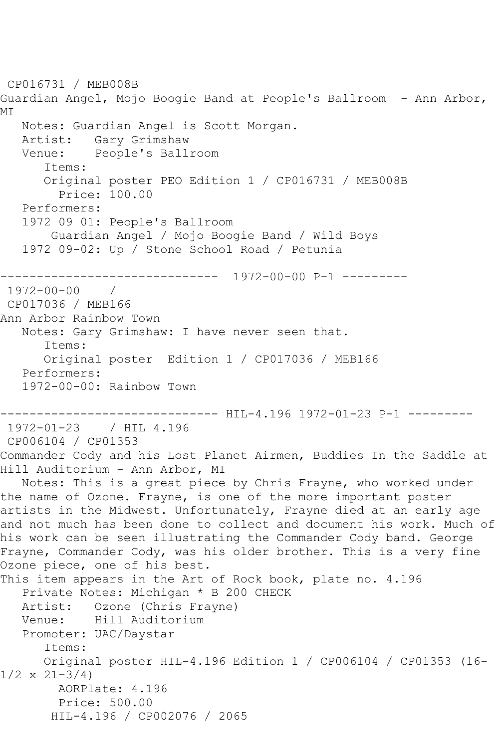```
CP016731 / MEB008B
Guardian Angel, Mojo Boogie Band at People's Ballroom - Ann Arbor, 
MI
   Notes: Guardian Angel is Scott Morgan.
   Artist: Gary Grimshaw
   Venue: People's Ballroom
       Items:
       Original poster PEO Edition 1 / CP016731 / MEB008B
         Price: 100.00
   Performers:
   1972 09 01: People's Ballroom
        Guardian Angel / Mojo Boogie Band / Wild Boys
   1972 09-02: Up / Stone School Road / Petunia
           ------------------------------ 1972-00-00 P-1 ---------
1972-00-00 / 
CP017036 / MEB166
Ann Arbor Rainbow Town
   Notes: Gary Grimshaw: I have never seen that.
       Items:
      Original poster Edition 1 / CP017036 / MEB166
   Performers:
   1972-00-00: Rainbow Town
------------------------------ HIL-4.196 1972-01-23 P-1 ---------
1972-01-23 / HIL 4.196
CP006104 / CP01353
Commander Cody and his Lost Planet Airmen, Buddies In the Saddle at 
Hill Auditorium - Ann Arbor, MI
   Notes: This is a great piece by Chris Frayne, who worked under 
the name of Ozone. Frayne, is one of the more important poster 
artists in the Midwest. Unfortunately, Frayne died at an early age 
and not much has been done to collect and document his work. Much of 
his work can be seen illustrating the Commander Cody band. George 
Frayne, Commander Cody, was his older brother. This is a very fine 
Ozone piece, one of his best.
This item appears in the Art of Rock book, plate no. 4.196
   Private Notes: Michigan * B 200 CHECK
   Artist: Ozone (Chris Frayne)
   Venue: Hill Auditorium
   Promoter: UAC/Daystar
       Items:
       Original poster HIL-4.196 Edition 1 / CP006104 / CP01353 (16-
1/2 \times 21 - 3/4 AORPlate: 4.196 
         Price: 500.00
        HIL-4.196 / CP002076 / 2065
```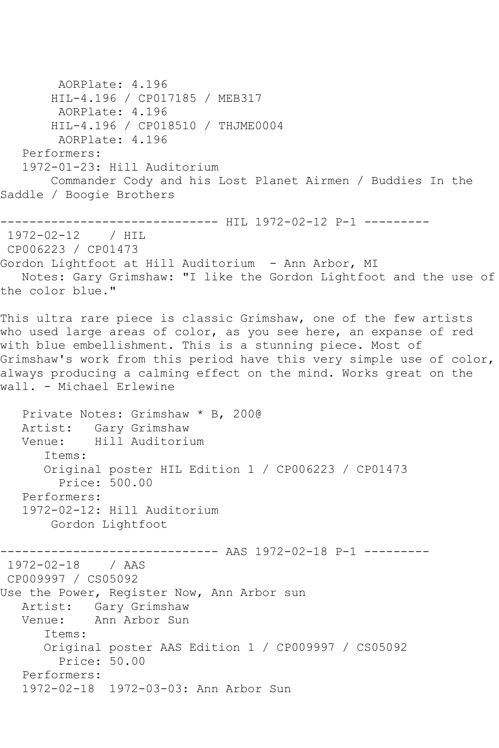AORPlate: 4.196 HIL-4.196 / CP017185 / MEB317 AORPlate: 4.196 HIL-4.196 / CP018510 / THJME0004 AORPlate: 4.196 Performers: 1972-01-23: Hill Auditorium Commander Cody and his Lost Planet Airmen / Buddies In the Saddle / Boogie Brothers ----------------------------- HIL 1972-02-12 P-1 ----------1972-02-12 / HIL CP006223 / CP01473 Gordon Lightfoot at Hill Auditorium - Ann Arbor, MI Notes: Gary Grimshaw: "I like the Gordon Lightfoot and the use of the color blue." This ultra rare piece is classic Grimshaw, one of the few artists who used large areas of color, as you see here, an expanse of red with blue embellishment. This is a stunning piece. Most of Grimshaw's work from this period have this very simple use of color, always producing a calming effect on the mind. Works great on the wall. - Michael Erlewine Private Notes: Grimshaw \* B, 200@ Artist: Gary Grimshaw Venue: Hill Auditorium Items: Original poster HIL Edition 1 / CP006223 / CP01473 Price: 500.00 Performers: 1972-02-12: Hill Auditorium Gordon Lightfoot ---------- AAS 1972-02-18 P-1 ----------1972-02-18 / AAS CP009997 / CS05092 Use the Power, Register Now, Ann Arbor sun Artist: Gary Grimshaw<br>Venue: Ann Arbor Sun Ann Arbor Sun Items: Original poster AAS Edition 1 / CP009997 / CS05092 Price: 50.00 Performers: 1972-02-18 1972-03-03: Ann Arbor Sun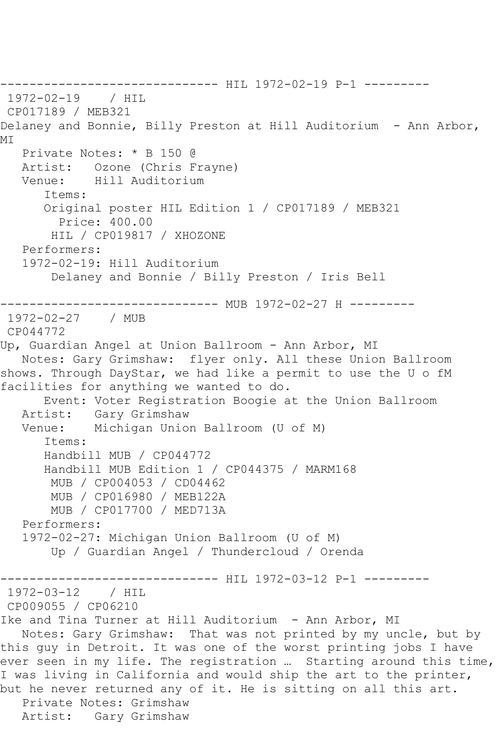------------------------------ HIL 1972-02-19 P-1 --------- 1972-02-19 / HIL CP017189 / MEB321 Delaney and Bonnie, Billy Preston at Hill Auditorium - Ann Arbor, MI Private Notes: \* B 150 @ Artist: Ozone (Chris Frayne) Venue: Hill Auditorium Items: Original poster HIL Edition 1 / CP017189 / MEB321 Price: 400.00 HIL / CP019817 / XHOZONE Performers: 1972-02-19: Hill Auditorium Delaney and Bonnie / Billy Preston / Iris Bell ------------------------------ MUB 1972-02-27 H --------- 1972-02-27 / MUB CP044772 Up, Guardian Angel at Union Ballroom - Ann Arbor, MI Notes: Gary Grimshaw: flyer only. All these Union Ballroom shows. Through DayStar, we had like a permit to use the U o fM facilities for anything we wanted to do. Event: Voter Registration Boogie at the Union Ballroom Artist: Gary Grimshaw<br>Venue: Michigan Unio Michigan Union Ballroom (U of M) Items: Handbill MUB / CP044772 Handbill MUB Edition 1 / CP044375 / MARM168 MUB / CP004053 / CD04462 MUB / CP016980 / MEB122A MUB / CP017700 / MED713A Performers: 1972-02-27: Michigan Union Ballroom (U of M) Up / Guardian Angel / Thundercloud / Orenda ------------------------------ HIL 1972-03-12 P-1 --------- 1972-03-12 / HIL CP009055 / CP06210 Ike and Tina Turner at Hill Auditorium - Ann Arbor, MI Notes: Gary Grimshaw: That was not printed by my uncle, but by this guy in Detroit. It was one of the worst printing jobs I have ever seen in my life. The registration ... Starting around this time, I was living in California and would ship the art to the printer, but he never returned any of it. He is sitting on all this art. Private Notes: Grimshaw Artist: Gary Grimshaw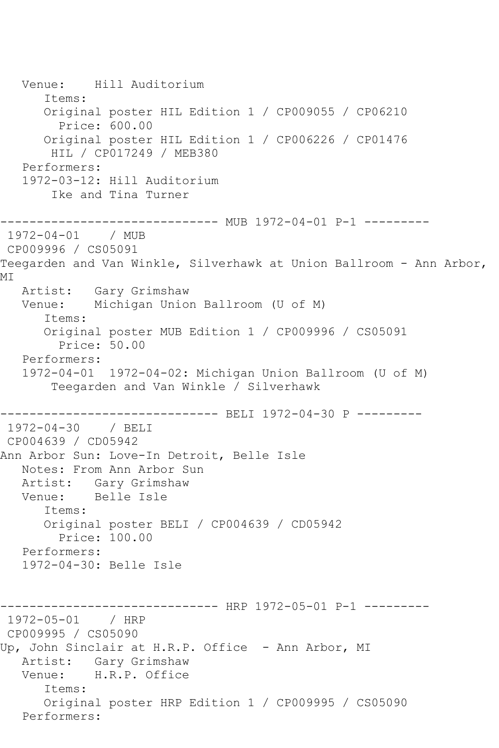Venue: Hill Auditorium Items: Original poster HIL Edition 1 / CP009055 / CP06210 Price: 600.00 Original poster HIL Edition 1 / CP006226 / CP01476 HIL / CP017249 / MEB380 Performers: 1972-03-12: Hill Auditorium Ike and Tina Turner ---------------------------- MUB 1972-04-01 P-1 ---------1972-04-01 / MUB CP009996 / CS05091 Teegarden and Van Winkle, Silverhawk at Union Ballroom - Ann Arbor, MI Artist: Gary Grimshaw Venue: Michigan Union Ballroom (U of M) Items: Original poster MUB Edition 1 / CP009996 / CS05091 Price: 50.00 Performers: 1972-04-01 1972-04-02: Michigan Union Ballroom (U of M) Teegarden and Van Winkle / Silverhawk ------------------------------ BELI 1972-04-30 P --------- 1972-04-30 / BELI CP004639 / CD05942 Ann Arbor Sun: Love-In Detroit, Belle Isle Notes: From Ann Arbor Sun Artist: Gary Grimshaw<br>Venue: Belle Isle Belle Isle Items: Original poster BELI / CP004639 / CD05942 Price: 100.00 Performers: 1972-04-30: Belle Isle ------------------------------ HRP 1972-05-01 P-1 --------- 1972-05-01 / HRP CP009995 / CS05090 Up, John Sinclair at H.R.P. Office - Ann Arbor, MI Artist: Gary Grimshaw<br>Venue: H.R.P. Office H.R.P. Office Items: Original poster HRP Edition 1 / CP009995 / CS05090 Performers: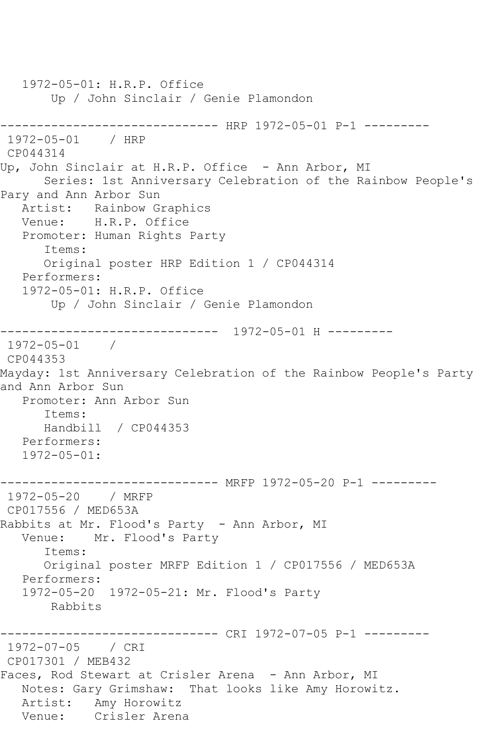1972-05-01: H.R.P. Office Up / John Sinclair / Genie Plamondon ------------------------------ HRP 1972-05-01 P-1 --------- 1972-05-01 / HRP CP044314 Up, John Sinclair at H.R.P. Office - Ann Arbor, MI Series: 1st Anniversary Celebration of the Rainbow People's Pary and Ann Arbor Sun Artist: Rainbow Graphics Venue: H.R.P. Office Promoter: Human Rights Party Items: Original poster HRP Edition 1 / CP044314 Performers: 1972-05-01: H.R.P. Office Up / John Sinclair / Genie Plamondon ------------------------------ 1972-05-01 H --------- 1972-05-01 / CP044353 Mayday: 1st Anniversary Celebration of the Rainbow People's Party and Ann Arbor Sun Promoter: Ann Arbor Sun Items: Handbill / CP044353 Performers: 1972-05-01: ------------------------------ MRFP 1972-05-20 P-1 --------- 1972-05-20 / MRFP CP017556 / MED653A Rabbits at Mr. Flood's Party - Ann Arbor, MI Venue: Mr. Flood's Party Items: Original poster MRFP Edition 1 / CP017556 / MED653A Performers: 1972-05-20 1972-05-21: Mr. Flood's Party Rabbits ------------------------------ CRI 1972-07-05 P-1 --------- 1972-07-05 / CRI CP017301 / MEB432 Faces, Rod Stewart at Crisler Arena - Ann Arbor, MI Notes: Gary Grimshaw: That looks like Amy Horowitz. Artist: Amy Horowitz Venue: Crisler Arena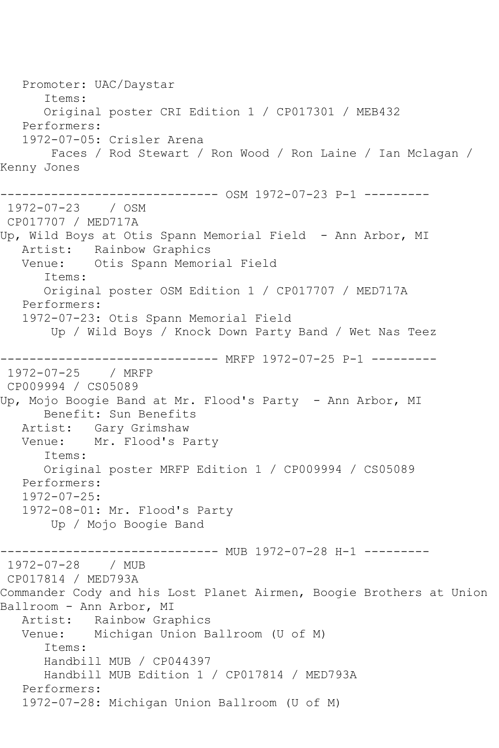Promoter: UAC/Daystar Items: Original poster CRI Edition 1 / CP017301 / MEB432 Performers: 1972-07-05: Crisler Arena Faces / Rod Stewart / Ron Wood / Ron Laine / Ian Mclagan / Kenny Jones ------------------------------ OSM 1972-07-23 P-1 --------- 1972-07-23 / OSM CP017707 / MED717A Up, Wild Boys at Otis Spann Memorial Field - Ann Arbor, MI Artist: Rainbow Graphics Venue: Otis Spann Memorial Field Items: Original poster OSM Edition 1 / CP017707 / MED717A Performers: 1972-07-23: Otis Spann Memorial Field Up / Wild Boys / Knock Down Party Band / Wet Nas Teez ------------------------------ MRFP 1972-07-25 P-1 --------- 1972-07-25 / MRFP CP009994 / CS05089 Up, Mojo Boogie Band at Mr. Flood's Party - Ann Arbor, MI Benefit: Sun Benefits Artist: Gary Grimshaw Venue: Mr. Flood's Party Items: Original poster MRFP Edition 1 / CP009994 / CS05089 Performers: 1972-07-25: 1972-08-01: Mr. Flood's Party Up / Mojo Boogie Band ------------------------------ MUB 1972-07-28 H-1 --------- 1972-07-28 / MUB CP017814 / MED793A Commander Cody and his Lost Planet Airmen, Boogie Brothers at Union Ballroom - Ann Arbor, MI Artist: Rainbow Graphics Venue: Michigan Union Ballroom (U of M) Items: Handbill MUB / CP044397 Handbill MUB Edition 1 / CP017814 / MED793A Performers: 1972-07-28: Michigan Union Ballroom (U of M)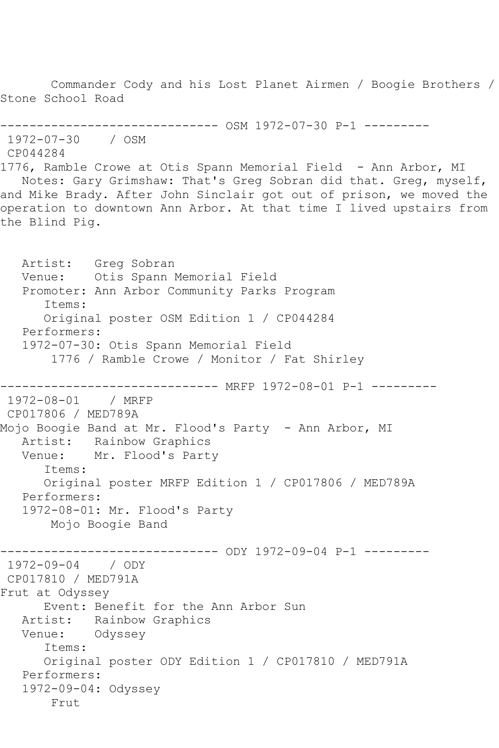Commander Cody and his Lost Planet Airmen / Boogie Brothers / Stone School Road ------------------------------ OSM 1972-07-30 P-1 --------- 1972-07-30 / OSM CP044284 1776, Ramble Crowe at Otis Spann Memorial Field - Ann Arbor, MI Notes: Gary Grimshaw: That's Greg Sobran did that. Greg, myself, and Mike Brady. After John Sinclair got out of prison, we moved the operation to downtown Ann Arbor. At that time I lived upstairs from the Blind Pig. Artist: Greg Sobran Venue: Otis Spann Memorial Field Promoter: Ann Arbor Community Parks Program Items: Original poster OSM Edition 1 / CP044284 Performers: 1972-07-30: Otis Spann Memorial Field 1776 / Ramble Crowe / Monitor / Fat Shirley ------------------ MRFP 1972-08-01 P-1 ----------<br>/ MRFP 1972-08-01 CP017806 / MED789A Mojo Boogie Band at Mr. Flood's Party - Ann Arbor, MI Artist: Rainbow Graphics Venue: Mr. Flood's Party Items: Original poster MRFP Edition 1 / CP017806 / MED789A Performers: 1972-08-01: Mr. Flood's Party Mojo Boogie Band ------------------------------ ODY 1972-09-04 P-1 --------- 1972-09-04 / ODY CP017810 / MED791A Frut at Odyssey Event: Benefit for the Ann Arbor Sun Artist: Rainbow Graphics Venue: Odyssey Items: Original poster ODY Edition 1 / CP017810 / MED791A Performers: 1972-09-04: Odyssey Frut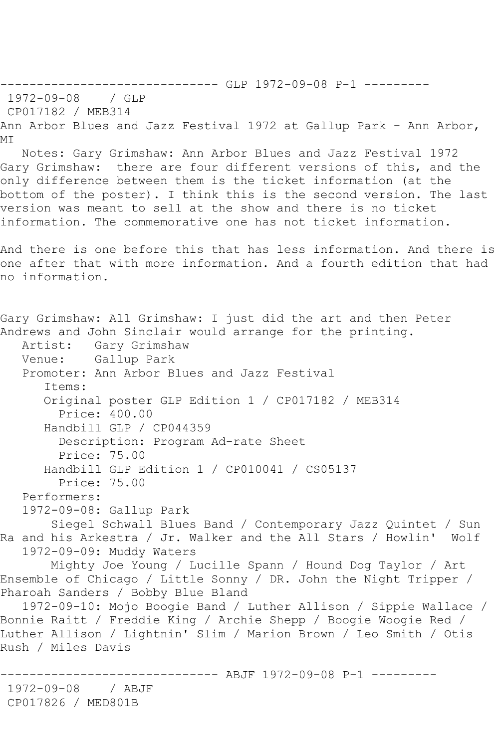MI Notes: Gary Grimshaw: Ann Arbor Blues and Jazz Festival 1972 Gary Grimshaw: there are four different versions of this, and the only difference between them is the ticket information (at the bottom of the poster). I think this is the second version. The last version was meant to sell at the show and there is no ticket information. The commemorative one has not ticket information. And there is one before this that has less information. And there is one after that with more information. And a fourth edition that had no information. Gary Grimshaw: All Grimshaw: I just did the art and then Peter Andrews and John Sinclair would arrange for the printing.<br>Artist: Gary Grimshaw Gary Grimshaw Venue: Gallup Park Promoter: Ann Arbor Blues and Jazz Festival Items: Original poster GLP Edition 1 / CP017182 / MEB314 Price: 400.00 Handbill GLP / CP044359 Description: Program Ad-rate Sheet Price: 75.00 Handbill GLP Edition 1 / CP010041 / CS05137 Price: 75.00 Performers: 1972-09-08: Gallup Park Siegel Schwall Blues Band / Contemporary Jazz Quintet / Sun Ra and his Arkestra / Jr. Walker and the All Stars / Howlin' Wolf 1972-09-09: Muddy Waters Mighty Joe Young / Lucille Spann / Hound Dog Taylor / Art Ensemble of Chicago / Little Sonny / DR. John the Night Tripper / Pharoah Sanders / Bobby Blue Bland 1972-09-10: Mojo Boogie Band / Luther Allison / Sippie Wallace / Bonnie Raitt / Freddie King / Archie Shepp / Boogie Woogie Red / Luther Allison / Lightnin' Slim / Marion Brown / Leo Smith / Otis Rush / Miles Davis ------------------------------ ABJF 1972-09-08 P-1 --------- 1972-09-08 / ABJF CP017826 / MED801B

------------------------------ GLP 1972-09-08 P-1 ---------

Ann Arbor Blues and Jazz Festival 1972 at Gallup Park - Ann Arbor,

1972-09-08 / GLP CP017182 / MEB314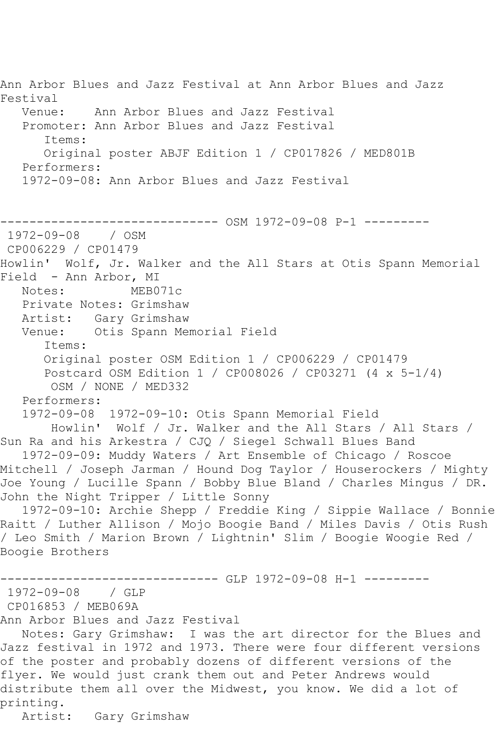Ann Arbor Blues and Jazz Festival at Ann Arbor Blues and Jazz Festival Venue: Ann Arbor Blues and Jazz Festival Promoter: Ann Arbor Blues and Jazz Festival Items: Original poster ABJF Edition 1 / CP017826 / MED801B Performers: 1972-09-08: Ann Arbor Blues and Jazz Festival ------------------------------ OSM 1972-09-08 P-1 --------- 1972-09-08 / OSM CP006229 / CP01479 Howlin' Wolf, Jr. Walker and the All Stars at Otis Spann Memorial Field - Ann Arbor, MI<br>Notes: MEBO MEB071c Private Notes: Grimshaw Artist: Gary Grimshaw Venue: Otis Spann Memorial Field Items: Original poster OSM Edition 1 / CP006229 / CP01479 Postcard OSM Edition 1 / CP008026 / CP03271 (4 x 5-1/4) OSM / NONE / MED332 Performers: 1972-09-08 1972-09-10: Otis Spann Memorial Field Howlin' Wolf / Jr. Walker and the All Stars / All Stars / Sun Ra and his Arkestra / CJQ / Siegel Schwall Blues Band 1972-09-09: Muddy Waters / Art Ensemble of Chicago / Roscoe Mitchell / Joseph Jarman / Hound Dog Taylor / Houserockers / Mighty Joe Young / Lucille Spann / Bobby Blue Bland / Charles Mingus / DR. John the Night Tripper / Little Sonny 1972-09-10: Archie Shepp / Freddie King / Sippie Wallace / Bonnie Raitt / Luther Allison / Mojo Boogie Band / Miles Davis / Otis Rush / Leo Smith / Marion Brown / Lightnin' Slim / Boogie Woogie Red / Boogie Brothers ------------------------------ GLP 1972-09-08 H-1 --------- 1972-09-08 / GLP CP016853 / MEB069A Ann Arbor Blues and Jazz Festival Notes: Gary Grimshaw: I was the art director for the Blues and Jazz festival in 1972 and 1973. There were four different versions of the poster and probably dozens of different versions of the flyer. We would just crank them out and Peter Andrews would distribute them all over the Midwest, you know. We did a lot of printing.

Artist: Gary Grimshaw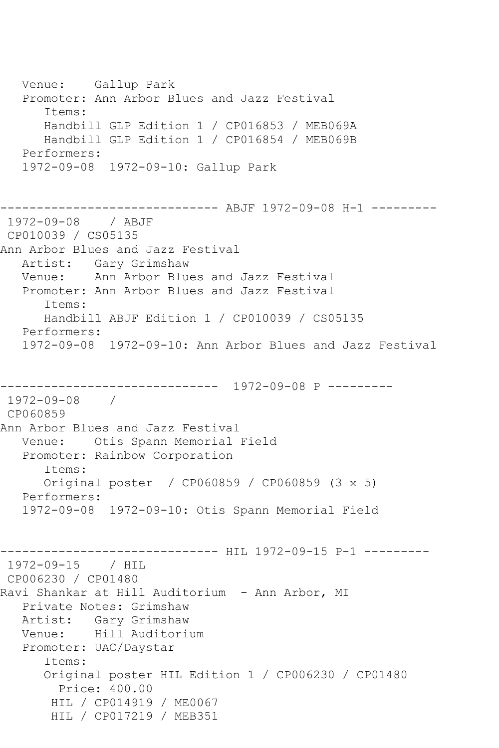Venue: Gallup Park Promoter: Ann Arbor Blues and Jazz Festival Items: Handbill GLP Edition 1 / CP016853 / MEB069A Handbill GLP Edition 1 / CP016854 / MEB069B Performers: 1972-09-08 1972-09-10: Gallup Park ------------------------------ ABJF 1972-09-08 H-1 --------- 1972-09-08 / ABJF CP010039 / CS05135 Ann Arbor Blues and Jazz Festival Artist: Gary Grimshaw Venue: Ann Arbor Blues and Jazz Festival Promoter: Ann Arbor Blues and Jazz Festival Items: Handbill ABJF Edition 1 / CP010039 / CS05135 Performers: 1972-09-08 1972-09-10: Ann Arbor Blues and Jazz Festival ------------------------------ 1972-09-08 P --------- 1972-09-08 / CP060859 Ann Arbor Blues and Jazz Festival Venue: Otis Spann Memorial Field Promoter: Rainbow Corporation Items: Original poster / CP060859 / CP060859 (3 x 5) Performers: 1972-09-08 1972-09-10: Otis Spann Memorial Field ---------- HIL 1972-09-15 P-1 ---------1972-09-15 / HIL CP006230 / CP01480 Ravi Shankar at Hill Auditorium - Ann Arbor, MI Private Notes: Grimshaw Artist: Gary Grimshaw Venue: Hill Auditorium Promoter: UAC/Daystar Items: Original poster HIL Edition 1 / CP006230 / CP01480 Price: 400.00 HIL / CP014919 / ME0067 HIL / CP017219 / MEB351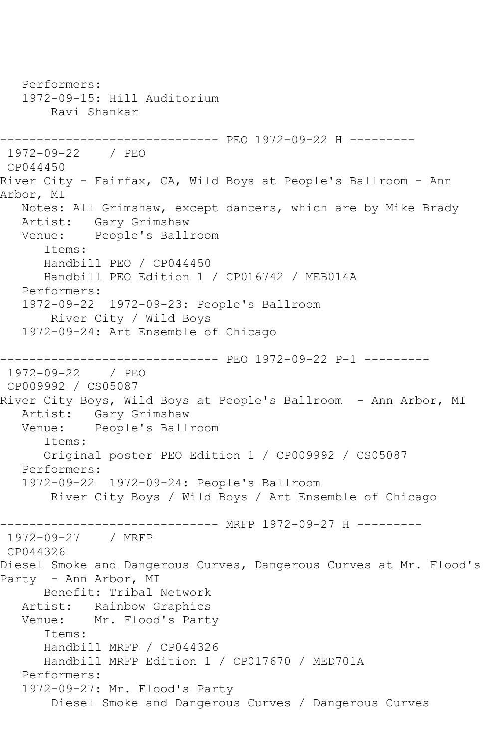Performers: 1972-09-15: Hill Auditorium Ravi Shankar ------------------------------ PEO 1972-09-22 H --------- 1972-09-22 / PEO CP044450 River City - Fairfax, CA, Wild Boys at People's Ballroom - Ann Arbor, MI Notes: All Grimshaw, except dancers, which are by Mike Brady Artist: Gary Grimshaw Venue: People's Ballroom Items: Handbill PEO / CP044450 Handbill PEO Edition 1 / CP016742 / MEB014A Performers: 1972-09-22 1972-09-23: People's Ballroom River City / Wild Boys 1972-09-24: Art Ensemble of Chicago ------------------------------ PEO 1972-09-22 P-1 --------- 1972-09-22 / PEO CP009992 / CS05087 River City Boys, Wild Boys at People's Ballroom - Ann Arbor, MI Artist: Gary Grimshaw<br>Venue: People's Ball People's Ballroom Items: Original poster PEO Edition 1 / CP009992 / CS05087 Performers: 1972-09-22 1972-09-24: People's Ballroom River City Boys / Wild Boys / Art Ensemble of Chicago ------------------------------ MRFP 1972-09-27 H --------- 1972-09-27 / MRFP CP044326 Diesel Smoke and Dangerous Curves, Dangerous Curves at Mr. Flood's Party - Ann Arbor, MI Benefit: Tribal Network Artist: Rainbow Graphics<br>Venue: Mr. Flood's Part Mr. Flood's Party Items: Handbill MRFP / CP044326 Handbill MRFP Edition 1 / CP017670 / MED701A Performers: 1972-09-27: Mr. Flood's Party Diesel Smoke and Dangerous Curves / Dangerous Curves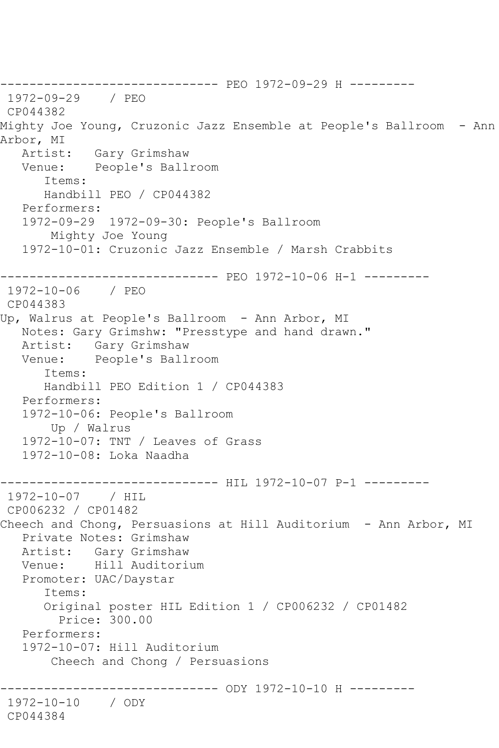------------------------------ PEO 1972-09-29 H --------- 1972-09-29 / PEO CP044382 Mighty Joe Young, Cruzonic Jazz Ensemble at People's Ballroom - Ann Arbor, MI<br>Artist: Artist: Gary Grimshaw Venue: People's Ballroom Items: Handbill PEO / CP044382 Performers: 1972-09-29 1972-09-30: People's Ballroom Mighty Joe Young 1972-10-01: Cruzonic Jazz Ensemble / Marsh Crabbits ------------------------------ PEO 1972-10-06 H-1 --------- 1972-10-06 / PEO CP044383 Up, Walrus at People's Ballroom - Ann Arbor, MI Notes: Gary Grimshw: "Presstype and hand drawn." Artist: Gary Grimshaw Venue: People's Ballroom Items: Handbill PEO Edition 1 / CP044383 Performers: 1972-10-06: People's Ballroom Up / Walrus 1972-10-07: TNT / Leaves of Grass 1972-10-08: Loka Naadha ------------------------------ HIL 1972-10-07 P-1 --------- 1972-10-07 / HIL CP006232 / CP01482 Cheech and Chong, Persuasions at Hill Auditorium - Ann Arbor, MI Private Notes: Grimshaw Artist: Gary Grimshaw Venue: Hill Auditorium Promoter: UAC/Daystar Items: Original poster HIL Edition 1 / CP006232 / CP01482 Price: 300.00 Performers: 1972-10-07: Hill Auditorium Cheech and Chong / Persuasions --------------- ODY 1972-10-10 H ---------1972-10-10 / ODY CP044384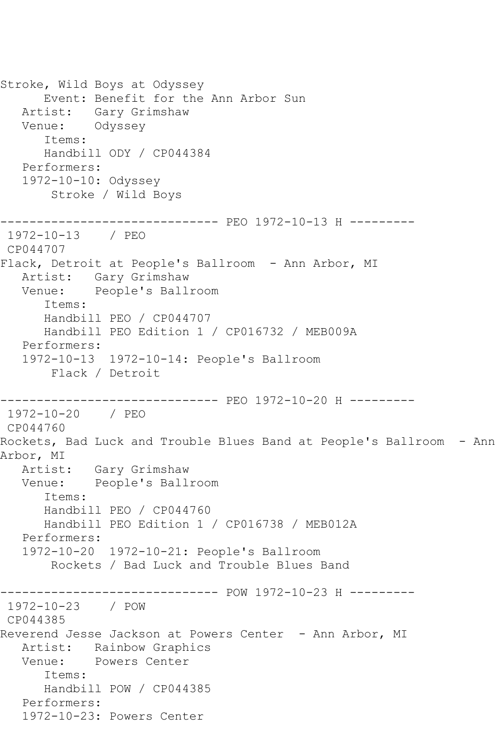Stroke, Wild Boys at Odyssey Event: Benefit for the Ann Arbor Sun Artist: Gary Grimshaw Venue: Odyssey Items: Handbill ODY / CP044384 Performers: 1972-10-10: Odyssey Stroke / Wild Boys ------------------------------ PEO 1972-10-13 H --------- 1972-10-13 / PEO CP044707 Flack, Detroit at People's Ballroom - Ann Arbor, MI Artist: Gary Grimshaw Venue: People's Ballroom Items: Handbill PEO / CP044707 Handbill PEO Edition 1 / CP016732 / MEB009A Performers: 1972-10-13 1972-10-14: People's Ballroom Flack / Detroit ------------------------------ PEO 1972-10-20 H --------- 1972-10-20 / PEO CP044760 Rockets, Bad Luck and Trouble Blues Band at People's Ballroom - Ann Arbor, MI Artist: Gary Grimshaw Venue: People's Ballroom Items: Handbill PEO / CP044760 Handbill PEO Edition 1 / CP016738 / MEB012A Performers: 1972-10-20 1972-10-21: People's Ballroom Rockets / Bad Luck and Trouble Blues Band ------------------------------ POW 1972-10-23 H --------- 1972-10-23 / POW CP044385 Reverend Jesse Jackson at Powers Center - Ann Arbor, MI Artist: Rainbow Graphics Venue: Powers Center Items: Handbill POW / CP044385 Performers: 1972-10-23: Powers Center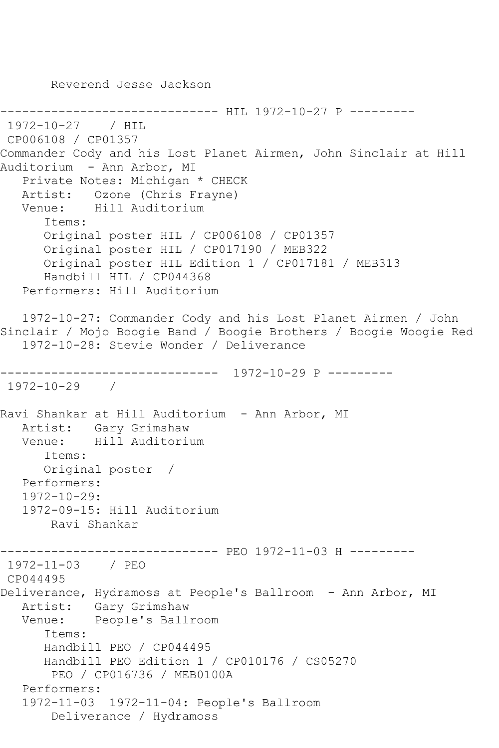Reverend Jesse Jackson

-------------- HIL 1972-10-27 P ---------1972-10-27 / HIL CP006108 / CP01357 Commander Cody and his Lost Planet Airmen, John Sinclair at Hill Auditorium - Ann Arbor, MI Private Notes: Michigan \* CHECK Artist: Ozone (Chris Frayne) Venue: Hill Auditorium Items: Original poster HIL / CP006108 / CP01357 Original poster HIL / CP017190 / MEB322 Original poster HIL Edition 1 / CP017181 / MEB313 Handbill HIL / CP044368 Performers: Hill Auditorium 1972-10-27: Commander Cody and his Lost Planet Airmen / John Sinclair / Mojo Boogie Band / Boogie Brothers / Boogie Woogie Red 1972-10-28: Stevie Wonder / Deliverance ------------------------------ 1972-10-29 P --------- 1972-10-29 / Ravi Shankar at Hill Auditorium - Ann Arbor, MI Artist: Gary Grimshaw Venue: Hill Auditorium Items: Original poster / Performers: 1972-10-29: 1972-09-15: Hill Auditorium Ravi Shankar ------------------------------ PEO 1972-11-03 H --------- 1972-11-03 / PEO CP044495 Deliverance, Hydramoss at People's Ballroom - Ann Arbor, MI Artist: Gary Grimshaw Venue: People's Ballroom Items: Handbill PEO / CP044495 Handbill PEO Edition 1 / CP010176 / CS05270 PEO / CP016736 / MEB0100A Performers: 1972-11-03 1972-11-04: People's Ballroom Deliverance / Hydramoss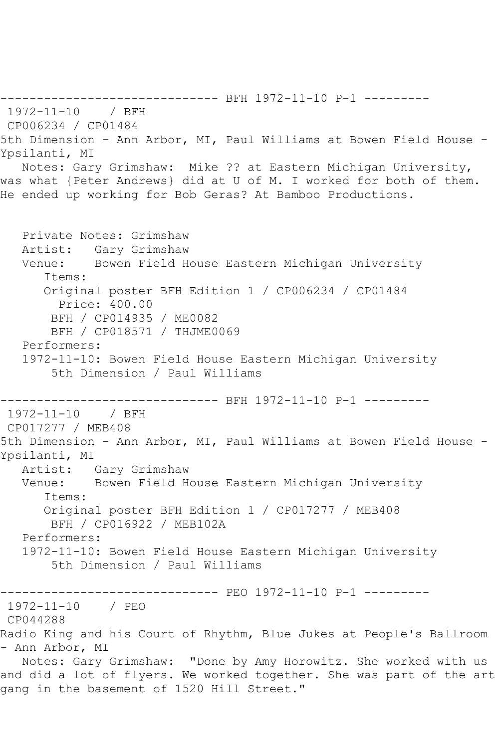------------------------------ BFH 1972-11-10 P-1 --------- 1972-11-10 / BFH CP006234 / CP01484 5th Dimension - Ann Arbor, MI, Paul Williams at Bowen Field House - Ypsilanti, MI Notes: Gary Grimshaw: Mike ?? at Eastern Michigan University, was what {Peter Andrews} did at U of M. I worked for both of them. He ended up working for Bob Geras? At Bamboo Productions. Private Notes: Grimshaw Artist: Gary Grimshaw Venue: Bowen Field House Eastern Michigan University Items: Original poster BFH Edition 1 / CP006234 / CP01484 Price: 400.00 BFH / CP014935 / ME0082 BFH / CP018571 / THJME0069 Performers: 1972-11-10: Bowen Field House Eastern Michigan University 5th Dimension / Paul Williams ------------------------------ BFH 1972-11-10 P-1 --------- 1972-11-10 / BFH CP017277 / MEB408 5th Dimension - Ann Arbor, MI, Paul Williams at Bowen Field House - Ypsilanti, MI Artist: Gary Grimshaw Venue: Bowen Field House Eastern Michigan University Items: Original poster BFH Edition 1 / CP017277 / MEB408 BFH / CP016922 / MEB102A Performers: 1972-11-10: Bowen Field House Eastern Michigan University 5th Dimension / Paul Williams ------------------------------ PEO 1972-11-10 P-1 --------- 1972-11-10 / PEO CP044288 Radio King and his Court of Rhythm, Blue Jukes at People's Ballroom - Ann Arbor, MI Notes: Gary Grimshaw: "Done by Amy Horowitz. She worked with us and did a lot of flyers. We worked together. She was part of the art gang in the basement of 1520 Hill Street."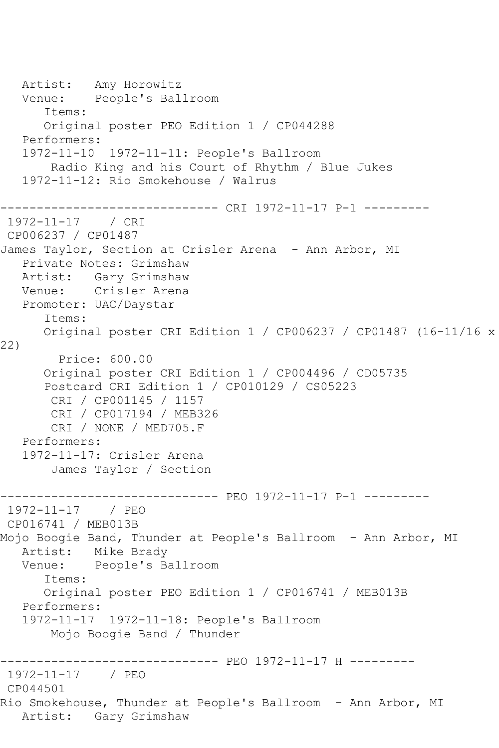Artist: Amy Horowitz Venue: People's Ballroom Items: Original poster PEO Edition 1 / CP044288 Performers: 1972-11-10 1972-11-11: People's Ballroom Radio King and his Court of Rhythm / Blue Jukes 1972-11-12: Rio Smokehouse / Walrus ------------------------------ CRI 1972-11-17 P-1 --------- 1972-11-17 / CRI CP006237 / CP01487 James Taylor, Section at Crisler Arena - Ann Arbor, MI Private Notes: Grimshaw Artist: Gary Grimshaw Venue: Crisler Arena Promoter: UAC/Daystar Items: Original poster CRI Edition 1 / CP006237 / CP01487 (16-11/16 x 22) Price: 600.00 Original poster CRI Edition 1 / CP004496 / CD05735 Postcard CRI Edition 1 / CP010129 / CS05223 CRI / CP001145 / 1157 CRI / CP017194 / MEB326 CRI / NONE / MED705.F Performers: 1972-11-17: Crisler Arena James Taylor / Section ------------------------------ PEO 1972-11-17 P-1 --------- 1972-11-17 / PEO CP016741 / MEB013B Mojo Boogie Band, Thunder at People's Ballroom - Ann Arbor, MI Artist: Mike Brady Venue: People's Ballroom Items: Original poster PEO Edition 1 / CP016741 / MEB013B Performers: 1972-11-17 1972-11-18: People's Ballroom Mojo Boogie Band / Thunder ------------------------------ PEO 1972-11-17 H --------- 1972-11-17 / PEO CP044501 Rio Smokehouse, Thunder at People's Ballroom - Ann Arbor, MI Artist: Gary Grimshaw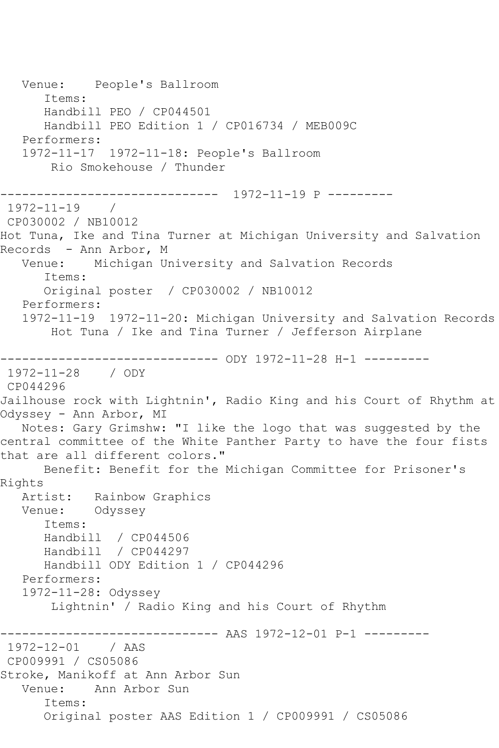Venue: People's Ballroom Items: Handbill PEO / CP044501 Handbill PEO Edition 1 / CP016734 / MEB009C Performers: 1972-11-17 1972-11-18: People's Ballroom Rio Smokehouse / Thunder ------------------------------ 1972-11-19 P --------- 1972-11-19 / CP030002 / NB10012 Hot Tuna, Ike and Tina Turner at Michigan University and Salvation Records - Ann Arbor, M Venue: Michigan University and Salvation Records Items: Original poster / CP030002 / NB10012 Performers: 1972-11-19 1972-11-20: Michigan University and Salvation Records Hot Tuna / Ike and Tina Turner / Jefferson Airplane ------------------------------ ODY 1972-11-28 H-1 --------- 1972-11-28 / ODY CP044296 Jailhouse rock with Lightnin', Radio King and his Court of Rhythm at Odyssey - Ann Arbor, MI Notes: Gary Grimshw: "I like the logo that was suggested by the central committee of the White Panther Party to have the four fists that are all different colors." Benefit: Benefit for the Michigan Committee for Prisoner's Rights Artist: Rainbow Graphics Venue: Odyssey Items: Handbill / CP044506 Handbill / CP044297 Handbill ODY Edition 1 / CP044296 Performers: 1972-11-28: Odyssey Lightnin' / Radio King and his Court of Rhythm ----------------- AAS 1972-12-01 P-1 ----------<br>/ AAS  $1972 - 12 - 01$ CP009991 / CS05086 Stroke, Manikoff at Ann Arbor Sun Venue: Ann Arbor Sun Items: Original poster AAS Edition 1 / CP009991 / CS05086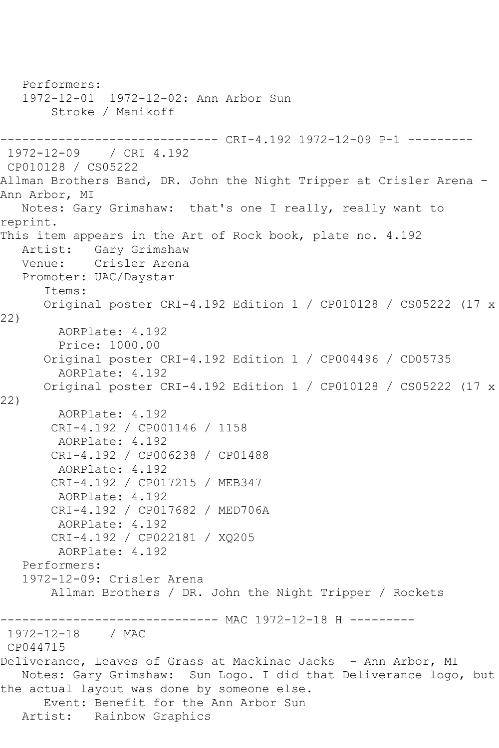Performers: 1972-12-01 1972-12-02: Ann Arbor Sun Stroke / Manikoff ------------------------------ CRI-4.192 1972-12-09 P-1 --------- 1972-12-09 / CRI 4.192 CP010128 / CS05222 Allman Brothers Band, DR. John the Night Tripper at Crisler Arena - Ann Arbor, MI Notes: Gary Grimshaw: that's one I really, really want to reprint. This item appears in the Art of Rock book, plate no. 4.192 Artist: Gary Grimshaw Venue: Crisler Arena Promoter: UAC/Daystar Items: Original poster CRI-4.192 Edition 1 / CP010128 / CS05222 (17 x 22) AORPlate: 4.192 Price: 1000.00 Original poster CRI-4.192 Edition 1 / CP004496 / CD05735 AORPlate: 4.192 Original poster CRI-4.192 Edition 1 / CP010128 / CS05222 (17 x 22) AORPlate: 4.192 CRI-4.192 / CP001146 / 1158 AORPlate: 4.192 CRI-4.192 / CP006238 / CP01488 AORPlate: 4.192 CRI-4.192 / CP017215 / MEB347 AORPlate: 4.192 CRI-4.192 / CP017682 / MED706A AORPlate: 4.192 CRI-4.192 / CP022181 / XQ205 AORPlate: 4.192 Performers: 1972-12-09: Crisler Arena Allman Brothers / DR. John the Night Tripper / Rockets ------------------------------ MAC 1972-12-18 H --------- 1972-12-18 / MAC CP044715 Deliverance, Leaves of Grass at Mackinac Jacks - Ann Arbor, MI Notes: Gary Grimshaw: Sun Logo. I did that Deliverance logo, but the actual layout was done by someone else. Event: Benefit for the Ann Arbor Sun Artist: Rainbow Graphics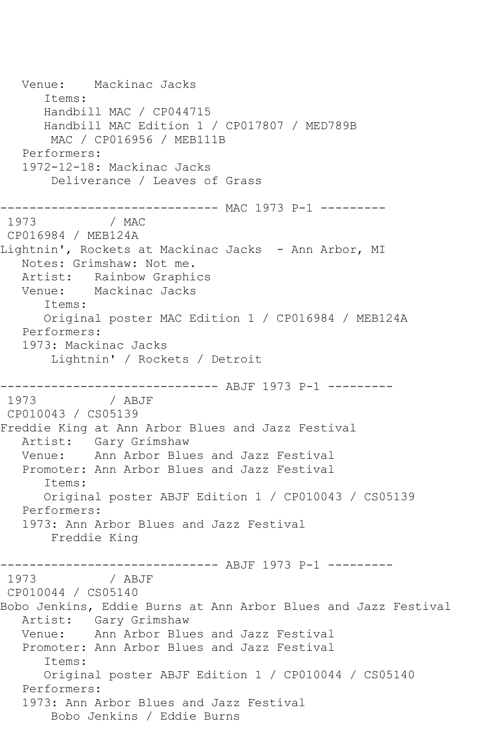Venue: Mackinac Jacks Items: Handbill MAC / CP044715 Handbill MAC Edition 1 / CP017807 / MED789B MAC / CP016956 / MEB111B Performers: 1972-12-18: Mackinac Jacks Deliverance / Leaves of Grass ------------------------------ MAC 1973 P-1 --------- / MAC CP016984 / MEB124A Lightnin', Rockets at Mackinac Jacks - Ann Arbor, MI Notes: Grimshaw: Not me. Artist: Rainbow Graphics Venue: Mackinac Jacks Items: Original poster MAC Edition 1 / CP016984 / MEB124A Performers: 1973: Mackinac Jacks Lightnin' / Rockets / Detroit ------------------------------ ABJF 1973 P-1 --------- / ABJF CP010043 / CS05139 Freddie King at Ann Arbor Blues and Jazz Festival Artist: Gary Grimshaw Venue: Ann Arbor Blues and Jazz Festival Promoter: Ann Arbor Blues and Jazz Festival Items: Original poster ABJF Edition 1 / CP010043 / CS05139 Performers: 1973: Ann Arbor Blues and Jazz Festival Freddie King ------------------------------ ABJF 1973 P-1 --------- 1973 / ABJF CP010044 / CS05140 Bobo Jenkins, Eddie Burns at Ann Arbor Blues and Jazz Festival Artist: Gary Grimshaw<br>Venue: Ann Arbor Blue Ann Arbor Blues and Jazz Festival Promoter: Ann Arbor Blues and Jazz Festival Items: Original poster ABJF Edition 1 / CP010044 / CS05140 Performers: 1973: Ann Arbor Blues and Jazz Festival Bobo Jenkins / Eddie Burns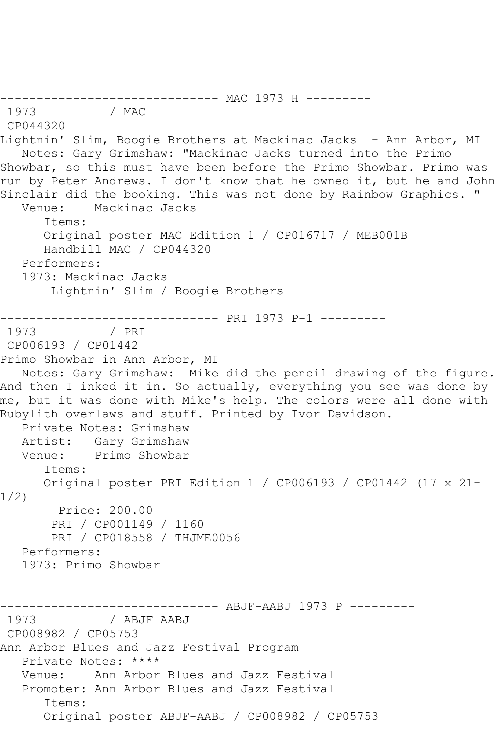------------------------------- MAC 1973 H ---------<br>1973 / MAC / MAC CP044320 Lightnin' Slim, Boogie Brothers at Mackinac Jacks - Ann Arbor, MI Notes: Gary Grimshaw: "Mackinac Jacks turned into the Primo Showbar, so this must have been before the Primo Showbar. Primo was run by Peter Andrews. I don't know that he owned it, but he and John Sinclair did the booking. This was not done by Rainbow Graphics. " Venue: Mackinac Jacks Items: Original poster MAC Edition 1 / CP016717 / MEB001B Handbill MAC / CP044320 Performers: 1973: Mackinac Jacks Lightnin' Slim / Boogie Brothers ------------------------------ PRI 1973 P-1 --------- 1973 CP006193 / CP01442 Primo Showbar in Ann Arbor, MI Notes: Gary Grimshaw: Mike did the pencil drawing of the figure. And then I inked it in. So actually, everything you see was done by me, but it was done with Mike's help. The colors were all done with Rubylith overlaws and stuff. Printed by Ivor Davidson. Private Notes: Grimshaw Artist: Gary Grimshaw Venue: Primo Showbar Items: Original poster PRI Edition 1 / CP006193 / CP01442 (17 x 21- 1/2) Price: 200.00 PRI / CP001149 / 1160 PRI / CP018558 / THJME0056 Performers: 1973: Primo Showbar ------------------------------- ABJF-AABJ 1973 P ---------<br>1973 / ABJF AABJ / ABJF AABJ CP008982 / CP05753 Ann Arbor Blues and Jazz Festival Program Private Notes: \*\*\*\* Venue: Ann Arbor Blues and Jazz Festival Promoter: Ann Arbor Blues and Jazz Festival Items: Original poster ABJF-AABJ / CP008982 / CP05753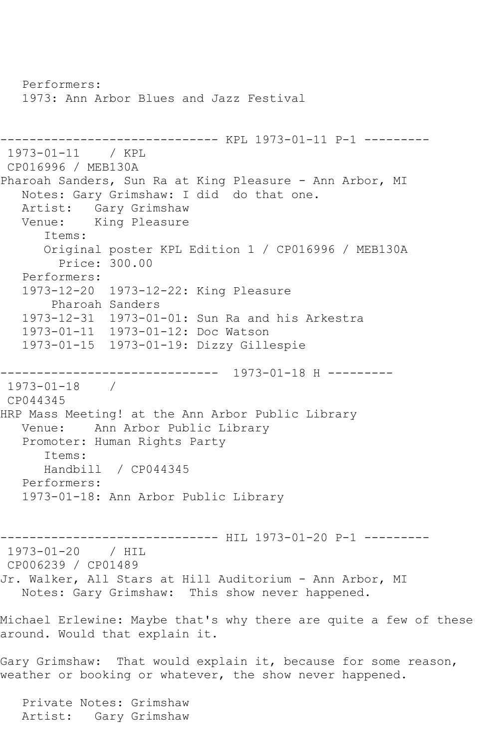Performers: 1973: Ann Arbor Blues and Jazz Festival ------------------------------ KPL 1973-01-11 P-1 --------- 1973-01-11 / KPL CP016996 / MEB130A Pharoah Sanders, Sun Ra at King Pleasure - Ann Arbor, MI Notes: Gary Grimshaw: I did do that one. Artist: Gary Grimshaw<br>Venue: King Pleasure King Pleasure Items: Original poster KPL Edition 1 / CP016996 / MEB130A Price: 300.00 Performers: 1973-12-20 1973-12-22: King Pleasure Pharoah Sanders 1973-12-31 1973-01-01: Sun Ra and his Arkestra 1973-01-11 1973-01-12: Doc Watson 1973-01-15 1973-01-19: Dizzy Gillespie ------------------------------ 1973-01-18 H --------- 1973-01-18 / CP044345 HRP Mass Meeting! at the Ann Arbor Public Library Venue: Ann Arbor Public Library Promoter: Human Rights Party Items: Handbill / CP044345 Performers: 1973-01-18: Ann Arbor Public Library ----------------------------- HIL 1973-01-20 P-1 ---------1973-01-20 / HIL CP006239 / CP01489 Jr. Walker, All Stars at Hill Auditorium - Ann Arbor, MI Notes: Gary Grimshaw: This show never happened. Michael Erlewine: Maybe that's why there are quite a few of these around. Would that explain it. Gary Grimshaw: That would explain it, because for some reason, weather or booking or whatever, the show never happened. Private Notes: Grimshaw Artist: Gary Grimshaw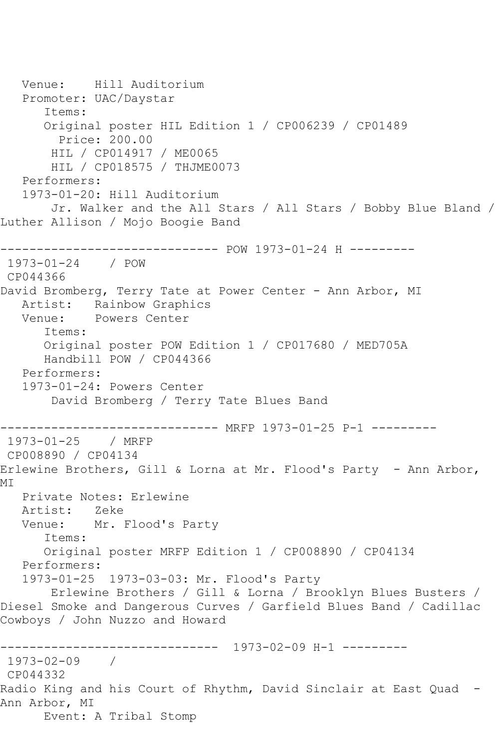Venue: Hill Auditorium Promoter: UAC/Daystar Items: Original poster HIL Edition 1 / CP006239 / CP01489 Price: 200.00 HIL / CP014917 / ME0065 HIL / CP018575 / THJME0073 Performers: 1973-01-20: Hill Auditorium Jr. Walker and the All Stars / All Stars / Bobby Blue Bland / Luther Allison / Mojo Boogie Band ------------------------------ POW 1973-01-24 H --------- 1973-01-24 / POW CP044366 David Bromberg, Terry Tate at Power Center - Ann Arbor, MI Artist: Rainbow Graphics<br>Venue: Powers Center Powers Center Items: Original poster POW Edition 1 / CP017680 / MED705A Handbill POW / CP044366 Performers: 1973-01-24: Powers Center David Bromberg / Terry Tate Blues Band ------------------------------ MRFP 1973-01-25 P-1 --------- 1973-01-25 / MRFP CP008890 / CP04134 Erlewine Brothers, Gill & Lorna at Mr. Flood's Party - Ann Arbor, MI Private Notes: Erlewine Artist: Zeke Venue: Mr. Flood's Party Items: Original poster MRFP Edition 1 / CP008890 / CP04134 Performers: 1973-01-25 1973-03-03: Mr. Flood's Party Erlewine Brothers / Gill & Lorna / Brooklyn Blues Busters / Diesel Smoke and Dangerous Curves / Garfield Blues Band / Cadillac Cowboys / John Nuzzo and Howard ------------------------------ 1973-02-09 H-1 --------- 1973-02-09 / CP044332 Radio King and his Court of Rhythm, David Sinclair at East Quad - Ann Arbor, MI Event: A Tribal Stomp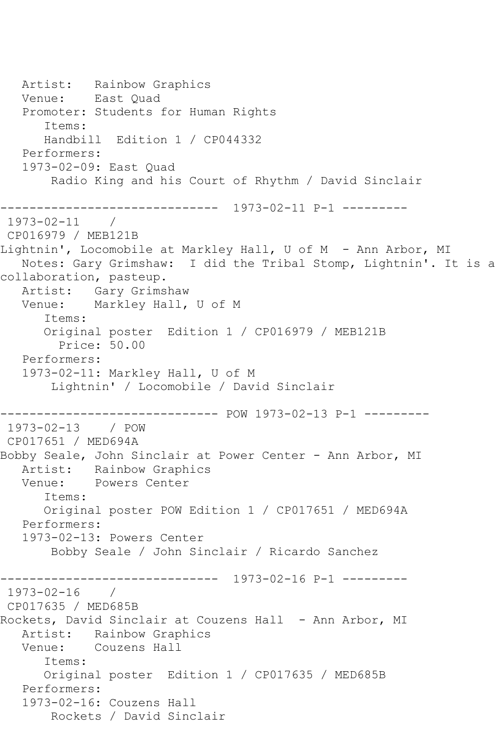Artist: Rainbow Graphics<br>Venue: East Quad East Quad Promoter: Students for Human Rights Items: Handbill Edition 1 / CP044332 Performers: 1973-02-09: East Quad Radio King and his Court of Rhythm / David Sinclair ------------------------------ 1973-02-11 P-1 --------- 1973-02-11 / CP016979 / MEB121B Lightnin', Locomobile at Markley Hall, U of M - Ann Arbor, MI Notes: Gary Grimshaw: I did the Tribal Stomp, Lightnin'. It is a collaboration, pasteup. Artist: Gary Grimshaw Venue: Markley Hall, U of M Items: Original poster Edition 1 / CP016979 / MEB121B Price: 50.00 Performers: 1973-02-11: Markley Hall, U of M Lightnin' / Locomobile / David Sinclair ------------------------------ POW 1973-02-13 P-1 --------- 1973-02-13 / POW CP017651 / MED694A Bobby Seale, John Sinclair at Power Center - Ann Arbor, MI Artist: Rainbow Graphics Venue: Powers Center Items: Original poster POW Edition 1 / CP017651 / MED694A Performers: 1973-02-13: Powers Center Bobby Seale / John Sinclair / Ricardo Sanchez ------------------------------ 1973-02-16 P-1 --------- 1973-02-16 / CP017635 / MED685B Rockets, David Sinclair at Couzens Hall - Ann Arbor, MI Artist: Rainbow Graphics Venue: Couzens Hall Items: Original poster Edition 1 / CP017635 / MED685B Performers: 1973-02-16: Couzens Hall Rockets / David Sinclair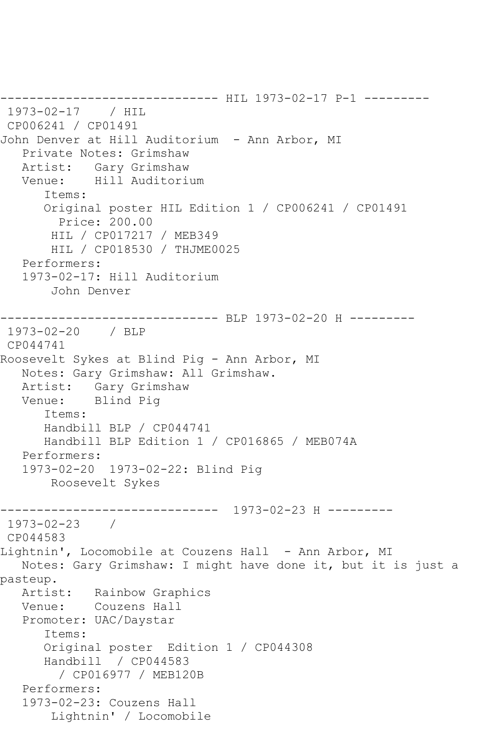------------------------------ HIL 1973-02-17 P-1 --------- 1973-02-17 / HIL CP006241 / CP01491 John Denver at Hill Auditorium - Ann Arbor, MI Private Notes: Grimshaw Artist: Gary Grimshaw Venue: Hill Auditorium Items: Original poster HIL Edition 1 / CP006241 / CP01491 Price: 200.00 HIL / CP017217 / MEB349 HIL / CP018530 / THJME0025 Performers: 1973-02-17: Hill Auditorium John Denver ------------------------------ BLP 1973-02-20 H --------- 1973-02-20 / BLP CP044741 Roosevelt Sykes at Blind Pig - Ann Arbor, MI Notes: Gary Grimshaw: All Grimshaw. Artist: Gary Grimshaw Venue: Blind Pig Items: Handbill BLP / CP044741 Handbill BLP Edition 1 / CP016865 / MEB074A Performers: 1973-02-20 1973-02-22: Blind Pig Roosevelt Sykes ------------------------------ 1973-02-23 H --------- 1973-02-23 / CP044583 Lightnin', Locomobile at Couzens Hall - Ann Arbor, MI Notes: Gary Grimshaw: I might have done it, but it is just a pasteup. Artist: Rainbow Graphics Venue: Couzens Hall Promoter: UAC/Daystar Items: Original poster Edition 1 / CP044308 Handbill / CP044583 / CP016977 / MEB120B Performers: 1973-02-23: Couzens Hall Lightnin' / Locomobile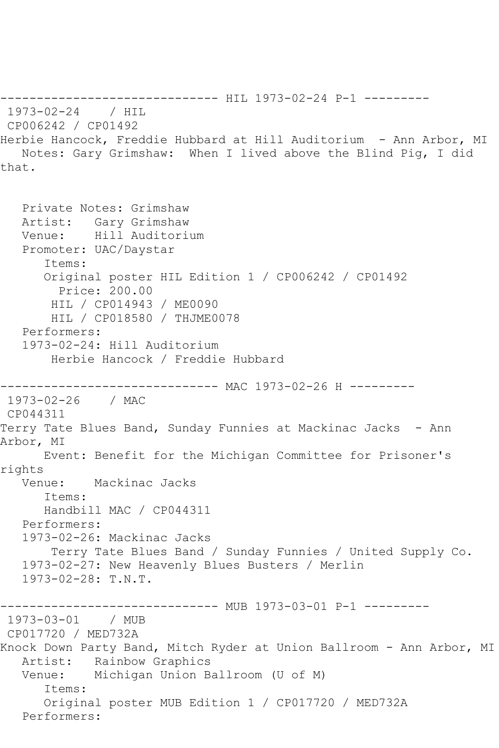------------------------------ HIL 1973-02-24 P-1 --------- 1973-02-24 / HIL CP006242 / CP01492 Herbie Hancock, Freddie Hubbard at Hill Auditorium - Ann Arbor, MI Notes: Gary Grimshaw: When I lived above the Blind Pig, I did that. Private Notes: Grimshaw Artist: Gary Grimshaw Venue: Hill Auditorium Promoter: UAC/Daystar Items: Original poster HIL Edition 1 / CP006242 / CP01492 Price: 200.00 HIL / CP014943 / ME0090 HIL / CP018580 / THJME0078 Performers: 1973-02-24: Hill Auditorium Herbie Hancock / Freddie Hubbard ------------------------------ MAC 1973-02-26 H --------- 1973-02-26 / MAC CP044311 Terry Tate Blues Band, Sunday Funnies at Mackinac Jacks - Ann Arbor, MI Event: Benefit for the Michigan Committee for Prisoner's rights Venue: Mackinac Jacks Items: Handbill MAC / CP044311 Performers: 1973-02-26: Mackinac Jacks Terry Tate Blues Band / Sunday Funnies / United Supply Co. 1973-02-27: New Heavenly Blues Busters / Merlin 1973-02-28: T.N.T. ------------------------------ MUB 1973-03-01 P-1 --------- 1973-03-01 / MUB CP017720 / MED732A Knock Down Party Band, Mitch Ryder at Union Ballroom - Ann Arbor, MI Artist: Rainbow Graphics Venue: Michigan Union Ballroom (U of M) Items: Original poster MUB Edition 1 / CP017720 / MED732A Performers: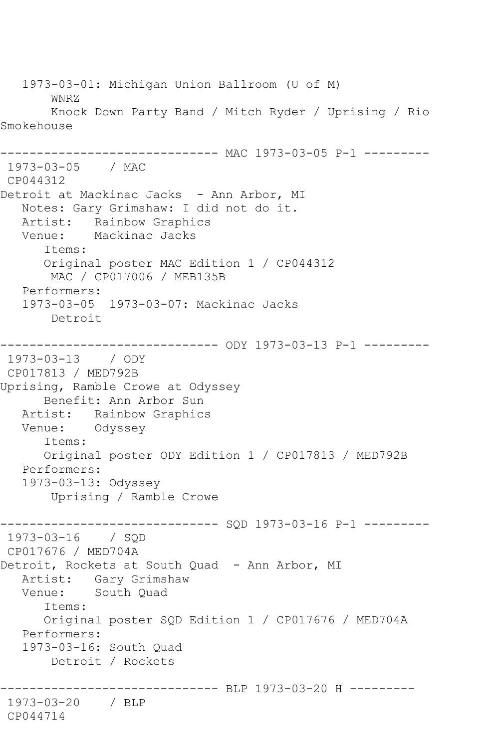1973-03-01: Michigan Union Ballroom (U of M) WNRZ Knock Down Party Band / Mitch Ryder / Uprising / Rio Smokehouse ------------ MAC 1973-03-05 P-1 ---------1973-03-05 / MAC CP044312 Detroit at Mackinac Jacks - Ann Arbor, MI Notes: Gary Grimshaw: I did not do it. Artist: Rainbow Graphics Venue: Mackinac Jacks Items: Original poster MAC Edition 1 / CP044312 MAC / CP017006 / MEB135B Performers: 1973-03-05 1973-03-07: Mackinac Jacks Detroit ------------------------------ ODY 1973-03-13 P-1 --------- 1973-03-13 / ODY CP017813 / MED792B Uprising, Ramble Crowe at Odyssey Benefit: Ann Arbor Sun Artist: Rainbow Graphics Venue: Odyssey Items: Original poster ODY Edition 1 / CP017813 / MED792B Performers: 1973-03-13: Odyssey Uprising / Ramble Crowe ------------------------------ SQD 1973-03-16 P-1 --------- 1973-03-16 / SQD CP017676 / MED704A Detroit, Rockets at South Quad - Ann Arbor, MI Artist: Gary Grimshaw Venue: South Quad Items: Original poster SQD Edition 1 / CP017676 / MED704A Performers: 1973-03-16: South Quad Detroit / Rockets ------------------------------ BLP 1973-03-20 H --------- 1973-03-20 / BLP CP044714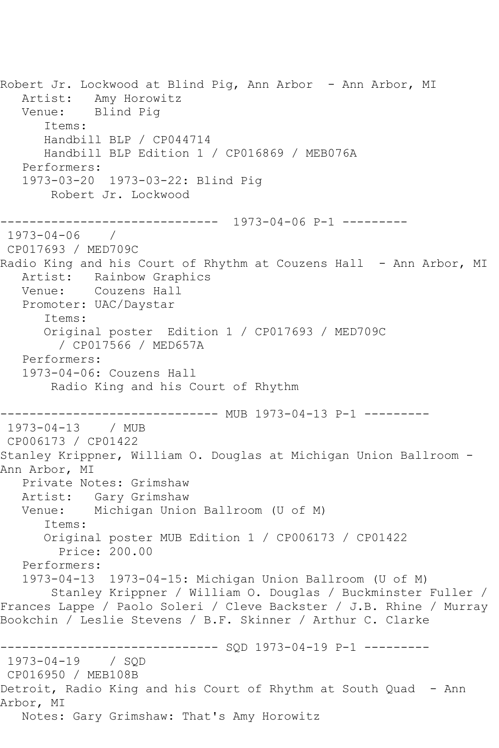Robert Jr. Lockwood at Blind Pig, Ann Arbor - Ann Arbor, MI Artist: Amy Horowitz Venue: Blind Pig Items: Handbill BLP / CP044714 Handbill BLP Edition 1 / CP016869 / MEB076A Performers: 1973-03-20 1973-03-22: Blind Pig Robert Jr. Lockwood ------------------------------ 1973-04-06 P-1 --------- 1973-04-06 / CP017693 / MED709C Radio King and his Court of Rhythm at Couzens Hall - Ann Arbor, MI Artist: Rainbow Graphics Venue: Couzens Hall Promoter: UAC/Daystar Items: Original poster Edition 1 / CP017693 / MED709C / CP017566 / MED657A Performers: 1973-04-06: Couzens Hall Radio King and his Court of Rhythm ------------------------------ MUB 1973-04-13 P-1 --------- 1973-04-13 / MUB CP006173 / CP01422 Stanley Krippner, William O. Douglas at Michigan Union Ballroom - Ann Arbor, MI Private Notes: Grimshaw Artist: Gary Grimshaw Venue: Michigan Union Ballroom (U of M) Items: Original poster MUB Edition 1 / CP006173 / CP01422 Price: 200.00 Performers: 1973-04-13 1973-04-15: Michigan Union Ballroom (U of M) Stanley Krippner / William O. Douglas / Buckminster Fuller / Frances Lappe / Paolo Soleri / Cleve Backster / J.B. Rhine / Murray Bookchin / Leslie Stevens / B.F. Skinner / Arthur C. Clarke ------------------------------ SQD 1973-04-19 P-1 --------- 1973-04-19 / SQD CP016950 / MEB108B Detroit, Radio King and his Court of Rhythm at South Quad - Ann Arbor, MI Notes: Gary Grimshaw: That's Amy Horowitz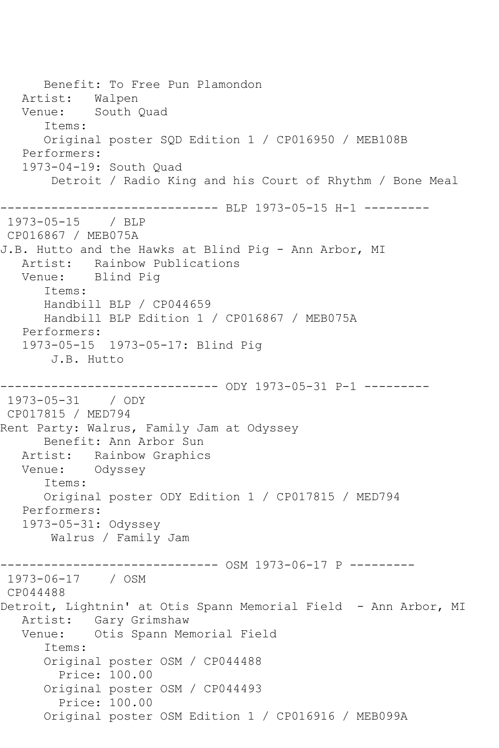Benefit: To Free Pun Plamondon Artist: Walpen Venue: South Quad Items: Original poster SQD Edition 1 / CP016950 / MEB108B Performers: 1973-04-19: South Quad Detroit / Radio King and his Court of Rhythm / Bone Meal ------------------------------ BLP 1973-05-15 H-1 --------- 1973-05-15 / BLP CP016867 / MEB075A J.B. Hutto and the Hawks at Blind Pig - Ann Arbor, MI Artist: Rainbow Publications Venue: Blind Pig Items: Handbill BLP / CP044659 Handbill BLP Edition 1 / CP016867 / MEB075A Performers: 1973-05-15 1973-05-17: Blind Pig J.B. Hutto ------------------------------ ODY 1973-05-31 P-1 --------- 1973-05-31 / ODY CP017815 / MED794 Rent Party: Walrus, Family Jam at Odyssey Benefit: Ann Arbor Sun Artist: Rainbow Graphics Venue: Odyssey Items: Original poster ODY Edition 1 / CP017815 / MED794 Performers: 1973-05-31: Odyssey Walrus / Family Jam ------------------------------ OSM 1973-06-17 P --------- 1973-06-17 / OSM CP044488 Detroit, Lightnin' at Otis Spann Memorial Field - Ann Arbor, MI Artist: Gary Grimshaw Venue: Otis Spann Memorial Field Items: Original poster OSM / CP044488 Price: 100.00 Original poster OSM / CP044493 Price: 100.00 Original poster OSM Edition 1 / CP016916 / MEB099A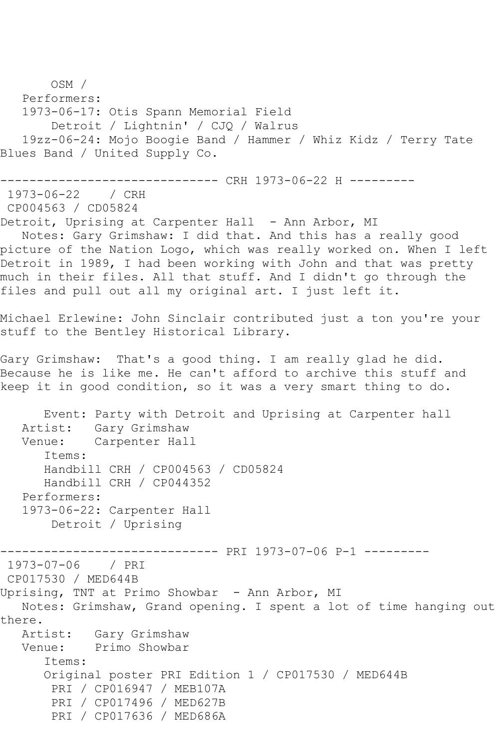OSM / Performers: 1973-06-17: Otis Spann Memorial Field Detroit / Lightnin' / CJQ / Walrus 19zz-06-24: Mojo Boogie Band / Hammer / Whiz Kidz / Terry Tate Blues Band / United Supply Co. ------------------------------ CRH 1973-06-22 H --------- 1973-06-22 / CRH CP004563 / CD05824 Detroit, Uprising at Carpenter Hall - Ann Arbor, MI Notes: Gary Grimshaw: I did that. And this has a really good picture of the Nation Logo, which was really worked on. When I left Detroit in 1989, I had been working with John and that was pretty much in their files. All that stuff. And I didn't go through the files and pull out all my original art. I just left it. Michael Erlewine: John Sinclair contributed just a ton you're your stuff to the Bentley Historical Library. Gary Grimshaw: That's a good thing. I am really glad he did. Because he is like me. He can't afford to archive this stuff and keep it in good condition, so it was a very smart thing to do. Event: Party with Detroit and Uprising at Carpenter hall Artist: Gary Grimshaw Venue: Carpenter Hall Items: Handbill CRH / CP004563 / CD05824 Handbill CRH / CP044352 Performers: 1973-06-22: Carpenter Hall Detroit / Uprising ------------------------------ PRI 1973-07-06 P-1 --------- 1973-07-06 / PRI CP017530 / MED644B Uprising, TNT at Primo Showbar - Ann Arbor, MI Notes: Grimshaw, Grand opening. I spent a lot of time hanging out there. Artist: Gary Grimshaw Venue: Primo Showbar Items: Original poster PRI Edition 1 / CP017530 / MED644B PRI / CP016947 / MEB107A PRI / CP017496 / MED627B PRI / CP017636 / MED686A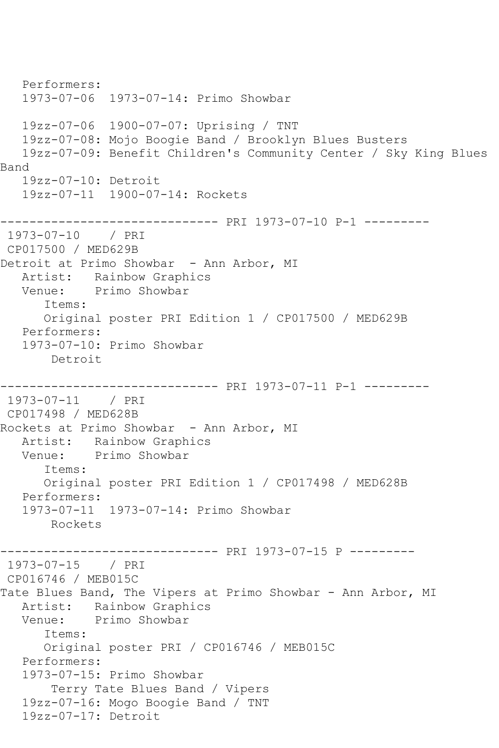Performers: 1973-07-06 1973-07-14: Primo Showbar 19zz-07-06 1900-07-07: Uprising / TNT 19zz-07-08: Mojo Boogie Band / Brooklyn Blues Busters 19zz-07-09: Benefit Children's Community Center / Sky King Blues Band 19zz-07-10: Detroit 19zz-07-11 1900-07-14: Rockets ------------------------------ PRI 1973-07-10 P-1 --------- 1973-07-10 / PRI CP017500 / MED629B Detroit at Primo Showbar - Ann Arbor, MI Artist: Rainbow Graphics Venue: Primo Showbar Items: Original poster PRI Edition 1 / CP017500 / MED629B Performers: 1973-07-10: Primo Showbar Detroit ------------------------------ PRI 1973-07-11 P-1 --------- 1973-07-11 / PRI CP017498 / MED628B Rockets at Primo Showbar - Ann Arbor, MI Artist: Rainbow Graphics Venue: Primo Showbar Items: Original poster PRI Edition 1 / CP017498 / MED628B Performers: 1973-07-11 1973-07-14: Primo Showbar Rockets ------------------------------ PRI 1973-07-15 P --------- 1973-07-15 / PRI CP016746 / MEB015C Tate Blues Band, The Vipers at Primo Showbar - Ann Arbor, MI Artist: Rainbow Graphics<br>Venue: Primo Showbar Primo Showbar Items: Original poster PRI / CP016746 / MEB015C Performers: 1973-07-15: Primo Showbar Terry Tate Blues Band / Vipers 19zz-07-16: Mogo Boogie Band / TNT 19zz-07-17: Detroit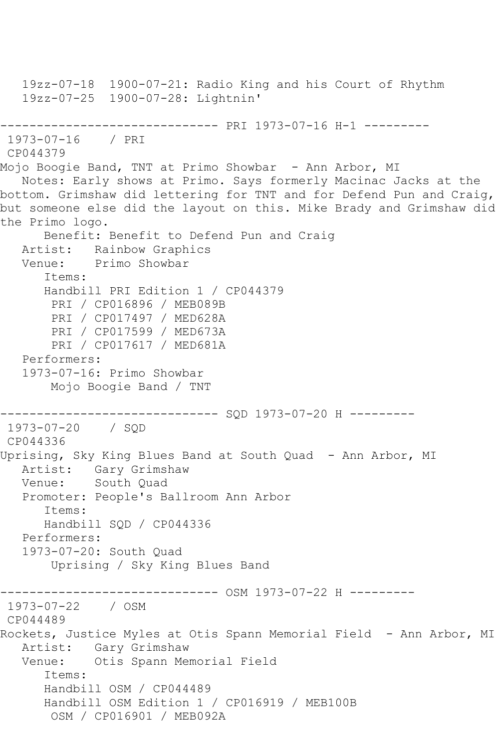19zz-07-18 1900-07-21: Radio King and his Court of Rhythm 19zz-07-25 1900-07-28: Lightnin' ------------------------------ PRI 1973-07-16 H-1 --------- 1973-07-16 / PRI CP044379 Mojo Boogie Band, TNT at Primo Showbar - Ann Arbor, MI Notes: Early shows at Primo. Says formerly Macinac Jacks at the bottom. Grimshaw did lettering for TNT and for Defend Pun and Craig, but someone else did the layout on this. Mike Brady and Grimshaw did the Primo logo. Benefit: Benefit to Defend Pun and Craig Artist: Rainbow Graphics Venue: Primo Showbar Items: Handbill PRI Edition 1 / CP044379 PRI / CP016896 / MEB089B PRI / CP017497 / MED628A PRI / CP017599 / MED673A PRI / CP017617 / MED681A Performers: 1973-07-16: Primo Showbar Mojo Boogie Band / TNT ------------------------------ SQD 1973-07-20 H --------- 1973-07-20 / SQD CP044336 Uprising, Sky King Blues Band at South Quad - Ann Arbor, MI Artist: Gary Grimshaw Venue: South Quad Promoter: People's Ballroom Ann Arbor Items: Handbill SQD / CP044336 Performers: 1973-07-20: South Quad Uprising / Sky King Blues Band ------------------------------ OSM 1973-07-22 H --------- 1973-07-22 / OSM CP044489 Rockets, Justice Myles at Otis Spann Memorial Field - Ann Arbor, MI Artist: Gary Grimshaw Venue: Otis Spann Memorial Field Items: Handbill OSM / CP044489 Handbill OSM Edition 1 / CP016919 / MEB100B OSM / CP016901 / MEB092A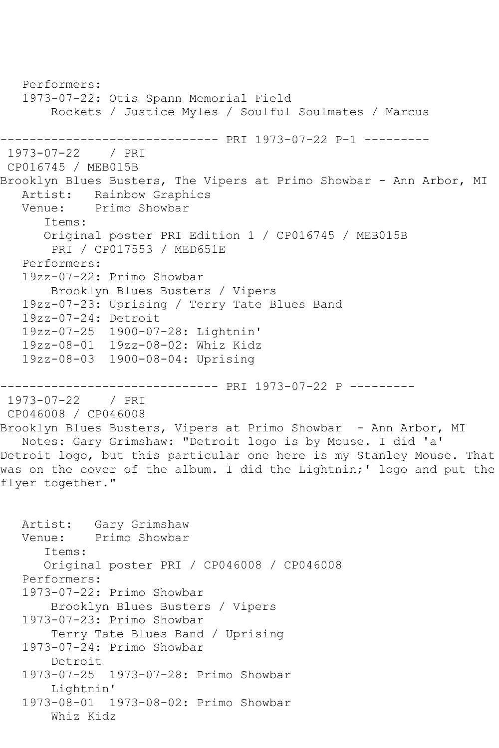```
 Performers:
   1973-07-22: Otis Spann Memorial Field
        Rockets / Justice Myles / Soulful Soulmates / Marcus
------------------------------ PRI 1973-07-22 P-1 ---------
1973-07-22 / PRI 
CP016745 / MEB015B
Brooklyn Blues Busters, The Vipers at Primo Showbar - Ann Arbor, MI
   Artist: Rainbow Graphics
   Venue: Primo Showbar
       Items:
      Original poster PRI Edition 1 / CP016745 / MEB015B
        PRI / CP017553 / MED651E
   Performers:
   19zz-07-22: Primo Showbar
        Brooklyn Blues Busters / Vipers
   19zz-07-23: Uprising / Terry Tate Blues Band
   19zz-07-24: Detroit
   19zz-07-25 1900-07-28: Lightnin'
   19zz-08-01 19zz-08-02: Whiz Kidz
   19zz-08-03 1900-08-04: Uprising
------------------------------ PRI 1973-07-22 P ---------
1973-07-22 / PRI 
CP046008 / CP046008
Brooklyn Blues Busters, Vipers at Primo Showbar - Ann Arbor, MI
   Notes: Gary Grimshaw: "Detroit logo is by Mouse. I did 'a' 
Detroit logo, but this particular one here is my Stanley Mouse. That 
was on the cover of the album. I did the Lightnin;' logo and put the
flyer together."
  Artist: Gary Grimshaw<br>Venue: Primo Showbar
            Primo Showbar
       Items:
       Original poster PRI / CP046008 / CP046008
   Performers:
   1973-07-22: Primo Showbar
        Brooklyn Blues Busters / Vipers
   1973-07-23: Primo Showbar
        Terry Tate Blues Band / Uprising
   1973-07-24: Primo Showbar
        Detroit
   1973-07-25 1973-07-28: Primo Showbar
        Lightnin'
   1973-08-01 1973-08-02: Primo Showbar
        Whiz Kidz
```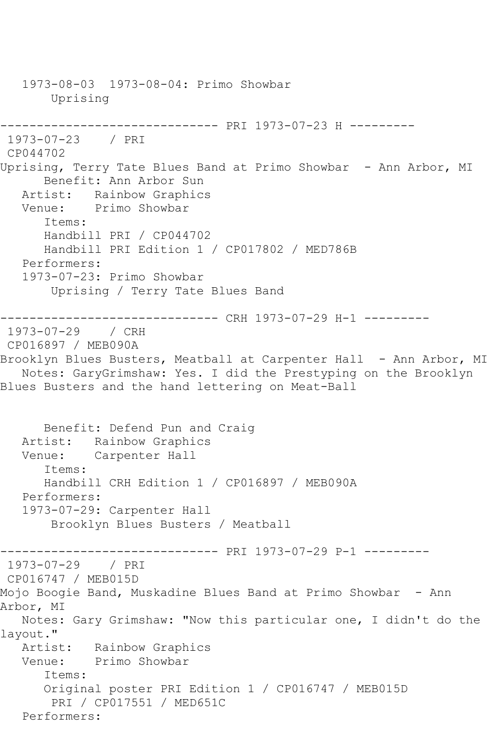1973-08-03 1973-08-04: Primo Showbar Uprising ------------------------------ PRI 1973-07-23 H --------- 1973-07-23 / PRI CP044702 Uprising, Terry Tate Blues Band at Primo Showbar - Ann Arbor, MI Benefit: Ann Arbor Sun Artist: Rainbow Graphics Venue: Primo Showbar Items: Handbill PRI / CP044702 Handbill PRI Edition 1 / CP017802 / MED786B Performers: 1973-07-23: Primo Showbar Uprising / Terry Tate Blues Band ------------------------------ CRH 1973-07-29 H-1 --------- 1973-07-29 / CRH CP016897 / MEB090A Brooklyn Blues Busters, Meatball at Carpenter Hall - Ann Arbor, MI Notes: GaryGrimshaw: Yes. I did the Prestyping on the Brooklyn Blues Busters and the hand lettering on Meat-Ball Benefit: Defend Pun and Craig Artist: Rainbow Graphics Venue: Carpenter Hall Items: Handbill CRH Edition 1 / CP016897 / MEB090A Performers: 1973-07-29: Carpenter Hall Brooklyn Blues Busters / Meatball ------------------------------ PRI 1973-07-29 P-1 --------- 1973-07-29 / PRI CP016747 / MEB015D Mojo Boogie Band, Muskadine Blues Band at Primo Showbar - Ann Arbor, MI Notes: Gary Grimshaw: "Now this particular one, I didn't do the layout." Artist: Rainbow Graphics Venue: Primo Showbar Items: Original poster PRI Edition 1 / CP016747 / MEB015D PRI / CP017551 / MED651C Performers: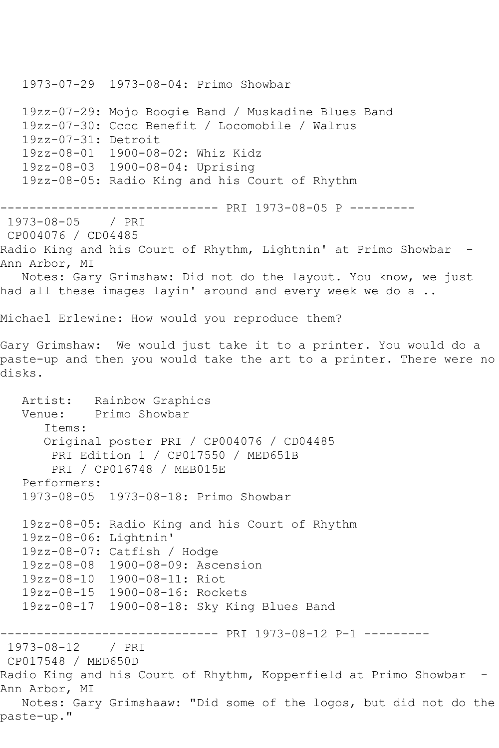1973-07-29 1973-08-04: Primo Showbar 19zz-07-29: Mojo Boogie Band / Muskadine Blues Band 19zz-07-30: Cccc Benefit / Locomobile / Walrus 19zz-07-31: Detroit 19zz-08-01 1900-08-02: Whiz Kidz 19zz-08-03 1900-08-04: Uprising 19zz-08-05: Radio King and his Court of Rhythm ------------------------------ PRI 1973-08-05 P --------- 1973-08-05 / PRI CP004076 / CD04485 Radio King and his Court of Rhythm, Lightnin' at Primo Showbar -Ann Arbor, MI Notes: Gary Grimshaw: Did not do the layout. You know, we just had all these images layin' around and every week we do a .. Michael Erlewine: How would you reproduce them? Gary Grimshaw: We would just take it to a printer. You would do a paste-up and then you would take the art to a printer. There were no disks. Artist: Rainbow Graphics Venue: Primo Showbar Items: Original poster PRI / CP004076 / CD04485 PRI Edition 1 / CP017550 / MED651B PRI / CP016748 / MEB015E Performers: 1973-08-05 1973-08-18: Primo Showbar 19zz-08-05: Radio King and his Court of Rhythm 19zz-08-06: Lightnin' 19zz-08-07: Catfish / Hodge 19zz-08-08 1900-08-09: Ascension 19zz-08-10 1900-08-11: Riot 19zz-08-15 1900-08-16: Rockets 19zz-08-17 1900-08-18: Sky King Blues Band ------------------------------ PRI 1973-08-12 P-1 --------- 1973-08-12 / PRI CP017548 / MED650D Radio King and his Court of Rhythm, Kopperfield at Primo Showbar - Ann Arbor, MI Notes: Gary Grimshaaw: "Did some of the logos, but did not do the paste-up."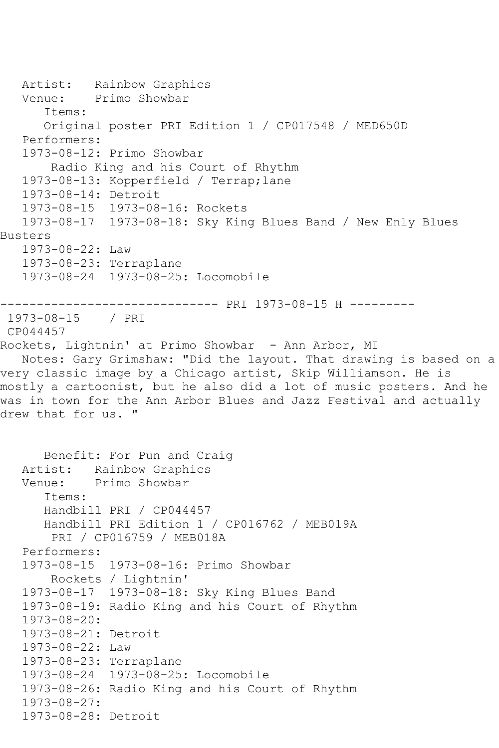Artist: Rainbow Graphics Venue: Primo Showbar Items: Original poster PRI Edition 1 / CP017548 / MED650D Performers: 1973-08-12: Primo Showbar Radio King and his Court of Rhythm 1973-08-13: Kopperfield / Terrap;lane 1973-08-14: Detroit 1973-08-15 1973-08-16: Rockets 1973-08-17 1973-08-18: Sky King Blues Band / New Enly Blues Busters 1973-08-22: Law 1973-08-23: Terraplane 1973-08-24 1973-08-25: Locomobile ------------------------------ PRI 1973-08-15 H --------- 1973-08-15 / PRI CP044457 Rockets, Lightnin' at Primo Showbar - Ann Arbor, MI Notes: Gary Grimshaw: "Did the layout. That drawing is based on a very classic image by a Chicago artist, Skip Williamson. He is mostly a cartoonist, but he also did a lot of music posters. And he was in town for the Ann Arbor Blues and Jazz Festival and actually drew that for us. " Benefit: For Pun and Craig Artist: Rainbow Graphics Venue: Primo Showbar Items: Handbill PRI / CP044457 Handbill PRI Edition 1 / CP016762 / MEB019A PRI / CP016759 / MEB018A Performers: 1973-08-15 1973-08-16: Primo Showbar Rockets / Lightnin' 1973-08-17 1973-08-18: Sky King Blues Band 1973-08-19: Radio King and his Court of Rhythm 1973-08-20: 1973-08-21: Detroit 1973-08-22: Law 1973-08-23: Terraplane 1973-08-24 1973-08-25: Locomobile 1973-08-26: Radio King and his Court of Rhythm 1973-08-27: 1973-08-28: Detroit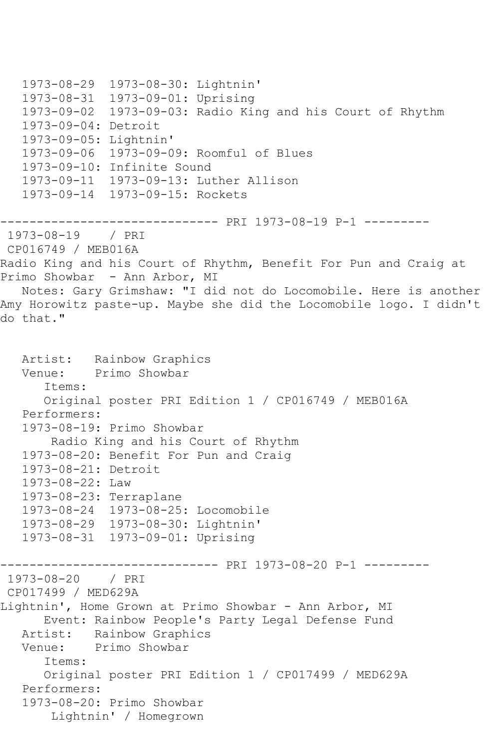```
 1973-08-29 1973-08-30: Lightnin'
   1973-08-31 1973-09-01: Uprising
   1973-09-02 1973-09-03: Radio King and his Court of Rhythm
   1973-09-04: Detroit
   1973-09-05: Lightnin'
   1973-09-06 1973-09-09: Roomful of Blues
   1973-09-10: Infinite Sound
   1973-09-11 1973-09-13: Luther Allison
   1973-09-14 1973-09-15: Rockets
------------------------------ PRI 1973-08-19 P-1 ---------
1973-08-19 / PRI 
CP016749 / MEB016A
Radio King and his Court of Rhythm, Benefit For Pun and Craig at 
Primo Showbar - Ann Arbor, MI
   Notes: Gary Grimshaw: "I did not do Locomobile. Here is another 
Amy Horowitz paste-up. Maybe she did the Locomobile logo. I didn't 
do that."
   Artist: Rainbow Graphics
   Venue: Primo Showbar
      Items:
      Original poster PRI Edition 1 / CP016749 / MEB016A
   Performers:
   1973-08-19: Primo Showbar
       Radio King and his Court of Rhythm
   1973-08-20: Benefit For Pun and Craig
   1973-08-21: Detroit
   1973-08-22: Law
   1973-08-23: Terraplane
   1973-08-24 1973-08-25: Locomobile
   1973-08-29 1973-08-30: Lightnin'
   1973-08-31 1973-09-01: Uprising
------------------------------ PRI 1973-08-20 P-1 ---------
1973-08-20 / PRI 
CP017499 / MED629A
Lightnin', Home Grown at Primo Showbar - Ann Arbor, MI
      Event: Rainbow People's Party Legal Defense Fund
   Artist: Rainbow Graphics
   Venue: Primo Showbar
      Items:
      Original poster PRI Edition 1 / CP017499 / MED629A
   Performers:
   1973-08-20: Primo Showbar
       Lightnin' / Homegrown
```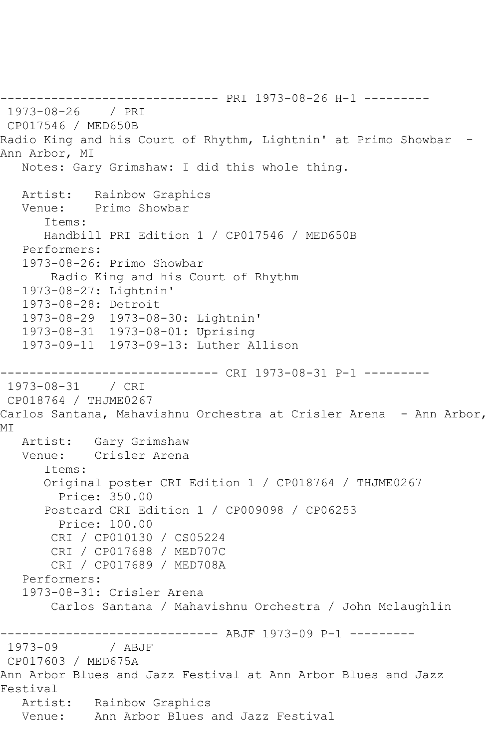------------------------------ PRI 1973-08-26 H-1 --------- 1973-08-26 / PRI CP017546 / MED650B Radio King and his Court of Rhythm, Lightnin' at Primo Showbar - Ann Arbor, MI Notes: Gary Grimshaw: I did this whole thing. Artist: Rainbow Graphics Venue: Primo Showbar Items: Handbill PRI Edition 1 / CP017546 / MED650B Performers: 1973-08-26: Primo Showbar Radio King and his Court of Rhythm 1973-08-27: Lightnin' 1973-08-28: Detroit 1973-08-29 1973-08-30: Lightnin' 1973-08-31 1973-08-01: Uprising 1973-09-11 1973-09-13: Luther Allison ------------------------------ CRI 1973-08-31 P-1 --------- 1973-08-31 / CRI CP018764 / THJME0267 Carlos Santana, Mahavishnu Orchestra at Crisler Arena - Ann Arbor, MI Artist: Gary Grimshaw Venue: Crisler Arena Items: Original poster CRI Edition 1 / CP018764 / THJME0267 Price: 350.00 Postcard CRI Edition 1 / CP009098 / CP06253 Price: 100.00 CRI / CP010130 / CS05224 CRI / CP017688 / MED707C CRI / CP017689 / MED708A Performers: 1973-08-31: Crisler Arena Carlos Santana / Mahavishnu Orchestra / John Mclaughlin ------------------------------ ABJF 1973-09 P-1 ---------  $1973 - 09$ CP017603 / MED675A Ann Arbor Blues and Jazz Festival at Ann Arbor Blues and Jazz Festival Artist: Rainbow Graphics Venue: Ann Arbor Blues and Jazz Festival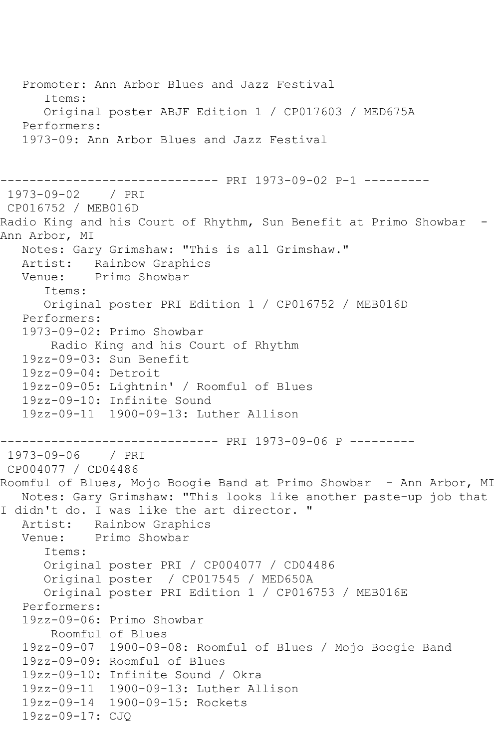Promoter: Ann Arbor Blues and Jazz Festival Items: Original poster ABJF Edition 1 / CP017603 / MED675A Performers: 1973-09: Ann Arbor Blues and Jazz Festival ------------------------------ PRI 1973-09-02 P-1 --------- 1973-09-02 / PRI CP016752 / MEB016D Radio King and his Court of Rhythm, Sun Benefit at Primo Showbar -Ann Arbor, MI Notes: Gary Grimshaw: "This is all Grimshaw." Artist: Rainbow Graphics Venue: Primo Showbar Items: Original poster PRI Edition 1 / CP016752 / MEB016D Performers: 1973-09-02: Primo Showbar Radio King and his Court of Rhythm 19zz-09-03: Sun Benefit 19zz-09-04: Detroit 19zz-09-05: Lightnin' / Roomful of Blues 19zz-09-10: Infinite Sound 19zz-09-11 1900-09-13: Luther Allison ------------------------------ PRI 1973-09-06 P --------- 1973-09-06 / PRI CP004077 / CD04486 Roomful of Blues, Mojo Boogie Band at Primo Showbar - Ann Arbor, MI Notes: Gary Grimshaw: "This looks like another paste-up job that I didn't do. I was like the art director. " Artist: Rainbow Graphics<br>Venue: Primo Showbar Primo Showbar Items: Original poster PRI / CP004077 / CD04486 Original poster / CP017545 / MED650A Original poster PRI Edition 1 / CP016753 / MEB016E Performers: 19zz-09-06: Primo Showbar Roomful of Blues 19zz-09-07 1900-09-08: Roomful of Blues / Mojo Boogie Band 19zz-09-09: Roomful of Blues 19zz-09-10: Infinite Sound / Okra 19zz-09-11 1900-09-13: Luther Allison 19zz-09-14 1900-09-15: Rockets 19zz-09-17: CJQ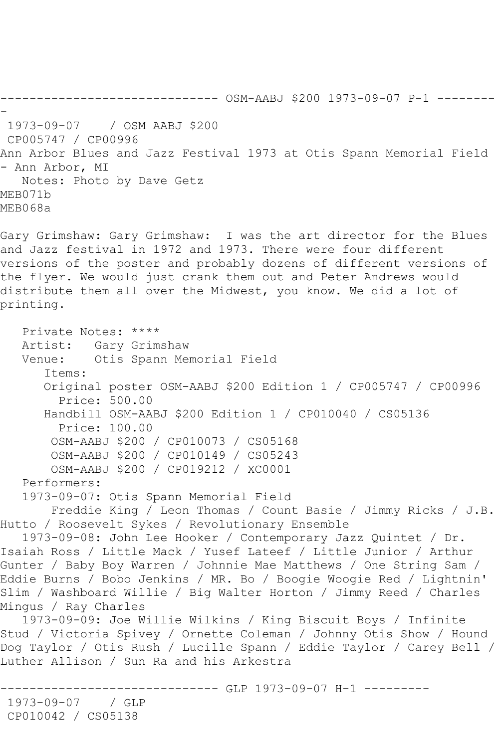------------------------------ OSM-AABJ \$200 1973-09-07 P-1 -------- - 1973-09-07 / OSM AABJ \$200 CP005747 / CP00996 Ann Arbor Blues and Jazz Festival 1973 at Otis Spann Memorial Field - Ann Arbor, MI Notes: Photo by Dave Getz MEB071b MEB068a Gary Grimshaw: Gary Grimshaw: I was the art director for the Blues

and Jazz festival in 1972 and 1973. There were four different versions of the poster and probably dozens of different versions of the flyer. We would just crank them out and Peter Andrews would distribute them all over the Midwest, you know. We did a lot of printing.

 Private Notes: \*\*\*\* Artist: Gary Grimshaw Venue: Otis Spann Memorial Field Items: Original poster OSM-AABJ \$200 Edition 1 / CP005747 / CP00996 Price: 500.00 Handbill OSM-AABJ \$200 Edition 1 / CP010040 / CS05136 Price: 100.00 OSM-AABJ \$200 / CP010073 / CS05168 OSM-AABJ \$200 / CP010149 / CS05243 OSM-AABJ \$200 / CP019212 / XC0001 Performers: 1973-09-07: Otis Spann Memorial Field Freddie King / Leon Thomas / Count Basie / Jimmy Ricks / J.B. Hutto / Roosevelt Sykes / Revolutionary Ensemble 1973-09-08: John Lee Hooker / Contemporary Jazz Quintet / Dr. Isaiah Ross / Little Mack / Yusef Lateef / Little Junior / Arthur Gunter / Baby Boy Warren / Johnnie Mae Matthews / One String Sam / Eddie Burns / Bobo Jenkins / MR. Bo / Boogie Woogie Red / Lightnin' Slim / Washboard Willie / Big Walter Horton / Jimmy Reed / Charles Mingus / Ray Charles 1973-09-09: Joe Willie Wilkins / King Biscuit Boys / Infinite Stud / Victoria Spivey / Ornette Coleman / Johnny Otis Show / Hound Dog Taylor / Otis Rush / Lucille Spann / Eddie Taylor / Carey Bell / Luther Allison / Sun Ra and his Arkestra ----------- GLP 1973-09-07 H-1 ---------1973-09-07 / GLP

CP010042 / CS05138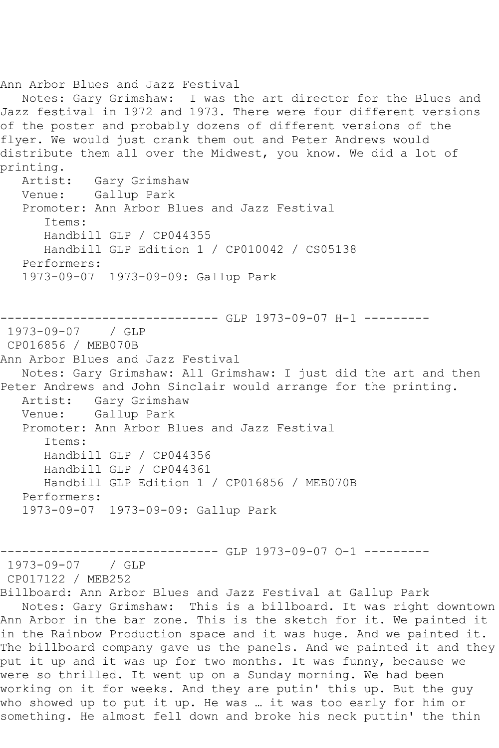Ann Arbor Blues and Jazz Festival Notes: Gary Grimshaw: I was the art director for the Blues and Jazz festival in 1972 and 1973. There were four different versions of the poster and probably dozens of different versions of the flyer. We would just crank them out and Peter Andrews would distribute them all over the Midwest, you know. We did a lot of printing.<br>Artist: Gary Grimshaw Venue: Gallup Park Promoter: Ann Arbor Blues and Jazz Festival Items: Handbill GLP / CP044355 Handbill GLP Edition 1 / CP010042 / CS05138 Performers: 1973-09-07 1973-09-09: Gallup Park ------------------------------ GLP 1973-09-07 H-1 --------- 1973-09-07 / GLP CP016856 / MEB070B Ann Arbor Blues and Jazz Festival Notes: Gary Grimshaw: All Grimshaw: I just did the art and then Peter Andrews and John Sinclair would arrange for the printing. Artist: Gary Grimshaw Venue: Gallup Park Promoter: Ann Arbor Blues and Jazz Festival Items: Handbill GLP / CP044356 Handbill GLP / CP044361 Handbill GLP Edition 1 / CP016856 / MEB070B Performers: 1973-09-07 1973-09-09: Gallup Park ------------------------------ GLP 1973-09-07 O-1 --------- 1973-09-07 / GLP CP017122 / MEB252 Billboard: Ann Arbor Blues and Jazz Festival at Gallup Park Notes: Gary Grimshaw: This is a billboard. It was right downtown Ann Arbor in the bar zone. This is the sketch for it. We painted it in the Rainbow Production space and it was huge. And we painted it. The billboard company gave us the panels. And we painted it and they put it up and it was up for two months. It was funny, because we were so thrilled. It went up on a Sunday morning. We had been working on it for weeks. And they are putin' this up. But the guy who showed up to put it up. He was … it was too early for him or something. He almost fell down and broke his neck puttin' the thin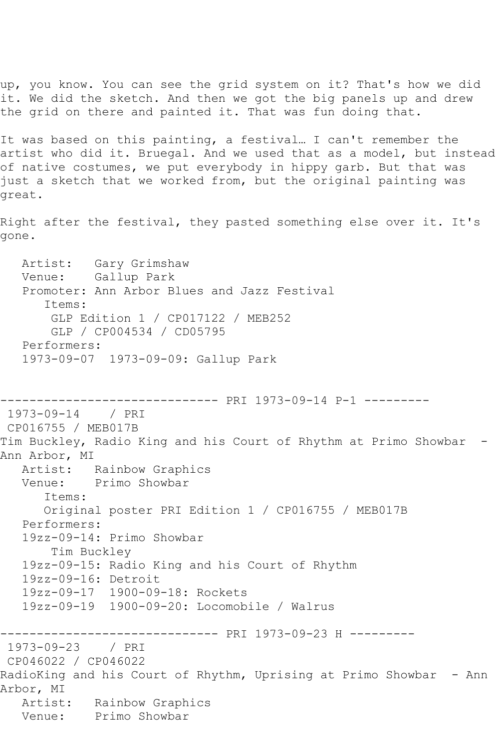up, you know. You can see the grid system on it? That's how we did it. We did the sketch. And then we got the big panels up and drew the grid on there and painted it. That was fun doing that.

It was based on this painting, a festival… I can't remember the artist who did it. Bruegal. And we used that as a model, but instead of native costumes, we put everybody in hippy garb. But that was just a sketch that we worked from, but the original painting was great.

Right after the festival, they pasted something else over it. It's gone.

 Artist: Gary Grimshaw Venue: Gallup Park Promoter: Ann Arbor Blues and Jazz Festival Items: GLP Edition 1 / CP017122 / MEB252 GLP / CP004534 / CD05795 Performers: 1973-09-07 1973-09-09: Gallup Park

------------------------------ PRI 1973-09-14 P-1 --------- 1973-09-14 / PRI CP016755 / MEB017B Tim Buckley, Radio King and his Court of Rhythm at Primo Showbar - Ann Arbor, MI Artist: Rainbow Graphics Venue: Primo Showbar Items: Original poster PRI Edition 1 / CP016755 / MEB017B Performers: 19zz-09-14: Primo Showbar Tim Buckley 19zz-09-15: Radio King and his Court of Rhythm 19zz-09-16: Detroit 19zz-09-17 1900-09-18: Rockets 19zz-09-19 1900-09-20: Locomobile / Walrus ------------------------------ PRI 1973-09-23 H --------- 1973-09-23 / PRI CP046022 / CP046022 RadioKing and his Court of Rhythm, Uprising at Primo Showbar - Ann Arbor, MI Artist: Rainbow Graphics Venue: Primo Showbar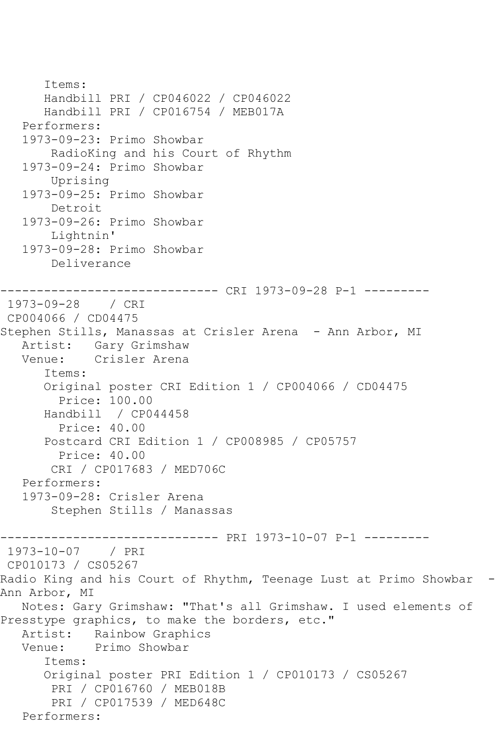```
 Items:
       Handbill PRI / CP046022 / CP046022
       Handbill PRI / CP016754 / MEB017A
    Performers:
    1973-09-23: Primo Showbar
        RadioKing and his Court of Rhythm
    1973-09-24: Primo Showbar
        Uprising
    1973-09-25: Primo Showbar
        Detroit
    1973-09-26: Primo Showbar
        Lightnin'
    1973-09-28: Primo Showbar
        Deliverance
         ------------------------------ CRI 1973-09-28 P-1 ---------
1973-09-28 / CRI 
CP004066 / CD04475
Stephen Stills, Manassas at Crisler Arena - Ann Arbor, MI
  Artist: Gary Grimshaw<br>Venue: Crisler Arena
            Crisler Arena
       Items:
       Original poster CRI Edition 1 / CP004066 / CD04475
         Price: 100.00
       Handbill / CP044458
         Price: 40.00
       Postcard CRI Edition 1 / CP008985 / CP05757
         Price: 40.00
        CRI / CP017683 / MED706C
   Performers:
    1973-09-28: Crisler Arena
        Stephen Stills / Manassas
------------------------------ PRI 1973-10-07 P-1 ---------
1973-10-07 / PRI 
CP010173 / CS05267
Radio King and his Court of Rhythm, Teenage Lust at Primo Showbar -
Ann Arbor, MI
   Notes: Gary Grimshaw: "That's all Grimshaw. I used elements of 
Presstype graphics, to make the borders, etc."
   Artist: Rainbow Graphics
   Venue: Primo Showbar
       Items:
       Original poster PRI Edition 1 / CP010173 / CS05267
        PRI / CP016760 / MEB018B
        PRI / CP017539 / MED648C
   Performers:
```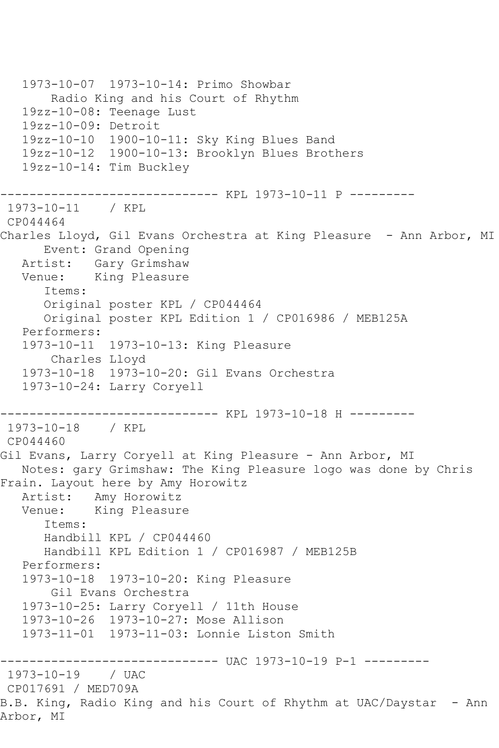```
 1973-10-07 1973-10-14: Primo Showbar
       Radio King and his Court of Rhythm
   19zz-10-08: Teenage Lust
   19zz-10-09: Detroit
   19zz-10-10 1900-10-11: Sky King Blues Band
   19zz-10-12 1900-10-13: Brooklyn Blues Brothers
   19zz-10-14: Tim Buckley
   ------------------------------ KPL 1973-10-11 P ---------
1973-10-11 / KPL 
CP044464
Charles Lloyd, Gil Evans Orchestra at King Pleasure - Ann Arbor, MI
      Event: Grand Opening
   Artist: Gary Grimshaw
   Venue: King Pleasure
      Items:
      Original poster KPL / CP044464
      Original poster KPL Edition 1 / CP016986 / MEB125A
   Performers:
   1973-10-11 1973-10-13: King Pleasure
       Charles Lloyd
   1973-10-18 1973-10-20: Gil Evans Orchestra
   1973-10-24: Larry Coryell
------------------------------ KPL 1973-10-18 H ---------
1973-10-18 / KPL 
CP044460
Gil Evans, Larry Coryell at King Pleasure - Ann Arbor, MI
   Notes: gary Grimshaw: The King Pleasure logo was done by Chris 
Frain. Layout here by Amy Horowitz
   Artist: Amy Horowitz
   Venue: King Pleasure
      Items:
      Handbill KPL / CP044460
      Handbill KPL Edition 1 / CP016987 / MEB125B
   Performers:
   1973-10-18 1973-10-20: King Pleasure
       Gil Evans Orchestra
   1973-10-25: Larry Coryell / 11th House
   1973-10-26 1973-10-27: Mose Allison
   1973-11-01 1973-11-03: Lonnie Liston Smith
------------------------------ UAC 1973-10-19 P-1 ---------
1973-10-19 / UAC 
CP017691 / MED709A
B.B. King, Radio King and his Court of Rhythm at UAC/Daystar - Ann
Arbor, MI
```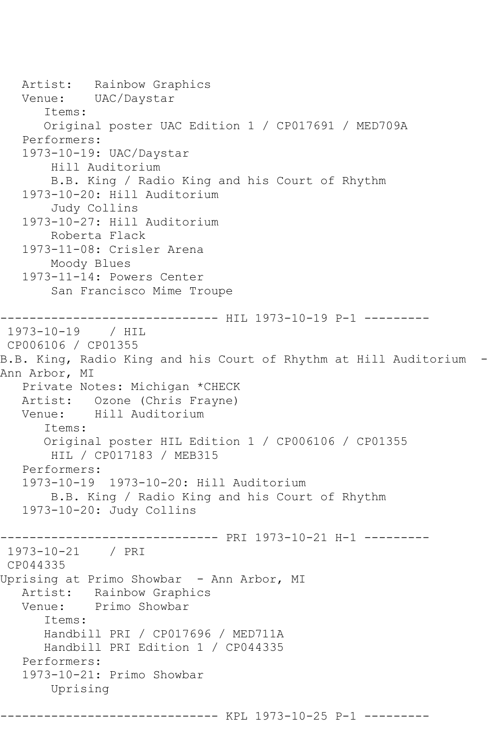```
 Artist: Rainbow Graphics
   Venue: UAC/Daystar
       Items:
       Original poster UAC Edition 1 / CP017691 / MED709A
    Performers:
    1973-10-19: UAC/Daystar
        Hill Auditorium
        B.B. King / Radio King and his Court of Rhythm
    1973-10-20: Hill Auditorium
        Judy Collins
    1973-10-27: Hill Auditorium
        Roberta Flack
    1973-11-08: Crisler Arena
        Moody Blues
    1973-11-14: Powers Center
        San Francisco Mime Troupe
------------------------------ HIL 1973-10-19 P-1 ---------
1973-10-19 / HIL 
CP006106 / CP01355
B.B. King, Radio King and his Court of Rhythm at Hill Auditorium -
Ann Arbor, MI
   Private Notes: Michigan *CHECK
   Artist: Ozone (Chris Frayne)
   Venue: Hill Auditorium
       Items:
       Original poster HIL Edition 1 / CP006106 / CP01355
        HIL / CP017183 / MEB315
   Performers:
    1973-10-19 1973-10-20: Hill Auditorium
        B.B. King / Radio King and his Court of Rhythm
    1973-10-20: Judy Collins
------------------------------ PRI 1973-10-21 H-1 ---------
1973-10-21 / PRI 
CP044335
Uprising at Primo Showbar - Ann Arbor, MI<br>Artist: Rainbow Graphics
            Rainbow Graphics
   Venue: Primo Showbar
       Items:
       Handbill PRI / CP017696 / MED711A
       Handbill PRI Edition 1 / CP044335
   Performers:
    1973-10-21: Primo Showbar
        Uprising
------------------------------ KPL 1973-10-25 P-1 ---------
```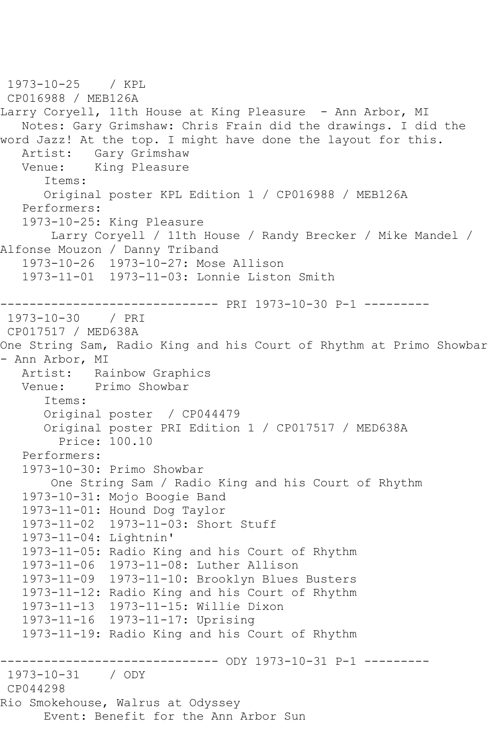```
1973-10-25 / KPL 
CP016988 / MEB126A
Larry Coryell, 11th House at King Pleasure - Ann Arbor, MI
   Notes: Gary Grimshaw: Chris Frain did the drawings. I did the 
word Jazz! At the top. I might have done the layout for this.
  Artist: Gary Grimshaw<br>Venue: King Pleasure
            King Pleasure
       Items:
       Original poster KPL Edition 1 / CP016988 / MEB126A
   Performers:
    1973-10-25: King Pleasure
        Larry Coryell / 11th House / Randy Brecker / Mike Mandel / 
Alfonse Mouzon / Danny Triband
   1973-10-26 1973-10-27: Mose Allison
   1973-11-01 1973-11-03: Lonnie Liston Smith
------------------------------ PRI 1973-10-30 P-1 ---------
1973-10-30 / PRI 
CP017517 / MED638A
One String Sam, Radio King and his Court of Rhythm at Primo Showbar 
- Ann Arbor, MI
  Artist: Rainbow Graphics<br>Venue: Primo Showbar
            Primo Showbar
       Items:
       Original poster / CP044479
       Original poster PRI Edition 1 / CP017517 / MED638A
         Price: 100.10
   Performers:
    1973-10-30: Primo Showbar
        One String Sam / Radio King and his Court of Rhythm
   1973-10-31: Mojo Boogie Band
   1973-11-01: Hound Dog Taylor
   1973-11-02 1973-11-03: Short Stuff
    1973-11-04: Lightnin'
    1973-11-05: Radio King and his Court of Rhythm
    1973-11-06 1973-11-08: Luther Allison
   1973-11-09 1973-11-10: Brooklyn Blues Busters
   1973-11-12: Radio King and his Court of Rhythm
   1973-11-13 1973-11-15: Willie Dixon
   1973-11-16 1973-11-17: Uprising
    1973-11-19: Radio King and his Court of Rhythm
------------------------------ ODY 1973-10-31 P-1 ---------
1973-10-31 / ODY 
CP044298
Rio Smokehouse, Walrus at Odyssey
       Event: Benefit for the Ann Arbor Sun
```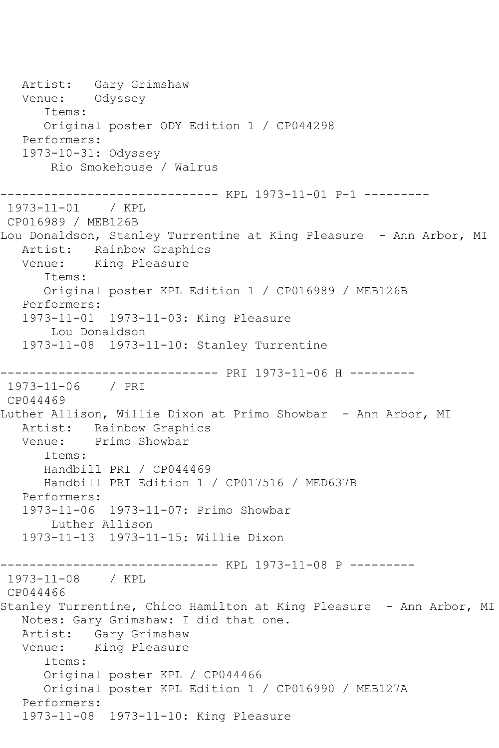Artist: Gary Grimshaw Venue: Odyssey Items: Original poster ODY Edition 1 / CP044298 Performers: 1973-10-31: Odyssey Rio Smokehouse / Walrus ------------------------------ KPL 1973-11-01 P-1 --------- 1973-11-01 / KPL CP016989 / MEB126B Lou Donaldson, Stanley Turrentine at King Pleasure - Ann Arbor, MI Artist: Rainbow Graphics Venue: King Pleasure Items: Original poster KPL Edition 1 / CP016989 / MEB126B Performers: 1973-11-01 1973-11-03: King Pleasure Lou Donaldson 1973-11-08 1973-11-10: Stanley Turrentine ------------------------------ PRI 1973-11-06 H --------- 1973-11-06 / PRI CP044469 Luther Allison, Willie Dixon at Primo Showbar - Ann Arbor, MI Artist: Rainbow Graphics Venue: Primo Showbar Items: Handbill PRI / CP044469 Handbill PRI Edition 1 / CP017516 / MED637B Performers: 1973-11-06 1973-11-07: Primo Showbar Luther Allison 1973-11-13 1973-11-15: Willie Dixon ------------------------------ KPL 1973-11-08 P --------- 1973-11-08 / KPL CP044466 Stanley Turrentine, Chico Hamilton at King Pleasure - Ann Arbor, MI Notes: Gary Grimshaw: I did that one. Artist: Gary Grimshaw Venue: King Pleasure Items: Original poster KPL / CP044466 Original poster KPL Edition 1 / CP016990 / MEB127A Performers: 1973-11-08 1973-11-10: King Pleasure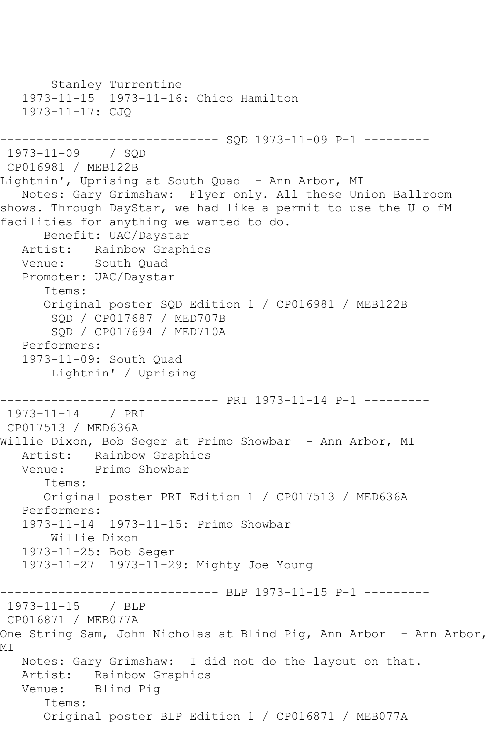```
 Stanley Turrentine
   1973-11-15 1973-11-16: Chico Hamilton
   1973-11-17: CJQ
------------------------------ SQD 1973-11-09 P-1 ---------
1973-11-09 / SQD 
CP016981 / MEB122B
Lightnin', Uprising at South Quad - Ann Arbor, MI
   Notes: Gary Grimshaw: Flyer only. All these Union Ballroom 
shows. Through DayStar, we had like a permit to use the U o fM 
facilities for anything we wanted to do.
      Benefit: UAC/Daystar
   Artist: Rainbow Graphics
   Venue: South Quad
   Promoter: UAC/Daystar
       Items:
      Original poster SQD Edition 1 / CP016981 / MEB122B
        SQD / CP017687 / MED707B
        SQD / CP017694 / MED710A
   Performers:
   1973-11-09: South Quad
       Lightnin' / Uprising
------------------------------ PRI 1973-11-14 P-1 ---------
1973-11-14 / PRI 
CP017513 / MED636A
Willie Dixon, Bob Seger at Primo Showbar - Ann Arbor, MI
   Artist: Rainbow Graphics
   Venue: Primo Showbar
       Items:
      Original poster PRI Edition 1 / CP017513 / MED636A
   Performers:
   1973-11-14 1973-11-15: Primo Showbar
       Willie Dixon
   1973-11-25: Bob Seger
   1973-11-27 1973-11-29: Mighty Joe Young
          ------------------------------ BLP 1973-11-15 P-1 ---------
1973-11-15 / BLP 
CP016871 / MEB077A
One String Sam, John Nicholas at Blind Pig, Ann Arbor - Ann Arbor,
MI
   Notes: Gary Grimshaw: I did not do the layout on that.
   Artist: Rainbow Graphics
   Venue: Blind Pig
       Items:
       Original poster BLP Edition 1 / CP016871 / MEB077A
```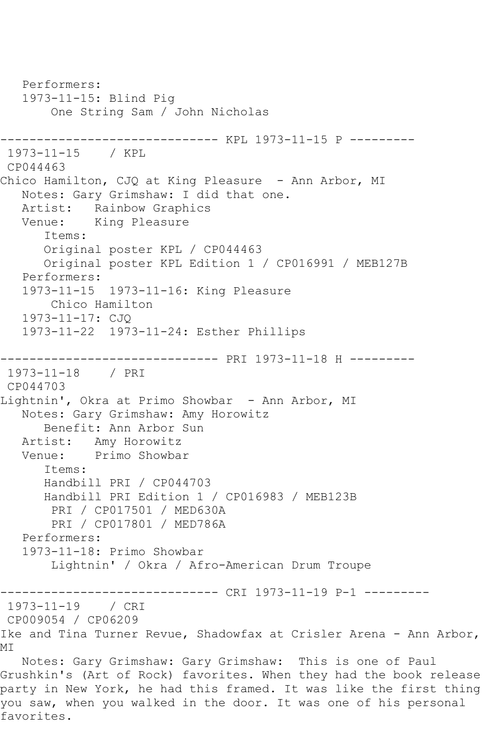Performers: 1973-11-15: Blind Pig One String Sam / John Nicholas ------------------------------ KPL 1973-11-15 P --------- 1973-11-15 / KPL CP044463 Chico Hamilton, CJQ at King Pleasure - Ann Arbor, MI Notes: Gary Grimshaw: I did that one. Artist: Rainbow Graphics Venue: King Pleasure Items: Original poster KPL / CP044463 Original poster KPL Edition 1 / CP016991 / MEB127B Performers: 1973-11-15 1973-11-16: King Pleasure Chico Hamilton 1973-11-17: CJQ 1973-11-22 1973-11-24: Esther Phillips ------------------------------ PRI 1973-11-18 H --------- 1973-11-18 / PRI CP044703 Lightnin', Okra at Primo Showbar - Ann Arbor, MI Notes: Gary Grimshaw: Amy Horowitz Benefit: Ann Arbor Sun Artist: Amy Horowitz Venue: Primo Showbar Items: Handbill PRI / CP044703 Handbill PRI Edition 1 / CP016983 / MEB123B PRI / CP017501 / MED630A PRI / CP017801 / MED786A Performers: 1973-11-18: Primo Showbar Lightnin' / Okra / Afro-American Drum Troupe ------------------------------ CRI 1973-11-19 P-1 --------- 1973-11-19 / CRI CP009054 / CP06209 Ike and Tina Turner Revue, Shadowfax at Crisler Arena - Ann Arbor, MI Notes: Gary Grimshaw: Gary Grimshaw: This is one of Paul Grushkin's (Art of Rock) favorites. When they had the book release party in New York, he had this framed. It was like the first thing you saw, when you walked in the door. It was one of his personal favorites.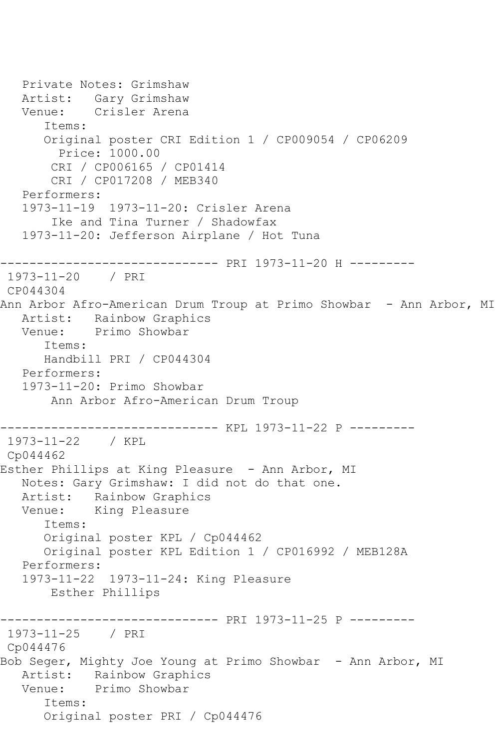```
 Private Notes: Grimshaw
   Artist: Gary Grimshaw
   Venue: Crisler Arena
      Items:
      Original poster CRI Edition 1 / CP009054 / CP06209
         Price: 1000.00
       CRI / CP006165 / CP01414
       CRI / CP017208 / MEB340
   Performers:
   1973-11-19 1973-11-20: Crisler Arena
        Ike and Tina Turner / Shadowfax
   1973-11-20: Jefferson Airplane / Hot Tuna
------------------------------ PRI 1973-11-20 H ---------
1973-11-20 / PRI 
CP044304
Ann Arbor Afro-American Drum Troup at Primo Showbar - Ann Arbor, MI
   Artist: Rainbow Graphics
   Venue: Primo Showbar
      Items:
      Handbill PRI / CP044304
   Performers:
   1973-11-20: Primo Showbar
       Ann Arbor Afro-American Drum Troup
------------------------------ KPL 1973-11-22 P ---------
1973-11-22 / KPL 
Cp044462
Esther Phillips at King Pleasure - Ann Arbor, MI
   Notes: Gary Grimshaw: I did not do that one.
   Artist: Rainbow Graphics
   Venue: King Pleasure
      Items:
      Original poster KPL / Cp044462
      Original poster KPL Edition 1 / CP016992 / MEB128A
   Performers:
   1973-11-22 1973-11-24: King Pleasure
       Esther Phillips
------------------------------ PRI 1973-11-25 P ---------
1973-11-25 / PRI 
Cp044476
Bob Seger, Mighty Joe Young at Primo Showbar - Ann Arbor, MI
   Artist: Rainbow Graphics
   Venue: Primo Showbar
      Items:
      Original poster PRI / Cp044476
```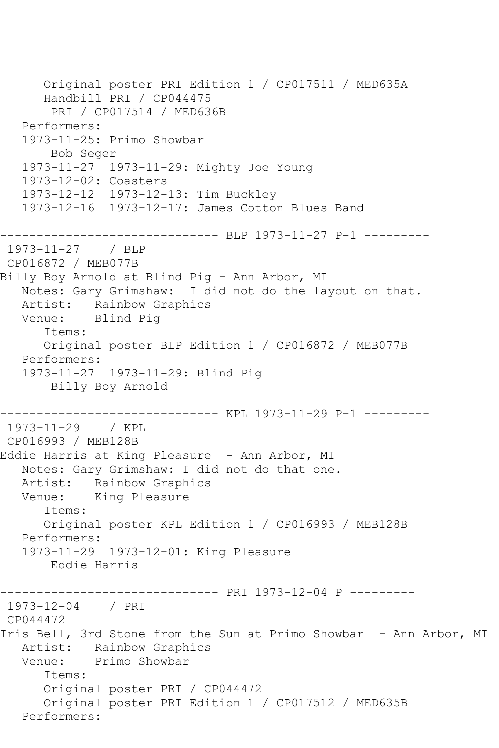Original poster PRI Edition 1 / CP017511 / MED635A Handbill PRI / CP044475 PRI / CP017514 / MED636B Performers: 1973-11-25: Primo Showbar Bob Seger 1973-11-27 1973-11-29: Mighty Joe Young 1973-12-02: Coasters 1973-12-12 1973-12-13: Tim Buckley 1973-12-16 1973-12-17: James Cotton Blues Band ------------------------------ BLP 1973-11-27 P-1 --------- 1973-11-27 / BLP CP016872 / MEB077B Billy Boy Arnold at Blind Pig - Ann Arbor, MI Notes: Gary Grimshaw: I did not do the layout on that. Artist: Rainbow Graphics<br>Venue: Blind Piq Blind Pig Items: Original poster BLP Edition 1 / CP016872 / MEB077B Performers: 1973-11-27 1973-11-29: Blind Pig Billy Boy Arnold ------------------------------ KPL 1973-11-29 P-1 --------- 1973-11-29 / KPL CP016993 / MEB128B Eddie Harris at King Pleasure - Ann Arbor, MI Notes: Gary Grimshaw: I did not do that one. Artist: Rainbow Graphics<br>Venue: King Pleasure King Pleasure Items: Original poster KPL Edition 1 / CP016993 / MEB128B Performers: 1973-11-29 1973-12-01: King Pleasure Eddie Harris ------------------------------ PRI 1973-12-04 P --------- 1973-12-04 / PRI CP044472 Iris Bell, 3rd Stone from the Sun at Primo Showbar - Ann Arbor, MI Artist: Rainbow Graphics Venue: Primo Showbar Items: Original poster PRI / CP044472 Original poster PRI Edition 1 / CP017512 / MED635B Performers: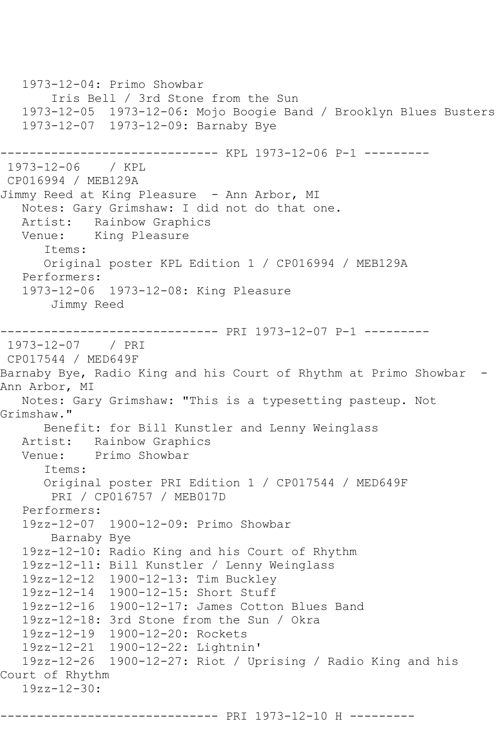1973-12-04: Primo Showbar Iris Bell / 3rd Stone from the Sun 1973-12-05 1973-12-06: Mojo Boogie Band / Brooklyn Blues Busters 1973-12-07 1973-12-09: Barnaby Bye -------------------- KPL 1973-12-06 P-1 ---------1973-12-06 / KPL CP016994 / MEB129A Jimmy Reed at King Pleasure - Ann Arbor, MI Notes: Gary Grimshaw: I did not do that one. Artist: Rainbow Graphics Venue: King Pleasure Items: Original poster KPL Edition 1 / CP016994 / MEB129A Performers: 1973-12-06 1973-12-08: King Pleasure Jimmy Reed ------------------------------ PRI 1973-12-07 P-1 --------- 1973-12-07 / PRI CP017544 / MED649F Barnaby Bye, Radio King and his Court of Rhythm at Primo Showbar - Ann Arbor, MI Notes: Gary Grimshaw: "This is a typesetting pasteup. Not Grimshaw." Benefit: for Bill Kunstler and Lenny Weinglass Artist: Rainbow Graphics Venue: Primo Showbar Items: Original poster PRI Edition 1 / CP017544 / MED649F PRI / CP016757 / MEB017D Performers: 19zz-12-07 1900-12-09: Primo Showbar Barnaby Bye 19zz-12-10: Radio King and his Court of Rhythm 19zz-12-11: Bill Kunstler / Lenny Weinglass 19zz-12-12 1900-12-13: Tim Buckley 19zz-12-14 1900-12-15: Short Stuff 19zz-12-16 1900-12-17: James Cotton Blues Band 19zz-12-18: 3rd Stone from the Sun / Okra 19zz-12-19 1900-12-20: Rockets 19zz-12-21 1900-12-22: Lightnin' 19zz-12-26 1900-12-27: Riot / Uprising / Radio King and his Court of Rhythm 19zz-12-30: ------------------------------ PRI 1973-12-10 H ---------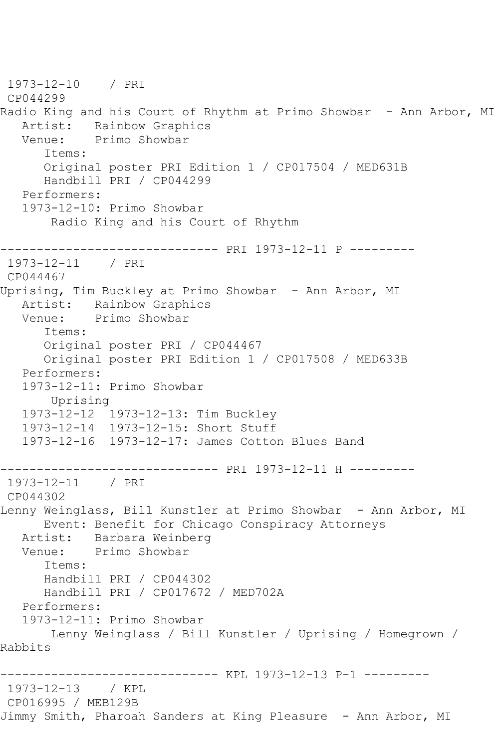1973-12-10 / PRI CP044299 Radio King and his Court of Rhythm at Primo Showbar - Ann Arbor, MI Artist: Rainbow Graphics<br>Venue: Primo Showbar Primo Showbar Items: Original poster PRI Edition 1 / CP017504 / MED631B Handbill PRI / CP044299 Performers: 1973-12-10: Primo Showbar Radio King and his Court of Rhythm ------------------------------ PRI 1973-12-11 P --------- 1973-12-11 / PRI CP044467 Uprising, Tim Buckley at Primo Showbar - Ann Arbor, MI Artist: Rainbow Graphics<br>Venue: Primo Showbar Primo Showbar Items: Original poster PRI / CP044467 Original poster PRI Edition 1 / CP017508 / MED633B Performers: 1973-12-11: Primo Showbar Uprising 1973-12-12 1973-12-13: Tim Buckley 1973-12-14 1973-12-15: Short Stuff 1973-12-16 1973-12-17: James Cotton Blues Band ------------------------------ PRI 1973-12-11 H --------- 1973-12-11 / PRI CP044302 Lenny Weinglass, Bill Kunstler at Primo Showbar - Ann Arbor, MI Event: Benefit for Chicago Conspiracy Attorneys Artist: Barbara Weinberg Venue: Primo Showbar Items: Handbill PRI / CP044302 Handbill PRI / CP017672 / MED702A Performers: 1973-12-11: Primo Showbar Lenny Weinglass / Bill Kunstler / Uprising / Homegrown / Rabbits ------------------------------ KPL 1973-12-13 P-1 --------- 1973-12-13 / KPL CP016995 / MEB129B Jimmy Smith, Pharoah Sanders at King Pleasure - Ann Arbor, MI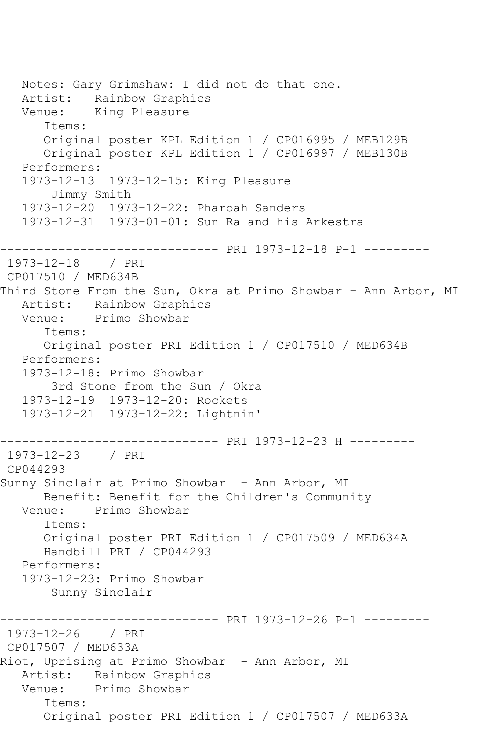Notes: Gary Grimshaw: I did not do that one. Artist: Rainbow Graphics Venue: King Pleasure Items: Original poster KPL Edition 1 / CP016995 / MEB129B Original poster KPL Edition 1 / CP016997 / MEB130B Performers: 1973-12-13 1973-12-15: King Pleasure Jimmy Smith 1973-12-20 1973-12-22: Pharoah Sanders 1973-12-31 1973-01-01: Sun Ra and his Arkestra ------------------------------ PRI 1973-12-18 P-1 --------- 1973-12-18 / PRI CP017510 / MED634B Third Stone From the Sun, Okra at Primo Showbar - Ann Arbor, MI Artist: Rainbow Graphics<br>Venue: Primo Showbar Primo Showbar Items: Original poster PRI Edition 1 / CP017510 / MED634B Performers: 1973-12-18: Primo Showbar 3rd Stone from the Sun / Okra 1973-12-19 1973-12-20: Rockets 1973-12-21 1973-12-22: Lightnin' ------------------------------ PRI 1973-12-23 H --------- 1973-12-23 / PRI CP044293 Sunny Sinclair at Primo Showbar - Ann Arbor, MI Benefit: Benefit for the Children's Community<br>Venue: Primo Showbar Primo Showbar Items: Original poster PRI Edition 1 / CP017509 / MED634A Handbill PRI / CP044293 Performers: 1973-12-23: Primo Showbar Sunny Sinclair ------------------------------ PRI 1973-12-26 P-1 --------- 1973-12-26 / PRI CP017507 / MED633A Riot, Uprising at Primo Showbar - Ann Arbor, MI Artist: Rainbow Graphics Venue: Primo Showbar Items: Original poster PRI Edition 1 / CP017507 / MED633A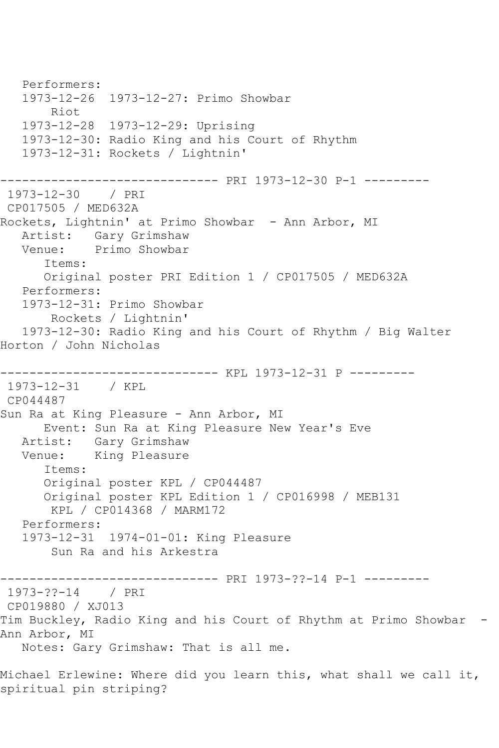Performers: 1973-12-26 1973-12-27: Primo Showbar Riot 1973-12-28 1973-12-29: Uprising 1973-12-30: Radio King and his Court of Rhythm 1973-12-31: Rockets / Lightnin' ------------------------------ PRI 1973-12-30 P-1 --------- 1973-12-30 / PRI CP017505 / MED632A Rockets, Lightnin' at Primo Showbar - Ann Arbor, MI Artist: Gary Grimshaw<br>Venue: Primo Showbar Primo Showbar Items: Original poster PRI Edition 1 / CP017505 / MED632A Performers: 1973-12-31: Primo Showbar Rockets / Lightnin' 1973-12-30: Radio King and his Court of Rhythm / Big Walter Horton / John Nicholas ------------------------------ KPL 1973-12-31 P --------- 1973-12-31 / KPL CP044487 Sun Ra at King Pleasure - Ann Arbor, MI Event: Sun Ra at King Pleasure New Year's Eve Artist: Gary Grimshaw Venue: King Pleasure Items: Original poster KPL / CP044487 Original poster KPL Edition 1 / CP016998 / MEB131 KPL / CP014368 / MARM172 Performers: 1973-12-31 1974-01-01: King Pleasure Sun Ra and his Arkestra ------------------------------ PRI 1973-??-14 P-1 --------- 1973-??-14 / PRI CP019880 / XJ013 Tim Buckley, Radio King and his Court of Rhythm at Primo Showbar - Ann Arbor, MI Notes: Gary Grimshaw: That is all me.

Michael Erlewine: Where did you learn this, what shall we call it, spiritual pin striping?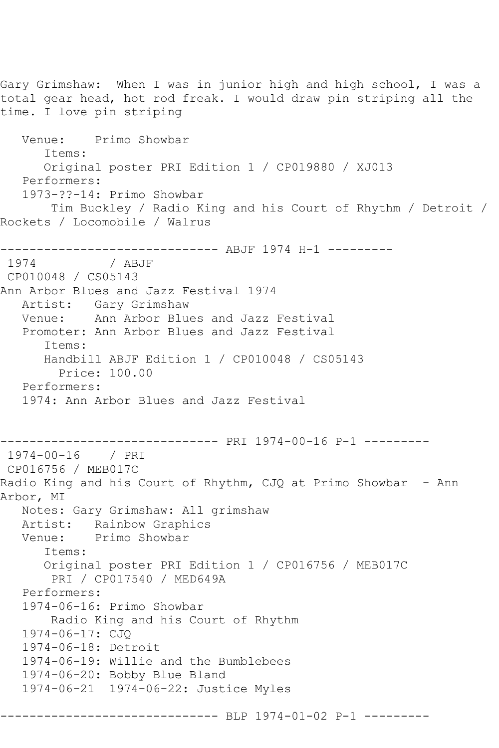Gary Grimshaw: When I was in junior high and high school, I was a total gear head, hot rod freak. I would draw pin striping all the time. I love pin striping Venue: Primo Showbar Items: Original poster PRI Edition 1 / CP019880 / XJ013 Performers: 1973-??-14: Primo Showbar Tim Buckley / Radio King and his Court of Rhythm / Detroit / Rockets / Locomobile / Walrus ------------------------------- ABJF 1974 H-1 ---------<br>1974 / ABJF 1974 CP010048 / CS05143 Ann Arbor Blues and Jazz Festival 1974 Artist: Gary Grimshaw Venue: Ann Arbor Blues and Jazz Festival Promoter: Ann Arbor Blues and Jazz Festival Items: Handbill ABJF Edition 1 / CP010048 / CS05143 Price: 100.00 Performers: 1974: Ann Arbor Blues and Jazz Festival ------------------------------ PRI 1974-00-16 P-1 --------- 1974-00-16 / PRI CP016756 / MEB017C Radio King and his Court of Rhythm, CJQ at Primo Showbar - Ann Arbor, MI Notes: Gary Grimshaw: All grimshaw Artist: Rainbow Graphics<br>Venue: Primo Showbar Primo Showbar Items: Original poster PRI Edition 1 / CP016756 / MEB017C PRI / CP017540 / MED649A Performers: 1974-06-16: Primo Showbar Radio King and his Court of Rhythm 1974-06-17: CJQ 1974-06-18: Detroit 1974-06-19: Willie and the Bumblebees 1974-06-20: Bobby Blue Bland 1974-06-21 1974-06-22: Justice Myles ------------------------------ BLP 1974-01-02 P-1 ---------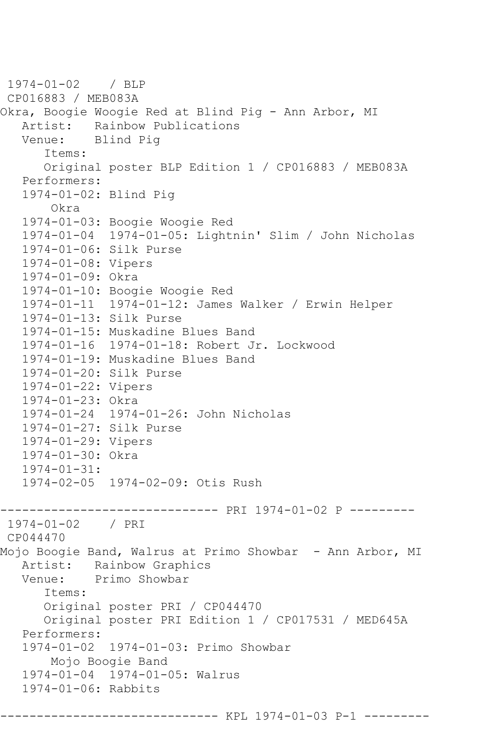1974-01-02 / BLP CP016883 / MEB083A Okra, Boogie Woogie Red at Blind Pig - Ann Arbor, MI Artist: Rainbow Publications<br>Venue: Blind Pig Blind Pig Items: Original poster BLP Edition 1 / CP016883 / MEB083A Performers: 1974-01-02: Blind Pig Okra 1974-01-03: Boogie Woogie Red 1974-01-04 1974-01-05: Lightnin' Slim / John Nicholas 1974-01-06: Silk Purse 1974-01-08: Vipers 1974-01-09: Okra 1974-01-10: Boogie Woogie Red 1974-01-11 1974-01-12: James Walker / Erwin Helper 1974-01-13: Silk Purse 1974-01-15: Muskadine Blues Band 1974-01-16 1974-01-18: Robert Jr. Lockwood 1974-01-19: Muskadine Blues Band 1974-01-20: Silk Purse 1974-01-22: Vipers 1974-01-23: Okra 1974-01-24 1974-01-26: John Nicholas 1974-01-27: Silk Purse 1974-01-29: Vipers 1974-01-30: Okra 1974-01-31: 1974-02-05 1974-02-09: Otis Rush ------------------------------ PRI 1974-01-02 P --------- 1974-01-02 / PRI CP044470 Mojo Boogie Band, Walrus at Primo Showbar - Ann Arbor, MI Artist: Rainbow Graphics<br>Venue: Primo Showbar Primo Showbar Items: Original poster PRI / CP044470 Original poster PRI Edition 1 / CP017531 / MED645A Performers: 1974-01-02 1974-01-03: Primo Showbar Mojo Boogie Band 1974-01-04 1974-01-05: Walrus 1974-01-06: Rabbits ------------------------------ KPL 1974-01-03 P-1 ---------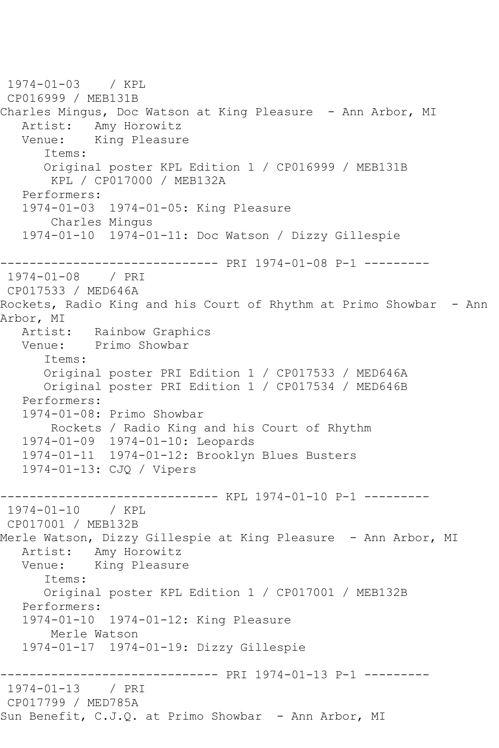```
1974-01-03 / KPL 
CP016999 / MEB131B
Charles Mingus, Doc Watson at King Pleasure - Ann Arbor, MI
  Artist: Amy Horowitz<br>Venue: King Pleasur
            King Pleasure
       Items:
       Original poster KPL Edition 1 / CP016999 / MEB131B
        KPL / CP017000 / MEB132A
   Performers:
    1974-01-03 1974-01-05: King Pleasure
        Charles Mingus
    1974-01-10 1974-01-11: Doc Watson / Dizzy Gillespie
------------------------------ PRI 1974-01-08 P-1 ---------
1974-01-08 / PRI 
CP017533 / MED646A
Rockets, Radio King and his Court of Rhythm at Primo Showbar - Ann
Arbor, MI<br>Artist:
            Rainbow Graphics
   Venue: Primo Showbar
       Items:
       Original poster PRI Edition 1 / CP017533 / MED646A
       Original poster PRI Edition 1 / CP017534 / MED646B
   Performers:
    1974-01-08: Primo Showbar
        Rockets / Radio King and his Court of Rhythm
   1974-01-09 1974-01-10: Leopards
   1974-01-11 1974-01-12: Brooklyn Blues Busters
    1974-01-13: CJQ / Vipers
                  ------------------------------ KPL 1974-01-10 P-1 ---------
1974-01-10 / KPL 
CP017001 / MEB132B
Merle Watson, Dizzy Gillespie at King Pleasure - Ann Arbor, MI
   Artist: Amy Horowitz
   Venue: King Pleasure
       Items:
       Original poster KPL Edition 1 / CP017001 / MEB132B
   Performers:
    1974-01-10 1974-01-12: King Pleasure
        Merle Watson
    1974-01-17 1974-01-19: Dizzy Gillespie
------------------------------ PRI 1974-01-13 P-1 ---------
1974-01-13 / PRI 
CP017799 / MED785A
Sun Benefit, C.J.Q. at Primo Showbar - Ann Arbor, MI
```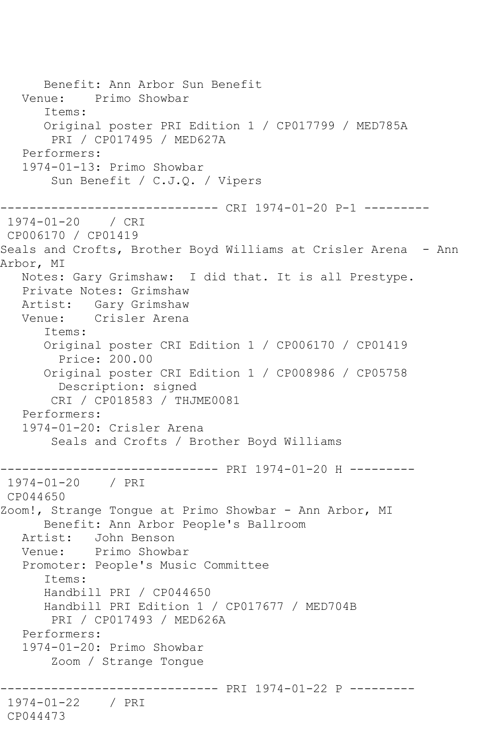Benefit: Ann Arbor Sun Benefit Venue: Primo Showbar Items: Original poster PRI Edition 1 / CP017799 / MED785A PRI / CP017495 / MED627A Performers: 1974-01-13: Primo Showbar Sun Benefit / C.J.Q. / Vipers ------------------------------ CRI 1974-01-20 P-1 --------- 1974-01-20 / CRI CP006170 / CP01419 Seals and Crofts, Brother Boyd Williams at Crisler Arena - Ann Arbor, MI Notes: Gary Grimshaw: I did that. It is all Prestype. Private Notes: Grimshaw Artist: Gary Grimshaw<br>Venue: Crisler Arena Crisler Arena Items: Original poster CRI Edition 1 / CP006170 / CP01419 Price: 200.00 Original poster CRI Edition 1 / CP008986 / CP05758 Description: signed CRI / CP018583 / THJME0081 Performers: 1974-01-20: Crisler Arena Seals and Crofts / Brother Boyd Williams ------------------------------ PRI 1974-01-20 H --------- 1974-01-20 / PRI CP044650 Zoom!, Strange Tongue at Primo Showbar - Ann Arbor, MI Benefit: Ann Arbor People's Ballroom Artist: John Benson Venue: Primo Showbar Promoter: People's Music Committee Items: Handbill PRI / CP044650 Handbill PRI Edition 1 / CP017677 / MED704B PRI / CP017493 / MED626A Performers: 1974-01-20: Primo Showbar Zoom / Strange Tongue ------------------------------ PRI 1974-01-22 P --------- 1974-01-22 / PRI CP044473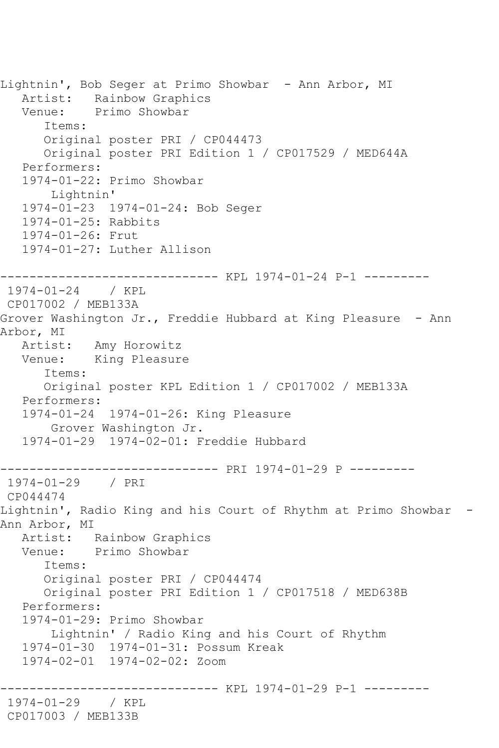Lightnin', Bob Seger at Primo Showbar - Ann Arbor, MI Artist: Rainbow Graphics Venue: Primo Showbar Items: Original poster PRI / CP044473 Original poster PRI Edition 1 / CP017529 / MED644A Performers: 1974-01-22: Primo Showbar Lightnin' 1974-01-23 1974-01-24: Bob Seger 1974-01-25: Rabbits 1974-01-26: Frut 1974-01-27: Luther Allison ------------------------------ KPL 1974-01-24 P-1 --------- 1974-01-24 / KPL CP017002 / MEB133A Grover Washington Jr., Freddie Hubbard at King Pleasure - Ann Arbor, MI Artist: Amy Horowitz Venue: King Pleasure Items: Original poster KPL Edition 1 / CP017002 / MEB133A Performers: 1974-01-24 1974-01-26: King Pleasure Grover Washington Jr. 1974-01-29 1974-02-01: Freddie Hubbard ------------------------------ PRI 1974-01-29 P --------- 1974-01-29 / PRI CP044474 Lightnin', Radio King and his Court of Rhythm at Primo Showbar - Ann Arbor, MI Artist: Rainbow Graphics Venue: Primo Showbar Items: Original poster PRI / CP044474 Original poster PRI Edition 1 / CP017518 / MED638B Performers: 1974-01-29: Primo Showbar Lightnin' / Radio King and his Court of Rhythm 1974-01-30 1974-01-31: Possum Kreak 1974-02-01 1974-02-02: Zoom ------------------------------ KPL 1974-01-29 P-1 --------- 1974-01-29 / KPL CP017003 / MEB133B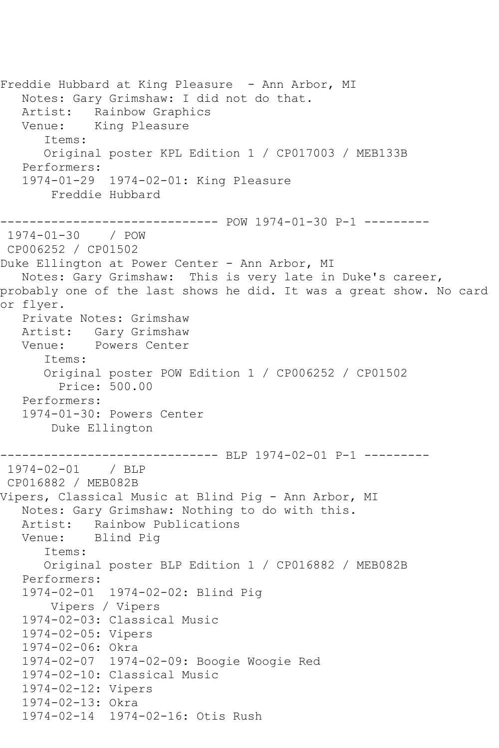Freddie Hubbard at King Pleasure - Ann Arbor, MI Notes: Gary Grimshaw: I did not do that. Artist: Rainbow Graphics Venue: King Pleasure Items: Original poster KPL Edition 1 / CP017003 / MEB133B Performers: 1974-01-29 1974-02-01: King Pleasure Freddie Hubbard ------------------------------ POW 1974-01-30 P-1 --------- 1974-01-30 / POW CP006252 / CP01502 Duke Ellington at Power Center - Ann Arbor, MI Notes: Gary Grimshaw: This is very late in Duke's career, probably one of the last shows he did. It was a great show. No card or flyer. Private Notes: Grimshaw Artist: Gary Grimshaw<br>Venue: Powers Center Powers Center Items: Original poster POW Edition 1 / CP006252 / CP01502 Price: 500.00 Performers: 1974-01-30: Powers Center Duke Ellington ------------------------------ BLP 1974-02-01 P-1 --------- 1974-02-01 / BLP CP016882 / MEB082B Vipers, Classical Music at Blind Pig - Ann Arbor, MI Notes: Gary Grimshaw: Nothing to do with this. Artist: Rainbow Publications<br>Venue: Blind Pig Blind Pig Items: Original poster BLP Edition 1 / CP016882 / MEB082B Performers: 1974-02-01 1974-02-02: Blind Pig Vipers / Vipers 1974-02-03: Classical Music 1974-02-05: Vipers 1974-02-06: Okra 1974-02-07 1974-02-09: Boogie Woogie Red 1974-02-10: Classical Music 1974-02-12: Vipers 1974-02-13: Okra 1974-02-14 1974-02-16: Otis Rush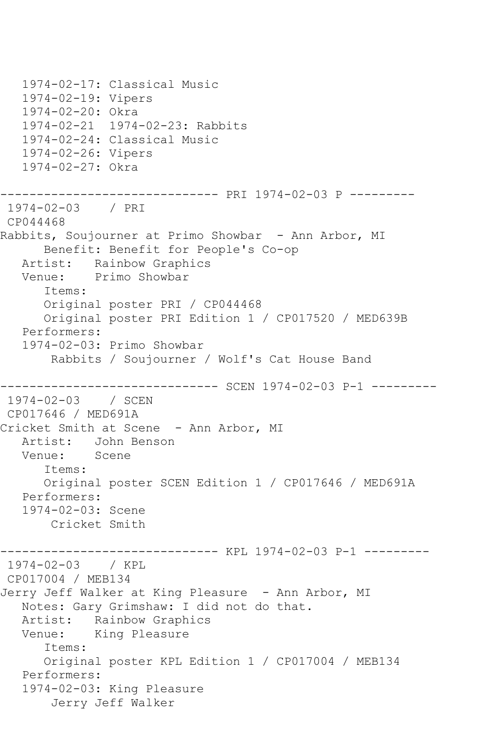1974-02-17: Classical Music 1974-02-19: Vipers 1974-02-20: Okra 1974-02-21 1974-02-23: Rabbits 1974-02-24: Classical Music 1974-02-26: Vipers 1974-02-27: Okra ------------------------------ PRI 1974-02-03 P --------- 1974-02-03 / PRI CP044468 Rabbits, Soujourner at Primo Showbar - Ann Arbor, MI Benefit: Benefit for People's Co-op Artist: Rainbow Graphics Venue: Primo Showbar Items: Original poster PRI / CP044468 Original poster PRI Edition 1 / CP017520 / MED639B Performers: 1974-02-03: Primo Showbar Rabbits / Soujourner / Wolf's Cat House Band ------------------------------ SCEN 1974-02-03 P-1 --------- 1974-02-03 / SCEN CP017646 / MED691A Cricket Smith at Scene - Ann Arbor, MI Artist: John Benson Venue: Scene Items: Original poster SCEN Edition 1 / CP017646 / MED691A Performers: 1974-02-03: Scene Cricket Smith ------------------------------ KPL 1974-02-03 P-1 --------- 1974-02-03 / KPL CP017004 / MEB134 Jerry Jeff Walker at King Pleasure - Ann Arbor, MI Notes: Gary Grimshaw: I did not do that. Artist: Rainbow Graphics Venue: King Pleasure Items: Original poster KPL Edition 1 / CP017004 / MEB134 Performers: 1974-02-03: King Pleasure Jerry Jeff Walker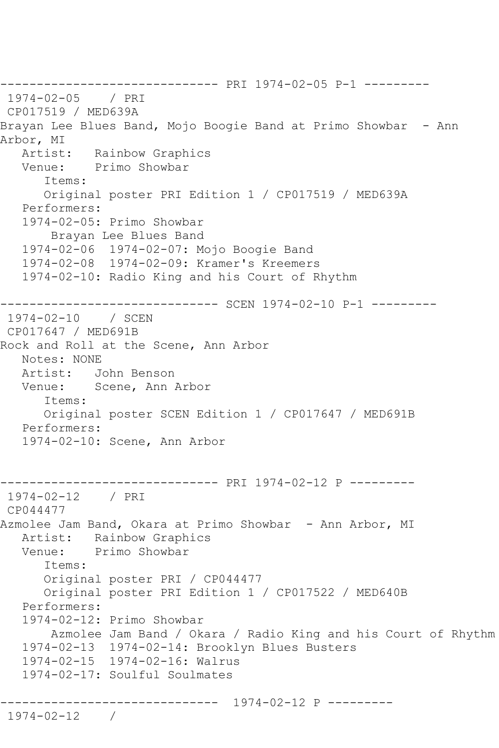------------------------------ PRI 1974-02-05 P-1 --------- 1974-02-05 / PRI CP017519 / MED639A Brayan Lee Blues Band, Mojo Boogie Band at Primo Showbar - Ann Arbor, MI<br>Artist: Artist: Rainbow Graphics<br>Venue: Primo Showbar Primo Showbar Items: Original poster PRI Edition 1 / CP017519 / MED639A Performers: 1974-02-05: Primo Showbar Brayan Lee Blues Band 1974-02-06 1974-02-07: Mojo Boogie Band 1974-02-08 1974-02-09: Kramer's Kreemers 1974-02-10: Radio King and his Court of Rhythm ------------------------------ SCEN 1974-02-10 P-1 --------- 1974-02-10 / SCEN CP017647 / MED691B Rock and Roll at the Scene, Ann Arbor Notes: NONE Artist: John Benson Venue: Scene, Ann Arbor Items: Original poster SCEN Edition 1 / CP017647 / MED691B Performers: 1974-02-10: Scene, Ann Arbor ------------------------------ PRI 1974-02-12 P --------- 1974-02-12 / PRI CP044477 Azmolee Jam Band, Okara at Primo Showbar - Ann Arbor, MI Artist: Rainbow Graphics Venue: Primo Showbar Items: Original poster PRI / CP044477 Original poster PRI Edition 1 / CP017522 / MED640B Performers: 1974-02-12: Primo Showbar Azmolee Jam Band / Okara / Radio King and his Court of Rhythm 1974-02-13 1974-02-14: Brooklyn Blues Busters 1974-02-15 1974-02-16: Walrus 1974-02-17: Soulful Soulmates ------------------------------ 1974-02-12 P --------- 1974-02-12 /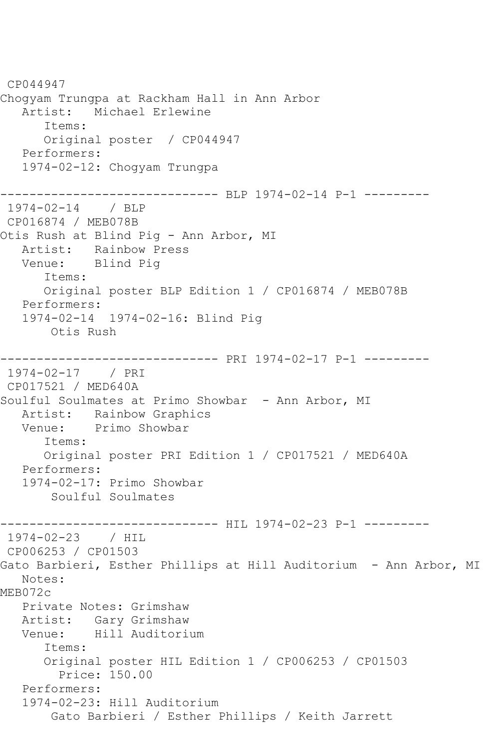CP044947 Chogyam Trungpa at Rackham Hall in Ann Arbor Artist: Michael Erlewine Items: Original poster / CP044947 Performers: 1974-02-12: Chogyam Trungpa ------------------------------ BLP 1974-02-14 P-1 --------- 1974-02-14 / BLP CP016874 / MEB078B Otis Rush at Blind Pig - Ann Arbor, MI Artist: Rainbow Press Venue: Blind Pig Items: Original poster BLP Edition 1 / CP016874 / MEB078B Performers: 1974-02-14 1974-02-16: Blind Pig Otis Rush ------------------------------ PRI 1974-02-17 P-1 --------- 1974-02-17 / PRI CP017521 / MED640A Soulful Soulmates at Primo Showbar - Ann Arbor, MI Artist: Rainbow Graphics<br>Venue: Primo Showbar Primo Showbar Items: Original poster PRI Edition 1 / CP017521 / MED640A Performers: 1974-02-17: Primo Showbar Soulful Soulmates ----------------------------- HIL 1974-02-23 P-1 ----------1974-02-23 / HIL CP006253 / CP01503 Gato Barbieri, Esther Phillips at Hill Auditorium - Ann Arbor, MI Notes: MEB072c Private Notes: Grimshaw Artist: Gary Grimshaw Venue: Hill Auditorium Items: Original poster HIL Edition 1 / CP006253 / CP01503 Price: 150.00 Performers: 1974-02-23: Hill Auditorium Gato Barbieri / Esther Phillips / Keith Jarrett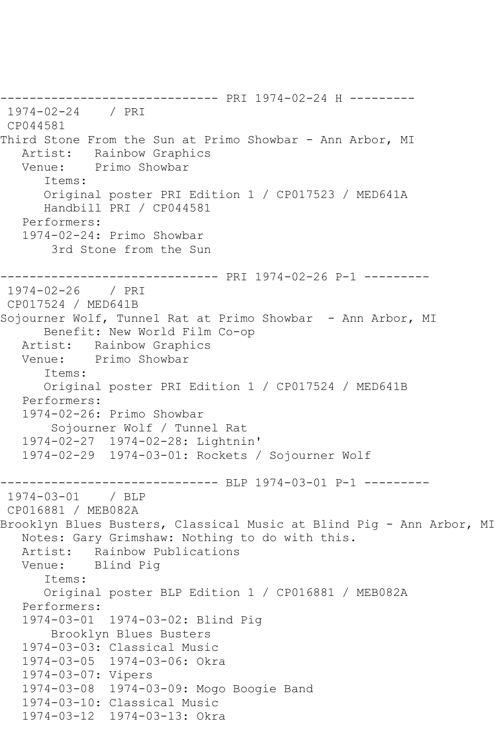------------------------------ PRI 1974-02-24 H --------- 1974-02-24 / PRI CP044581 Third Stone From the Sun at Primo Showbar - Ann Arbor, MI Artist: Rainbow Graphics<br>Venue: Primo Showbar Primo Showbar Items: Original poster PRI Edition 1 / CP017523 / MED641A Handbill PRI / CP044581 Performers: 1974-02-24: Primo Showbar 3rd Stone from the Sun ------------------------------ PRI 1974-02-26 P-1 --------- 1974-02-26 / PRI CP017524 / MED641B Sojourner Wolf, Tunnel Rat at Primo Showbar - Ann Arbor, MI Benefit: New World Film Co-op Artist: Rainbow Graphics Venue: Primo Showbar Items: Original poster PRI Edition 1 / CP017524 / MED641B Performers: 1974-02-26: Primo Showbar Sojourner Wolf / Tunnel Rat 1974-02-27 1974-02-28: Lightnin' 1974-02-29 1974-03-01: Rockets / Sojourner Wolf ------------------------------- BLP 1974-03-01 P-1 ---------<br>1974-03-01 / BLP  $1974 - 03 - 01$ CP016881 / MEB082A Brooklyn Blues Busters, Classical Music at Blind Pig - Ann Arbor, MI Notes: Gary Grimshaw: Nothing to do with this. Artist: Rainbow Publications Venue: Blind Pig Items: Original poster BLP Edition 1 / CP016881 / MEB082A Performers: 1974-03-01 1974-03-02: Blind Pig Brooklyn Blues Busters 1974-03-03: Classical Music 1974-03-05 1974-03-06: Okra 1974-03-07: Vipers 1974-03-08 1974-03-09: Mogo Boogie Band 1974-03-10: Classical Music 1974-03-12 1974-03-13: Okra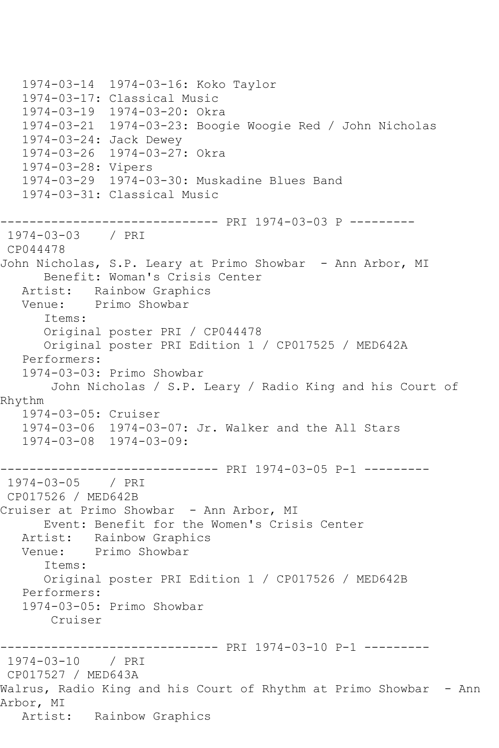1974-03-14 1974-03-16: Koko Taylor 1974-03-17: Classical Music 1974-03-19 1974-03-20: Okra 1974-03-21 1974-03-23: Boogie Woogie Red / John Nicholas 1974-03-24: Jack Dewey 1974-03-26 1974-03-27: Okra 1974-03-28: Vipers 1974-03-29 1974-03-30: Muskadine Blues Band 1974-03-31: Classical Music ------------------------------ PRI 1974-03-03 P --------- 1974-03-03 / PRI CP044478 John Nicholas, S.P. Leary at Primo Showbar - Ann Arbor, MI Benefit: Woman's Crisis Center Artist: Rainbow Graphics Venue: Primo Showbar Items: Original poster PRI / CP044478 Original poster PRI Edition 1 / CP017525 / MED642A Performers: 1974-03-03: Primo Showbar John Nicholas / S.P. Leary / Radio King and his Court of Rhythm 1974-03-05: Cruiser 1974-03-06 1974-03-07: Jr. Walker and the All Stars 1974-03-08 1974-03-09: ------------------------------ PRI 1974-03-05 P-1 --------- 1974-03-05 / PRI CP017526 / MED642B Cruiser at Primo Showbar - Ann Arbor, MI Event: Benefit for the Women's Crisis Center Artist: Rainbow Graphics Venue: Primo Showbar Items: Original poster PRI Edition 1 / CP017526 / MED642B Performers: 1974-03-05: Primo Showbar Cruiser ------------------------------ PRI 1974-03-10 P-1 --------- 1974-03-10 / PRI CP017527 / MED643A Walrus, Radio King and his Court of Rhythm at Primo Showbar - Ann Arbor, MI Artist: Rainbow Graphics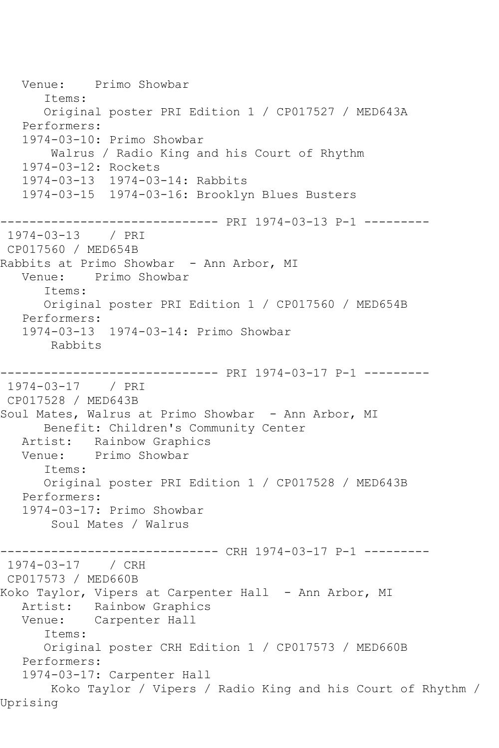Venue: Primo Showbar Items: Original poster PRI Edition 1 / CP017527 / MED643A Performers: 1974-03-10: Primo Showbar Walrus / Radio King and his Court of Rhythm 1974-03-12: Rockets 1974-03-13 1974-03-14: Rabbits 1974-03-15 1974-03-16: Brooklyn Blues Busters ------------------------------ PRI 1974-03-13 P-1 --------- 1974-03-13 / PRI CP017560 / MED654B Rabbits at Primo Showbar - Ann Arbor, MI Venue: Primo Showbar Items: Original poster PRI Edition 1 / CP017560 / MED654B Performers: 1974-03-13 1974-03-14: Primo Showbar Rabbits ------------------------------ PRI 1974-03-17 P-1 --------- 1974-03-17 / PRI CP017528 / MED643B Soul Mates, Walrus at Primo Showbar - Ann Arbor, MI Benefit: Children's Community Center Artist: Rainbow Graphics Venue: Primo Showbar Items: Original poster PRI Edition 1 / CP017528 / MED643B Performers: 1974-03-17: Primo Showbar Soul Mates / Walrus ---------- CRH 1974-03-17 P-1 ---------1974-03-17 / CRH CP017573 / MED660B Koko Taylor, Vipers at Carpenter Hall - Ann Arbor, MI Artist: Rainbow Graphics<br>Venue: Carpenter Hall Carpenter Hall Items: Original poster CRH Edition 1 / CP017573 / MED660B Performers: 1974-03-17: Carpenter Hall Koko Taylor / Vipers / Radio King and his Court of Rhythm / Uprising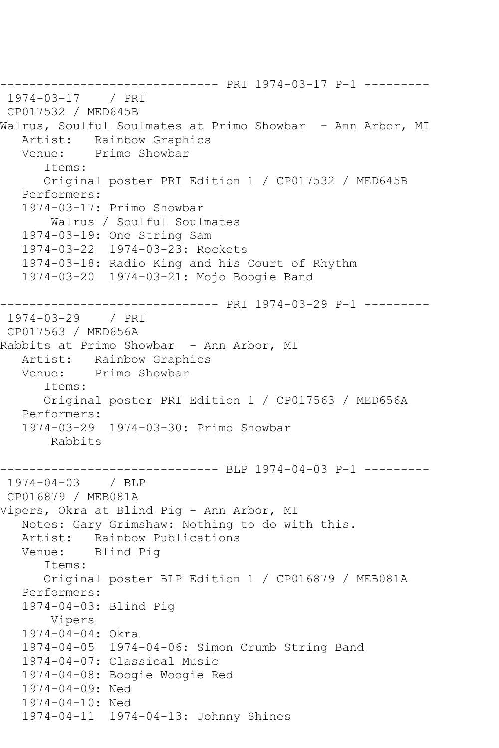------------------------------ PRI 1974-03-17 P-1 --------- 1974-03-17 / PRI CP017532 / MED645B Walrus, Soulful Soulmates at Primo Showbar - Ann Arbor, MI Artist: Rainbow Graphics Venue: Primo Showbar Items: Original poster PRI Edition 1 / CP017532 / MED645B Performers: 1974-03-17: Primo Showbar Walrus / Soulful Soulmates 1974-03-19: One String Sam 1974-03-22 1974-03-23: Rockets 1974-03-18: Radio King and his Court of Rhythm 1974-03-20 1974-03-21: Mojo Boogie Band ------------------------------ PRI 1974-03-29 P-1 --------- 1974-03-29 / PRI CP017563 / MED656A Rabbits at Primo Showbar - Ann Arbor, MI Artist: Rainbow Graphics Venue: Primo Showbar Items: Original poster PRI Edition 1 / CP017563 / MED656A Performers: 1974-03-29 1974-03-30: Primo Showbar Rabbits ------------------------------ BLP 1974-04-03 P-1 --------- 1974-04-03 / BLP CP016879 / MEB081A Vipers, Okra at Blind Pig - Ann Arbor, MI Notes: Gary Grimshaw: Nothing to do with this. Artist: Rainbow Publications Venue: Blind Pig Items: Original poster BLP Edition 1 / CP016879 / MEB081A Performers: 1974-04-03: Blind Pig Vipers 1974-04-04: Okra 1974-04-05 1974-04-06: Simon Crumb String Band 1974-04-07: Classical Music 1974-04-08: Boogie Woogie Red 1974-04-09: Ned 1974-04-10: Ned 1974-04-11 1974-04-13: Johnny Shines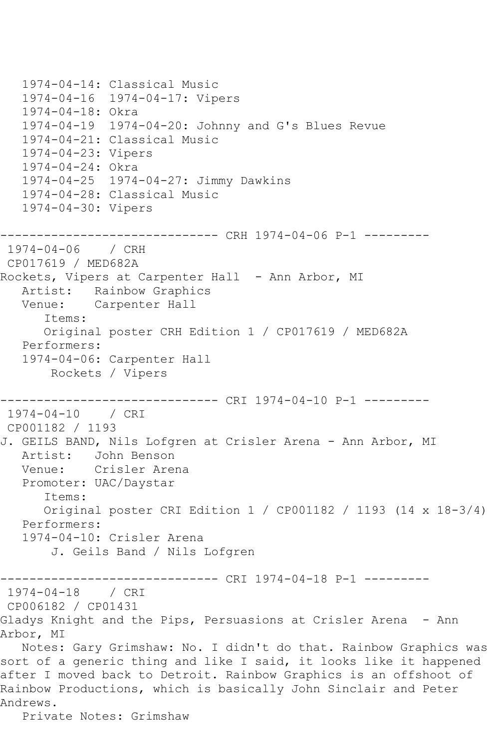```
 1974-04-14: Classical Music
   1974-04-16 1974-04-17: Vipers
   1974-04-18: Okra
   1974-04-19 1974-04-20: Johnny and G's Blues Revue
   1974-04-21: Classical Music
   1974-04-23: Vipers
   1974-04-24: Okra
   1974-04-25 1974-04-27: Jimmy Dawkins
   1974-04-28: Classical Music
   1974-04-30: Vipers
------------------------------ CRH 1974-04-06 P-1 ---------
1974-04-06 / CRH 
CP017619 / MED682A
Rockets, Vipers at Carpenter Hall - Ann Arbor, MI
   Artist: Rainbow Graphics
   Venue: Carpenter Hall
      Items:
      Original poster CRH Edition 1 / CP017619 / MED682A
   Performers:
   1974-04-06: Carpenter Hall
       Rockets / Vipers
------------------------------ CRI 1974-04-10 P-1 ---------
1974-04-10 / CRI 
CP001182 / 1193
J. GEILS BAND, Nils Lofgren at Crisler Arena - Ann Arbor, MI
   Artist: John Benson
   Venue: Crisler Arena
   Promoter: UAC/Daystar
      Items:
      Original poster CRI Edition 1 / CP001182 / 1193 (14 x 18-3/4)
   Performers:
   1974-04-10: Crisler Arena
       J. Geils Band / Nils Lofgren
------------------------------ CRI 1974-04-18 P-1 ---------
1974-04-18 / CRI 
CP006182 / CP01431
Gladys Knight and the Pips, Persuasions at Crisler Arena - Ann 
Arbor, MI
   Notes: Gary Grimshaw: No. I didn't do that. Rainbow Graphics was 
sort of a generic thing and like I said, it looks like it happened 
after I moved back to Detroit. Rainbow Graphics is an offshoot of 
Rainbow Productions, which is basically John Sinclair and Peter 
Andrews.
```
Private Notes: Grimshaw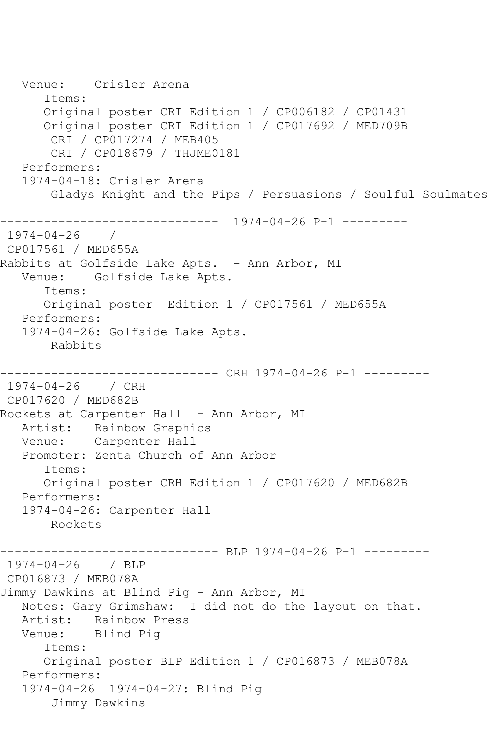Venue: Crisler Arena Items: Original poster CRI Edition 1 / CP006182 / CP01431 Original poster CRI Edition 1 / CP017692 / MED709B CRI / CP017274 / MEB405 CRI / CP018679 / THJME0181 Performers: 1974-04-18: Crisler Arena Gladys Knight and the Pips / Persuasions / Soulful Soulmates ------------------------------ 1974-04-26 P-1 --------- 1974-04-26 / CP017561 / MED655A Rabbits at Golfside Lake Apts. - Ann Arbor, MI Venue: Golfside Lake Apts. Items: Original poster Edition 1 / CP017561 / MED655A Performers: 1974-04-26: Golfside Lake Apts. Rabbits ---------- CRH 1974-04-26 P-1 ---------1974-04-26 / CRH CP017620 / MED682B Rockets at Carpenter Hall - Ann Arbor, MI Artist: Rainbow Graphics Venue: Carpenter Hall Promoter: Zenta Church of Ann Arbor Items: Original poster CRH Edition 1 / CP017620 / MED682B Performers: 1974-04-26: Carpenter Hall Rockets ---------- BLP 1974-04-26 P-1 ---------1974-04-26 / BLP CP016873 / MEB078A Jimmy Dawkins at Blind Pig - Ann Arbor, MI Notes: Gary Grimshaw: I did not do the layout on that. Artist: Rainbow Press Venue: Blind Pig Items: Original poster BLP Edition 1 / CP016873 / MEB078A Performers: 1974-04-26 1974-04-27: Blind Pig Jimmy Dawkins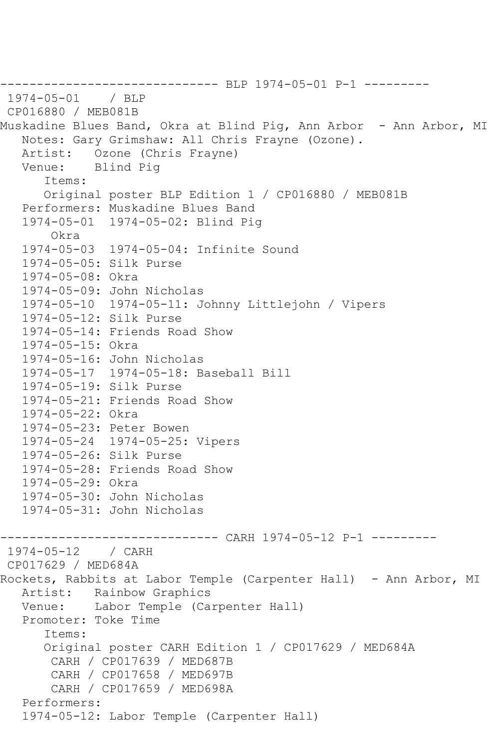------------------------------ BLP 1974-05-01 P-1 --------- 1974-05-01 / BLP CP016880 / MEB081B Muskadine Blues Band, Okra at Blind Pig, Ann Arbor - Ann Arbor, MI Notes: Gary Grimshaw: All Chris Frayne (Ozone). Artist: Ozone (Chris Frayne) Venue: Blind Pig Items: Original poster BLP Edition 1 / CP016880 / MEB081B Performers: Muskadine Blues Band 1974-05-01 1974-05-02: Blind Pig Okra 1974-05-03 1974-05-04: Infinite Sound 1974-05-05: Silk Purse 1974-05-08: Okra 1974-05-09: John Nicholas 1974-05-10 1974-05-11: Johnny Littlejohn / Vipers 1974-05-12: Silk Purse 1974-05-14: Friends Road Show 1974-05-15: Okra 1974-05-16: John Nicholas 1974-05-17 1974-05-18: Baseball Bill 1974-05-19: Silk Purse 1974-05-21: Friends Road Show 1974-05-22: Okra 1974-05-23: Peter Bowen 1974-05-24 1974-05-25: Vipers 1974-05-26: Silk Purse 1974-05-28: Friends Road Show 1974-05-29: Okra 1974-05-30: John Nicholas 1974-05-31: John Nicholas ------------------------------ CARH 1974-05-12 P-1 --------- 1974-05-12 / CARH CP017629 / MED684A Rockets, Rabbits at Labor Temple (Carpenter Hall) - Ann Arbor, MI Artist: Rainbow Graphics Venue: Labor Temple (Carpenter Hall) Promoter: Toke Time Items: Original poster CARH Edition 1 / CP017629 / MED684A CARH / CP017639 / MED687B CARH / CP017658 / MED697B CARH / CP017659 / MED698A Performers: 1974-05-12: Labor Temple (Carpenter Hall)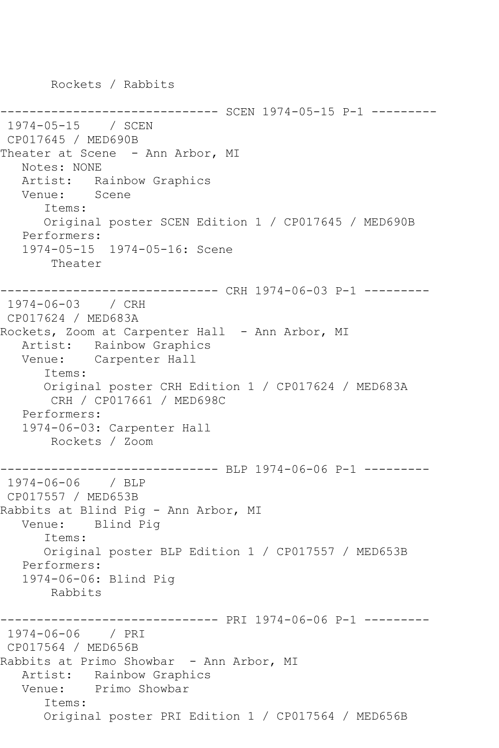---------- SCEN 1974-05-15 P-1 ---------1974-05-15 / SCEN CP017645 / MED690B Theater at Scene - Ann Arbor, MI Notes: NONE Artist: Rainbow Graphics Venue: Scene Items: Original poster SCEN Edition 1 / CP017645 / MED690B Performers: 1974-05-15 1974-05-16: Scene Theater ------------------------------ CRH 1974-06-03 P-1 --------- 1974-06-03 / CRH CP017624 / MED683A Rockets, Zoom at Carpenter Hall - Ann Arbor, MI Artist: Rainbow Graphics Venue: Carpenter Hall Items: Original poster CRH Edition 1 / CP017624 / MED683A CRH / CP017661 / MED698C Performers: 1974-06-03: Carpenter Hall Rockets / Zoom ------------------------------ BLP 1974-06-06 P-1 --------- 1974-06-06 / BLP CP017557 / MED653B Rabbits at Blind Pig - Ann Arbor, MI Venue: Blind Pig Items: Original poster BLP Edition 1 / CP017557 / MED653B Performers: 1974-06-06: Blind Pig Rabbits ------------------------------ PRI 1974-06-06 P-1 --------- 1974-06-06 / PRI CP017564 / MED656B Rabbits at Primo Showbar - Ann Arbor, MI Artist: Rainbow Graphics Venue: Primo Showbar Items: Original poster PRI Edition 1 / CP017564 / MED656B

Rockets / Rabbits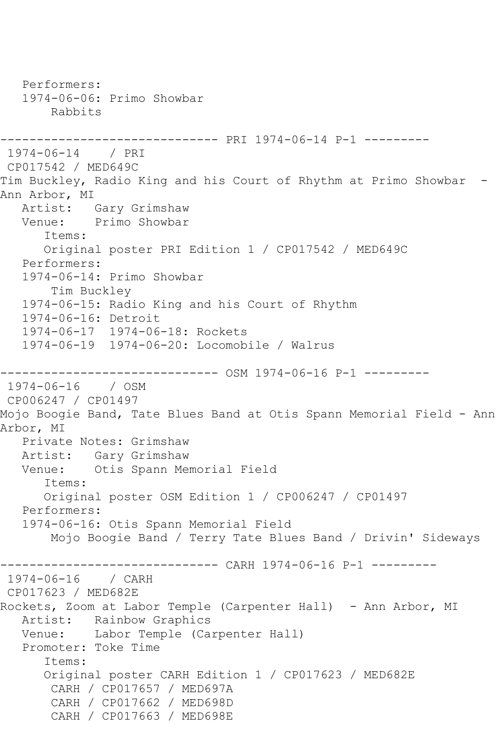Performers: 1974-06-06: Primo Showbar Rabbits ------------------------------ PRI 1974-06-14 P-1 --------- 1974-06-14 / PRI CP017542 / MED649C Tim Buckley, Radio King and his Court of Rhythm at Primo Showbar - Ann Arbor, MI Artist: Gary Grimshaw<br>Venue: Primo Showbar Primo Showbar Items: Original poster PRI Edition 1 / CP017542 / MED649C Performers: 1974-06-14: Primo Showbar Tim Buckley 1974-06-15: Radio King and his Court of Rhythm 1974-06-16: Detroit 1974-06-17 1974-06-18: Rockets 1974-06-19 1974-06-20: Locomobile / Walrus ------------------------------ OSM 1974-06-16 P-1 --------- 1974-06-16 / OSM CP006247 / CP01497 Mojo Boogie Band, Tate Blues Band at Otis Spann Memorial Field - Ann Arbor, MI Private Notes: Grimshaw Artist: Gary Grimshaw Venue: Otis Spann Memorial Field Items: Original poster OSM Edition 1 / CP006247 / CP01497 Performers: 1974-06-16: Otis Spann Memorial Field Mojo Boogie Band / Terry Tate Blues Band / Drivin' Sideways ------------------------------ CARH 1974-06-16 P-1 --------- 1974-06-16 / CARH CP017623 / MED682E Rockets, Zoom at Labor Temple (Carpenter Hall) - Ann Arbor, MI Artist: Rainbow Graphics<br>Venue: Labor Temple (Ca Labor Temple (Carpenter Hall) Promoter: Toke Time Items: Original poster CARH Edition 1 / CP017623 / MED682E CARH / CP017657 / MED697A CARH / CP017662 / MED698D CARH / CP017663 / MED698E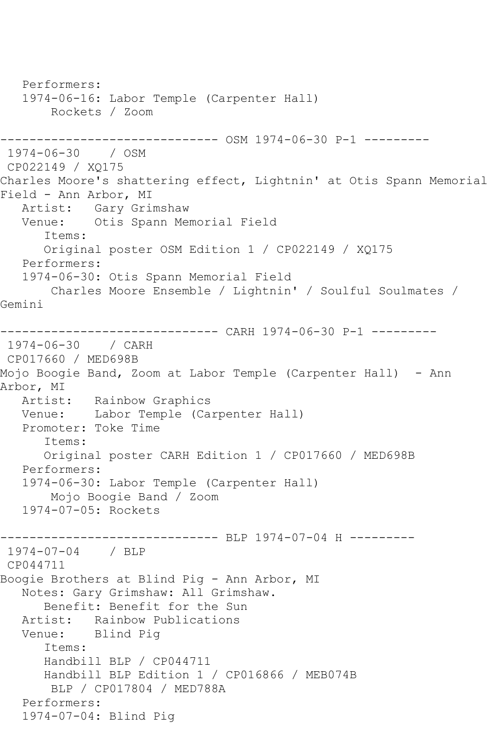Performers: 1974-06-16: Labor Temple (Carpenter Hall) Rockets / Zoom ------------------------------ OSM 1974-06-30 P-1 --------- 1974-06-30 / OSM CP022149 / XQ175 Charles Moore's shattering effect, Lightnin' at Otis Spann Memorial Field - Ann Arbor, MI Artist: Gary Grimshaw<br>Venue: Otis Spann Mer Otis Spann Memorial Field Items: Original poster OSM Edition 1 / CP022149 / XQ175 Performers: 1974-06-30: Otis Spann Memorial Field Charles Moore Ensemble / Lightnin' / Soulful Soulmates / Gemini ------------------------------ CARH 1974-06-30 P-1 --------- 1974-06-30 / CARH CP017660 / MED698B Mojo Boogie Band, Zoom at Labor Temple (Carpenter Hall) - Ann Arbor, MI<br>Artist: Rainbow Graphics Venue: Labor Temple (Carpenter Hall) Promoter: Toke Time Items: Original poster CARH Edition 1 / CP017660 / MED698B Performers: 1974-06-30: Labor Temple (Carpenter Hall) Mojo Boogie Band / Zoom 1974-07-05: Rockets ------------------------------ BLP 1974-07-04 H --------- 1974-07-04 / BLP CP044711 Boogie Brothers at Blind Pig - Ann Arbor, MI Notes: Gary Grimshaw: All Grimshaw. Benefit: Benefit for the Sun Artist: Rainbow Publications Venue: Blind Pig Items: Handbill BLP / CP044711 Handbill BLP Edition 1 / CP016866 / MEB074B BLP / CP017804 / MED788A Performers: 1974-07-04: Blind Pig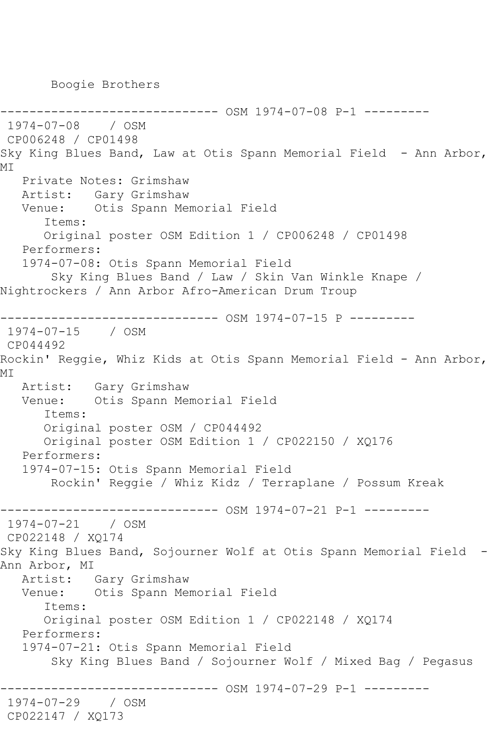Boogie Brothers

------------ OSM 1974-07-08 P-1 ---------1974-07-08 / OSM CP006248 / CP01498 Sky King Blues Band, Law at Otis Spann Memorial Field - Ann Arbor, MI Private Notes: Grimshaw Artist: Gary Grimshaw Venue: Otis Spann Memorial Field Items: Original poster OSM Edition 1 / CP006248 / CP01498 Performers: 1974-07-08: Otis Spann Memorial Field Sky King Blues Band / Law / Skin Van Winkle Knape / Nightrockers / Ann Arbor Afro-American Drum Troup ------------------------------ OSM 1974-07-15 P --------- 1974-07-15 / OSM CP044492 Rockin' Reggie, Whiz Kids at Otis Spann Memorial Field - Ann Arbor, MI Artist: Gary Grimshaw Venue: Otis Spann Memorial Field Items: Original poster OSM / CP044492 Original poster OSM Edition 1 / CP022150 / XQ176 Performers: 1974-07-15: Otis Spann Memorial Field Rockin' Reggie / Whiz Kidz / Terraplane / Possum Kreak ------------------------------ OSM 1974-07-21 P-1 --------- 1974-07-21 / OSM CP022148 / XQ174 Sky King Blues Band, Sojourner Wolf at Otis Spann Memorial Field - Ann Arbor, MI Artist: Gary Grimshaw Venue: Otis Spann Memorial Field Items: Original poster OSM Edition 1 / CP022148 / XQ174 Performers: 1974-07-21: Otis Spann Memorial Field Sky King Blues Band / Sojourner Wolf / Mixed Bag / Pegasus ------------------------------ OSM 1974-07-29 P-1 --------- 1974-07-29 / OSM CP022147 / XQ173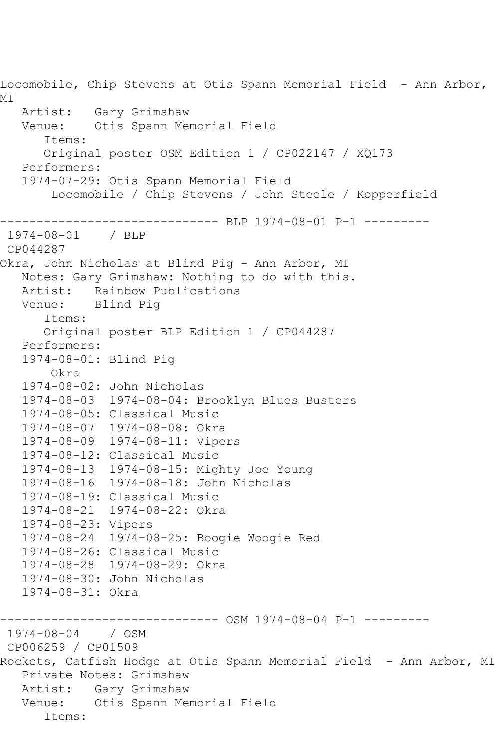Locomobile, Chip Stevens at Otis Spann Memorial Field - Ann Arbor, MI Artist: Gary Grimshaw Venue: Otis Spann Memorial Field Items: Original poster OSM Edition 1 / CP022147 / XQ173 Performers: 1974-07-29: Otis Spann Memorial Field Locomobile / Chip Stevens / John Steele / Kopperfield ------------------------------ BLP 1974-08-01 P-1 --------- 1974-08-01 / BLP CP044287 Okra, John Nicholas at Blind Pig - Ann Arbor, MI Notes: Gary Grimshaw: Nothing to do with this. Artist: Rainbow Publications Venue: Blind Pig Items: Original poster BLP Edition 1 / CP044287 Performers: 1974-08-01: Blind Pig Okra 1974-08-02: John Nicholas 1974-08-03 1974-08-04: Brooklyn Blues Busters 1974-08-05: Classical Music 1974-08-07 1974-08-08: Okra 1974-08-09 1974-08-11: Vipers 1974-08-12: Classical Music 1974-08-13 1974-08-15: Mighty Joe Young 1974-08-16 1974-08-18: John Nicholas 1974-08-19: Classical Music 1974-08-21 1974-08-22: Okra 1974-08-23: Vipers 1974-08-24 1974-08-25: Boogie Woogie Red 1974-08-26: Classical Music 1974-08-28 1974-08-29: Okra 1974-08-30: John Nicholas 1974-08-31: Okra ------------------------------ OSM 1974-08-04 P-1 --------- 1974-08-04 / OSM CP006259 / CP01509 Rockets, Catfish Hodge at Otis Spann Memorial Field - Ann Arbor, MI Private Notes: Grimshaw Artist: Gary Grimshaw Venue: Otis Spann Memorial Field Items: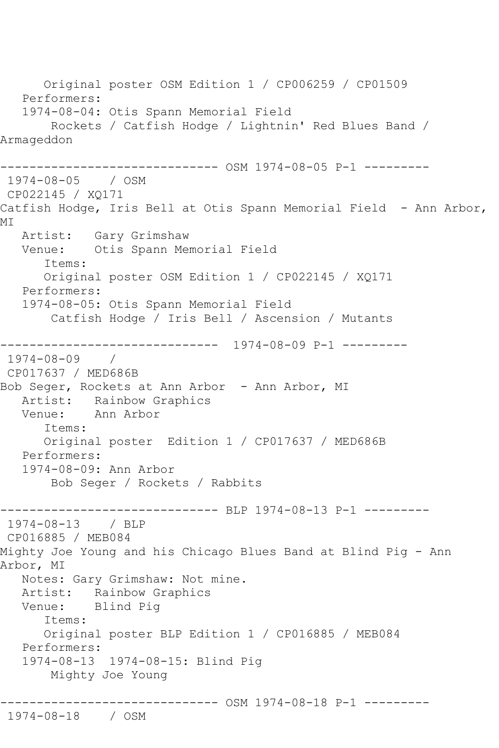Original poster OSM Edition 1 / CP006259 / CP01509 Performers: 1974-08-04: Otis Spann Memorial Field Rockets / Catfish Hodge / Lightnin' Red Blues Band / Armageddon ------------------------------ OSM 1974-08-05 P-1 --------- 1974-08-05 / OSM CP022145 / XQ171 Catfish Hodge, Iris Bell at Otis Spann Memorial Field - Ann Arbor, MI Artist: Gary Grimshaw Venue: Otis Spann Memorial Field Items: Original poster OSM Edition 1 / CP022145 / XQ171 Performers: 1974-08-05: Otis Spann Memorial Field Catfish Hodge / Iris Bell / Ascension / Mutants ------------------------------ 1974-08-09 P-1 --------- 1974-08-09 / CP017637 / MED686B Bob Seger, Rockets at Ann Arbor - Ann Arbor, MI Artist: Rainbow Graphics Venue: Ann Arbor Items: Original poster Edition 1 / CP017637 / MED686B Performers: 1974-08-09: Ann Arbor Bob Seger / Rockets / Rabbits ------------------------------ BLP 1974-08-13 P-1 --------- 1974-08-13 / BLP CP016885 / MEB084 Mighty Joe Young and his Chicago Blues Band at Blind Pig - Ann Arbor, MI Notes: Gary Grimshaw: Not mine. Artist: Rainbow Graphics Venue: Blind Pig Items: Original poster BLP Edition 1 / CP016885 / MEB084 Performers: 1974-08-13 1974-08-15: Blind Pig Mighty Joe Young ------------------------------ OSM 1974-08-18 P-1 --------- 1974-08-18 / OSM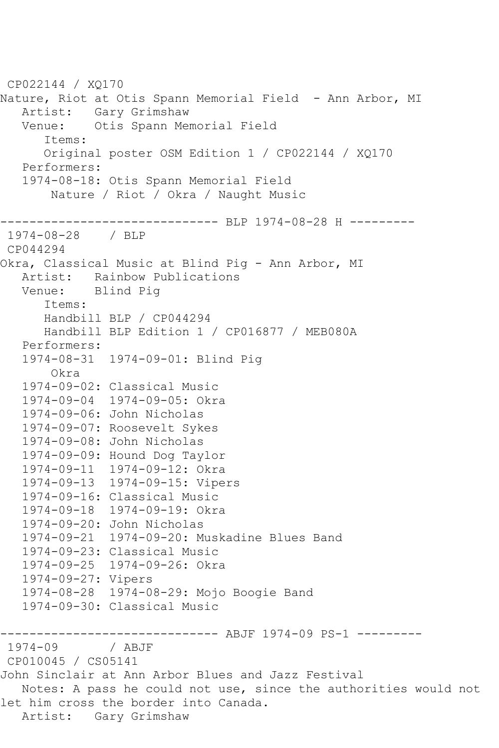```
CP022144 / XQ170
Nature, Riot at Otis Spann Memorial Field - Ann Arbor, MI
 Artist: Gary Grimshaw
 Venue: Otis Spann Memorial Field
      Items:
      Original poster OSM Edition 1 / CP022144 / XQ170
   Performers:
   1974-08-18: Otis Spann Memorial Field
       Nature / Riot / Okra / Naught Music
------------------------------ BLP 1974-08-28 H ---------
1974-08-28 / BLP 
CP044294
Okra, Classical Music at Blind Pig - Ann Arbor, MI
   Artist: Rainbow Publications
   Venue: Blind Pig
      Items:
      Handbill BLP / CP044294
      Handbill BLP Edition 1 / CP016877 / MEB080A
   Performers:
   1974-08-31 1974-09-01: Blind Pig
       Okra
   1974-09-02: Classical Music
   1974-09-04 1974-09-05: Okra
   1974-09-06: John Nicholas
   1974-09-07: Roosevelt Sykes
   1974-09-08: John Nicholas
   1974-09-09: Hound Dog Taylor
   1974-09-11 1974-09-12: Okra
   1974-09-13 1974-09-15: Vipers
   1974-09-16: Classical Music
   1974-09-18 1974-09-19: Okra
   1974-09-20: John Nicholas
   1974-09-21 1974-09-20: Muskadine Blues Band
   1974-09-23: Classical Music
   1974-09-25 1974-09-26: Okra
   1974-09-27: Vipers
   1974-08-28 1974-08-29: Mojo Boogie Band
   1974-09-30: Classical Music
             ------------------------------ ABJF 1974-09 PS-1 ---------
1974-09 / ABJF
CP010045 / CS05141
John Sinclair at Ann Arbor Blues and Jazz Festival
   Notes: A pass he could not use, since the authorities would not 
let him cross the border into Canada.
   Artist: Gary Grimshaw
```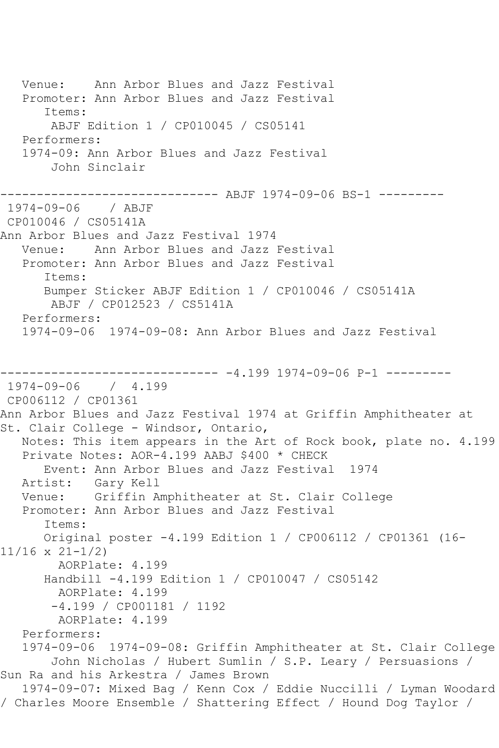Venue: Ann Arbor Blues and Jazz Festival Promoter: Ann Arbor Blues and Jazz Festival Items: ABJF Edition 1 / CP010045 / CS05141 Performers: 1974-09: Ann Arbor Blues and Jazz Festival John Sinclair ------------------------------ ABJF 1974-09-06 BS-1 --------- 1974-09-06 / ABJF CP010046 / CS05141A Ann Arbor Blues and Jazz Festival 1974 Venue: Ann Arbor Blues and Jazz Festival Promoter: Ann Arbor Blues and Jazz Festival Items: Bumper Sticker ABJF Edition 1 / CP010046 / CS05141A ABJF / CP012523 / CS5141A Performers: 1974-09-06 1974-09-08: Ann Arbor Blues and Jazz Festival ------------------------------ -4.199 1974-09-06 P-1 --------- 1974-09-06 / 4.199 CP006112 / CP01361 Ann Arbor Blues and Jazz Festival 1974 at Griffin Amphitheater at St. Clair College - Windsor, Ontario, Notes: This item appears in the Art of Rock book, plate no. 4.199 Private Notes: AOR-4.199 AABJ \$400 \* CHECK Event: Ann Arbor Blues and Jazz Festival 1974 Artist: Gary Kell Venue: Griffin Amphitheater at St. Clair College Promoter: Ann Arbor Blues and Jazz Festival Items: Original poster -4.199 Edition 1 / CP006112 / CP01361 (16- 11/16 x 21-1/2) AORPlate: 4.199 Handbill -4.199 Edition 1 / CP010047 / CS05142 AORPlate: 4.199 -4.199 / CP001181 / 1192 AORPlate: 4.199 Performers: 1974-09-06 1974-09-08: Griffin Amphitheater at St. Clair College John Nicholas / Hubert Sumlin / S.P. Leary / Persuasions / Sun Ra and his Arkestra / James Brown 1974-09-07: Mixed Bag / Kenn Cox / Eddie Nuccilli / Lyman Woodard / Charles Moore Ensemble / Shattering Effect / Hound Dog Taylor /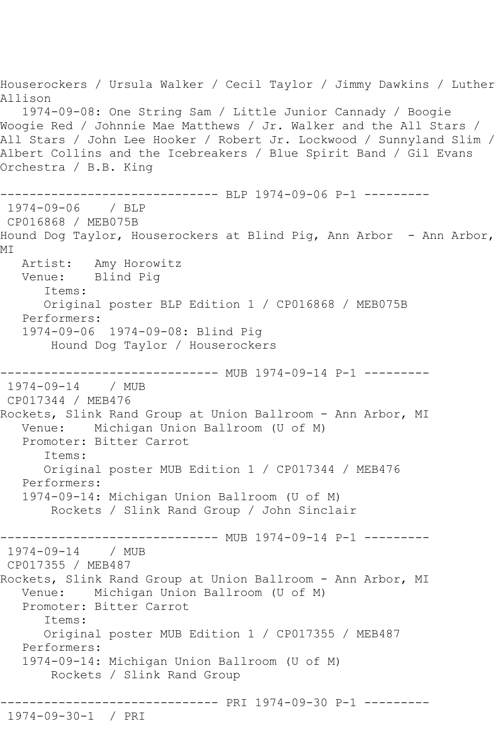Houserockers / Ursula Walker / Cecil Taylor / Jimmy Dawkins / Luther Allison 1974-09-08: One String Sam / Little Junior Cannady / Boogie Woogie Red / Johnnie Mae Matthews / Jr. Walker and the All Stars / All Stars / John Lee Hooker / Robert Jr. Lockwood / Sunnyland Slim / Albert Collins and the Icebreakers / Blue Spirit Band / Gil Evans Orchestra / B.B. King ---------------- BLP 1974-09-06 P-1 ---------1974-09-06 / BLP CP016868 / MEB075B Hound Dog Taylor, Houserockers at Blind Pig, Ann Arbor - Ann Arbor, MI Artist: Amy Horowitz Venue: Blind Pig Items: Original poster BLP Edition 1 / CP016868 / MEB075B Performers: 1974-09-06 1974-09-08: Blind Pig Hound Dog Taylor / Houserockers ------------------------------ MUB 1974-09-14 P-1 --------- 1974-09-14 / MUB CP017344 / MEB476 Rockets, Slink Rand Group at Union Ballroom - Ann Arbor, MI Venue: Michigan Union Ballroom (U of M) Promoter: Bitter Carrot Items: Original poster MUB Edition 1 / CP017344 / MEB476 Performers: 1974-09-14: Michigan Union Ballroom (U of M) Rockets / Slink Rand Group / John Sinclair ------------------------------ MUB 1974-09-14 P-1 --------- 1974-09-14 / MUB CP017355 / MEB487 Rockets, Slink Rand Group at Union Ballroom - Ann Arbor, MI Venue: Michigan Union Ballroom (U of M) Promoter: Bitter Carrot Items: Original poster MUB Edition 1 / CP017355 / MEB487 Performers: 1974-09-14: Michigan Union Ballroom (U of M) Rockets / Slink Rand Group ------------------------------ PRI 1974-09-30 P-1 --------- 1974-09-30-1 / PRI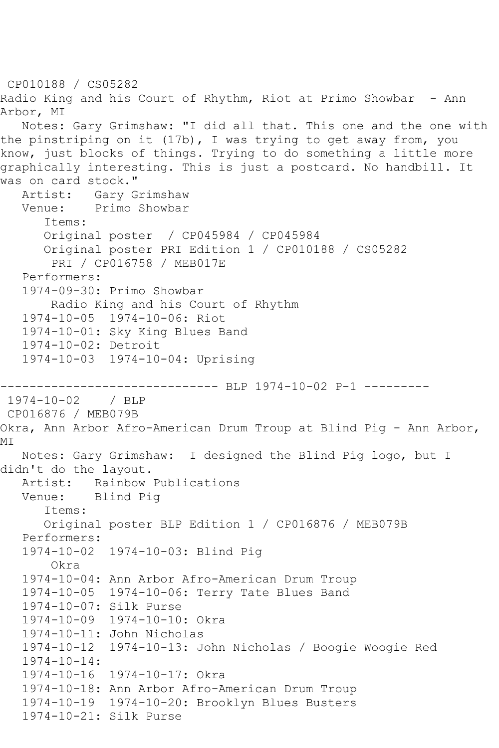```
CP010188 / CS05282
Radio King and his Court of Rhythm, Riot at Primo Showbar - Ann 
Arbor, MI
    Notes: Gary Grimshaw: "I did all that. This one and the one with 
the pinstriping on it (17b), I was trying to get away from, you 
know, just blocks of things. Trying to do something a little more 
graphically interesting. This is just a postcard. No handbill. It 
was on card stock."<br>Artist: Garv G
           Gary Grimshaw
   Venue: Primo Showbar
       Items:
       Original poster / CP045984 / CP045984
       Original poster PRI Edition 1 / CP010188 / CS05282
        PRI / CP016758 / MEB017E
   Performers:
    1974-09-30: Primo Showbar
        Radio King and his Court of Rhythm
    1974-10-05 1974-10-06: Riot
   1974-10-01: Sky King Blues Band
    1974-10-02: Detroit
    1974-10-03 1974-10-04: Uprising
------------------------------ BLP 1974-10-02 P-1 ---------
1974-10-02 / BLP 
CP016876 / MEB079B
Okra, Ann Arbor Afro-American Drum Troup at Blind Pig - Ann Arbor, 
MI
   Notes: Gary Grimshaw: I designed the Blind Pig logo, but I 
didn't do the layout.<br>Artist: Rainbow
           Rainbow Publications
   Venue: Blind Pig
       Items:
       Original poster BLP Edition 1 / CP016876 / MEB079B
    Performers:
   1974-10-02 1974-10-03: Blind Pig
        Okra
    1974-10-04: Ann Arbor Afro-American Drum Troup
    1974-10-05 1974-10-06: Terry Tate Blues Band
    1974-10-07: Silk Purse
    1974-10-09 1974-10-10: Okra
    1974-10-11: John Nicholas
    1974-10-12 1974-10-13: John Nicholas / Boogie Woogie Red
    1974-10-14:
    1974-10-16 1974-10-17: Okra
    1974-10-18: Ann Arbor Afro-American Drum Troup
    1974-10-19 1974-10-20: Brooklyn Blues Busters
    1974-10-21: Silk Purse
```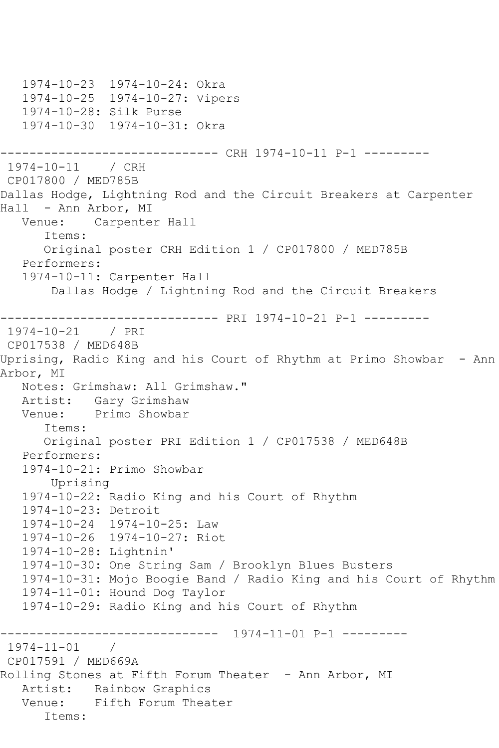```
 1974-10-23 1974-10-24: Okra
   1974-10-25 1974-10-27: Vipers
   1974-10-28: Silk Purse
   1974-10-30 1974-10-31: Okra
------------------------------ CRH 1974-10-11 P-1 ---------
1974-10-11 / CRH 
CP017800 / MED785B
Dallas Hodge, Lightning Rod and the Circuit Breakers at Carpenter 
Hall - Ann Arbor, MI<br>Venue: Carpente
           Carpenter Hall
       Items:
       Original poster CRH Edition 1 / CP017800 / MED785B
   Performers:
   1974-10-11: Carpenter Hall
        Dallas Hodge / Lightning Rod and the Circuit Breakers
------------------------------ PRI 1974-10-21 P-1 ---------
1974-10-21 / PRI 
CP017538 / MED648B
Uprising, Radio King and his Court of Rhythm at Primo Showbar - Ann 
Arbor, MI
   Notes: Grimshaw: All Grimshaw."
   Artist: Gary Grimshaw
   Venue: Primo Showbar
       Items:
       Original poster PRI Edition 1 / CP017538 / MED648B
   Performers:
   1974-10-21: Primo Showbar
        Uprising
   1974-10-22: Radio King and his Court of Rhythm
   1974-10-23: Detroit
   1974-10-24 1974-10-25: Law
   1974-10-26 1974-10-27: Riot
   1974-10-28: Lightnin'
   1974-10-30: One String Sam / Brooklyn Blues Busters
   1974-10-31: Mojo Boogie Band / Radio King and his Court of Rhythm
   1974-11-01: Hound Dog Taylor
   1974-10-29: Radio King and his Court of Rhythm
                 ------------------------------ 1974-11-01 P-1 ---------
1974-11-01 / 
CP017591 / MED669A
Rolling Stones at Fifth Forum Theater - Ann Arbor, MI
   Artist: Rainbow Graphics
   Venue: Fifth Forum Theater
      Items:
```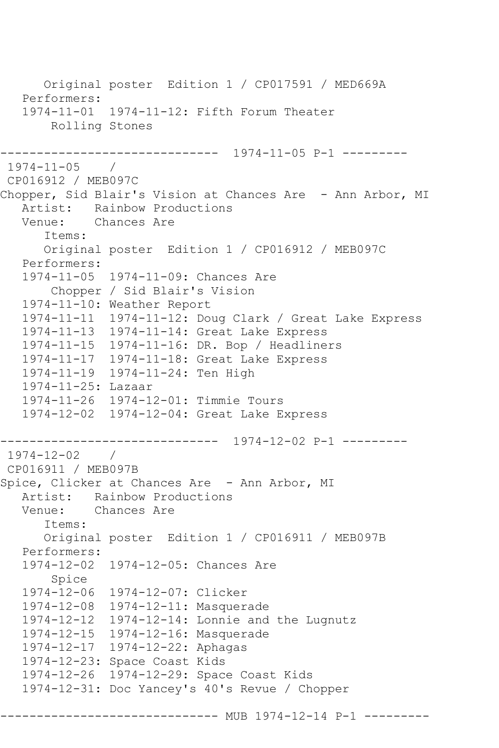Original poster Edition 1 / CP017591 / MED669A Performers: 1974-11-01 1974-11-12: Fifth Forum Theater Rolling Stones ------------------------------ 1974-11-05 P-1 --------- 1974-11-05 / CP016912 / MEB097C Chopper, Sid Blair's Vision at Chances Are - Ann Arbor, MI Artist: Rainbow Productions<br>Venue: Chances Are Chances Are Items: Original poster Edition 1 / CP016912 / MEB097C Performers: 1974-11-05 1974-11-09: Chances Are Chopper / Sid Blair's Vision 1974-11-10: Weather Report 1974-11-11 1974-11-12: Doug Clark / Great Lake Express 1974-11-13 1974-11-14: Great Lake Express 1974-11-15 1974-11-16: DR. Bop / Headliners 1974-11-17 1974-11-18: Great Lake Express 1974-11-19 1974-11-24: Ten High 1974-11-25: Lazaar 1974-11-26 1974-12-01: Timmie Tours 1974-12-02 1974-12-04: Great Lake Express ------------------------------ 1974-12-02 P-1 --------- 1974-12-02 / CP016911 / MEB097B Spice, Clicker at Chances Are - Ann Arbor, MI Artist: Rainbow Productions Venue: Chances Are Items: Original poster Edition 1 / CP016911 / MEB097B Performers: 1974-12-02 1974-12-05: Chances Are Spice 1974-12-06 1974-12-07: Clicker 1974-12-08 1974-12-11: Masquerade 1974-12-12 1974-12-14: Lonnie and the Lugnutz 1974-12-15 1974-12-16: Masquerade 1974-12-17 1974-12-22: Aphagas 1974-12-23: Space Coast Kids 1974-12-26 1974-12-29: Space Coast Kids 1974-12-31: Doc Yancey's 40's Revue / Chopper ---------- MUB 1974-12-14 P-1 ---------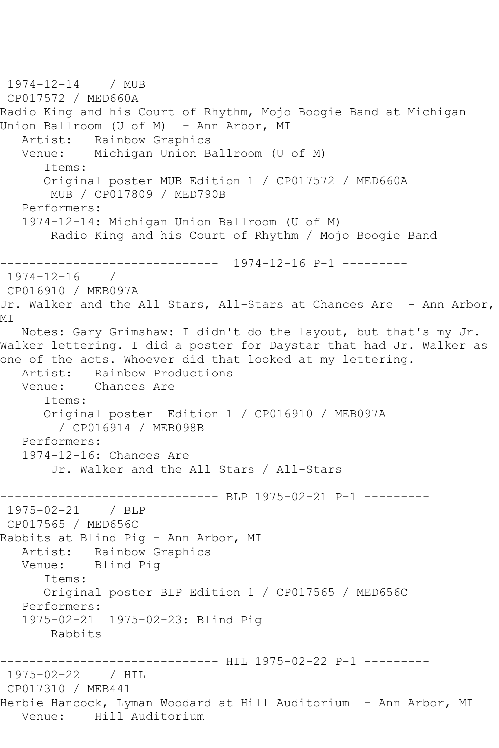```
1974-12-14 / MUB 
CP017572 / MED660A
Radio King and his Court of Rhythm, Mojo Boogie Band at Michigan 
Union Ballroom (U of M) - Ann Arbor, MI
    Artist: Rainbow Graphics
   Venue: Michigan Union Ballroom (U of M)
       Items:
       Original poster MUB Edition 1 / CP017572 / MED660A
        MUB / CP017809 / MED790B
   Performers:
    1974-12-14: Michigan Union Ballroom (U of M)
        Radio King and his Court of Rhythm / Mojo Boogie Band
------------------------------ 1974-12-16 P-1 ---------
1974-12-16 / 
CP016910 / MEB097A
Jr. Walker and the All Stars, All-Stars at Chances Are - Ann Arbor, 
MI
   Notes: Gary Grimshaw: I didn't do the layout, but that's my Jr. 
Walker lettering. I did a poster for Daystar that had Jr. Walker as 
one of the acts. Whoever did that looked at my lettering.<br>Artist: Rainbow Productions
            Rainbow Productions
   Venue: Chances Are
       Items:
       Original poster Edition 1 / CP016910 / MEB097A
         / CP016914 / MEB098B
   Performers:
    1974-12-16: Chances Are
        Jr. Walker and the All Stars / All-Stars
                     ------------------------------ BLP 1975-02-21 P-1 ---------
1975-02-21 / BLP 
CP017565 / MED656C
Rabbits at Blind Pig - Ann Arbor, MI
  Artist: Rainbow Graphics<br>Venue: Blind Piq
            Blind Pig
       Items:
       Original poster BLP Edition 1 / CP017565 / MED656C
   Performers:
    1975-02-21 1975-02-23: Blind Pig
        Rabbits
                ------------------------------ HIL 1975-02-22 P-1 ---------
1975-02-22 / HIL 
CP017310 / MEB441
Herbie Hancock, Lyman Woodard at Hill Auditorium - Ann Arbor, MI
   Venue: Hill Auditorium
```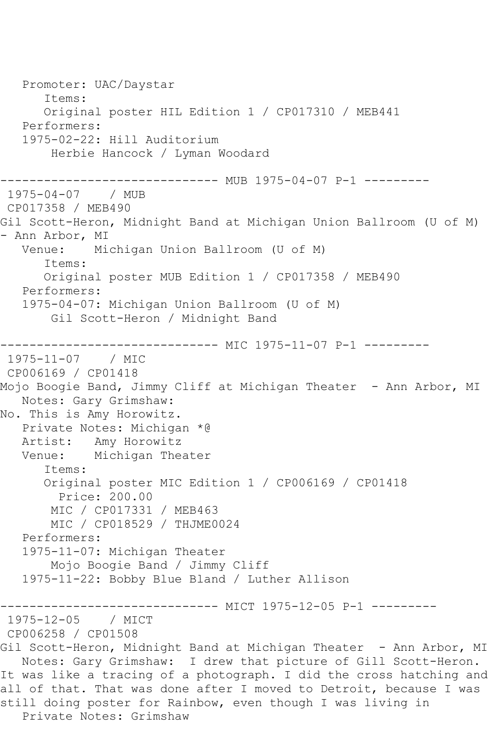Promoter: UAC/Daystar Items: Original poster HIL Edition 1 / CP017310 / MEB441 Performers: 1975-02-22: Hill Auditorium Herbie Hancock / Lyman Woodard ------------------------------ MUB 1975-04-07 P-1 --------- 1975-04-07 / MUB CP017358 / MEB490 Gil Scott-Heron, Midnight Band at Michigan Union Ballroom (U of M) - Ann Arbor, MI<br>Venue: Mi Michigan Union Ballroom (U of M) Items: Original poster MUB Edition 1 / CP017358 / MEB490 Performers: 1975-04-07: Michigan Union Ballroom (U of M) Gil Scott-Heron / Midnight Band ---------------- MIC 1975-11-07 P-1 ----------<br>/ MIC  $1975 - 11 - 07$ CP006169 / CP01418 Mojo Boogie Band, Jimmy Cliff at Michigan Theater - Ann Arbor, MI Notes: Gary Grimshaw: No. This is Amy Horowitz. Private Notes: Michigan \*@ Artist: Amy Horowitz Venue: Michigan Theater Items: Original poster MIC Edition 1 / CP006169 / CP01418 Price: 200.00 MIC / CP017331 / MEB463 MIC / CP018529 / THJME0024 Performers: 1975-11-07: Michigan Theater Mojo Boogie Band / Jimmy Cliff 1975-11-22: Bobby Blue Bland / Luther Allison ------------------------------ MICT 1975-12-05 P-1 --------- 1975-12-05 / MICT CP006258 / CP01508 Gil Scott-Heron, Midnight Band at Michigan Theater - Ann Arbor, MI Notes: Gary Grimshaw: I drew that picture of Gill Scott-Heron. It was like a tracing of a photograph. I did the cross hatching and all of that. That was done after I moved to Detroit, because I was still doing poster for Rainbow, even though I was living in Private Notes: Grimshaw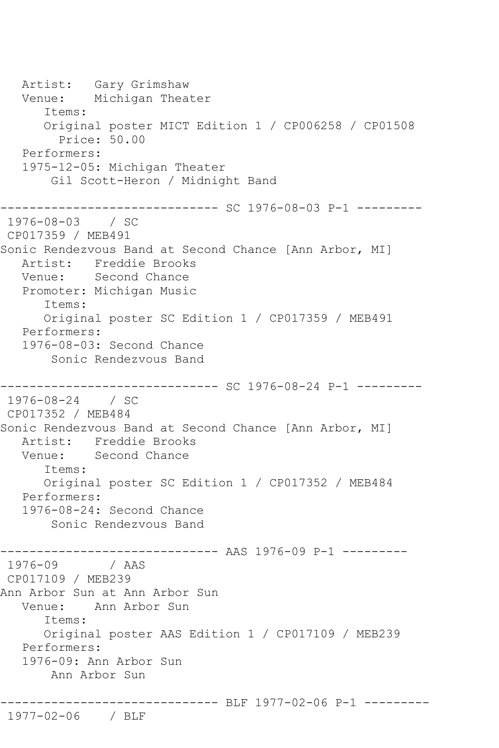Artist: Gary Grimshaw Venue: Michigan Theater Items: Original poster MICT Edition 1 / CP006258 / CP01508 Price: 50.00 Performers: 1975-12-05: Michigan Theater Gil Scott-Heron / Midnight Band ------------------------------ SC 1976-08-03 P-1 --------- 1976-08-03 / SC CP017359 / MEB491 Sonic Rendezvous Band at Second Chance [Ann Arbor, MI] Artist: Freddie Brooks Venue: Second Chance Promoter: Michigan Music Items: Original poster SC Edition 1 / CP017359 / MEB491 Performers: 1976-08-03: Second Chance Sonic Rendezvous Band --------------- SC 1976-08-24 P-1 ----------1976-08-24 / SC CP017352 / MEB484 Sonic Rendezvous Band at Second Chance [Ann Arbor, MI] Artist: Freddie Brooks Venue: Second Chance Items: Original poster SC Edition 1 / CP017352 / MEB484 Performers: 1976-08-24: Second Chance Sonic Rendezvous Band ------------------------------ AAS 1976-09 P-1 --------- 1976-09 / AAS CP017109 / MEB239 Ann Arbor Sun at Ann Arbor Sun Venue: Ann Arbor Sun Items: Original poster AAS Edition 1 / CP017109 / MEB239 Performers: 1976-09: Ann Arbor Sun Ann Arbor Sun ------------------------------ BLF 1977-02-06 P-1 --------- 1977-02-06 / BLF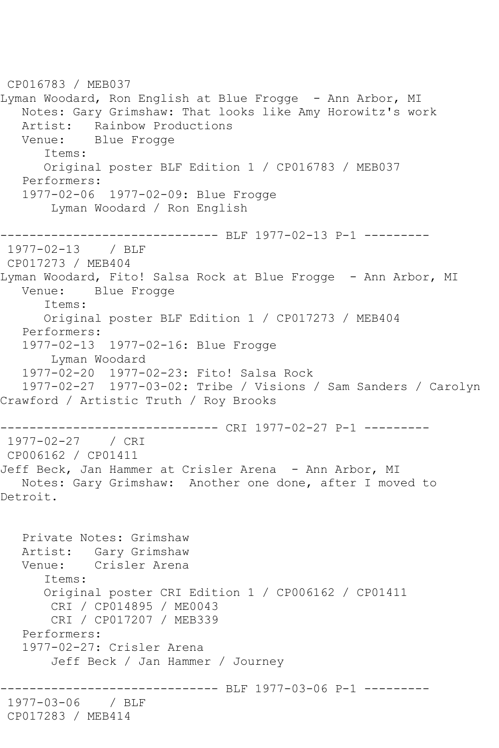CP016783 / MEB037 Lyman Woodard, Ron English at Blue Frogge - Ann Arbor, MI Notes: Gary Grimshaw: That looks like Amy Horowitz's work Artist: Rainbow Productions<br>Venue: Blue Frogge Blue Frogge Items: Original poster BLF Edition 1 / CP016783 / MEB037 Performers: 1977-02-06 1977-02-09: Blue Frogge Lyman Woodard / Ron English ------------------------------ BLF 1977-02-13 P-1 --------- 1977-02-13 / BLF CP017273 / MEB404 Lyman Woodard, Fito! Salsa Rock at Blue Frogge - Ann Arbor, MI Venue: Blue Frogge Items: Original poster BLF Edition 1 / CP017273 / MEB404 Performers: 1977-02-13 1977-02-16: Blue Frogge Lyman Woodard 1977-02-20 1977-02-23: Fito! Salsa Rock 1977-02-27 1977-03-02: Tribe / Visions / Sam Sanders / Carolyn Crawford / Artistic Truth / Roy Brooks ------------------------------ CRI 1977-02-27 P-1 --------- 1977-02-27 / CRI CP006162 / CP01411 Jeff Beck, Jan Hammer at Crisler Arena - Ann Arbor, MI Notes: Gary Grimshaw: Another one done, after I moved to Detroit. Private Notes: Grimshaw Artist: Gary Grimshaw Venue: Crisler Arena Items: Original poster CRI Edition 1 / CP006162 / CP01411 CRI / CP014895 / ME0043 CRI / CP017207 / MEB339 Performers: 1977-02-27: Crisler Arena Jeff Beck / Jan Hammer / Journey ------------------------------ BLF 1977-03-06 P-1 --------- 1977-03-06 / BLF CP017283 / MEB414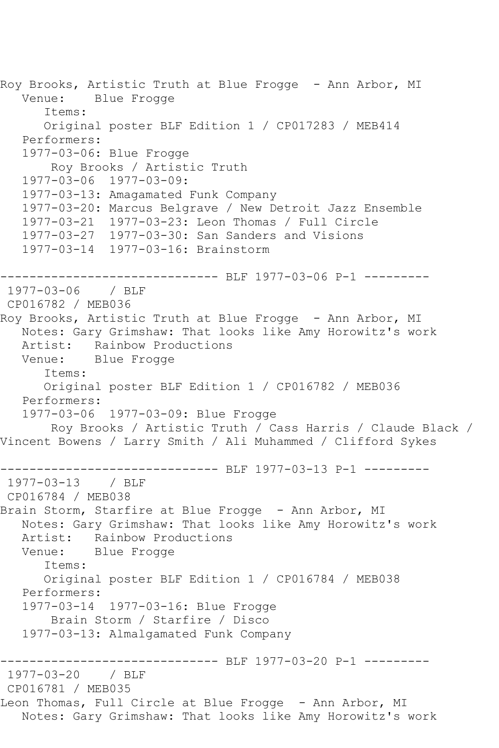Roy Brooks, Artistic Truth at Blue Frogge - Ann Arbor, MI<br>Venue: Blue Frogge Blue Frogge Items: Original poster BLF Edition 1 / CP017283 / MEB414 Performers: 1977-03-06: Blue Frogge Roy Brooks / Artistic Truth 1977-03-06 1977-03-09: 1977-03-13: Amagamated Funk Company 1977-03-20: Marcus Belgrave / New Detroit Jazz Ensemble 1977-03-21 1977-03-23: Leon Thomas / Full Circle 1977-03-27 1977-03-30: San Sanders and Visions 1977-03-14 1977-03-16: Brainstorm ------------------------------ BLF 1977-03-06 P-1 --------- 1977-03-06 / BLF CP016782 / MEB036 Roy Brooks, Artistic Truth at Blue Frogge - Ann Arbor, MI Notes: Gary Grimshaw: That looks like Amy Horowitz's work Artist: Rainbow Productions<br>Venue: Blue Frogge Blue Frogge Items: Original poster BLF Edition 1 / CP016782 / MEB036 Performers: 1977-03-06 1977-03-09: Blue Frogge Roy Brooks / Artistic Truth / Cass Harris / Claude Black / Vincent Bowens / Larry Smith / Ali Muhammed / Clifford Sykes ------------------------------ BLF 1977-03-13 P-1 --------- 1977-03-13 / BLF CP016784 / MEB038 Brain Storm, Starfire at Blue Frogge - Ann Arbor, MI Notes: Gary Grimshaw: That looks like Amy Horowitz's work Artist: Rainbow Productions Venue: Blue Frogge Items: Original poster BLF Edition 1 / CP016784 / MEB038 Performers: 1977-03-14 1977-03-16: Blue Frogge Brain Storm / Starfire / Disco 1977-03-13: Almalgamated Funk Company ------------------------------ BLF 1977-03-20 P-1 --------- 1977-03-20 / BLF CP016781 / MEB035 Leon Thomas, Full Circle at Blue Frogge - Ann Arbor, MI Notes: Gary Grimshaw: That looks like Amy Horowitz's work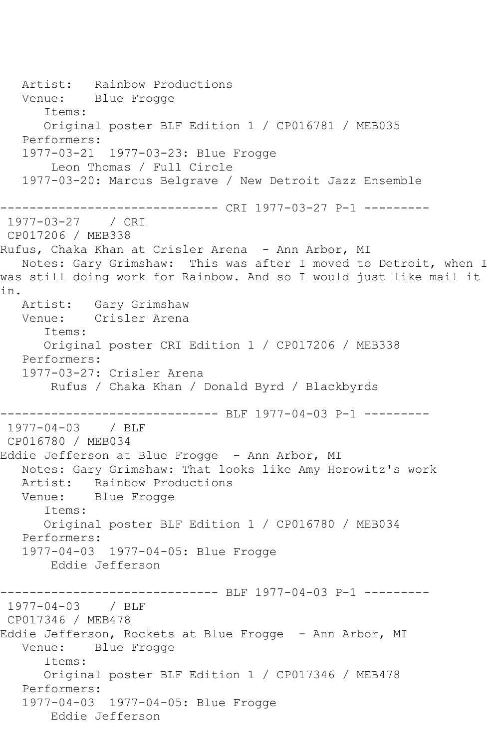Artist: Rainbow Productions Venue: Blue Frogge Items: Original poster BLF Edition 1 / CP016781 / MEB035 Performers: 1977-03-21 1977-03-23: Blue Frogge Leon Thomas / Full Circle 1977-03-20: Marcus Belgrave / New Detroit Jazz Ensemble ------------------------------ CRI 1977-03-27 P-1 --------- 1977-03-27 / CRI CP017206 / MEB338 Rufus, Chaka Khan at Crisler Arena - Ann Arbor, MI Notes: Gary Grimshaw: This was after I moved to Detroit, when I was still doing work for Rainbow. And so I would just like mail it in. Artist: Gary Grimshaw Venue: Crisler Arena Items: Original poster CRI Edition 1 / CP017206 / MEB338 Performers: 1977-03-27: Crisler Arena Rufus / Chaka Khan / Donald Byrd / Blackbyrds ------------------------------ BLF 1977-04-03 P-1 --------- 1977-04-03 / BLF CP016780 / MEB034 Eddie Jefferson at Blue Frogge - Ann Arbor, MI Notes: Gary Grimshaw: That looks like Amy Horowitz's work Artist: Rainbow Productions Venue: Blue Frogge Items: Original poster BLF Edition 1 / CP016780 / MEB034 Performers: 1977-04-03 1977-04-05: Blue Frogge Eddie Jefferson ------------------------------ BLF 1977-04-03 P-1 --------- 1977-04-03 / BLF CP017346 / MEB478 Eddie Jefferson, Rockets at Blue Frogge - Ann Arbor, MI Venue: Blue Frogge Items: Original poster BLF Edition 1 / CP017346 / MEB478 Performers: 1977-04-03 1977-04-05: Blue Frogge Eddie Jefferson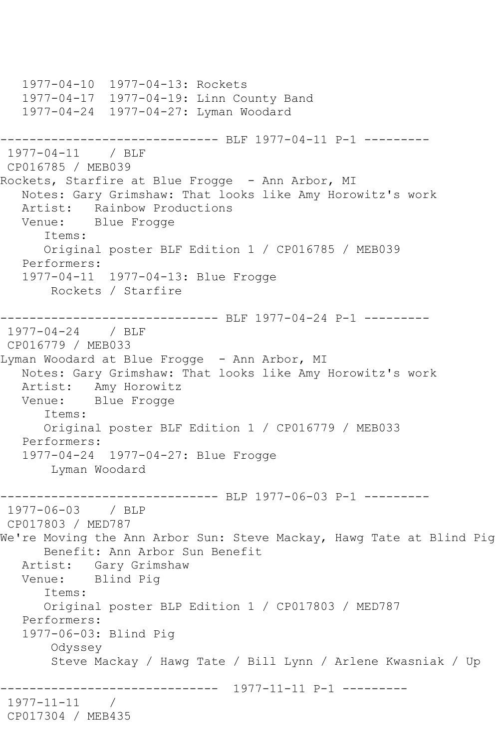1977-04-10 1977-04-13: Rockets 1977-04-17 1977-04-19: Linn County Band 1977-04-24 1977-04-27: Lyman Woodard ------------------------------ BLF 1977-04-11 P-1 --------- 1977-04-11 / BLF CP016785 / MEB039 Rockets, Starfire at Blue Frogge - Ann Arbor, MI Notes: Gary Grimshaw: That looks like Amy Horowitz's work Artist: Rainbow Productions<br>Venue: Blue Frogge Blue Frogge Items: Original poster BLF Edition 1 / CP016785 / MEB039 Performers: 1977-04-11 1977-04-13: Blue Frogge Rockets / Starfire ------------------------------ BLF 1977-04-24 P-1 --------- 1977-04-24 / BLF CP016779 / MEB033 Lyman Woodard at Blue Frogge - Ann Arbor, MI Notes: Gary Grimshaw: That looks like Amy Horowitz's work Artist: Amy Horowitz<br>Venue: Blue Frogge Blue Frogge Items: Original poster BLF Edition 1 / CP016779 / MEB033 Performers: 1977-04-24 1977-04-27: Blue Frogge Lyman Woodard ------------------------------ BLP 1977-06-03 P-1 --------- 1977-06-03 / BLP CP017803 / MED787 We're Moving the Ann Arbor Sun: Steve Mackay, Hawg Tate at Blind Pig Benefit: Ann Arbor Sun Benefit Artist: Gary Grimshaw Venue: Blind Pig Items: Original poster BLP Edition 1 / CP017803 / MED787 Performers: 1977-06-03: Blind Pig Odyssey Steve Mackay / Hawg Tate / Bill Lynn / Arlene Kwasniak / Up ------------------------------ 1977-11-11 P-1 --------- 1977-11-11 / CP017304 / MEB435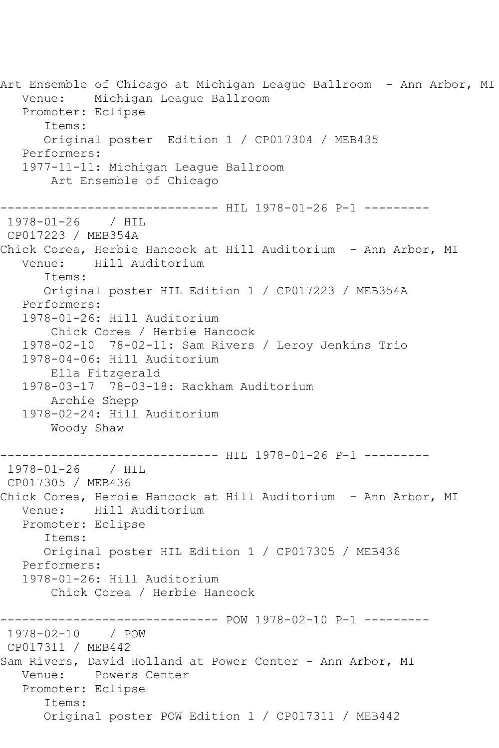Art Ensemble of Chicago at Michigan League Ballroom - Ann Arbor, MI Venue: Michigan League Ballroom Promoter: Eclipse Items: Original poster Edition 1 / CP017304 / MEB435 Performers: 1977-11-11: Michigan League Ballroom Art Ensemble of Chicago ----------------------------- HIL 1978-01-26 P-1 ----------1978-01-26 / HIL CP017223 / MEB354A Chick Corea, Herbie Hancock at Hill Auditorium - Ann Arbor, MI<br>Venue: Hill Auditorium Hill Auditorium Items: Original poster HIL Edition 1 / CP017223 / MEB354A Performers: 1978-01-26: Hill Auditorium Chick Corea / Herbie Hancock 1978-02-10 78-02-11: Sam Rivers / Leroy Jenkins Trio 1978-04-06: Hill Auditorium Ella Fitzgerald 1978-03-17 78-03-18: Rackham Auditorium Archie Shepp 1978-02-24: Hill Auditorium Woody Shaw ------------------------------ HIL 1978-01-26 P-1 --------- 1978-01-26 / HIL CP017305 / MEB436 Chick Corea, Herbie Hancock at Hill Auditorium - Ann Arbor, MI Venue: Hill Auditorium Promoter: Eclipse Items: Original poster HIL Edition 1 / CP017305 / MEB436 Performers: 1978-01-26: Hill Auditorium Chick Corea / Herbie Hancock ------------------------------ POW 1978-02-10 P-1 --------- 1978-02-10 / POW CP017311 / MEB442 Sam Rivers, David Holland at Power Center - Ann Arbor, MI Venue: Powers Center Promoter: Eclipse Items: Original poster POW Edition 1 / CP017311 / MEB442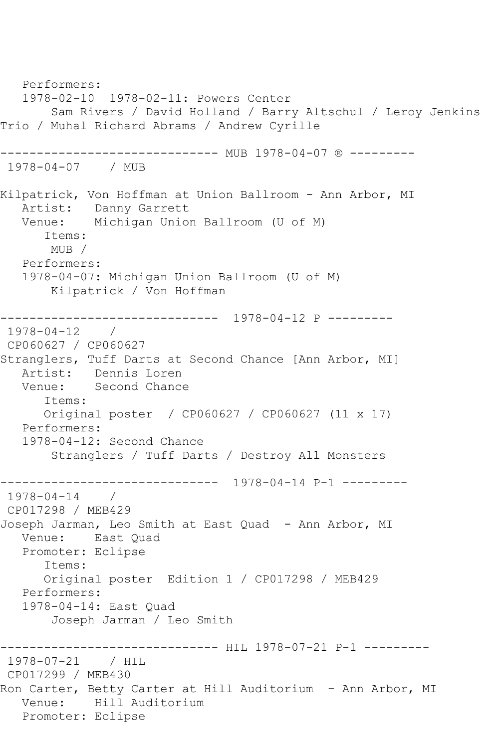Performers: 1978-02-10 1978-02-11: Powers Center Sam Rivers / David Holland / Barry Altschul / Leroy Jenkins Trio / Muhal Richard Abrams / Andrew Cyrille ----------------------- MUB 1978-04-07 ® ---------1978-04-07 / MUB Kilpatrick, Von Hoffman at Union Ballroom - Ann Arbor, MI Artist: Danny Garrett Venue: Michigan Union Ballroom (U of M) Items: MUB / Performers: 1978-04-07: Michigan Union Ballroom (U of M) Kilpatrick / Von Hoffman ------------------------------ 1978-04-12 P --------- 1978-04-12 / CP060627 / CP060627 Stranglers, Tuff Darts at Second Chance [Ann Arbor, MI] Artist: Dennis Loren Venue: Second Chance Items: Original poster / CP060627 / CP060627 (11 x 17) Performers: 1978-04-12: Second Chance Stranglers / Tuff Darts / Destroy All Monsters ------------------------------ 1978-04-14 P-1 --------- 1978-04-14 / CP017298 / MEB429 Joseph Jarman, Leo Smith at East Quad - Ann Arbor, MI Venue: East Quad Promoter: Eclipse Items: Original poster Edition 1 / CP017298 / MEB429 Performers: 1978-04-14: East Quad Joseph Jarman / Leo Smith ------------------------------ HIL 1978-07-21 P-1 --------- 1978-07-21 / HIL CP017299 / MEB430 Ron Carter, Betty Carter at Hill Auditorium - Ann Arbor, MI Venue: Hill Auditorium Promoter: Eclipse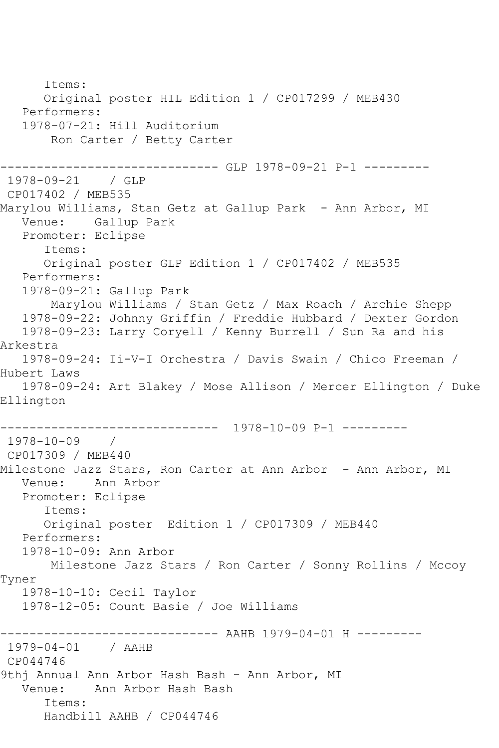Items: Original poster HIL Edition 1 / CP017299 / MEB430 Performers: 1978-07-21: Hill Auditorium Ron Carter / Betty Carter ------------------------------ GLP 1978-09-21 P-1 --------- 1978-09-21 / GLP CP017402 / MEB535 Marylou Williams, Stan Getz at Gallup Park – Ann Arbor, MI Venue: Gallup Park Promoter: Eclipse Items: Original poster GLP Edition 1 / CP017402 / MEB535 Performers: 1978-09-21: Gallup Park Marylou Williams / Stan Getz / Max Roach / Archie Shepp 1978-09-22: Johnny Griffin / Freddie Hubbard / Dexter Gordon 1978-09-23: Larry Coryell / Kenny Burrell / Sun Ra and his Arkestra 1978-09-24: Ii-V-I Orchestra / Davis Swain / Chico Freeman / Hubert Laws 1978-09-24: Art Blakey / Mose Allison / Mercer Ellington / Duke Ellington ------------------------------ 1978-10-09 P-1 --------- 1978-10-09 / CP017309 / MEB440 Milestone Jazz Stars, Ron Carter at Ann Arbor - Ann Arbor, MI Venue: Ann Arbor Promoter: Eclipse Items: Original poster Edition 1 / CP017309 / MEB440 Performers: 1978-10-09: Ann Arbor Milestone Jazz Stars / Ron Carter / Sonny Rollins / Mccoy Tyner 1978-10-10: Cecil Taylor 1978-12-05: Count Basie / Joe Williams ---------- AAHB 1979-04-01 H ---------1979-04-01 / AAHB CP044746 9thj Annual Ann Arbor Hash Bash - Ann Arbor, MI Venue: Ann Arbor Hash Bash Items: Handbill AAHB / CP044746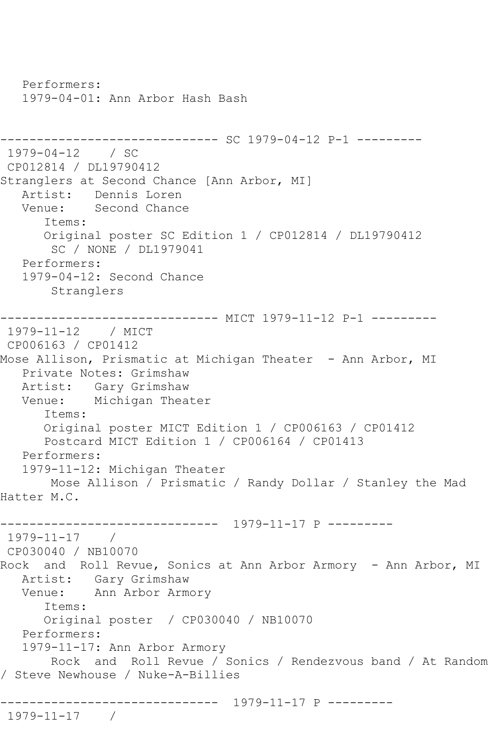Performers: 1979-04-01: Ann Arbor Hash Bash ------------------------------ SC 1979-04-12 P-1 --------- 1979-04-12 / SC CP012814 / DL19790412 Stranglers at Second Chance [Ann Arbor, MI] Artist: Dennis Loren Venue: Second Chance Items: Original poster SC Edition 1 / CP012814 / DL19790412 SC / NONE / DL1979041 Performers: 1979-04-12: Second Chance Stranglers ------------------------------ MICT 1979-11-12 P-1 --------- 1979-11-12 / MICT CP006163 / CP01412 Mose Allison, Prismatic at Michigan Theater - Ann Arbor, MI Private Notes: Grimshaw Artist: Gary Grimshaw Venue: Michigan Theater Items: Original poster MICT Edition 1 / CP006163 / CP01412 Postcard MICT Edition 1 / CP006164 / CP01413 Performers: 1979-11-12: Michigan Theater Mose Allison / Prismatic / Randy Dollar / Stanley the Mad Hatter M.C. ------------------------------ 1979-11-17 P --------- 1979-11-17 / CP030040 / NB10070 Rock and Roll Revue, Sonics at Ann Arbor Armory - Ann Arbor, MI Artist: Gary Grimshaw Venue: Ann Arbor Armory Items: Original poster / CP030040 / NB10070 Performers: 1979-11-17: Ann Arbor Armory Rock and Roll Revue / Sonics / Rendezvous band / At Random / Steve Newhouse / Nuke-A-Billies ------------------------------ 1979-11-17 P --------- 1979-11-17 /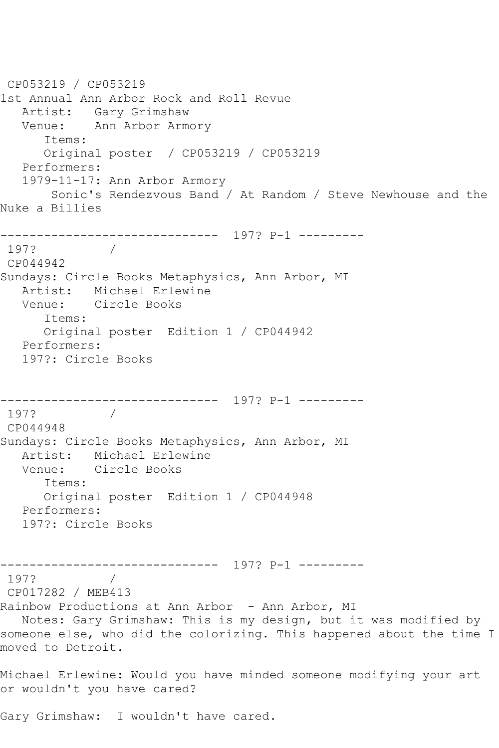CP053219 / CP053219 1st Annual Ann Arbor Rock and Roll Revue Artist: Gary Grimshaw Venue: Ann Arbor Armory Items: Original poster / CP053219 / CP053219 Performers: 1979-11-17: Ann Arbor Armory Sonic's Rendezvous Band / At Random / Steve Newhouse and the Nuke a Billies ------------------------------ 197? P-1 --------- 197? / CP044942 Sundays: Circle Books Metaphysics, Ann Arbor, MI Artist: Michael Erlewine Venue: Circle Books Items: Original poster Edition 1 / CP044942 Performers: 197?: Circle Books ------------------------------ 197? P-1 --------- 197? / CP044948 Sundays: Circle Books Metaphysics, Ann Arbor, MI Artist: Michael Erlewine Venue: Circle Books Items: Original poster Edition 1 / CP044948 Performers: 197?: Circle Books ------------------------------ 197? P-1 --------- 197? CP017282 / MEB413 Rainbow Productions at Ann Arbor - Ann Arbor, MI Notes: Gary Grimshaw: This is my design, but it was modified by someone else, who did the colorizing. This happened about the time I moved to Detroit. Michael Erlewine: Would you have minded someone modifying your art or wouldn't you have cared?

Gary Grimshaw: I wouldn't have cared.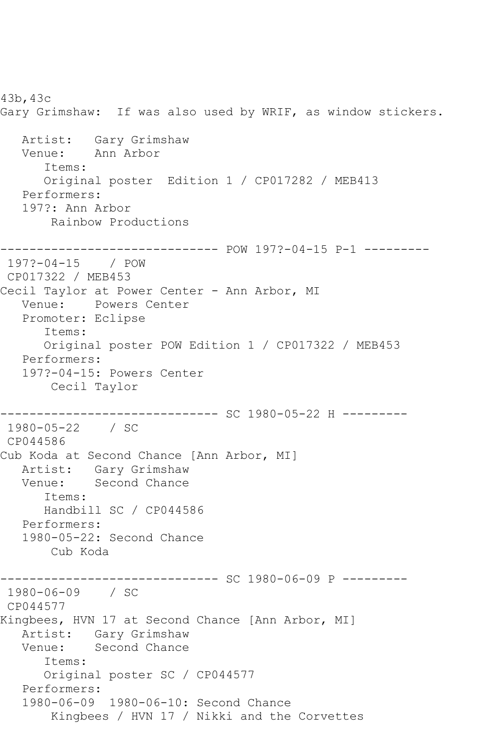43b,43c Gary Grimshaw: If was also used by WRIF, as window stickers. Artist: Gary Grimshaw Venue: Ann Arbor Items: Original poster Edition 1 / CP017282 / MEB413 Performers: 197?: Ann Arbor Rainbow Productions ------------------------------ POW 197?-04-15 P-1 --------- 197?-04-15 / POW CP017322 / MEB453 Cecil Taylor at Power Center - Ann Arbor, MI Venue: Powers Center Promoter: Eclipse Items: Original poster POW Edition 1 / CP017322 / MEB453 Performers: 197?-04-15: Powers Center Cecil Taylor ------------ SC 1980-05-22 H ---------1980-05-22 / SC CP044586 Cub Koda at Second Chance [Ann Arbor, MI] Artist: Gary Grimshaw Venue: Second Chance Items: Handbill SC / CP044586 Performers: 1980-05-22: Second Chance Cub Koda ------------------------------ SC 1980-06-09 P --------- 1980-06-09 / SC CP044577 Kingbees, HVN 17 at Second Chance [Ann Arbor, MI] Artist: Gary Grimshaw Venue: Second Chance Items: Original poster SC / CP044577 Performers: 1980-06-09 1980-06-10: Second Chance Kingbees / HVN 17 / Nikki and the Corvettes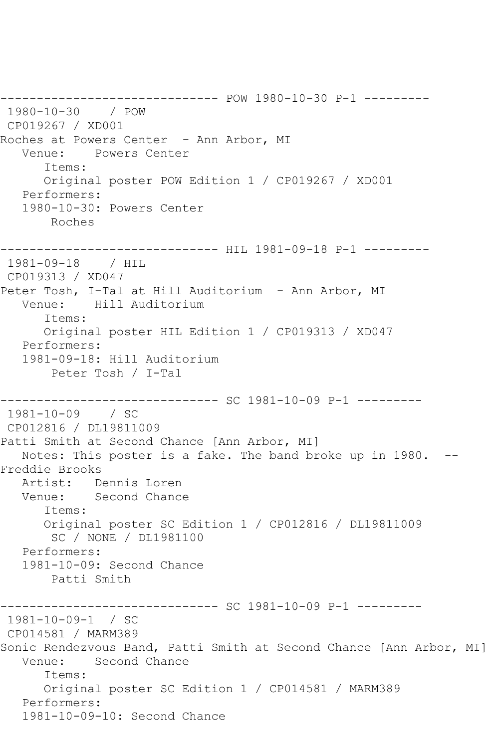------------------------------ POW 1980-10-30 P-1 --------- 1980-10-30 / POW CP019267 / XD001 Roches at Powers Center - Ann Arbor, MI Venue: Powers Center Items: Original poster POW Edition 1 / CP019267 / XD001 Performers: 1980-10-30: Powers Center Roches ------------------------------ HIL 1981-09-18 P-1 --------- 1981-09-18 / HIL CP019313 / XD047 Peter Tosh, I-Tal at Hill Auditorium - Ann Arbor, MI Venue: Hill Auditorium Items: Original poster HIL Edition 1 / CP019313 / XD047 Performers: 1981-09-18: Hill Auditorium Peter Tosh / I-Tal ------------------------------ SC 1981-10-09 P-1 --------- 1981-10-09 / SC CP012816 / DL19811009 Patti Smith at Second Chance [Ann Arbor, MI] Notes: This poster is a fake. The band broke up in 1980. -- Freddie Brooks Artist: Dennis Loren Venue: Second Chance Items: Original poster SC Edition 1 / CP012816 / DL19811009 SC / NONE / DL1981100 Performers: 1981-10-09: Second Chance Patti Smith ------------------------------ SC 1981-10-09 P-1 --------- 1981-10-09-1 / SC CP014581 / MARM389 Sonic Rendezvous Band, Patti Smith at Second Chance [Ann Arbor, MI] Venue: Second Chance Items: Original poster SC Edition 1 / CP014581 / MARM389 Performers: 1981-10-09-10: Second Chance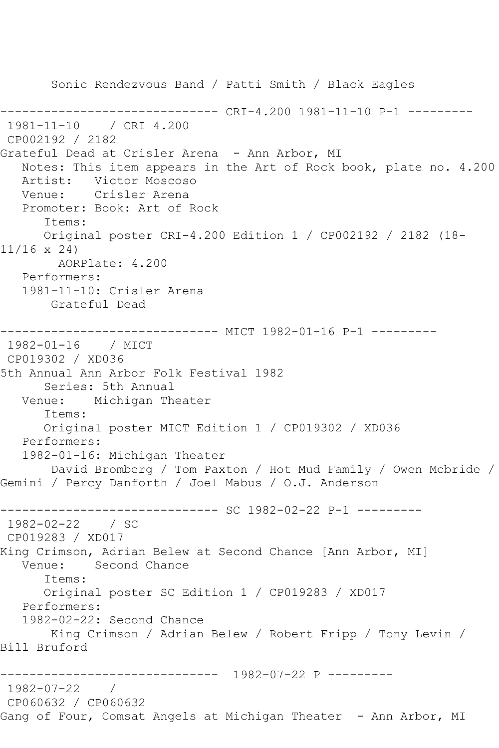Sonic Rendezvous Band / Patti Smith / Black Eagles ------------------------------ CRI-4.200 1981-11-10 P-1 --------- 1981-11-10 / CRI 4.200 CP002192 / 2182 Grateful Dead at Crisler Arena - Ann Arbor, MI Notes: This item appears in the Art of Rock book, plate no. 4.200 Artist: Victor Moscoso Venue: Crisler Arena Promoter: Book: Art of Rock Items: Original poster CRI-4.200 Edition 1 / CP002192 / 2182 (18- 11/16 x 24) AORPlate: 4.200 Performers: 1981-11-10: Crisler Arena Grateful Dead ------------------------------ MICT 1982-01-16 P-1 --------- 1982-01-16 / MICT CP019302 / XD036 5th Annual Ann Arbor Folk Festival 1982 Series: 5th Annual Venue: Michigan Theater Items: Original poster MICT Edition 1 / CP019302 / XD036 Performers: 1982-01-16: Michigan Theater David Bromberg / Tom Paxton / Hot Mud Family / Owen Mcbride / Gemini / Percy Danforth / Joel Mabus / O.J. Anderson ------------------------------ SC 1982-02-22 P-1 --------- 1982-02-22 / SC CP019283 / XD017 King Crimson, Adrian Belew at Second Chance [Ann Arbor, MI] Venue: Second Chance Items: Original poster SC Edition 1 / CP019283 / XD017 Performers: 1982-02-22: Second Chance King Crimson / Adrian Belew / Robert Fripp / Tony Levin / Bill Bruford ------------------------------ 1982-07-22 P --------- 1982-07-22 / CP060632 / CP060632 Gang of Four, Comsat Angels at Michigan Theater - Ann Arbor, MI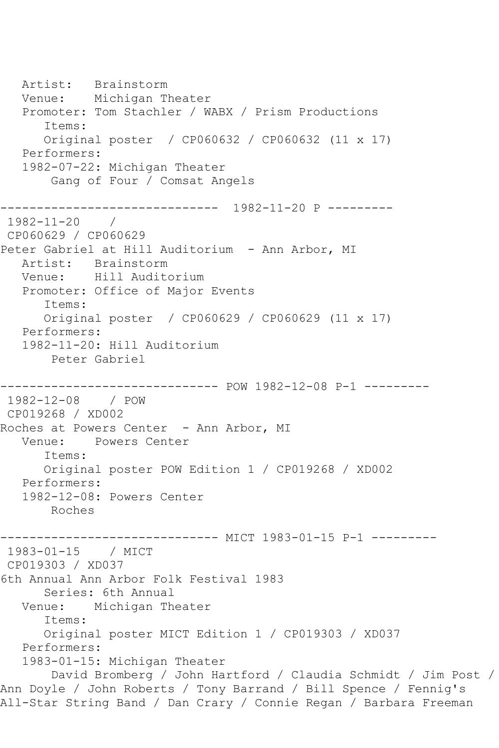Artist: Brainstorm<br>Venue: Michigan T Michigan Theater Promoter: Tom Stachler / WABX / Prism Productions Items: Original poster / CP060632 / CP060632 (11 x 17) Performers: 1982-07-22: Michigan Theater Gang of Four / Comsat Angels ------------------------------ 1982-11-20 P --------- 1982-11-20 / CP060629 / CP060629 Peter Gabriel at Hill Auditorium - Ann Arbor, MI Artist: Brainstorm Venue: Hill Auditorium Promoter: Office of Major Events Items: Original poster / CP060629 / CP060629 (11 x 17) Performers: 1982-11-20: Hill Auditorium Peter Gabriel ------------------------------ POW 1982-12-08 P-1 --------- 1982-12-08 / POW CP019268 / XD002 Roches at Powers Center - Ann Arbor, MI Venue: Powers Center Items: Original poster POW Edition 1 / CP019268 / XD002 Performers: 1982-12-08: Powers Center Roches ------------------------------ MICT 1983-01-15 P-1 --------- 1983-01-15 / MICT CP019303 / XD037 6th Annual Ann Arbor Folk Festival 1983 Series: 6th Annual Venue: Michigan Theater Items: Original poster MICT Edition 1 / CP019303 / XD037 Performers: 1983-01-15: Michigan Theater David Bromberg / John Hartford / Claudia Schmidt / Jim Post / Ann Doyle / John Roberts / Tony Barrand / Bill Spence / Fennig's All-Star String Band / Dan Crary / Connie Regan / Barbara Freeman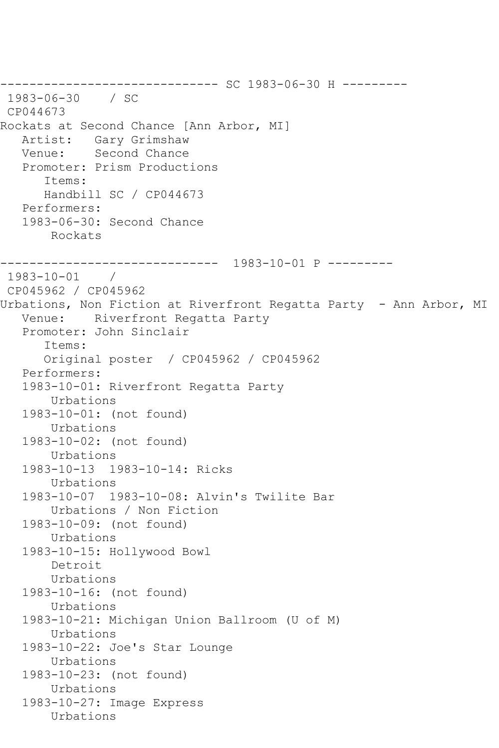------------------------------ SC 1983-06-30 H --------- 1983-06-30 / SC CP044673 Rockats at Second Chance [Ann Arbor, MI] Artist: Gary Grimshaw Venue: Second Chance Promoter: Prism Productions Items: Handbill SC / CP044673 Performers: 1983-06-30: Second Chance Rockats ------------------------------ 1983-10-01 P --------- 1983-10-01 / CP045962 / CP045962 Urbations, Non Fiction at Riverfront Regatta Party - Ann Arbor, MI Venue: Riverfront Regatta Party Promoter: John Sinclair Items: Original poster / CP045962 / CP045962 Performers: 1983-10-01: Riverfront Regatta Party Urbations 1983-10-01: (not found) Urbations 1983-10-02: (not found) Urbations 1983-10-13 1983-10-14: Ricks Urbations 1983-10-07 1983-10-08: Alvin's Twilite Bar Urbations / Non Fiction 1983-10-09: (not found) Urbations 1983-10-15: Hollywood Bowl Detroit Urbations 1983-10-16: (not found) Urbations 1983-10-21: Michigan Union Ballroom (U of M) Urbations 1983-10-22: Joe's Star Lounge Urbations 1983-10-23: (not found) Urbations 1983-10-27: Image Express Urbations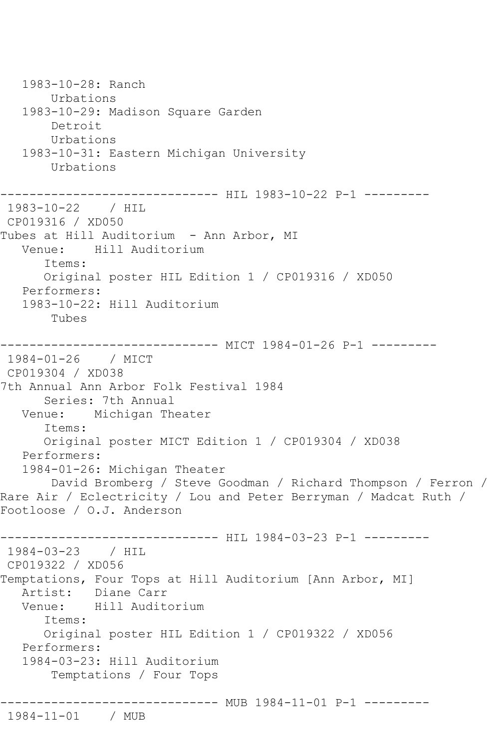1983-10-28: Ranch Urbations 1983-10-29: Madison Square Garden Detroit Urbations 1983-10-31: Eastern Michigan University Urbations ---------- HIL 1983-10-22 P-1 ----------1983-10-22 / HIL CP019316 / XD050 Tubes at Hill Auditorium - Ann Arbor, MI Venue: Hill Auditorium Items: Original poster HIL Edition 1 / CP019316 / XD050 Performers: 1983-10-22: Hill Auditorium Tubes ------------------------------ MICT 1984-01-26 P-1 --------- 1984-01-26 / MICT CP019304 / XD038 7th Annual Ann Arbor Folk Festival 1984 Series: 7th Annual Venue: Michigan Theater Items: Original poster MICT Edition 1 / CP019304 / XD038 Performers: 1984-01-26: Michigan Theater David Bromberg / Steve Goodman / Richard Thompson / Ferron / Rare Air / Eclectricity / Lou and Peter Berryman / Madcat Ruth / Footloose / O.J. Anderson ----------------------------- HIL 1984-03-23 P-1 ---------1984-03-23 / HIL CP019322 / XD056 Temptations, Four Tops at Hill Auditorium [Ann Arbor, MI] Artist: Diane Carr Venue: Hill Auditorium Items: Original poster HIL Edition 1 / CP019322 / XD056 Performers: 1984-03-23: Hill Auditorium Temptations / Four Tops ------------------------------ MUB 1984-11-01 P-1 --------- 1984-11-01 / MUB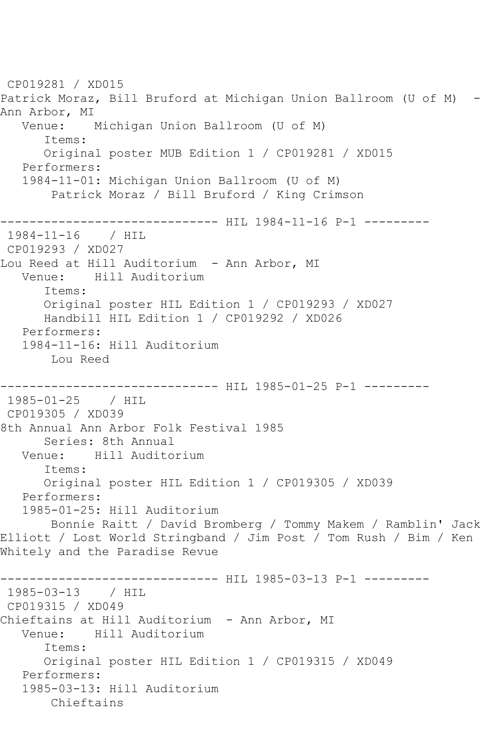CP019281 / XD015 Patrick Moraz, Bill Bruford at Michigan Union Ballroom (U of M) - Ann Arbor, MI Venue: Michigan Union Ballroom (U of M) Items: Original poster MUB Edition 1 / CP019281 / XD015 Performers: 1984-11-01: Michigan Union Ballroom (U of M) Patrick Moraz / Bill Bruford / King Crimson ----------------------------- HIL 1984-11-16 P-1 ---------1984-11-16 / HIL CP019293 / XD027 Lou Reed at Hill Auditorium - Ann Arbor, MI Venue: Hill Auditorium Items: Original poster HIL Edition 1 / CP019293 / XD027 Handbill HIL Edition 1 / CP019292 / XD026 Performers: 1984-11-16: Hill Auditorium Lou Reed ------------------------------ HIL 1985-01-25 P-1 --------- 1985-01-25 / HIL CP019305 / XD039 8th Annual Ann Arbor Folk Festival 1985 Series: 8th Annual Venue: Hill Auditorium Items: Original poster HIL Edition 1 / CP019305 / XD039 Performers: 1985-01-25: Hill Auditorium Bonnie Raitt / David Bromberg / Tommy Makem / Ramblin' Jack Elliott / Lost World Stringband / Jim Post / Tom Rush / Bim / Ken Whitely and the Paradise Revue ------------------------------ HIL 1985-03-13 P-1 --------- 1985-03-13 / HIL CP019315 / XD049 Chieftains at Hill Auditorium - Ann Arbor, MI Venue: Hill Auditorium Items: Original poster HIL Edition 1 / CP019315 / XD049 Performers: 1985-03-13: Hill Auditorium Chieftains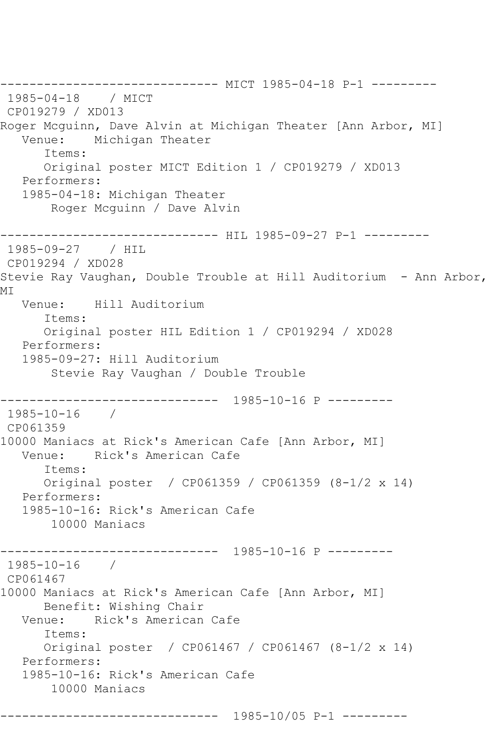------------------------------ MICT 1985-04-18 P-1 --------- 1985-04-18 / MICT CP019279 / XD013 Roger Mcguinn, Dave Alvin at Michigan Theater [Ann Arbor, MI]<br>Venue: Michigan Theater Michigan Theater Items: Original poster MICT Edition 1 / CP019279 / XD013 Performers: 1985-04-18: Michigan Theater Roger Mcguinn / Dave Alvin ------------------------------ HIL 1985-09-27 P-1 --------- 1985-09-27 / HIL CP019294 / XD028 Stevie Ray Vaughan, Double Trouble at Hill Auditorium - Ann Arbor, MI Venue: Hill Auditorium Items: Original poster HIL Edition 1 / CP019294 / XD028 Performers: 1985-09-27: Hill Auditorium Stevie Ray Vaughan / Double Trouble ------------------------------ 1985-10-16 P --------- 1985-10-16 / CP061359 10000 Maniacs at Rick's American Cafe [Ann Arbor, MI] Venue: Rick's American Cafe Items: Original poster / CP061359 / CP061359 (8-1/2 x 14) Performers: 1985-10-16: Rick's American Cafe 10000 Maniacs ------------------------------ 1985-10-16 P --------- 1985-10-16 / CP061467 10000 Maniacs at Rick's American Cafe [Ann Arbor, MI] Benefit: Wishing Chair<br>Venue: Rick's American Rick's American Cafe Items: Original poster / CP061467 / CP061467 (8-1/2 x 14) Performers: 1985-10-16: Rick's American Cafe 10000 Maniacs ------------------------------ 1985-10/05 P-1 ---------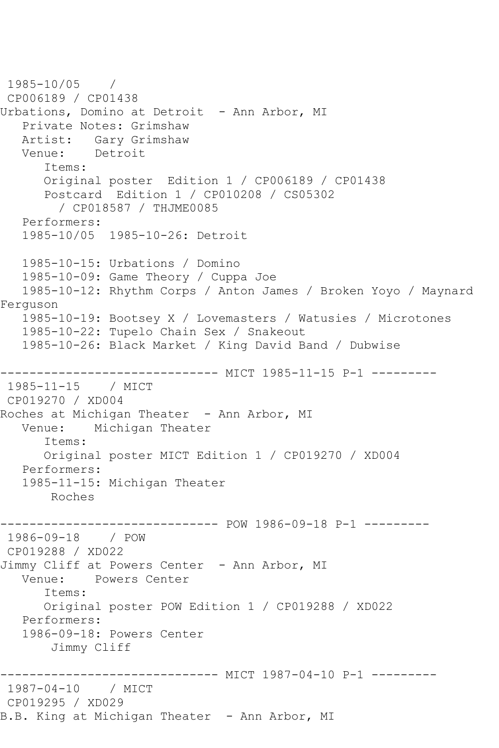1985-10/05 / CP006189 / CP01438 Urbations, Domino at Detroit - Ann Arbor, MI Private Notes: Grimshaw Artist: Gary Grimshaw Venue: Detroit Items: Original poster Edition 1 / CP006189 / CP01438 Postcard Edition 1 / CP010208 / CS05302 / CP018587 / THJME0085 Performers: 1985-10/05 1985-10-26: Detroit 1985-10-15: Urbations / Domino 1985-10-09: Game Theory / Cuppa Joe 1985-10-12: Rhythm Corps / Anton James / Broken Yoyo / Maynard Ferguson 1985-10-19: Bootsey X / Lovemasters / Watusies / Microtones 1985-10-22: Tupelo Chain Sex / Snakeout 1985-10-26: Black Market / King David Band / Dubwise ------------------------------ MICT 1985-11-15 P-1 --------- 1985-11-15 / MICT CP019270 / XD004 Roches at Michigan Theater - Ann Arbor, MI Venue: Michigan Theater Items: Original poster MICT Edition 1 / CP019270 / XD004 Performers: 1985-11-15: Michigan Theater Roches ------------------------------ POW 1986-09-18 P-1 --------- 1986-09-18 / POW CP019288 / XD022 Jimmy Cliff at Powers Center - Ann Arbor, MI Venue: Powers Center Items: Original poster POW Edition 1 / CP019288 / XD022 Performers: 1986-09-18: Powers Center Jimmy Cliff ------------------------------ MICT 1987-04-10 P-1 --------- 1987-04-10 / MICT CP019295 / XD029 B.B. King at Michigan Theater - Ann Arbor, MI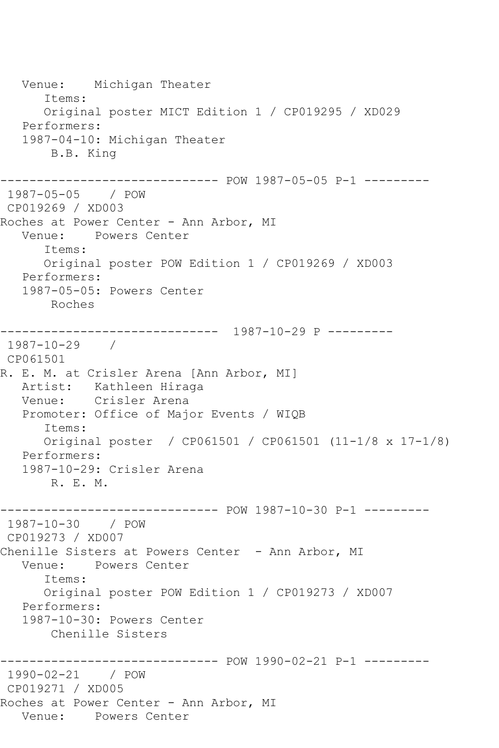Venue: Michigan Theater Items: Original poster MICT Edition 1 / CP019295 / XD029 Performers: 1987-04-10: Michigan Theater B.B. King ------------------------------ POW 1987-05-05 P-1 --------- 1987-05-05 / POW CP019269 / XD003 Roches at Power Center - Ann Arbor, MI Venue: Powers Center Items: Original poster POW Edition 1 / CP019269 / XD003 Performers: 1987-05-05: Powers Center Roches ------------------------------ 1987-10-29 P --------- 1987-10-29 / CP061501 R. E. M. at Crisler Arena [Ann Arbor, MI] Artist: Kathleen Hiraga Venue: Crisler Arena Promoter: Office of Major Events / WIQB Items: Original poster / CP061501 / CP061501 (11-1/8 x 17-1/8) Performers: 1987-10-29: Crisler Arena R. E. M. ------------------------------ POW 1987-10-30 P-1 --------- 1987-10-30 / POW CP019273 / XD007 Chenille Sisters at Powers Center - Ann Arbor, MI Venue: Powers Center Items: Original poster POW Edition 1 / CP019273 / XD007 Performers: 1987-10-30: Powers Center Chenille Sisters ------------------------------ POW 1990-02-21 P-1 --------- 1990-02-21 / POW CP019271 / XD005 Roches at Power Center - Ann Arbor, MI Venue: Powers Center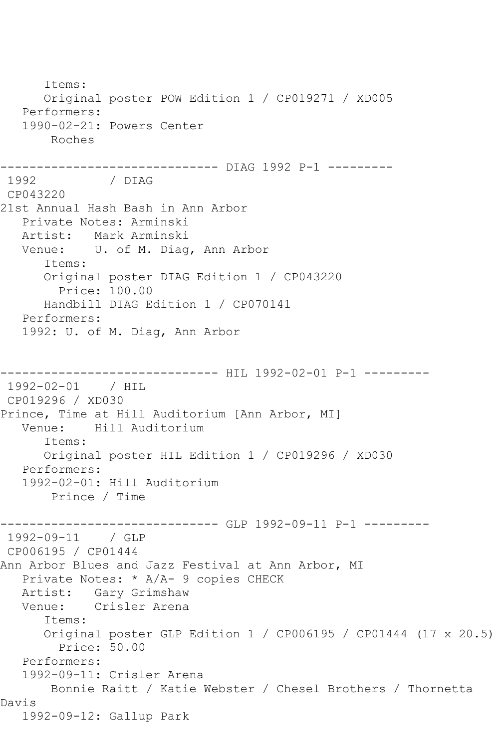Items: Original poster POW Edition 1 / CP019271 / XD005 Performers: 1990-02-21: Powers Center Roches ------------------------------ DIAG 1992 P-1 --------- / DIAG CP043220 21st Annual Hash Bash in Ann Arbor Private Notes: Arminski Artist: Mark Arminski Venue: U. of M. Diag, Ann Arbor Items: Original poster DIAG Edition 1 / CP043220 Price: 100.00 Handbill DIAG Edition 1 / CP070141 Performers: 1992: U. of M. Diag, Ann Arbor ---------- HIL 1992-02-01 P-1 ---------1992-02-01 / HIL CP019296 / XD030 Prince, Time at Hill Auditorium [Ann Arbor, MI] Venue: Hill Auditorium Items: Original poster HIL Edition 1 / CP019296 / XD030 Performers: 1992-02-01: Hill Auditorium Prince / Time ------------------------------ GLP 1992-09-11 P-1 --------- 1992-09-11 / GLP CP006195 / CP01444 Ann Arbor Blues and Jazz Festival at Ann Arbor, MI Private Notes: \* A/A- 9 copies CHECK Artist: Gary Grimshaw Venue: Crisler Arena Items: Original poster GLP Edition 1 / CP006195 / CP01444 (17 x 20.5) Price: 50.00 Performers: 1992-09-11: Crisler Arena Bonnie Raitt / Katie Webster / Chesel Brothers / Thornetta Davis 1992-09-12: Gallup Park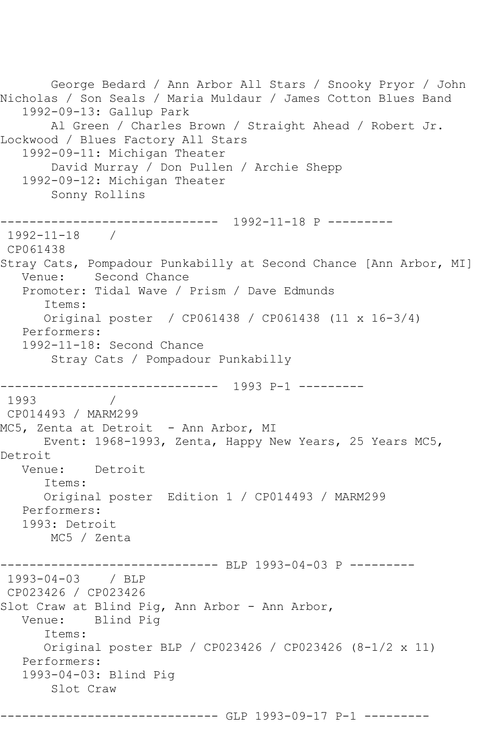George Bedard / Ann Arbor All Stars / Snooky Pryor / John Nicholas / Son Seals / Maria Muldaur / James Cotton Blues Band 1992-09-13: Gallup Park Al Green / Charles Brown / Straight Ahead / Robert Jr. Lockwood / Blues Factory All Stars 1992-09-11: Michigan Theater David Murray / Don Pullen / Archie Shepp 1992-09-12: Michigan Theater Sonny Rollins ------------------------------ 1992-11-18 P --------- 1992-11-18 / CP061438 Stray Cats, Pompadour Punkabilly at Second Chance [Ann Arbor, MI] Venue: Second Chance Promoter: Tidal Wave / Prism / Dave Edmunds Items: Original poster / CP061438 / CP061438 (11 x 16-3/4) Performers: 1992-11-18: Second Chance Stray Cats / Pompadour Punkabilly ------------------------------ 1993 P-1 --------- 1993 CP014493 / MARM299 MC5, Zenta at Detroit - Ann Arbor, MI Event: 1968-1993, Zenta, Happy New Years, 25 Years MC5, Detroit Venue: Detroit Items: Original poster Edition 1 / CP014493 / MARM299 Performers: 1993: Detroit MC5 / Zenta ------------------------------ BLP 1993-04-03 P --------- 1993-04-03 / BLP CP023426 / CP023426 Slot Craw at Blind Pig, Ann Arbor - Ann Arbor, Venue: Blind Pig Items: Original poster BLP / CP023426 / CP023426 (8-1/2 x 11) Performers: 1993-04-03: Blind Pig Slot Craw ------------------------------ GLP 1993-09-17 P-1 ---------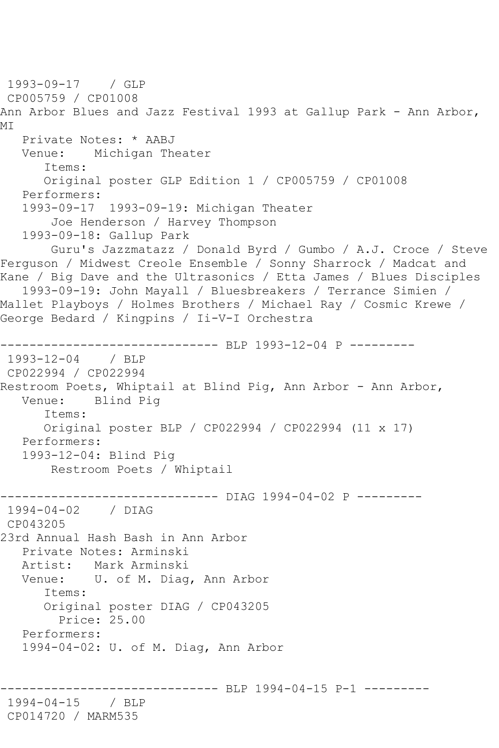1993-09-17 / GLP CP005759 / CP01008 Ann Arbor Blues and Jazz Festival 1993 at Gallup Park - Ann Arbor, MI Private Notes: \* AABJ Venue: Michigan Theater Items: Original poster GLP Edition 1 / CP005759 / CP01008 Performers: 1993-09-17 1993-09-19: Michigan Theater Joe Henderson / Harvey Thompson 1993-09-18: Gallup Park Guru's Jazzmatazz / Donald Byrd / Gumbo / A.J. Croce / Steve Ferguson / Midwest Creole Ensemble / Sonny Sharrock / Madcat and Kane / Big Dave and the Ultrasonics / Etta James / Blues Disciples 1993-09-19: John Mayall / Bluesbreakers / Terrance Simien / Mallet Playboys / Holmes Brothers / Michael Ray / Cosmic Krewe / George Bedard / Kingpins / Ii-V-I Orchestra -------------------------------- BLP 1993-12-04 P ---------<br>1993-12-04 / BLP  $1993 - 12 - 04$ CP022994 / CP022994 Restroom Poets, Whiptail at Blind Pig, Ann Arbor - Ann Arbor,<br>Venue: Blind Pig Blind Pig Items: Original poster BLP / CP022994 / CP022994 (11 x 17) Performers: 1993-12-04: Blind Pig Restroom Poets / Whiptail ------------------------------ DIAG 1994-04-02 P --------- 1994-04-02 / DIAG CP043205 23rd Annual Hash Bash in Ann Arbor Private Notes: Arminski Artist: Mark Arminski Venue: U. of M. Diag, Ann Arbor Items: Original poster DIAG / CP043205 Price: 25.00 Performers: 1994-04-02: U. of M. Diag, Ann Arbor --------- BLP 1994-04-15 P-1 ---------1994-04-15 / BLP CP014720 / MARM535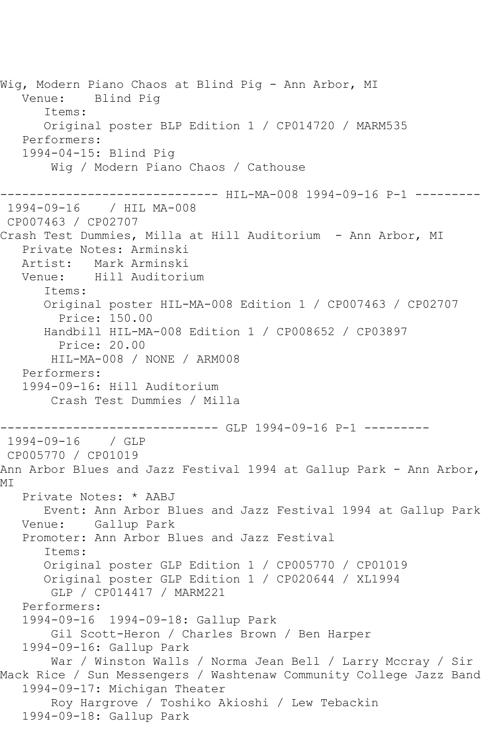Wig, Modern Piano Chaos at Blind Pig - Ann Arbor, MI Blind Pig Items: Original poster BLP Edition 1 / CP014720 / MARM535 Performers: 1994-04-15: Blind Pig Wig / Modern Piano Chaos / Cathouse ----------- HIL-MA-008 1994-09-16 P-1 ---------1994-09-16 / HIL MA-008 CP007463 / CP02707 Crash Test Dummies, Milla at Hill Auditorium - Ann Arbor, MI Private Notes: Arminski Artist: Mark Arminski Venue: Hill Auditorium Items: Original poster HIL-MA-008 Edition 1 / CP007463 / CP02707 Price: 150.00 Handbill HIL-MA-008 Edition 1 / CP008652 / CP03897 Price: 20.00 HIL-MA-008 / NONE / ARM008 Performers: 1994-09-16: Hill Auditorium Crash Test Dummies / Milla ------------------------------ GLP 1994-09-16 P-1 --------- 1994-09-16 / GLP CP005770 / CP01019 Ann Arbor Blues and Jazz Festival 1994 at Gallup Park - Ann Arbor, MI Private Notes: \* AABJ Event: Ann Arbor Blues and Jazz Festival 1994 at Gallup Park Venue: Gallup Park Promoter: Ann Arbor Blues and Jazz Festival Items: Original poster GLP Edition 1 / CP005770 / CP01019 Original poster GLP Edition 1 / CP020644 / XL1994 GLP / CP014417 / MARM221 Performers: 1994-09-16 1994-09-18: Gallup Park Gil Scott-Heron / Charles Brown / Ben Harper 1994-09-16: Gallup Park War / Winston Walls / Norma Jean Bell / Larry Mccray / Sir Mack Rice / Sun Messengers / Washtenaw Community College Jazz Band 1994-09-17: Michigan Theater Roy Hargrove / Toshiko Akioshi / Lew Tebackin 1994-09-18: Gallup Park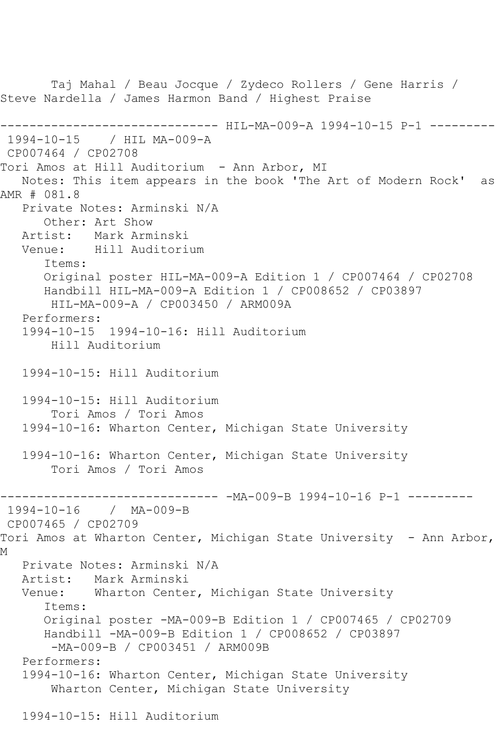Taj Mahal / Beau Jocque / Zydeco Rollers / Gene Harris / Steve Nardella / James Harmon Band / Highest Praise ------------------------------ HIL-MA-009-A 1994-10-15 P-1 --------- 1994-10-15 / HIL MA-009-A CP007464 / CP02708 Tori Amos at Hill Auditorium - Ann Arbor, MI Notes: This item appears in the book 'The Art of Modern Rock' as AMR # 081.8 Private Notes: Arminski N/A Other: Art Show<br>Artist: Mark Arm Artist: Mark Arminski<br>Venue: Hill Auditori Hill Auditorium Items: Original poster HIL-MA-009-A Edition 1 / CP007464 / CP02708 Handbill HIL-MA-009-A Edition 1 / CP008652 / CP03897 HIL-MA-009-A / CP003450 / ARM009A Performers: 1994-10-15 1994-10-16: Hill Auditorium Hill Auditorium 1994-10-15: Hill Auditorium 1994-10-15: Hill Auditorium Tori Amos / Tori Amos 1994-10-16: Wharton Center, Michigan State University 1994-10-16: Wharton Center, Michigan State University Tori Amos / Tori Amos ------------------------------ -MA-009-B 1994-10-16 P-1 --------- 1994-10-16 / MA-009-B CP007465 / CP02709 Tori Amos at Wharton Center, Michigan State University - Ann Arbor, M Private Notes: Arminski N/A<br>Artist: Mark Arminski Mark Arminski Venue: Wharton Center, Michigan State University Items: Original poster -MA-009-B Edition 1 / CP007465 / CP02709 Handbill -MA-009-B Edition 1 / CP008652 / CP03897 -MA-009-B / CP003451 / ARM009B Performers: 1994-10-16: Wharton Center, Michigan State University Wharton Center, Michigan State University 1994-10-15: Hill Auditorium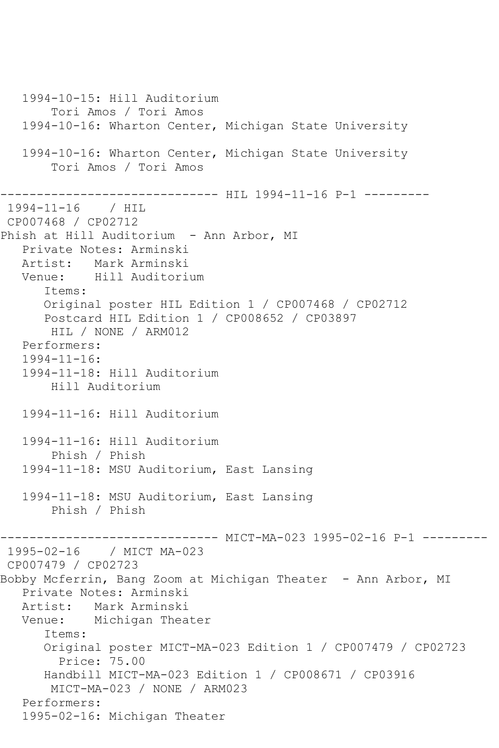1994-10-15: Hill Auditorium Tori Amos / Tori Amos 1994-10-16: Wharton Center, Michigan State University 1994-10-16: Wharton Center, Michigan State University Tori Amos / Tori Amos ------------------------------ HIL 1994-11-16 P-1 --------- 1994-11-16 / HIL CP007468 / CP02712 Phish at Hill Auditorium - Ann Arbor, MI Private Notes: Arminski Artist: Mark Arminski Venue: Hill Auditorium Items: Original poster HIL Edition 1 / CP007468 / CP02712 Postcard HIL Edition 1 / CP008652 / CP03897 HIL / NONE / ARM012 Performers: 1994-11-16: 1994-11-18: Hill Auditorium Hill Auditorium 1994-11-16: Hill Auditorium 1994-11-16: Hill Auditorium Phish / Phish 1994-11-18: MSU Auditorium, East Lansing 1994-11-18: MSU Auditorium, East Lansing Phish / Phish ------------------------------ MICT-MA-023 1995-02-16 P-1 --------- 1995-02-16 / MICT MA-023 CP007479 / CP02723 Bobby Mcferrin, Bang Zoom at Michigan Theater - Ann Arbor, MI Private Notes: Arminski Artist: Mark Arminski<br>Venue: Michigan Thea Michigan Theater Items: Original poster MICT-MA-023 Edition 1 / CP007479 / CP02723 Price: 75.00 Handbill MICT-MA-023 Edition 1 / CP008671 / CP03916 MICT-MA-023 / NONE / ARM023 Performers: 1995-02-16: Michigan Theater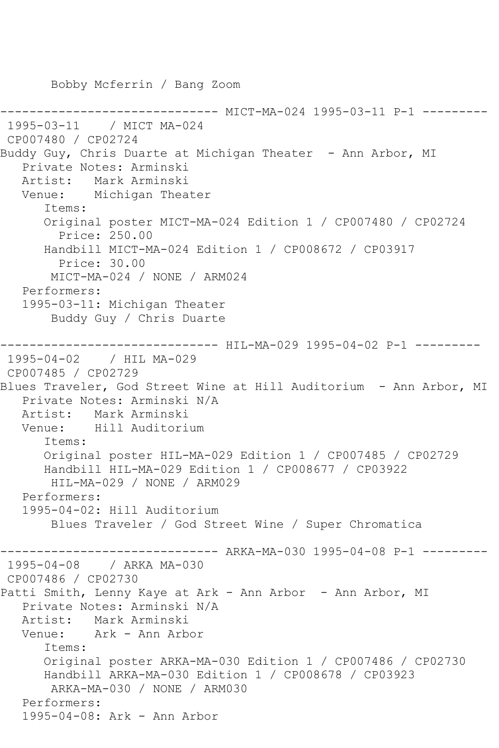Bobby Mcferrin / Bang Zoom

--------- MICT-MA-024 1995-03-11 P-1 ---------1995-03-11 / MICT MA-024 CP007480 / CP02724 Buddy Guy, Chris Duarte at Michigan Theater - Ann Arbor, MI Private Notes: Arminski Artist: Mark Arminski Venue: Michigan Theater Items: Original poster MICT-MA-024 Edition 1 / CP007480 / CP02724 Price: 250.00 Handbill MICT-MA-024 Edition 1 / CP008672 / CP03917 Price: 30.00 MICT-MA-024 / NONE / ARM024 Performers: 1995-03-11: Michigan Theater Buddy Guy / Chris Duarte ------------------------------ HIL-MA-029 1995-04-02 P-1 --------- 1995-04-02 / HIL MA-029 CP007485 / CP02729 Blues Traveler, God Street Wine at Hill Auditorium - Ann Arbor, MI Private Notes: Arminski N/A<br>Artist: Mark Arminski Artist: Mark Arminski<br>Venue: Hill Auditori Hill Auditorium Items: Original poster HIL-MA-029 Edition 1 / CP007485 / CP02729 Handbill HIL-MA-029 Edition 1 / CP008677 / CP03922 HIL-MA-029 / NONE / ARM029 Performers: 1995-04-02: Hill Auditorium Blues Traveler / God Street Wine / Super Chromatica --------- ARKA-MA-030 1995-04-08 P-1 ---------1995-04-08 / ARKA MA-030 CP007486 / CP02730 Patti Smith, Lenny Kaye at Ark - Ann Arbor - Ann Arbor, MI Private Notes: Arminski N/A Artist: Mark Arminski<br>Venue: Ark - Ann Arb Ark - Ann Arbor Items: Original poster ARKA-MA-030 Edition 1 / CP007486 / CP02730 Handbill ARKA-MA-030 Edition 1 / CP008678 / CP03923 ARKA-MA-030 / NONE / ARM030 Performers: 1995-04-08: Ark - Ann Arbor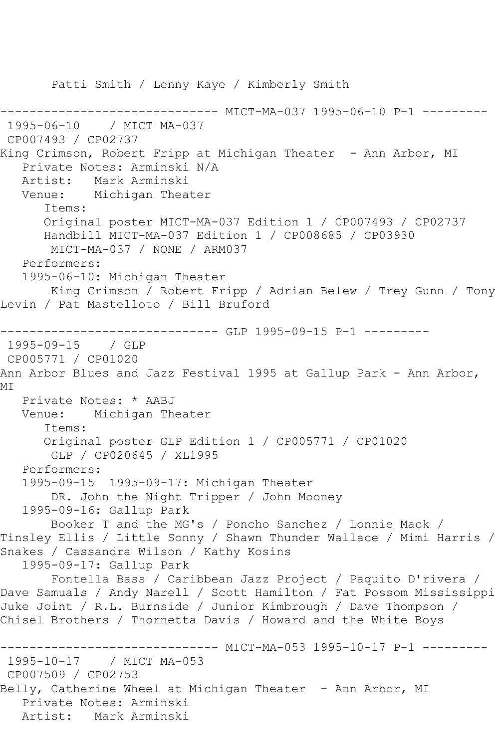Patti Smith / Lenny Kaye / Kimberly Smith -------------- MICT-MA-037 1995-06-10 P-1 ---------1995-06-10 / MICT MA-037 CP007493 / CP02737 King Crimson, Robert Fripp at Michigan Theater - Ann Arbor, MI Private Notes: Arminski N/A Artist: Mark Arminski Venue: Michigan Theater Items: Original poster MICT-MA-037 Edition 1 / CP007493 / CP02737 Handbill MICT-MA-037 Edition 1 / CP008685 / CP03930 MICT-MA-037 / NONE / ARM037 Performers: 1995-06-10: Michigan Theater King Crimson / Robert Fripp / Adrian Belew / Trey Gunn / Tony Levin / Pat Mastelloto / Bill Bruford ------------ GLP 1995-09-15 P-1 ---------1995-09-15 / GLP CP005771 / CP01020 Ann Arbor Blues and Jazz Festival 1995 at Gallup Park - Ann Arbor, MT Private Notes: \* AABJ Venue: Michigan Theater Items: Original poster GLP Edition 1 / CP005771 / CP01020 GLP / CP020645 / XL1995 Performers: 1995-09-15 1995-09-17: Michigan Theater DR. John the Night Tripper / John Mooney 1995-09-16: Gallup Park Booker T and the MG's / Poncho Sanchez / Lonnie Mack / Tinsley Ellis / Little Sonny / Shawn Thunder Wallace / Mimi Harris / Snakes / Cassandra Wilson / Kathy Kosins 1995-09-17: Gallup Park Fontella Bass / Caribbean Jazz Project / Paquito D'rivera / Dave Samuals / Andy Narell / Scott Hamilton / Fat Possom Mississippi Juke Joint / R.L. Burnside / Junior Kimbrough / Dave Thompson / Chisel Brothers / Thornetta Davis / Howard and the White Boys ------------------------------ MICT-MA-053 1995-10-17 P-1 --------- 1995-10-17 / MICT MA-053 CP007509 / CP02753 Belly, Catherine Wheel at Michigan Theater - Ann Arbor, MI Private Notes: Arminski Artist: Mark Arminski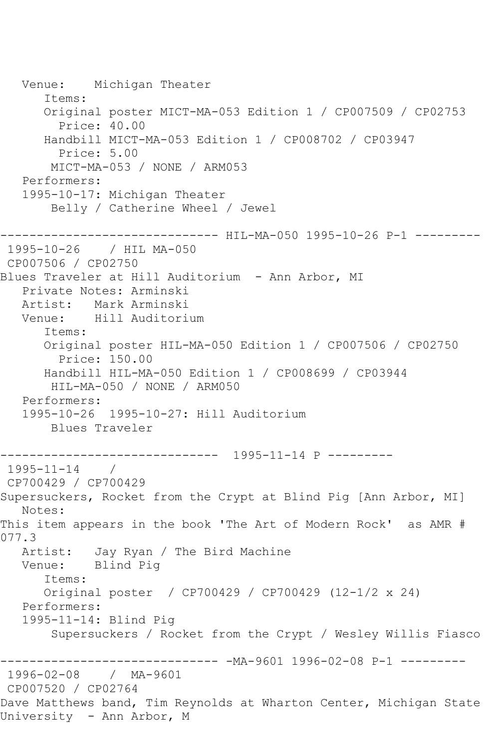Venue: Michigan Theater Items: Original poster MICT-MA-053 Edition 1 / CP007509 / CP02753 Price: 40.00 Handbill MICT-MA-053 Edition 1 / CP008702 / CP03947 Price: 5.00 MICT-MA-053 / NONE / ARM053 Performers: 1995-10-17: Michigan Theater Belly / Catherine Wheel / Jewel ------------ HIL-MA-050 1995-10-26 P-1 ---------1995-10-26 / HIL MA-050 CP007506 / CP02750 Blues Traveler at Hill Auditorium - Ann Arbor, MI Private Notes: Arminski Artist: Mark Arminski<br>Venue: Hill Auditori Hill Auditorium Items: Original poster HIL-MA-050 Edition 1 / CP007506 / CP02750 Price: 150.00 Handbill HIL-MA-050 Edition 1 / CP008699 / CP03944 HIL-MA-050 / NONE / ARM050 Performers: 1995-10-26 1995-10-27: Hill Auditorium Blues Traveler ------------------------------ 1995-11-14 P --------- 1995-11-14 / CP700429 / CP700429 Supersuckers, Rocket from the Crypt at Blind Pig [Ann Arbor, MI] Notes: This item appears in the book 'The Art of Modern Rock' as AMR # 077.3 Artist: Jay Ryan / The Bird Machine Venue: Blind Pig Items: Original poster / CP700429 / CP700429 (12-1/2 x 24) Performers: 1995-11-14: Blind Pig Supersuckers / Rocket from the Crypt / Wesley Willis Fiasco ------------------------------ -MA-9601 1996-02-08 P-1 --------- 1996-02-08 / MA-9601 CP007520 / CP02764 Dave Matthews band, Tim Reynolds at Wharton Center, Michigan State University - Ann Arbor, M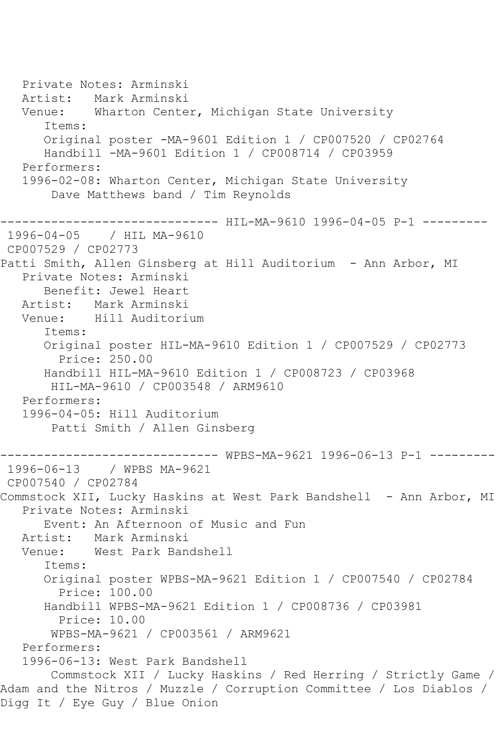Private Notes: Arminski Artist: Mark Arminski Venue: Wharton Center, Michigan State University Items: Original poster -MA-9601 Edition 1 / CP007520 / CP02764 Handbill -MA-9601 Edition 1 / CP008714 / CP03959 Performers: 1996-02-08: Wharton Center, Michigan State University Dave Matthews band / Tim Reynolds ------------------------------ HIL-MA-9610 1996-04-05 P-1 --------- 1996-04-05 / HIL MA-9610 CP007529 / CP02773 Patti Smith, Allen Ginsberg at Hill Auditorium - Ann Arbor, MI Private Notes: Arminski Benefit: Jewel Heart Artist: Mark Arminski<br>Venue: Hill Auditori Hill Auditorium Items: Original poster HIL-MA-9610 Edition 1 / CP007529 / CP02773 Price: 250.00 Handbill HIL-MA-9610 Edition 1 / CP008723 / CP03968 HIL-MA-9610 / CP003548 / ARM9610 Performers: 1996-04-05: Hill Auditorium Patti Smith / Allen Ginsberg ------------------------------ WPBS-MA-9621 1996-06-13 P-1 --------- 1996-06-13 / WPBS MA-9621 CP007540 / CP02784 Commstock XII, Lucky Haskins at West Park Bandshell - Ann Arbor, MI Private Notes: Arminski Event: An Afternoon of Music and Fun Artist: Mark Arminski Venue: West Park Bandshell Items: Original poster WPBS-MA-9621 Edition 1 / CP007540 / CP02784 Price: 100.00 Handbill WPBS-MA-9621 Edition 1 / CP008736 / CP03981 Price: 10.00 WPBS-MA-9621 / CP003561 / ARM9621 Performers: 1996-06-13: West Park Bandshell Commstock XII / Lucky Haskins / Red Herring / Strictly Game / Adam and the Nitros / Muzzle / Corruption Committee / Los Diablos / Digg It / Eye Guy / Blue Onion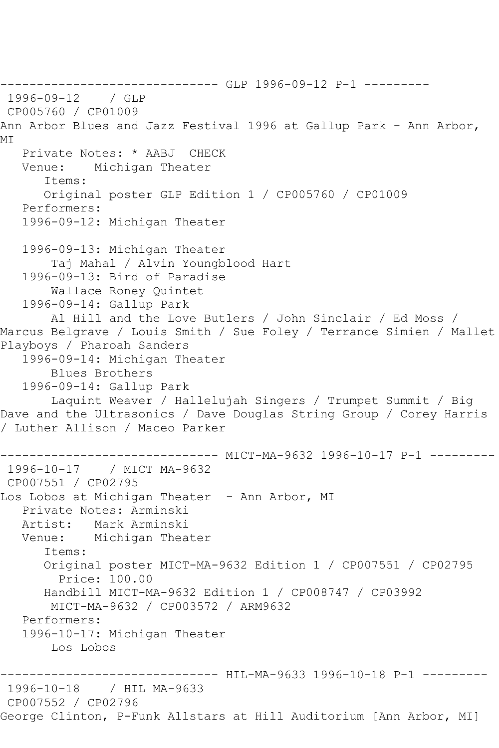------------------------------ GLP 1996-09-12 P-1 --------- 1996-09-12 CP005760 / CP01009 Ann Arbor Blues and Jazz Festival 1996 at Gallup Park - Ann Arbor, MI Private Notes: \* AABJ CHECK Venue: Michigan Theater Items: Original poster GLP Edition 1 / CP005760 / CP01009 Performers: 1996-09-12: Michigan Theater 1996-09-13: Michigan Theater Taj Mahal / Alvin Youngblood Hart 1996-09-13: Bird of Paradise Wallace Roney Quintet 1996-09-14: Gallup Park Al Hill and the Love Butlers / John Sinclair / Ed Moss / Marcus Belgrave / Louis Smith / Sue Foley / Terrance Simien / Mallet Playboys / Pharoah Sanders 1996-09-14: Michigan Theater Blues Brothers 1996-09-14: Gallup Park Laquint Weaver / Hallelujah Singers / Trumpet Summit / Big Dave and the Ultrasonics / Dave Douglas String Group / Corey Harris / Luther Allison / Maceo Parker ------------ MICT-MA-9632 1996-10-17 P-1 ---------1996-10-17 / MICT MA-9632 CP007551 / CP02795 Los Lobos at Michigan Theater - Ann Arbor, MI Private Notes: Arminski Artist: Mark Arminski<br>Venue: Michigan Thea Michigan Theater Items: Original poster MICT-MA-9632 Edition 1 / CP007551 / CP02795 Price: 100.00 Handbill MICT-MA-9632 Edition 1 / CP008747 / CP03992 MICT-MA-9632 / CP003572 / ARM9632 Performers: 1996-10-17: Michigan Theater Los Lobos ---------- HIL-MA-9633 1996-10-18 P-1 ---------1996-10-18 / HIL MA-9633 CP007552 / CP02796 George Clinton, P-Funk Allstars at Hill Auditorium [Ann Arbor, MI]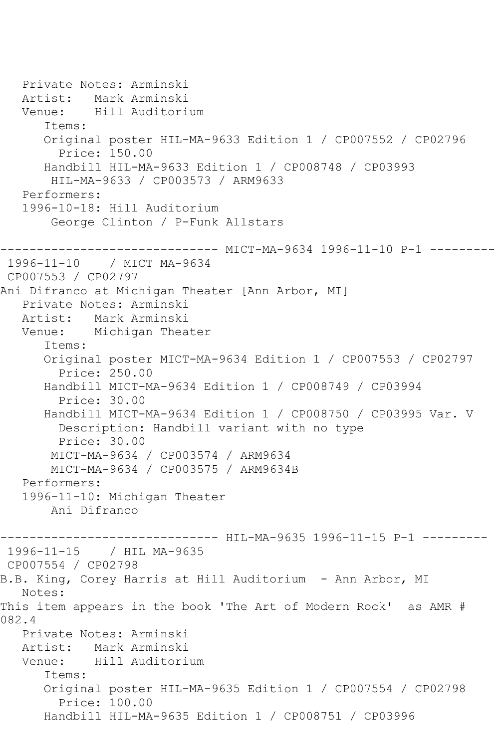```
 Private Notes: Arminski
   Artist: Mark Arminski
   Venue: Hill Auditorium
       Items:
      Original poster HIL-MA-9633 Edition 1 / CP007552 / CP02796
         Price: 150.00
      Handbill HIL-MA-9633 Edition 1 / CP008748 / CP03993
        HIL-MA-9633 / CP003573 / ARM9633
   Performers:
   1996-10-18: Hill Auditorium
        George Clinton / P-Funk Allstars
------------------------------ MICT-MA-9634 1996-11-10 P-1 ---------
1996-11-10 / MICT MA-9634
CP007553 / CP02797
Ani Difranco at Michigan Theater [Ann Arbor, MI]
   Private Notes: Arminski
   Artist: Mark Arminski
   Venue: Michigan Theater
       Items:
       Original poster MICT-MA-9634 Edition 1 / CP007553 / CP02797
         Price: 250.00
      Handbill MICT-MA-9634 Edition 1 / CP008749 / CP03994
         Price: 30.00
       Handbill MICT-MA-9634 Edition 1 / CP008750 / CP03995 Var. V
        Description: Handbill variant with no type
        Price: 30.00
        MICT-MA-9634 / CP003574 / ARM9634
        MICT-MA-9634 / CP003575 / ARM9634B
   Performers:
   1996-11-10: Michigan Theater
        Ani Difranco
------------------------------ HIL-MA-9635 1996-11-15 P-1 ---------
1996-11-15 / HIL MA-9635
CP007554 / CP02798
B.B. King, Corey Harris at Hill Auditorium - Ann Arbor, MI
   Notes: 
This item appears in the book 'The Art of Modern Rock' as AMR # 
082.4
   Private Notes: Arminski
   Artist: Mark Arminski
   Venue: Hill Auditorium
       Items:
       Original poster HIL-MA-9635 Edition 1 / CP007554 / CP02798
         Price: 100.00
       Handbill HIL-MA-9635 Edition 1 / CP008751 / CP03996
```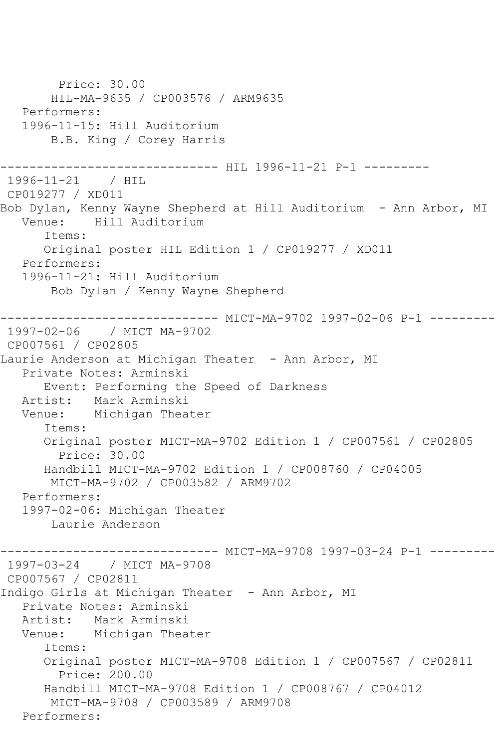Price: 30.00 HIL-MA-9635 / CP003576 / ARM9635 Performers: 1996-11-15: Hill Auditorium B.B. King / Corey Harris ------------------------------ HIL 1996-11-21 P-1 --------- 1996-11-21 / HIL CP019277 / XD011 Bob Dylan, Kenny Wayne Shepherd at Hill Auditorium - Ann Arbor, MI<br>Venue: Hill Auditorium Hill Auditorium Items: Original poster HIL Edition 1 / CP019277 / XD011 Performers: 1996-11-21: Hill Auditorium Bob Dylan / Kenny Wayne Shepherd ------------------------------ MICT-MA-9702 1997-02-06 P-1 --------- 1997-02-06 / MICT MA-9702 CP007561 / CP02805 Laurie Anderson at Michigan Theater - Ann Arbor, MI Private Notes: Arminski Event: Performing the Speed of Darkness Artist: Mark Arminski Venue: Michigan Theater Items: Original poster MICT-MA-9702 Edition 1 / CP007561 / CP02805 Price: 30.00 Handbill MICT-MA-9702 Edition 1 / CP008760 / CP04005 MICT-MA-9702 / CP003582 / ARM9702 Performers: 1997-02-06: Michigan Theater Laurie Anderson ------ MICT-MA-9708 1997-03-24 P-1 ---------1997-03-24 / MICT MA-9708 CP007567 / CP02811 Indigo Girls at Michigan Theater - Ann Arbor, MI Private Notes: Arminski Artist: Mark Arminski Venue: Michigan Theater Items: Original poster MICT-MA-9708 Edition 1 / CP007567 / CP02811 Price: 200.00 Handbill MICT-MA-9708 Edition 1 / CP008767 / CP04012 MICT-MA-9708 / CP003589 / ARM9708 Performers: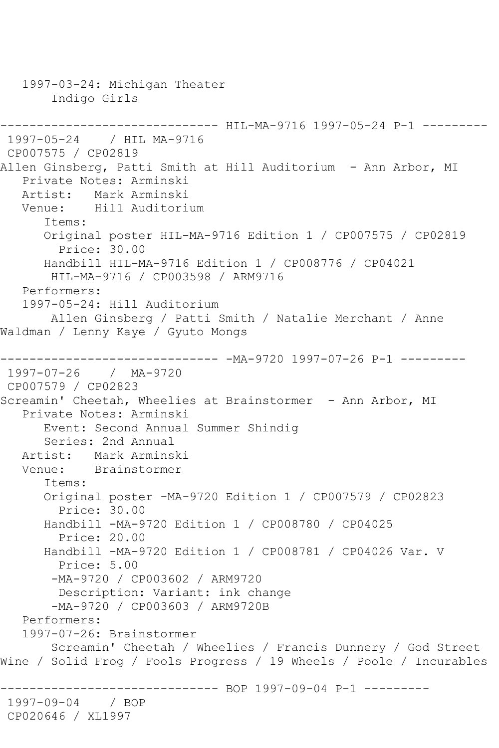1997-03-24: Michigan Theater Indigo Girls ------------------------------ HIL-MA-9716 1997-05-24 P-1 --------- 1997-05-24 / HIL MA-9716 CP007575 / CP02819 Allen Ginsberg, Patti Smith at Hill Auditorium - Ann Arbor, MI Private Notes: Arminski Artist: Mark Arminski<br>Venue: Hill Auditori Hill Auditorium Items: Original poster HIL-MA-9716 Edition 1 / CP007575 / CP02819 Price: 30.00 Handbill HIL-MA-9716 Edition 1 / CP008776 / CP04021 HIL-MA-9716 / CP003598 / ARM9716 Performers: 1997-05-24: Hill Auditorium Allen Ginsberg / Patti Smith / Natalie Merchant / Anne Waldman / Lenny Kaye / Gyuto Mongs ------------------------------ -MA-9720 1997-07-26 P-1 --------- 1997-07-26 / MA-9720 CP007579 / CP02823 Screamin' Cheetah, Wheelies at Brainstormer - Ann Arbor, MI Private Notes: Arminski Event: Second Annual Summer Shindig Series: 2nd Annual Artist: Mark Arminski<br>Venue: Brainstormer Brainstormer Items: Original poster -MA-9720 Edition 1 / CP007579 / CP02823 Price: 30.00 Handbill -MA-9720 Edition 1 / CP008780 / CP04025 Price: 20.00 Handbill -MA-9720 Edition 1 / CP008781 / CP04026 Var. V Price: 5.00 -MA-9720 / CP003602 / ARM9720 Description: Variant: ink change -MA-9720 / CP003603 / ARM9720B Performers: 1997-07-26: Brainstormer Screamin' Cheetah / Wheelies / Francis Dunnery / God Street Wine / Solid Frog / Fools Progress / 19 Wheels / Poole / Incurables ------------------------------ BOP 1997-09-04 P-1 --------- 1997-09-04 / BOP CP020646 / XL1997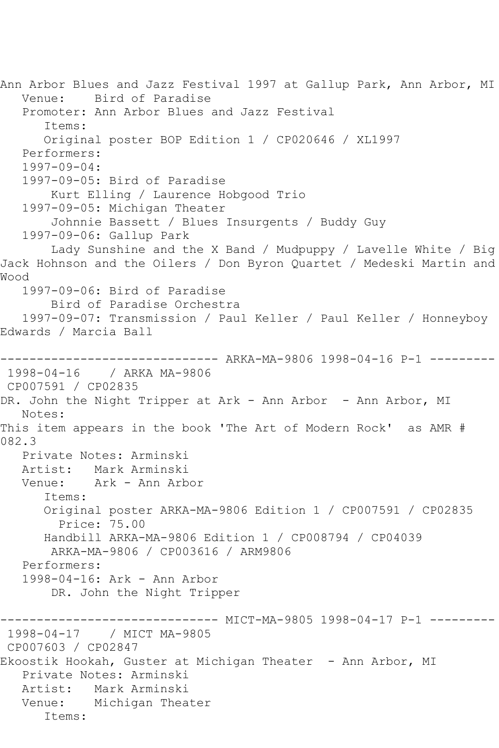Ann Arbor Blues and Jazz Festival 1997 at Gallup Park, Ann Arbor, MI Venue: Bird of Paradise Promoter: Ann Arbor Blues and Jazz Festival Items: Original poster BOP Edition 1 / CP020646 / XL1997 Performers: 1997-09-04: 1997-09-05: Bird of Paradise Kurt Elling / Laurence Hobgood Trio 1997-09-05: Michigan Theater Johnnie Bassett / Blues Insurgents / Buddy Guy 1997-09-06: Gallup Park Lady Sunshine and the X Band / Mudpuppy / Lavelle White / Big Jack Hohnson and the Oilers / Don Byron Quartet / Medeski Martin and Wood 1997-09-06: Bird of Paradise Bird of Paradise Orchestra 1997-09-07: Transmission / Paul Keller / Paul Keller / Honneyboy Edwards / Marcia Ball ------------------------------ ARKA-MA-9806 1998-04-16 P-1 --------- 1998-04-16 / ARKA MA-9806 CP007591 / CP02835 DR. John the Night Tripper at Ark - Ann Arbor - Ann Arbor, MI Notes: This item appears in the book 'The Art of Modern Rock' as AMR # 082.3 Private Notes: Arminski Artist: Mark Arminski Venue: Ark - Ann Arbor Items: Original poster ARKA-MA-9806 Edition 1 / CP007591 / CP02835 Price: 75.00 Handbill ARKA-MA-9806 Edition 1 / CP008794 / CP04039 ARKA-MA-9806 / CP003616 / ARM9806 Performers: 1998-04-16: Ark - Ann Arbor DR. John the Night Tripper ------------------------------ MICT-MA-9805 1998-04-17 P-1 --------- 1998-04-17 / MICT MA-9805 CP007603 / CP02847 Ekoostik Hookah, Guster at Michigan Theater - Ann Arbor, MI Private Notes: Arminski Artist: Mark Arminski Venue: Michigan Theater Items: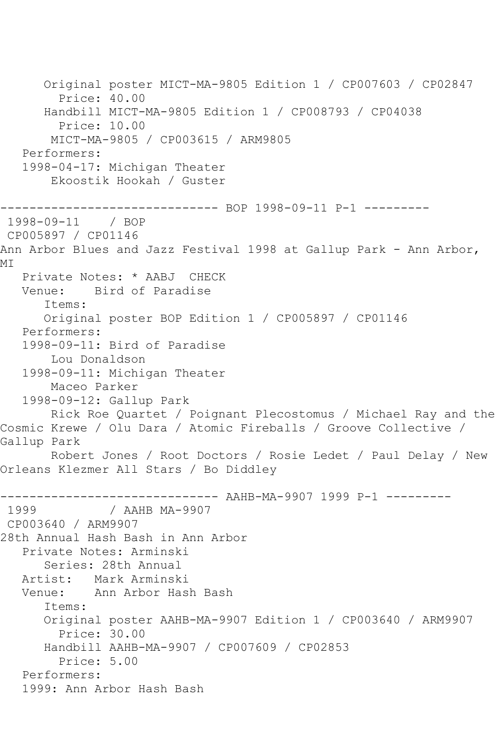```
 Original poster MICT-MA-9805 Edition 1 / CP007603 / CP02847
         Price: 40.00
       Handbill MICT-MA-9805 Edition 1 / CP008793 / CP04038
         Price: 10.00
        MICT-MA-9805 / CP003615 / ARM9805
    Performers:
    1998-04-17: Michigan Theater
        Ekoostik Hookah / Guster
------------------------------ BOP 1998-09-11 P-1 ---------
1998-09-11 / BOP 
CP005897 / CP01146
Ann Arbor Blues and Jazz Festival 1998 at Gallup Park - Ann Arbor,
M<sub>T</sub>
    Private Notes: * AABJ CHECK
   Venue: Bird of Paradise
       Items:
       Original poster BOP Edition 1 / CP005897 / CP01146
    Performers:
    1998-09-11: Bird of Paradise
        Lou Donaldson
    1998-09-11: Michigan Theater
        Maceo Parker
    1998-09-12: Gallup Park
        Rick Roe Quartet / Poignant Plecostomus / Michael Ray and the 
Cosmic Krewe / Olu Dara / Atomic Fireballs / Groove Collective / 
Gallup Park
        Robert Jones / Root Doctors / Rosie Ledet / Paul Delay / New 
Orleans Klezmer All Stars / Bo Diddley
------------------------------ AAHB-MA-9907 1999 P-1 ---------
              1999 / AAHB MA-9907
CP003640 / ARM9907
28th Annual Hash Bash in Ann Arbor
    Private Notes: Arminski
       Series: 28th Annual
    Artist: Mark Arminski
   Venue: Ann Arbor Hash Bash
       Items:
       Original poster AAHB-MA-9907 Edition 1 / CP003640 / ARM9907
         Price: 30.00
       Handbill AAHB-MA-9907 / CP007609 / CP02853
         Price: 5.00
    Performers:
    1999: Ann Arbor Hash Bash
```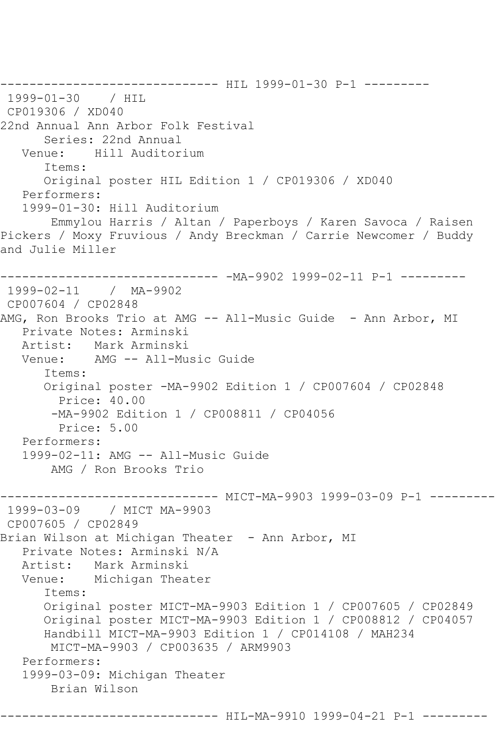------------------------------ HIL 1999-01-30 P-1 --------- 1999-01-30 / HIL CP019306 / XD040 22nd Annual Ann Arbor Folk Festival Series: 22nd Annual Venue: Hill Auditorium Items: Original poster HIL Edition 1 / CP019306 / XD040 Performers: 1999-01-30: Hill Auditorium Emmylou Harris / Altan / Paperboys / Karen Savoca / Raisen Pickers / Moxy Fruvious / Andy Breckman / Carrie Newcomer / Buddy and Julie Miller ------------------------------ -MA-9902 1999-02-11 P-1 --------- 1999-02-11 / MA-9902 CP007604 / CP02848 AMG, Ron Brooks Trio at AMG -- All-Music Guide - Ann Arbor, MI Private Notes: Arminski Mark Arminski Venue: AMG -- All-Music Guide Items: Original poster -MA-9902 Edition 1 / CP007604 / CP02848 Price: 40.00 -MA-9902 Edition 1 / CP008811 / CP04056 Price: 5.00 Performers: 1999-02-11: AMG -- All-Music Guide AMG / Ron Brooks Trio ------------------------------ MICT-MA-9903 1999-03-09 P-1 --------- 1999-03-09 / MICT MA-9903 CP007605 / CP02849 Brian Wilson at Michigan Theater - Ann Arbor, MI Private Notes: Arminski N/A<br>Artist: Mark Arminski Artist: Mark Arminski Michigan Theater Items: Original poster MICT-MA-9903 Edition 1 / CP007605 / CP02849 Original poster MICT-MA-9903 Edition 1 / CP008812 / CP04057 Handbill MICT-MA-9903 Edition 1 / CP014108 / MAH234 MICT-MA-9903 / CP003635 / ARM9903 Performers: 1999-03-09: Michigan Theater Brian Wilson

------------------------------ HIL-MA-9910 1999-04-21 P-1 ---------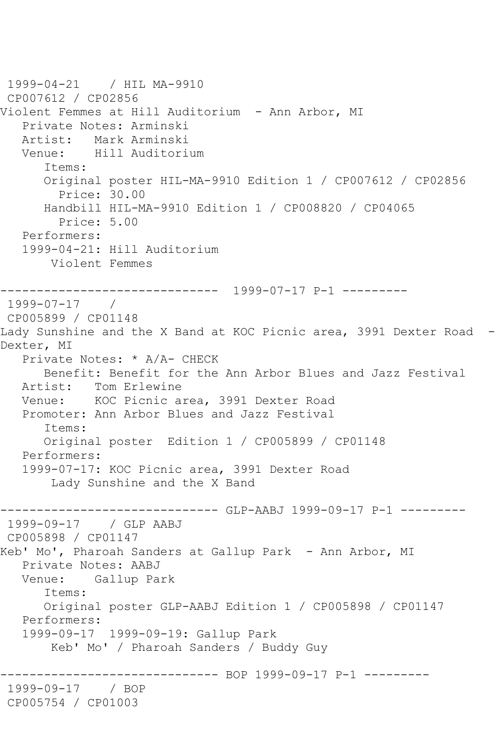```
1999-04-21 / HIL MA-9910
CP007612 / CP02856
Violent Femmes at Hill Auditorium - Ann Arbor, MI
   Private Notes: Arminski
   Artist: Mark Arminski
   Venue: Hill Auditorium
      Items:
       Original poster HIL-MA-9910 Edition 1 / CP007612 / CP02856
         Price: 30.00
      Handbill HIL-MA-9910 Edition 1 / CP008820 / CP04065
         Price: 5.00
   Performers:
   1999-04-21: Hill Auditorium
       Violent Femmes
    ------------------------------ 1999-07-17 P-1 ---------
1999-07-17 / 
CP005899 / CP01148
Lady Sunshine and the X Band at KOC Picnic area, 3991 Dexter Road -
Dexter, MI
   Private Notes: * A/A- CHECK
      Benefit: Benefit for the Ann Arbor Blues and Jazz Festival
   Artist: Tom Erlewine
   Venue: KOC Picnic area, 3991 Dexter Road
   Promoter: Ann Arbor Blues and Jazz Festival
       Items:
       Original poster Edition 1 / CP005899 / CP01148
   Performers:
   1999-07-17: KOC Picnic area, 3991 Dexter Road
        Lady Sunshine and the X Band
------------------------------ GLP-AABJ 1999-09-17 P-1 ---------
1999-09-17 / GLP AABJ
CP005898 / CP01147
Keb' Mo', Pharoah Sanders at Gallup Park - Ann Arbor, MI
   Private Notes: AABJ
   Venue: Gallup Park
       Items:
      Original poster GLP-AABJ Edition 1 / CP005898 / CP01147
   Performers:
   1999-09-17 1999-09-19: Gallup Park
       Keb' Mo' / Pharoah Sanders / Buddy Guy
                   ------------------------------ BOP 1999-09-17 P-1 ---------
1999-09-17 / BOP 
CP005754 / CP01003
```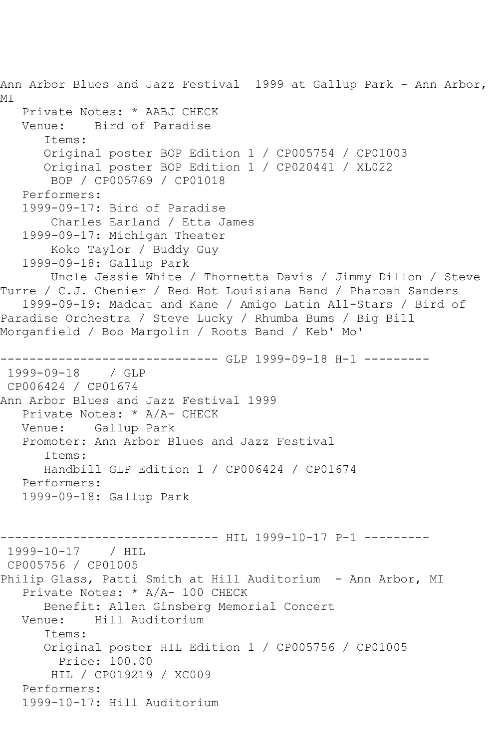Ann Arbor Blues and Jazz Festival 1999 at Gallup Park - Ann Arbor, MI Private Notes: \* AABJ CHECK Venue: Bird of Paradise Items: Original poster BOP Edition 1 / CP005754 / CP01003 Original poster BOP Edition 1 / CP020441 / XL022 BOP / CP005769 / CP01018 Performers: 1999-09-17: Bird of Paradise Charles Earland / Etta James 1999-09-17: Michigan Theater Koko Taylor / Buddy Guy 1999-09-18: Gallup Park Uncle Jessie White / Thornetta Davis / Jimmy Dillon / Steve Turre / C.J. Chenier / Red Hot Louisiana Band / Pharoah Sanders 1999-09-19: Madcat and Kane / Amigo Latin All-Stars / Bird of Paradise Orchestra / Steve Lucky / Rhumba Bums / Big Bill Morganfield / Bob Margolin / Roots Band / Keb' Mo' ----------------------------- GLP 1999-09-18 H-1 ---------1999-09-18 / GLP CP006424 / CP01674 Ann Arbor Blues and Jazz Festival 1999 Private Notes: \* A/A- CHECK Venue: Gallup Park Promoter: Ann Arbor Blues and Jazz Festival Items: Handbill GLP Edition 1 / CP006424 / CP01674 Performers: 1999-09-18: Gallup Park ----------------------------- HIL 1999-10-17 P-1 ---------1999-10-17 / HIL CP005756 / CP01005 Philip Glass, Patti Smith at Hill Auditorium - Ann Arbor, MI Private Notes: \* A/A- 100 CHECK Benefit: Allen Ginsberg Memorial Concert Venue: Hill Auditorium Items: Original poster HIL Edition 1 / CP005756 / CP01005 Price: 100.00 HIL / CP019219 / XC009 Performers: 1999-10-17: Hill Auditorium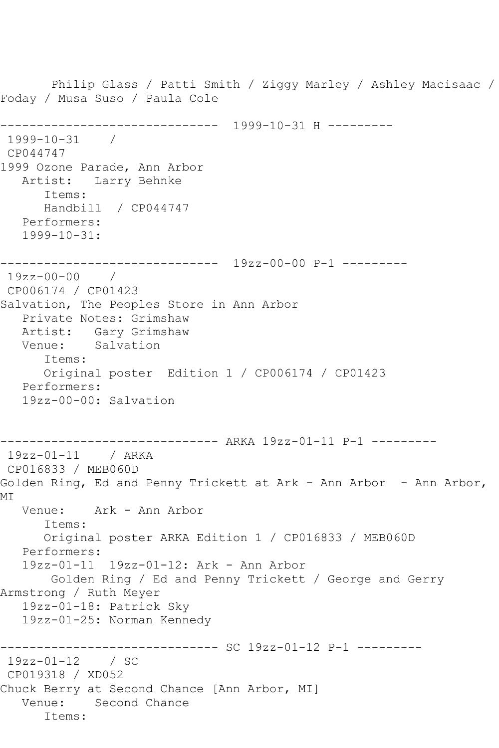Philip Glass / Patti Smith / Ziggy Marley / Ashley Macisaac / Foday / Musa Suso / Paula Cole ------------------------------ 1999-10-31 H --------- 1999-10-31 / CP044747 1999 Ozone Parade, Ann Arbor Artist: Larry Behnke Items: Handbill / CP044747 Performers: 1999-10-31: ------------------------------ 19zz-00-00 P-1 --------- 19zz-00-00 / CP006174 / CP01423 Salvation, The Peoples Store in Ann Arbor Private Notes: Grimshaw Artist: Gary Grimshaw Venue: Salvation Items: Original poster Edition 1 / CP006174 / CP01423 Performers: 19zz-00-00: Salvation ------------------------------ ARKA 19zz-01-11 P-1 --------- 19zz-01-11 / ARKA CP016833 / MEB060D Golden Ring, Ed and Penny Trickett at Ark - Ann Arbor - Ann Arbor, MI Venue: Ark - Ann Arbor Items: Original poster ARKA Edition 1 / CP016833 / MEB060D Performers: 19zz-01-11 19zz-01-12: Ark - Ann Arbor Golden Ring / Ed and Penny Trickett / George and Gerry Armstrong / Ruth Meyer 19zz-01-18: Patrick Sky 19zz-01-25: Norman Kennedy ------------------------------ SC 19zz-01-12 P-1 --------- 19zz-01-12 / SC CP019318 / XD052 Chuck Berry at Second Chance [Ann Arbor, MI] Venue: Second Chance Items: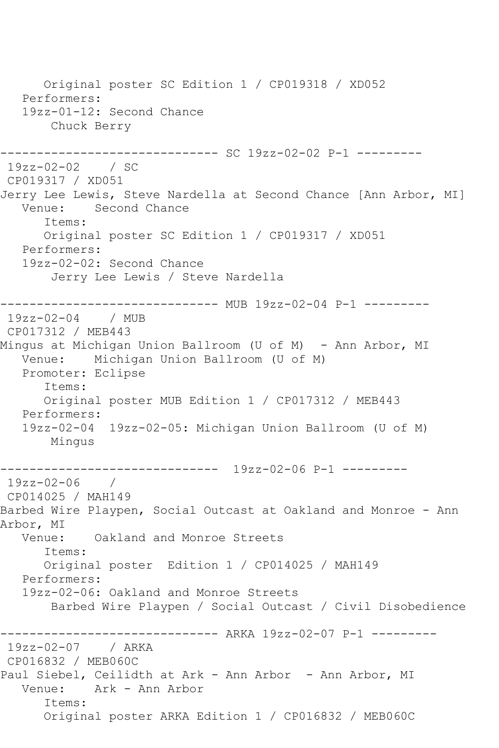Original poster SC Edition 1 / CP019318 / XD052 Performers: 19zz-01-12: Second Chance Chuck Berry ------------ SC 19zz-02-02 P-1 ---------19zz-02-02 / SC CP019317 / XD051 Jerry Lee Lewis, Steve Nardella at Second Chance [Ann Arbor, MI] Venue: Second Chance Items: Original poster SC Edition 1 / CP019317 / XD051 Performers: 19zz-02-02: Second Chance Jerry Lee Lewis / Steve Nardella ------------------------------ MUB 19zz-02-04 P-1 --------- 19zz-02-04 / MUB CP017312 / MEB443 Mingus at Michigan Union Ballroom (U of M) - Ann Arbor, MI Venue: Michigan Union Ballroom (U of M) Promoter: Eclipse Items: Original poster MUB Edition 1 / CP017312 / MEB443 Performers: 19zz-02-04 19zz-02-05: Michigan Union Ballroom (U of M) Mingus ------------------------------ 19zz-02-06 P-1 --------- 19zz-02-06 / CP014025 / MAH149 Barbed Wire Playpen, Social Outcast at Oakland and Monroe - Ann Arbor, MI<br>.Venue Oakland and Monroe Streets Items: Original poster Edition 1 / CP014025 / MAH149 Performers: 19zz-02-06: Oakland and Monroe Streets Barbed Wire Playpen / Social Outcast / Civil Disobedience ------------------------------ ARKA 19zz-02-07 P-1 --------- 19zz-02-07 / ARKA CP016832 / MEB060C Paul Siebel, Ceilidth at Ark - Ann Arbor - Ann Arbor, MI Venue: Ark - Ann Arbor Items: Original poster ARKA Edition 1 / CP016832 / MEB060C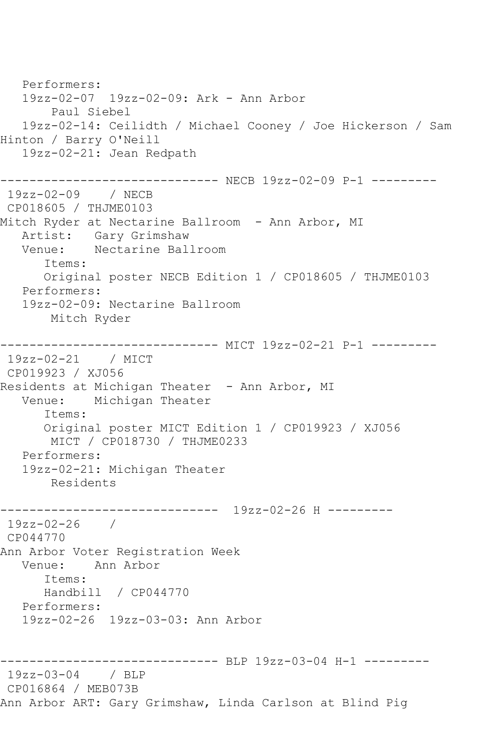Performers: 19zz-02-07 19zz-02-09: Ark - Ann Arbor Paul Siebel 19zz-02-14: Ceilidth / Michael Cooney / Joe Hickerson / Sam Hinton / Barry O'Neill 19zz-02-21: Jean Redpath ------------------------------ NECB 19zz-02-09 P-1 --------- 19zz-02-09 / NECB CP018605 / THJME0103 Mitch Ryder at Nectarine Ballroom - Ann Arbor, MI Artist: Gary Grimshaw<br>Venue: Nectarine Ball Nectarine Ballroom Items: Original poster NECB Edition 1 / CP018605 / THJME0103 Performers: 19zz-02-09: Nectarine Ballroom Mitch Ryder ------------------------------ MICT 19zz-02-21 P-1 --------- 19zz-02-21 / MICT CP019923 / XJ056 Residents at Michigan Theater - Ann Arbor, MI<br>Venue: Michigan Theater Michigan Theater Items: Original poster MICT Edition 1 / CP019923 / XJ056 MICT / CP018730 / THJME0233 Performers: 19zz-02-21: Michigan Theater Residents ------------------------------ 19zz-02-26 H --------- 19zz-02-26 / CP044770 Ann Arbor Voter Registration Week Venue: Ann Arbor Items: Handbill / CP044770 Performers: 19zz-02-26 19zz-03-03: Ann Arbor ------------------------------ BLP 19zz-03-04 H-1 --------- 19zz-03-04 / BLP CP016864 / MEB073B Ann Arbor ART: Gary Grimshaw, Linda Carlson at Blind Pig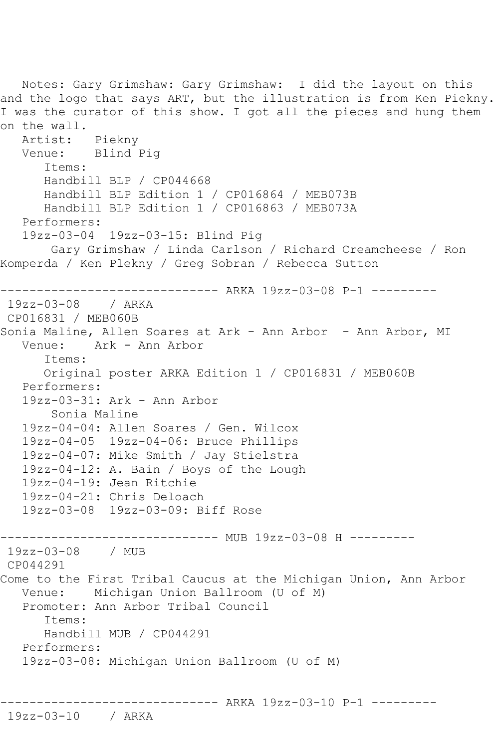Notes: Gary Grimshaw: Gary Grimshaw: I did the layout on this and the logo that says ART, but the illustration is from Ken Piekny. I was the curator of this show. I got all the pieces and hung them on the wall. Artist: Piekny Venue: Blind Pig Items: Handbill BLP / CP044668 Handbill BLP Edition 1 / CP016864 / MEB073B Handbill BLP Edition 1 / CP016863 / MEB073A Performers: 19zz-03-04 19zz-03-15: Blind Pig Gary Grimshaw / Linda Carlson / Richard Creamcheese / Ron Komperda / Ken Plekny / Greg Sobran / Rebecca Sutton ------------------------------ ARKA 19zz-03-08 P-1 --------- 19zz-03-08 / ARKA CP016831 / MEB060B Sonia Maline, Allen Soares at Ark - Ann Arbor - Ann Arbor, MI Venue: Ark - Ann Arbor Items: Original poster ARKA Edition 1 / CP016831 / MEB060B Performers: 19zz-03-31: Ark - Ann Arbor Sonia Maline 19zz-04-04: Allen Soares / Gen. Wilcox 19zz-04-05 19zz-04-06: Bruce Phillips 19zz-04-07: Mike Smith / Jay Stielstra 19zz-04-12: A. Bain / Boys of the Lough 19zz-04-19: Jean Ritchie 19zz-04-21: Chris Deloach 19zz-03-08 19zz-03-09: Biff Rose ------------------------------ MUB 19zz-03-08 H --------- 19zz-03-08 / MUB CP044291 Come to the First Tribal Caucus at the Michigan Union, Ann Arbor Venue: Michigan Union Ballroom (U of M) Promoter: Ann Arbor Tribal Council Items: Handbill MUB / CP044291 Performers: 19zz-03-08: Michigan Union Ballroom (U of M) ------------------------------ ARKA 19zz-03-10 P-1 ---------

## 19zz-03-10 / ARKA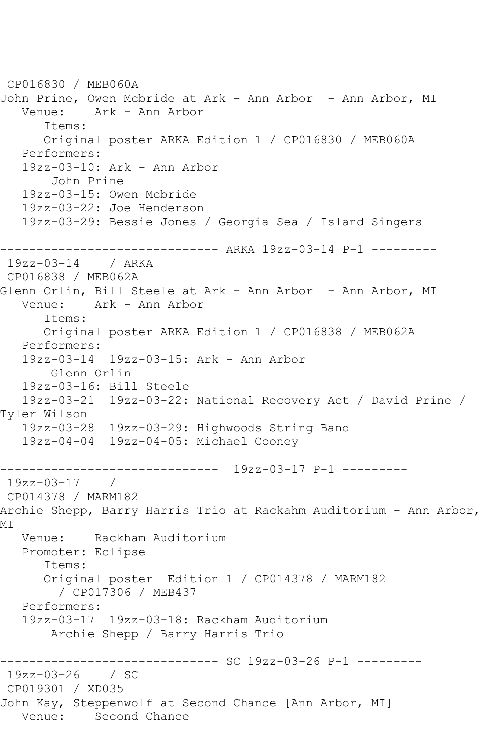```
CP016830 / MEB060A
John Prine, Owen Mcbride at Ark - Ann Arbor - Ann Arbor, MI
   Venue: Ark - Ann Arbor
      Items:
      Original poster ARKA Edition 1 / CP016830 / MEB060A
   Performers:
   19zz-03-10: Ark - Ann Arbor
       John Prine
   19zz-03-15: Owen Mcbride
   19zz-03-22: Joe Henderson
   19zz-03-29: Bessie Jones / Georgia Sea / Island Singers
------------------------------ ARKA 19zz-03-14 P-1 ---------
19zz-03-14 / ARKA 
CP016838 / MEB062A
Glenn Orlin, Bill Steele at Ark - Ann Arbor - Ann Arbor, MI
   Venue: Ark - Ann Arbor
      Items:
      Original poster ARKA Edition 1 / CP016838 / MEB062A
   Performers:
   19zz-03-14 19zz-03-15: Ark - Ann Arbor
       Glenn Orlin
   19zz-03-16: Bill Steele
   19zz-03-21 19zz-03-22: National Recovery Act / David Prine / 
Tyler Wilson
   19zz-03-28 19zz-03-29: Highwoods String Band
   19zz-04-04 19zz-04-05: Michael Cooney
------------------------------ 19zz-03-17 P-1 ---------
19zz-03-17 / 
CP014378 / MARM182
Archie Shepp, Barry Harris Trio at Rackahm Auditorium - Ann Arbor, 
MI
   Venue: Rackham Auditorium
   Promoter: Eclipse
      Items:
      Original poster Edition 1 / CP014378 / MARM182
         / CP017306 / MEB437
   Performers:
   19zz-03-17 19zz-03-18: Rackham Auditorium
       Archie Shepp / Barry Harris Trio
------------------------------ SC 19zz-03-26 P-1 ---------
19zz-03-26 / SC 
CP019301 / XD035
John Kay, Steppenwolf at Second Chance [Ann Arbor, MI]
          Second Chance
```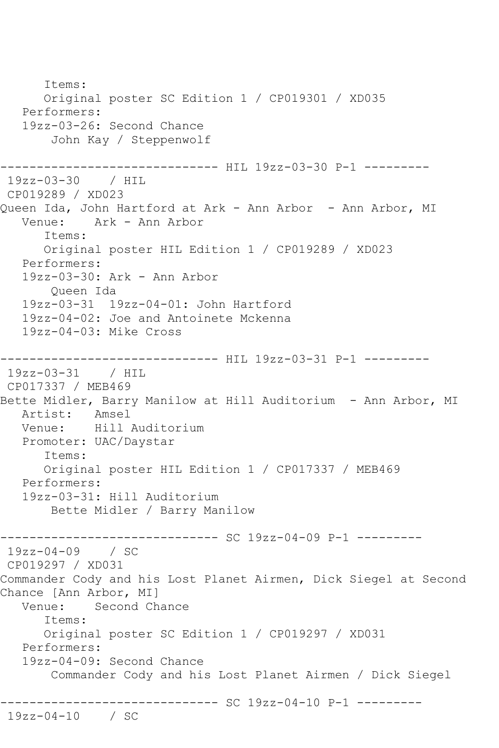Items: Original poster SC Edition 1 / CP019301 / XD035 Performers: 19zz-03-26: Second Chance John Kay / Steppenwolf ------------------------------ HIL 19zz-03-30 P-1 --------- 19zz-03-30 / HIL CP019289 / XD023 Queen Ida, John Hartford at Ark - Ann Arbor - Ann Arbor, MI<br>Venue: Ark - Ann Arbor Ark - Ann Arbor Items: Original poster HIL Edition 1 / CP019289 / XD023 Performers: 19zz-03-30: Ark - Ann Arbor Queen Ida 19zz-03-31 19zz-04-01: John Hartford 19zz-04-02: Joe and Antoinete Mckenna 19zz-04-03: Mike Cross ----------------------------- HIL 19zz-03-31 P-1 ---------19zz-03-31 / HIL CP017337 / MEB469 Bette Midler, Barry Manilow at Hill Auditorium - Ann Arbor, MI Artist: Amsel<br>Venue: Hill Hill Auditorium Promoter: UAC/Daystar Items: Original poster HIL Edition 1 / CP017337 / MEB469 Performers: 19zz-03-31: Hill Auditorium Bette Midler / Barry Manilow ------------------------------ SC 19zz-04-09 P-1 --------- 19zz-04-09 / SC CP019297 / XD031 Commander Cody and his Lost Planet Airmen, Dick Siegel at Second Chance [Ann Arbor, MI] Venue: Second Chance Items: Original poster SC Edition 1 / CP019297 / XD031 Performers: 19zz-04-09: Second Chance Commander Cody and his Lost Planet Airmen / Dick Siegel ------------------------------ SC 19zz-04-10 P-1 --------- 19zz-04-10 / SC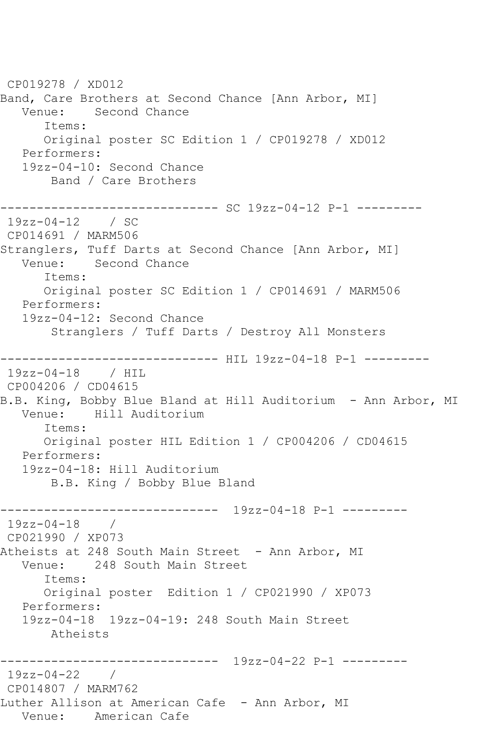CP019278 / XD012 Band, Care Brothers at Second Chance [Ann Arbor, MI] Venue: Second Chance Items: Original poster SC Edition 1 / CP019278 / XD012 Performers: 19zz-04-10: Second Chance Band / Care Brothers ------------------------------ SC 19zz-04-12 P-1 --------- 19zz-04-12 / SC CP014691 / MARM506 Stranglers, Tuff Darts at Second Chance [Ann Arbor, MI]<br>Venue: Second Chance Second Chance Items: Original poster SC Edition 1 / CP014691 / MARM506 Performers: 19zz-04-12: Second Chance Stranglers / Tuff Darts / Destroy All Monsters ----------------------------- HIL 19zz-04-18 P-1 ----------19zz-04-18 / HIL CP004206 / CD04615 B.B. King, Bobby Blue Bland at Hill Auditorium - Ann Arbor, MI Venue: Hill Auditorium Items: Original poster HIL Edition 1 / CP004206 / CD04615 Performers: 19zz-04-18: Hill Auditorium B.B. King / Bobby Blue Bland ------------------------------ 19zz-04-18 P-1 --------- 19zz-04-18 / CP021990 / XP073 Atheists at 248 South Main Street - Ann Arbor, MI Venue: 248 South Main Street Items: Original poster Edition 1 / CP021990 / XP073 Performers: 19zz-04-18 19zz-04-19: 248 South Main Street Atheists ------------------------------ 19zz-04-22 P-1 --------- 19zz-04-22 / CP014807 / MARM762 Luther Allison at American Cafe - Ann Arbor, MI Venue: American Cafe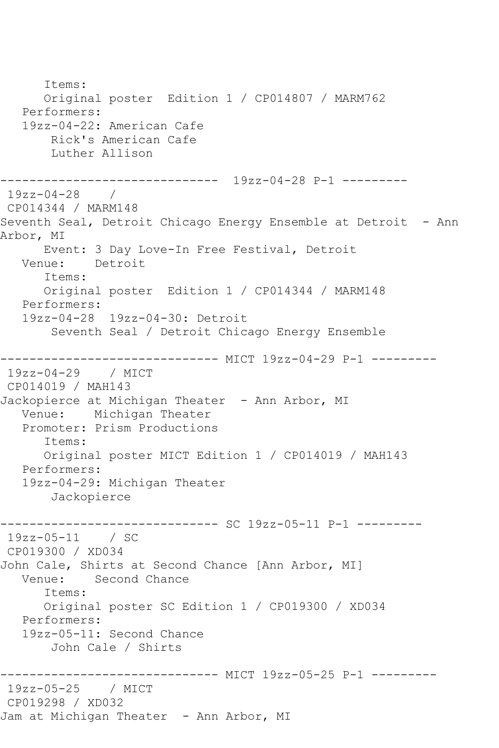Items: Original poster Edition 1 / CP014807 / MARM762 Performers: 19zz-04-22: American Cafe Rick's American Cafe Luther Allison ------------------------------ 19zz-04-28 P-1 --------- 19zz-04-28 / CP014344 / MARM148 Seventh Seal, Detroit Chicago Energy Ensemble at Detroit - Ann Arbor, MI Event: 3 Day Love-In Free Festival, Detroit Venue: Detroit Items: Original poster Edition 1 / CP014344 / MARM148 Performers: 19zz-04-28 19zz-04-30: Detroit Seventh Seal / Detroit Chicago Energy Ensemble ------------------------------ MICT 19zz-04-29 P-1 --------- 19zz-04-29 / MICT CP014019 / MAH143 Jackopierce at Michigan Theater - Ann Arbor, MI Venue: Michigan Theater Promoter: Prism Productions Items: Original poster MICT Edition 1 / CP014019 / MAH143 Performers: 19zz-04-29: Michigan Theater Jackopierce ------------------------------ SC 19zz-05-11 P-1 --------- 19zz-05-11 / SC CP019300 / XD034 John Cale, Shirts at Second Chance [Ann Arbor, MI] Second Chance Items: Original poster SC Edition 1 / CP019300 / XD034 Performers: 19zz-05-11: Second Chance John Cale / Shirts ------------------------------ MICT 19zz-05-25 P-1 --------- 19zz-05-25 / MICT CP019298 / XD032 Jam at Michigan Theater - Ann Arbor, MI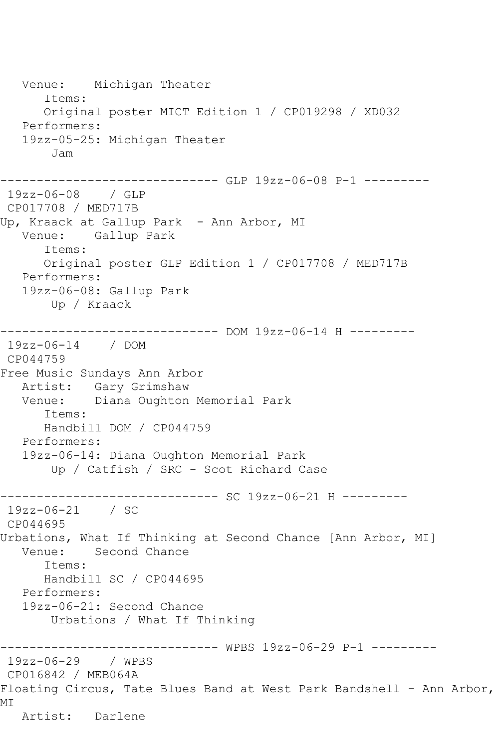Venue: Michigan Theater Items: Original poster MICT Edition 1 / CP019298 / XD032 Performers: 19zz-05-25: Michigan Theater Jam ------------------------------ GLP 19zz-06-08 P-1 --------- 19zz-06-08 / GLP CP017708 / MED717B Up, Kraack at Gallup Park - Ann Arbor, MI Venue: Gallup Park Items: Original poster GLP Edition 1 / CP017708 / MED717B Performers: 19zz-06-08: Gallup Park Up / Kraack ------------------------------ DOM 19zz-06-14 H --------- 19zz-06-14 / DOM CP044759 Free Music Sundays Ann Arbor Artist: Gary Grimshaw Venue: Diana Oughton Memorial Park Items: Handbill DOM / CP044759 Performers: 19zz-06-14: Diana Oughton Memorial Park Up / Catfish / SRC - Scot Richard Case ------------ SC 19zz-06-21 H ---------19zz-06-21 / SC CP044695 Urbations, What If Thinking at Second Chance [Ann Arbor, MI] Venue: Second Chance Items: Handbill SC / CP044695 Performers: 19zz-06-21: Second Chance Urbations / What If Thinking ------------------------------ WPBS 19zz-06-29 P-1 --------- 19zz-06-29 / WPBS CP016842 / MEB064A Floating Circus, Tate Blues Band at West Park Bandshell - Ann Arbor, MI Artist: Darlene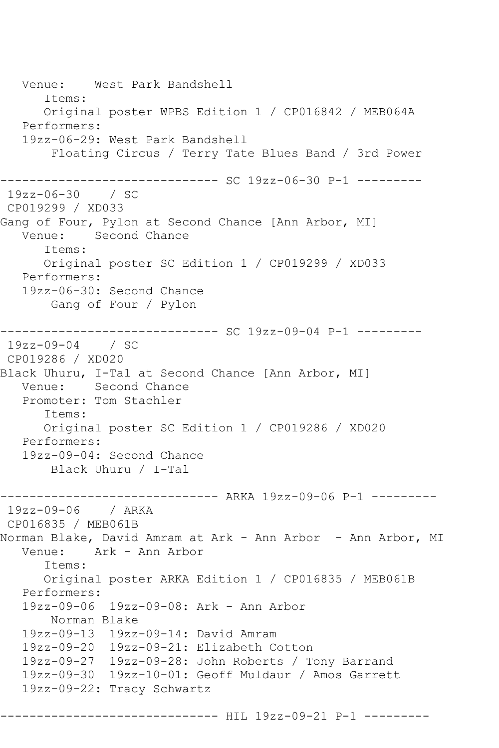Venue: West Park Bandshell Items: Original poster WPBS Edition 1 / CP016842 / MEB064A Performers: 19zz-06-29: West Park Bandshell Floating Circus / Terry Tate Blues Band / 3rd Power ------------------------------ SC 19zz-06-30 P-1 --------- 19zz-06-30 / SC CP019299 / XD033 Gang of Four, Pylon at Second Chance [Ann Arbor, MI] Venue: Second Chance Items: Original poster SC Edition 1 / CP019299 / XD033 Performers: 19zz-06-30: Second Chance Gang of Four / Pylon ------------------------------ SC 19zz-09-04 P-1 --------- 19zz-09-04 / SC CP019286 / XD020 Black Uhuru, I-Tal at Second Chance [Ann Arbor, MI] Venue: Second Chance Promoter: Tom Stachler Items: Original poster SC Edition 1 / CP019286 / XD020 Performers: 19zz-09-04: Second Chance Black Uhuru / I-Tal ------------------------------ ARKA 19zz-09-06 P-1 --------- 19zz-09-06 / ARKA CP016835 / MEB061B Norman Blake, David Amram at Ark - Ann Arbor - Ann Arbor, MI Venue: Ark - Ann Arbor Items: Original poster ARKA Edition 1 / CP016835 / MEB061B Performers: 19zz-09-06 19zz-09-08: Ark - Ann Arbor Norman Blake 19zz-09-13 19zz-09-14: David Amram 19zz-09-20 19zz-09-21: Elizabeth Cotton 19zz-09-27 19zz-09-28: John Roberts / Tony Barrand 19zz-09-30 19zz-10-01: Geoff Muldaur / Amos Garrett 19zz-09-22: Tracy Schwartz ----------------------------- HIL 19zz-09-21 P-1 ---------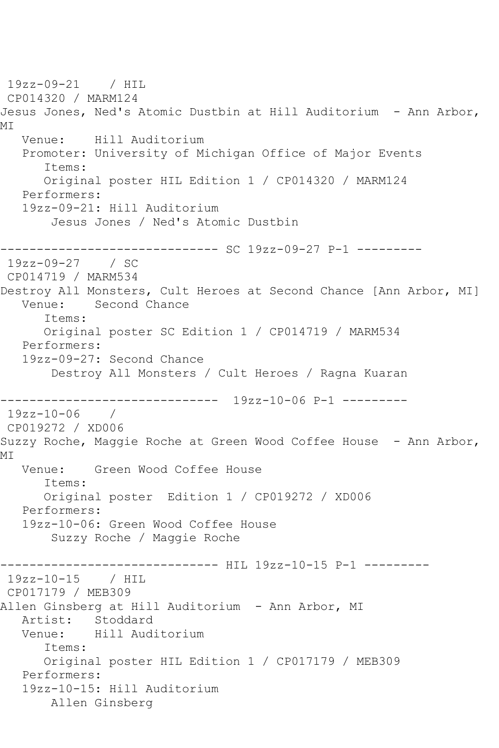19zz-09-21 / HIL CP014320 / MARM124 Jesus Jones, Ned's Atomic Dustbin at Hill Auditorium - Ann Arbor, MI Venue: Hill Auditorium Promoter: University of Michigan Office of Major Events Items: Original poster HIL Edition 1 / CP014320 / MARM124 Performers: 19zz-09-21: Hill Auditorium Jesus Jones / Ned's Atomic Dustbin ------------------------------ SC 19zz-09-27 P-1 --------- 19zz-09-27 / SC CP014719 / MARM534 Destroy All Monsters, Cult Heroes at Second Chance [Ann Arbor, MI] Venue: Second Chance Items: Original poster SC Edition 1 / CP014719 / MARM534 Performers: 19zz-09-27: Second Chance Destroy All Monsters / Cult Heroes / Ragna Kuaran ------------------------------ 19zz-10-06 P-1 --------- 19zz-10-06 / CP019272 / XD006 Suzzy Roche, Maggie Roche at Green Wood Coffee House - Ann Arbor, MI Venue: Green Wood Coffee House Items: Original poster Edition 1 / CP019272 / XD006 Performers: 19zz-10-06: Green Wood Coffee House Suzzy Roche / Maggie Roche ------------------------------ HIL 19zz-10-15 P-1 --------- 19zz-10-15 / HIL CP017179 / MEB309 Allen Ginsberg at Hill Auditorium - Ann Arbor, MI Artist: Stoddard Venue: Hill Auditorium Items: Original poster HIL Edition 1 / CP017179 / MEB309 Performers: 19zz-10-15: Hill Auditorium Allen Ginsberg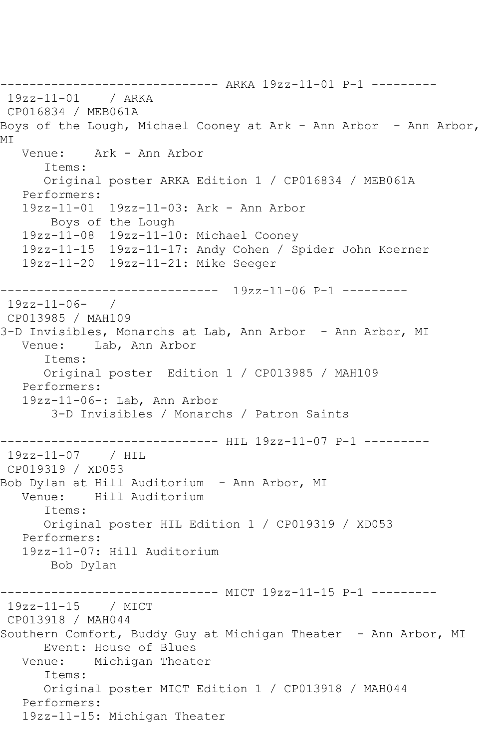------------------------------ ARKA 19zz-11-01 P-1 --------- 19zz-11-01 / ARKA CP016834 / MEB061A Boys of the Lough, Michael Cooney at Ark - Ann Arbor - Ann Arbor, MI Venue: Ark - Ann Arbor Items: Original poster ARKA Edition 1 / CP016834 / MEB061A Performers: 19zz-11-01 19zz-11-03: Ark - Ann Arbor Boys of the Lough 19zz-11-08 19zz-11-10: Michael Cooney 19zz-11-15 19zz-11-17: Andy Cohen / Spider John Koerner 19zz-11-20 19zz-11-21: Mike Seeger ------------------------------ 19zz-11-06 P-1 --------- 19zz-11-06- / CP013985 / MAH109 3-D Invisibles, Monarchs at Lab, Ann Arbor - Ann Arbor, MI Venue: Lab, Ann Arbor Items: Original poster Edition 1 / CP013985 / MAH109 Performers: 19zz-11-06-: Lab, Ann Arbor 3-D Invisibles / Monarchs / Patron Saints ------------------------------ HIL 19zz-11-07 P-1 --------- 19zz-11-07 / HIL CP019319 / XD053 Bob Dylan at Hill Auditorium - Ann Arbor, MI Venue: Hill Auditorium Items: Original poster HIL Edition 1 / CP019319 / XD053 Performers: 19zz-11-07: Hill Auditorium Bob Dylan --------- MICT 19zz-11-15 P-1 ---------19zz-11-15 / MICT CP013918 / MAH044 Southern Comfort, Buddy Guy at Michigan Theater - Ann Arbor, MI Event: House of Blues Venue: Michigan Theater Items: Original poster MICT Edition 1 / CP013918 / MAH044 Performers: 19zz-11-15: Michigan Theater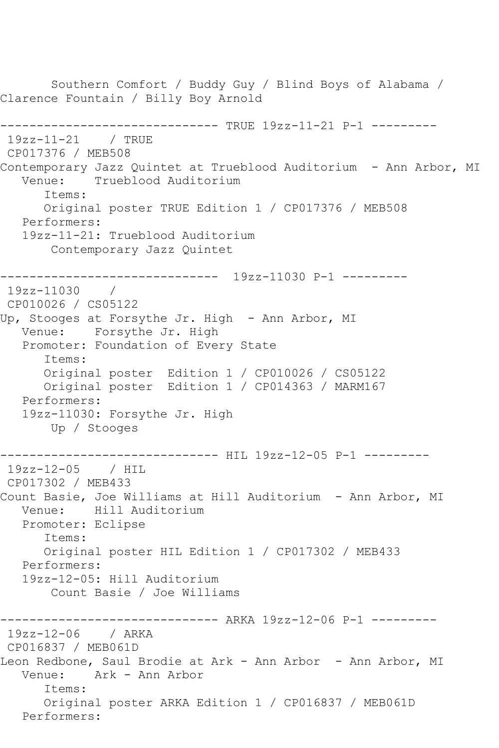Southern Comfort / Buddy Guy / Blind Boys of Alabama / Clarence Fountain / Billy Boy Arnold ------------------------------ TRUE 19zz-11-21 P-1 --------- 19zz-11-21 / TRUE CP017376 / MEB508 Contemporary Jazz Quintet at Trueblood Auditorium - Ann Arbor, MI<br>Venue: Trueblood Auditorium Trueblood Auditorium Items: Original poster TRUE Edition 1 / CP017376 / MEB508 Performers: 19zz-11-21: Trueblood Auditorium Contemporary Jazz Quintet ------------------------------ 19zz-11030 P-1 --------- 19zz-11030 / CP010026 / CS05122 Up, Stooges at Forsythe Jr. High - Ann Arbor, MI Venue: Forsythe Jr. High Promoter: Foundation of Every State Items: Original poster Edition 1 / CP010026 / CS05122 Original poster Edition 1 / CP014363 / MARM167 Performers: 19zz-11030: Forsythe Jr. High Up / Stooges ------------------------------ HIL 19zz-12-05 P-1 --------- 19zz-12-05 / HIL CP017302 / MEB433 Count Basie, Joe Williams at Hill Auditorium - Ann Arbor, MI Venue: Hill Auditorium Promoter: Eclipse Items: Original poster HIL Edition 1 / CP017302 / MEB433 Performers: 19zz-12-05: Hill Auditorium Count Basie / Joe Williams ------------------------------ ARKA 19zz-12-06 P-1 --------- 19zz-12-06 / ARKA CP016837 / MEB061D Leon Redbone, Saul Brodie at Ark - Ann Arbor - Ann Arbor, MI Venue: Ark - Ann Arbor Items: Original poster ARKA Edition 1 / CP016837 / MEB061D Performers: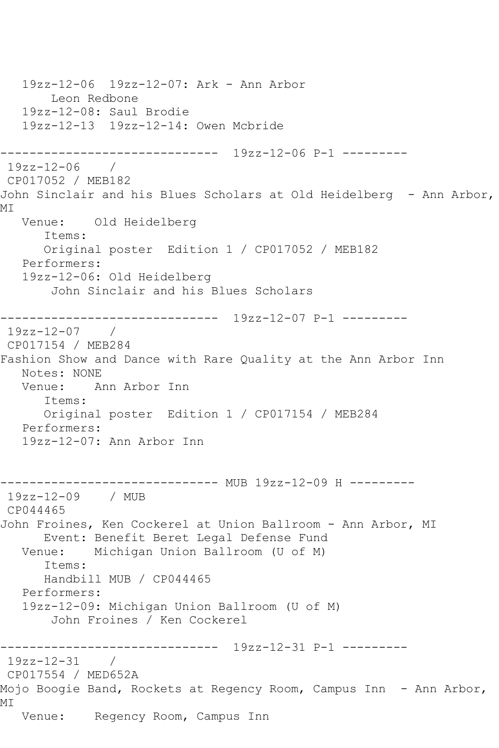19zz-12-06 19zz-12-07: Ark - Ann Arbor Leon Redbone 19zz-12-08: Saul Brodie 19zz-12-13 19zz-12-14: Owen Mcbride ------------------------------ 19zz-12-06 P-1 --------- 19zz-12-06 / CP017052 / MEB182 John Sinclair and his Blues Scholars at Old Heidelberg - Ann Arbor, MI Venue: Old Heidelberg Items: Original poster Edition 1 / CP017052 / MEB182 Performers: 19zz-12-06: Old Heidelberg John Sinclair and his Blues Scholars ------------------------------ 19zz-12-07 P-1 --------- 19zz-12-07 / CP017154 / MEB284 Fashion Show and Dance with Rare Quality at the Ann Arbor Inn Notes: NONE Venue: Ann Arbor Inn Items: Original poster Edition 1 / CP017154 / MEB284 Performers: 19zz-12-07: Ann Arbor Inn ------------------------------ MUB 19zz-12-09 H --------- 19zz-12-09 / MUB CP044465 John Froines, Ken Cockerel at Union Ballroom - Ann Arbor, MI Event: Benefit Beret Legal Defense Fund Venue: Michigan Union Ballroom (U of M) Items: Handbill MUB / CP044465 Performers: 19zz-12-09: Michigan Union Ballroom (U of M) John Froines / Ken Cockerel ------------------------------ 19zz-12-31 P-1 --------- 19zz-12-31 / CP017554 / MED652A Mojo Boogie Band, Rockets at Regency Room, Campus Inn - Ann Arbor, MI Venue: Regency Room, Campus Inn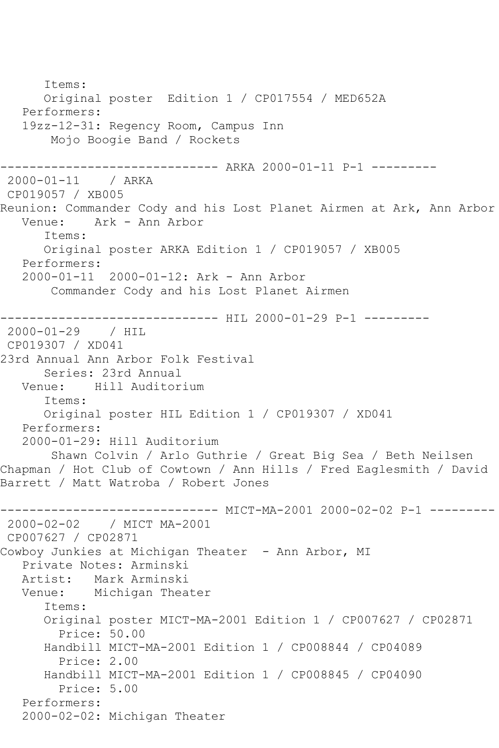```
 Items:
       Original poster Edition 1 / CP017554 / MED652A
    Performers:
    19zz-12-31: Regency Room, Campus Inn
        Mojo Boogie Band / Rockets
------------------------------ ARKA 2000-01-11 P-1 ---------
2000-01-11 / ARKA 
CP019057 / XB005
Reunion: Commander Cody and his Lost Planet Airmen at Ark, Ann Arbor<br>Venue: Ark - Ann Arbor
            Ark - Ann Arbor
       Items:
       Original poster ARKA Edition 1 / CP019057 / XB005
   Performers:
    2000-01-11 2000-01-12: Ark - Ann Arbor
        Commander Cody and his Lost Planet Airmen
                    ------------------------------ HIL 2000-01-29 P-1 ---------
2000-01-29 / HIL 
CP019307 / XD041
23rd Annual Ann Arbor Folk Festival
       Series: 23rd Annual
   Venue: Hill Auditorium
       Items:
       Original poster HIL Edition 1 / CP019307 / XD041
    Performers:
    2000-01-29: Hill Auditorium
        Shawn Colvin / Arlo Guthrie / Great Big Sea / Beth Neilsen 
Chapman / Hot Club of Cowtown / Ann Hills / Fred Eaglesmith / David 
Barrett / Matt Watroba / Robert Jones
       ------------------------------ MICT-MA-2001 2000-02-02 P-1 ---------
2000-02-02 / MICT MA-2001
CP007627 / CP02871
Cowboy Junkies at Michigan Theater - Ann Arbor, MI
    Private Notes: Arminski
   Artist: Mark Arminski
   Venue: Michigan Theater
       Items:
       Original poster MICT-MA-2001 Edition 1 / CP007627 / CP02871
         Price: 50.00
       Handbill MICT-MA-2001 Edition 1 / CP008844 / CP04089
         Price: 2.00
       Handbill MICT-MA-2001 Edition 1 / CP008845 / CP04090
         Price: 5.00
    Performers:
    2000-02-02: Michigan Theater
```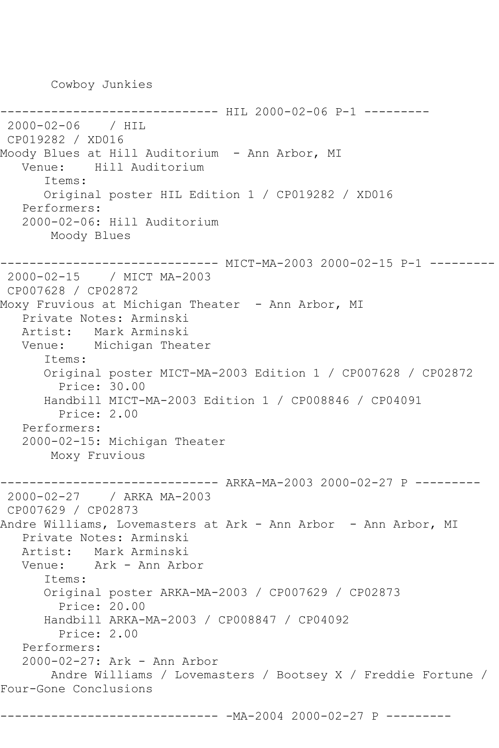Cowboy Junkies

```
------------ HIL 2000-02-06 P-1 ---------
2000-02-06 / HIL 
CP019282 / XD016
Moody Blues at Hill Auditorium - Ann Arbor, MI
   Venue: Hill Auditorium
       Items:
      Original poster HIL Edition 1 / CP019282 / XD016
   Performers:
   2000-02-06: Hill Auditorium
       Moody Blues
------------------------------ MICT-MA-2003 2000-02-15 P-1 ---------
2000-02-15 / MICT MA-2003
CP007628 / CP02872
Moxy Fruvious at Michigan Theater - Ann Arbor, MI
   Private Notes: Arminski
   Artist: Mark Arminski
   Venue: Michigan Theater
       Items:
       Original poster MICT-MA-2003 Edition 1 / CP007628 / CP02872
        Price: 30.00
       Handbill MICT-MA-2003 Edition 1 / CP008846 / CP04091
         Price: 2.00
   Performers:
   2000-02-15: Michigan Theater
       Moxy Fruvious
------------------------------ ARKA-MA-2003 2000-02-27 P ---------
2000-02-27 / ARKA MA-2003
CP007629 / CP02873
Andre Williams, Lovemasters at Ark - Ann Arbor - Ann Arbor, MI
   Private Notes: Arminski
   Artist: Mark Arminski
   Venue: Ark - Ann Arbor
       Items:
       Original poster ARKA-MA-2003 / CP007629 / CP02873
        Price: 20.00
       Handbill ARKA-MA-2003 / CP008847 / CP04092
         Price: 2.00
   Performers:
   2000-02-27: Ark - Ann Arbor
       Andre Williams / Lovemasters / Bootsey X / Freddie Fortune / 
Four-Gone Conclusions
          ------------------------------ -MA-2004 2000-02-27 P ---------
```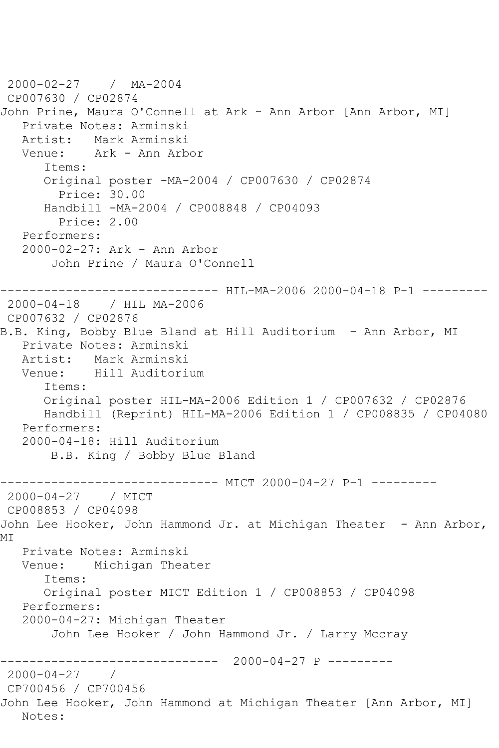```
2000-02-27 / MA-2004
CP007630 / CP02874
John Prine, Maura O'Connell at Ark - Ann Arbor [Ann Arbor, MI]
   Private Notes: Arminski
   Artist: Mark Arminski
   Venue: Ark - Ann Arbor
      Items:
       Original poster -MA-2004 / CP007630 / CP02874
         Price: 30.00
      Handbill -MA-2004 / CP008848 / CP04093
         Price: 2.00
   Performers:
   2000-02-27: Ark - Ann Arbor
        John Prine / Maura O'Connell
------------------------------ HIL-MA-2006 2000-04-18 P-1 ---------
2000-04-18 / HIL MA-2006
CP007632 / CP02876
B.B. King, Bobby Blue Bland at Hill Auditorium - Ann Arbor, MI
   Private Notes: Arminski
   Artist: Mark Arminski
   Venue: Hill Auditorium
      Items:
       Original poster HIL-MA-2006 Edition 1 / CP007632 / CP02876
      Handbill (Reprint) HIL-MA-2006 Edition 1 / CP008835 / CP04080
   Performers:
   2000-04-18: Hill Auditorium
        B.B. King / Bobby Blue Bland
------------------------------ MICT 2000-04-27 P-1 ---------
2000-04-27 / MICT 
CP008853 / CP04098
John Lee Hooker, John Hammond Jr. at Michigan Theater - Ann Arbor, 
MI
   Private Notes: Arminski
   Venue: Michigan Theater
       Items:
      Original poster MICT Edition 1 / CP008853 / CP04098
   Performers:
   2000-04-27: Michigan Theater
        John Lee Hooker / John Hammond Jr. / Larry Mccray
                ------------------------------ 2000-04-27 P ---------
2000-04-27 / 
CP700456 / CP700456
John Lee Hooker, John Hammond at Michigan Theater [Ann Arbor, MI]
   Notes:
```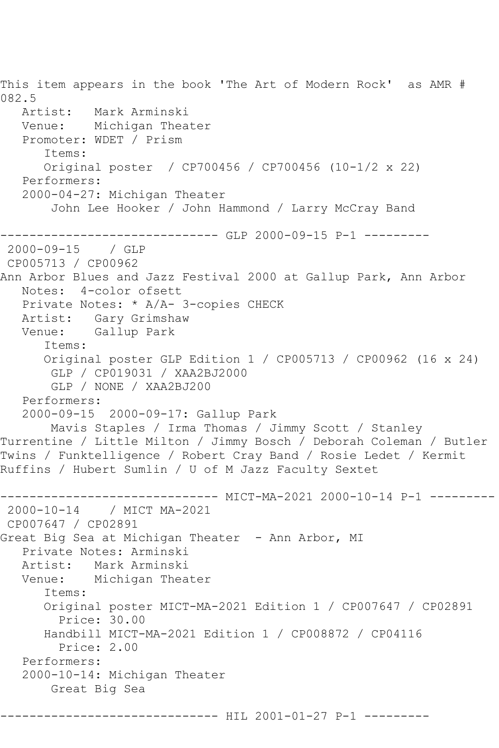This item appears in the book 'The Art of Modern Rock' as AMR # 082.5<br>: Artist Mark Arminski Venue: Michigan Theater Promoter: WDET / Prism Items: Original poster / CP700456 / CP700456 (10-1/2 x 22) Performers: 2000-04-27: Michigan Theater John Lee Hooker / John Hammond / Larry McCray Band ------------------------------ GLP 2000-09-15 P-1 --------- 2000-09-15 / GLP CP005713 / CP00962 Ann Arbor Blues and Jazz Festival 2000 at Gallup Park, Ann Arbor Notes: 4-color ofsett Private Notes: \* A/A- 3-copies CHECK Artist: Gary Grimshaw Venue: Gallup Park Items: Original poster GLP Edition 1 / CP005713 / CP00962 (16 x 24) GLP / CP019031 / XAA2BJ2000 GLP / NONE / XAA2BJ200 Performers: 2000-09-15 2000-09-17: Gallup Park Mavis Staples / Irma Thomas / Jimmy Scott / Stanley Turrentine / Little Milton / Jimmy Bosch / Deborah Coleman / Butler Twins / Funktelligence / Robert Cray Band / Rosie Ledet / Kermit Ruffins / Hubert Sumlin / U of M Jazz Faculty Sextet ------------------------------ MICT-MA-2021 2000-10-14 P-1 --------- 2000-10-14 / MICT MA-2021 CP007647 / CP02891 Great Big Sea at Michigan Theater - Ann Arbor, MI Private Notes: Arminski Artist: Mark Arminski Venue: Michigan Theater Items: Original poster MICT-MA-2021 Edition 1 / CP007647 / CP02891 Price: 30.00 Handbill MICT-MA-2021 Edition 1 / CP008872 / CP04116 Price: 2.00 Performers: 2000-10-14: Michigan Theater Great Big Sea

----------------- HIL 2001-01-27 P-1 ---------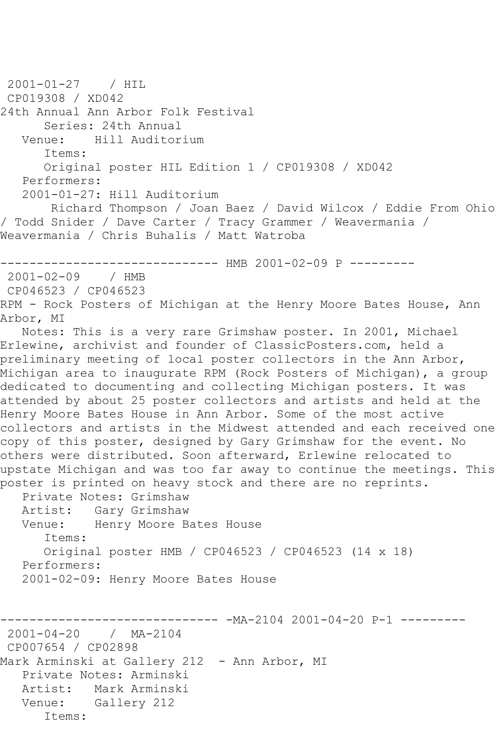2001-01-27 / HIL CP019308 / XD042 24th Annual Ann Arbor Folk Festival Series: 24th Annual<br>Venue: Hill Auditor Venue: Hill Auditorium Items: Original poster HIL Edition 1 / CP019308 / XD042 Performers: 2001-01-27: Hill Auditorium Richard Thompson / Joan Baez / David Wilcox / Eddie From Ohio / Todd Snider / Dave Carter / Tracy Grammer / Weavermania / Weavermania / Chris Buhalis / Matt Watroba ------------------------------ HMB 2001-02-09 P --------- 2001-02-09 / HMB CP046523 / CP046523 RPM - Rock Posters of Michigan at the Henry Moore Bates House, Ann Arbor, MI Notes: This is a very rare Grimshaw poster. In 2001, Michael Erlewine, archivist and founder of ClassicPosters.com, held a preliminary meeting of local poster collectors in the Ann Arbor, Michigan area to inaugurate RPM (Rock Posters of Michigan), a group dedicated to documenting and collecting Michigan posters. It was attended by about 25 poster collectors and artists and held at the Henry Moore Bates House in Ann Arbor. Some of the most active collectors and artists in the Midwest attended and each received one copy of this poster, designed by Gary Grimshaw for the event. No others were distributed. Soon afterward, Erlewine relocated to upstate Michigan and was too far away to continue the meetings. This poster is printed on heavy stock and there are no reprints. Private Notes: Grimshaw Artist: Gary Grimshaw Venue: Henry Moore Bates House Items: Original poster HMB / CP046523 / CP046523 (14 x 18) Performers: 2001-02-09: Henry Moore Bates House ------------------------------ -MA-2104 2001-04-20 P-1 --------- 2001-04-20 / MA-2104 CP007654 / CP02898 Mark Arminski at Gallery 212 - Ann Arbor, MI Private Notes: Arminski Artist: Mark Arminski Venue: Gallery 212 Items: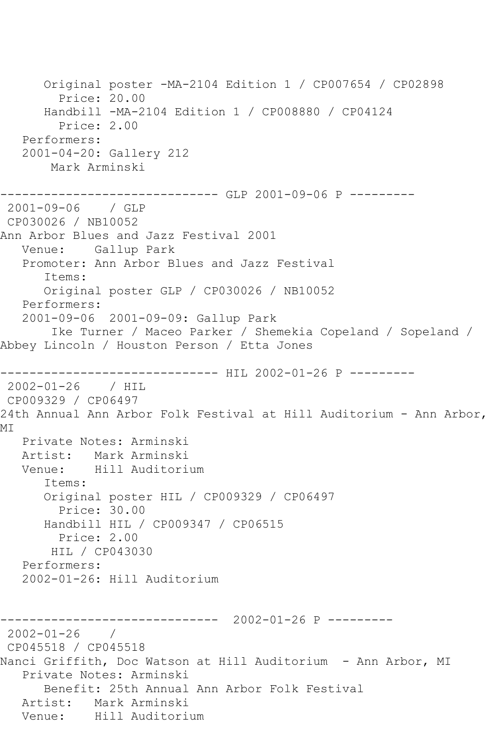Original poster -MA-2104 Edition 1 / CP007654 / CP02898 Price: 20.00 Handbill -MA-2104 Edition 1 / CP008880 / CP04124 Price: 2.00 Performers: 2001-04-20: Gallery 212 Mark Arminski ------------------------------ GLP 2001-09-06 P --------- 2001-09-06 / GLP CP030026 / NB10052 Ann Arbor Blues and Jazz Festival 2001 Venue: Gallup Park Promoter: Ann Arbor Blues and Jazz Festival Items: Original poster GLP / CP030026 / NB10052 Performers: 2001-09-06 2001-09-09: Gallup Park Ike Turner / Maceo Parker / Shemekia Copeland / Sopeland / Abbey Lincoln / Houston Person / Etta Jones --------------------- HIL 2002-01-26 P ---------2002-01-26 / HIL CP009329 / CP06497 24th Annual Ann Arbor Folk Festival at Hill Auditorium - Ann Arbor, MI Private Notes: Arminski Artist: Mark Arminski Venue: Hill Auditorium Items: Original poster HIL / CP009329 / CP06497 Price: 30.00 Handbill HIL / CP009347 / CP06515 Price: 2.00 HIL / CP043030 Performers: 2002-01-26: Hill Auditorium ------------------------------ 2002-01-26 P --------- 2002-01-26 / CP045518 / CP045518 Nanci Griffith, Doc Watson at Hill Auditorium - Ann Arbor, MI Private Notes: Arminski Benefit: 25th Annual Ann Arbor Folk Festival Artist: Mark Arminski<br>Venue: Hill Auditori Hill Auditorium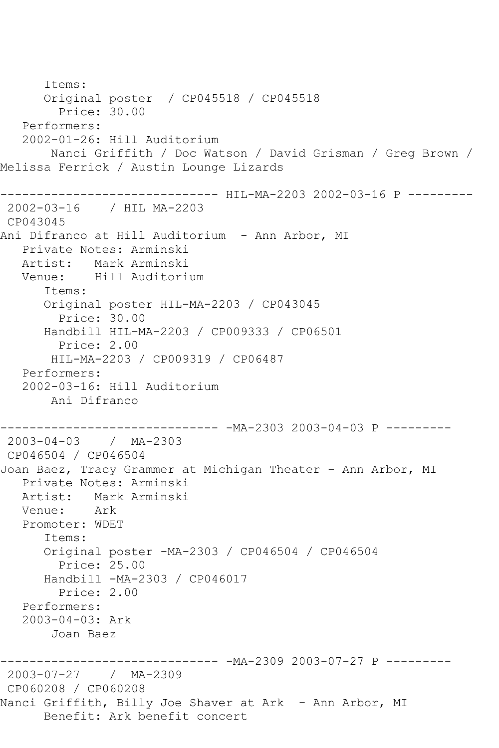Items: Original poster / CP045518 / CP045518 Price: 30.00 Performers: 2002-01-26: Hill Auditorium Nanci Griffith / Doc Watson / David Grisman / Greg Brown / Melissa Ferrick / Austin Lounge Lizards ------------------------------ HIL-MA-2203 2002-03-16 P --------- 2002-03-16 / HIL MA-2203 CP043045 Ani Difranco at Hill Auditorium - Ann Arbor, MI Private Notes: Arminski Artist: Mark Arminski Venue: Hill Auditorium Items: Original poster HIL-MA-2203 / CP043045 Price: 30.00 Handbill HIL-MA-2203 / CP009333 / CP06501 Price: 2.00 HIL-MA-2203 / CP009319 / CP06487 Performers: 2002-03-16: Hill Auditorium Ani Difranco ------------------------------ -MA-2303 2003-04-03 P --------- 2003-04-03 / MA-2303 CP046504 / CP046504 Joan Baez, Tracy Grammer at Michigan Theater - Ann Arbor, MI Private Notes: Arminski Artist: Mark Arminski Venue: Ark Promoter: WDET Items: Original poster -MA-2303 / CP046504 / CP046504 Price: 25.00 Handbill -MA-2303 / CP046017 Price: 2.00 Performers: 2003-04-03: Ark Joan Baez ------------------------------ -MA-2309 2003-07-27 P --------- 2003-07-27 / MA-2309 CP060208 / CP060208 Nanci Griffith, Billy Joe Shaver at Ark – Ann Arbor, MI Benefit: Ark benefit concert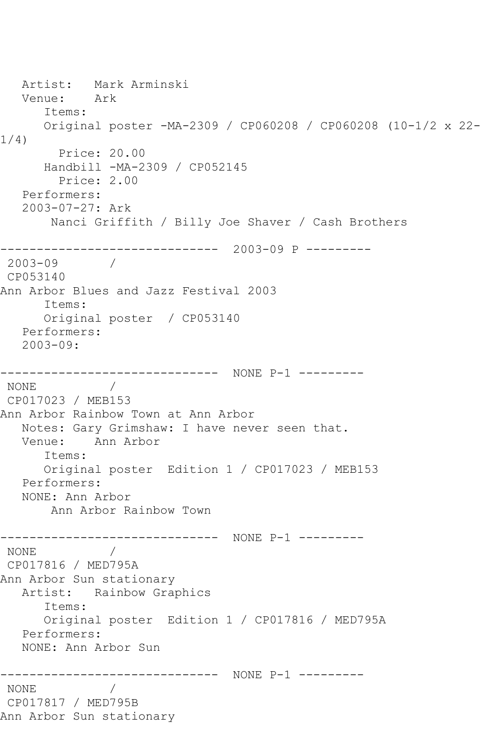Artist: Mark Arminski<br>Venue: Ark Venue: Items: Original poster -MA-2309 / CP060208 / CP060208 (10-1/2 x 22- 1/4) Price: 20.00 Handbill -MA-2309 / CP052145 Price: 2.00 Performers: 2003-07-27: Ark Nanci Griffith / Billy Joe Shaver / Cash Brothers ------------------------------ 2003-09 P --------- 2003-09 / CP053140 Ann Arbor Blues and Jazz Festival 2003 Items: Original poster / CP053140 Performers: 2003-09: ------------------------------ NONE P-1 --------- NONE / CP017023 / MEB153 Ann Arbor Rainbow Town at Ann Arbor Notes: Gary Grimshaw: I have never seen that. Venue: Ann Arbor Items: Original poster Edition 1 / CP017023 / MEB153 Performers: NONE: Ann Arbor Ann Arbor Rainbow Town ------------------------------ NONE P-1 --------- NONE / CP017816 / MED795A Ann Arbor Sun stationary Artist: Rainbow Graphics Items: Original poster Edition 1 / CP017816 / MED795A Performers: NONE: Ann Arbor Sun ------------------------------ NONE P-1 --------- NONE / CP017817 / MED795B Ann Arbor Sun stationary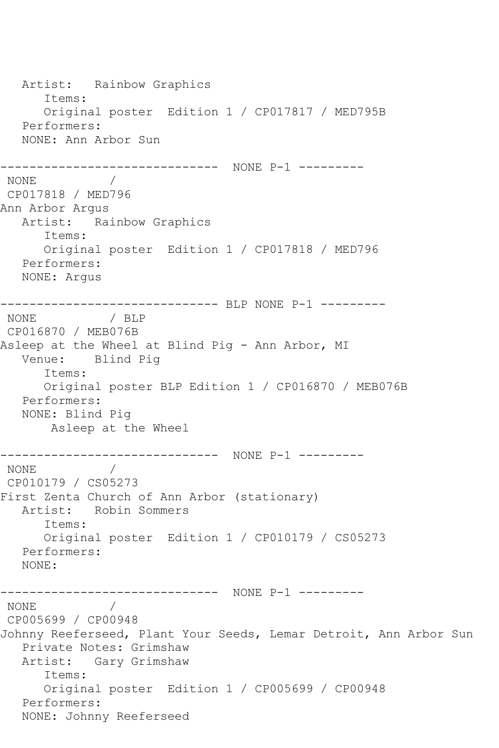Artist: Rainbow Graphics Items: Original poster Edition 1 / CP017817 / MED795B Performers: NONE: Ann Arbor Sun ------------------------------ NONE P-1 --------- NONE / CP017818 / MED796 Ann Arbor Argus Artist: Rainbow Graphics Items: Original poster Edition 1 / CP017818 / MED796 Performers: NONE: Argus ------------------------------ BLP NONE P-1 --------- NONE / BLP CP016870 / MEB076B Asleep at the Wheel at Blind Pig - Ann Arbor, MI Venue: Blind Pig Items: Original poster BLP Edition 1 / CP016870 / MEB076B Performers: NONE: Blind Pig Asleep at the Wheel ------------------------------ NONE P-1 --------- NONE / CP010179 / CS05273 First Zenta Church of Ann Arbor (stationary) Artist: Robin Sommers Items: Original poster Edition 1 / CP010179 / CS05273 Performers: NONE: ------------------------------ NONE P-1 --------- NONE / CP005699 / CP00948 Johnny Reeferseed, Plant Your Seeds, Lemar Detroit, Ann Arbor Sun Private Notes: Grimshaw Artist: Gary Grimshaw Items: Original poster Edition 1 / CP005699 / CP00948 Performers: NONE: Johnny Reeferseed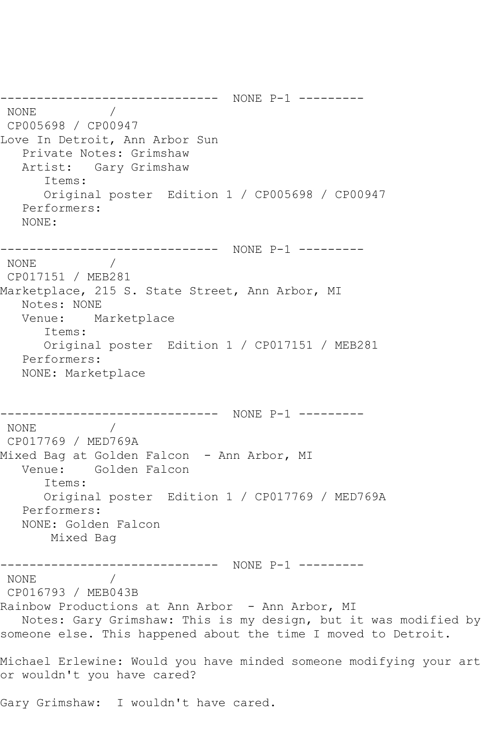------------------------------ NONE P-1 --------- NONE / CP005698 / CP00947 Love In Detroit, Ann Arbor Sun Private Notes: Grimshaw Artist: Gary Grimshaw Items: Original poster Edition 1 / CP005698 / CP00947 Performers: NONE: ------------------------------ NONE P-1 --------- NONE / CP017151 / MEB281 Marketplace, 215 S. State Street, Ann Arbor, MI Notes: NONE Venue: Marketplace Items: Original poster Edition 1 / CP017151 / MEB281 Performers: NONE: Marketplace ------------------------------ NONE P-1 --------- NONE / CP017769 / MED769A Mixed Bag at Golden Falcon - Ann Arbor, MI Venue: Golden Falcon Items: Original poster Edition 1 / CP017769 / MED769A Performers: NONE: Golden Falcon Mixed Bag ------------------------------ NONE P-1 --------- NONE / CP016793 / MEB043B Rainbow Productions at Ann Arbor - Ann Arbor, MI Notes: Gary Grimshaw: This is my design, but it was modified by someone else. This happened about the time I moved to Detroit. Michael Erlewine: Would you have minded someone modifying your art or wouldn't you have cared? Gary Grimshaw: I wouldn't have cared.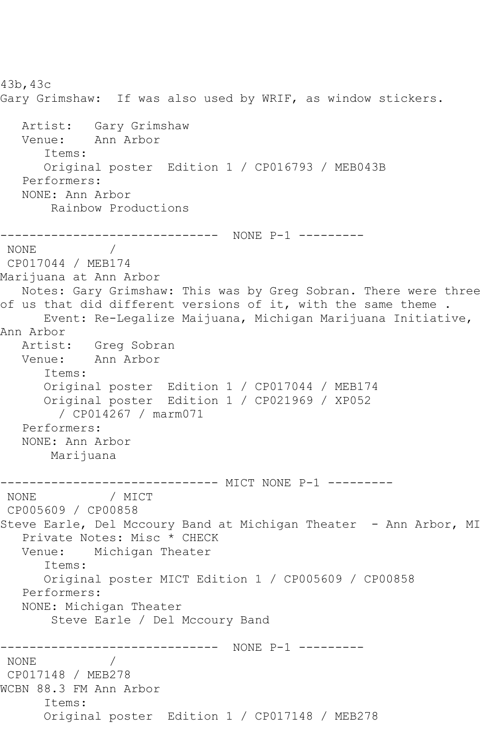43b,43c Gary Grimshaw: If was also used by WRIF, as window stickers. Artist: Gary Grimshaw<br>Venue: Ann Arbor Ann Arbor Items: Original poster Edition 1 / CP016793 / MEB043B Performers: NONE: Ann Arbor Rainbow Productions ------------------------------ NONE P-1 --------- NONE / CP017044 / MEB174 Marijuana at Ann Arbor Notes: Gary Grimshaw: This was by Greg Sobran. There were three of us that did different versions of it, with the same theme . Event: Re-Legalize Maijuana, Michigan Marijuana Initiative, Ann Arbor Artist: Greg Sobran Venue: Ann Arbor Items: Original poster Edition 1 / CP017044 / MEB174 Original poster Edition 1 / CP021969 / XP052 / CP014267 / marm071 Performers: NONE: Ann Arbor Marijuana ------------------------------ MICT NONE P-1 --------- / MICT CP005609 / CP00858 Steve Earle, Del Mccoury Band at Michigan Theater - Ann Arbor, MI Private Notes: Misc \* CHECK Venue: Michigan Theater Items: Original poster MICT Edition 1 / CP005609 / CP00858 Performers: NONE: Michigan Theater Steve Earle / Del Mccoury Band ------------------------------ NONE P-1 --------- NONE / CP017148 / MEB278 WCBN 88.3 FM Ann Arbor Items: Original poster Edition 1 / CP017148 / MEB278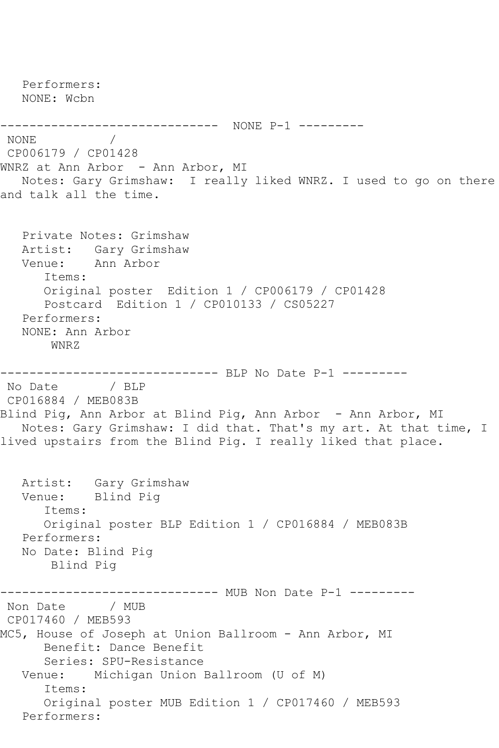Performers: NONE: Wcbn ------------------------------ NONE P-1 --------- NONE / CP006179 / CP01428 WNRZ at Ann Arbor - Ann Arbor, MI Notes: Gary Grimshaw: I really liked WNRZ. I used to go on there and talk all the time. Private Notes: Grimshaw Artist: Gary Grimshaw Venue: Ann Arbor Items: Original poster Edition 1 / CP006179 / CP01428 Postcard Edition 1 / CP010133 / CS05227 Performers: NONE: Ann Arbor WNRZ ----------------------------- BLP No Date P-1 ---------No Date / BLP CP016884 / MEB083B Blind Pig, Ann Arbor at Blind Pig, Ann Arbor - Ann Arbor, MI Notes: Gary Grimshaw: I did that. That's my art. At that time, I lived upstairs from the Blind Pig. I really liked that place. Artist: Gary Grimshaw Venue: Blind Pig Items: Original poster BLP Edition 1 / CP016884 / MEB083B Performers: No Date: Blind Pig Blind Pig ------------------------------ MUB Non Date P-1 ---------<br>Non Date / MUB / MUB CP017460 / MEB593 MC5, House of Joseph at Union Ballroom - Ann Arbor, MI Benefit: Dance Benefit Series: SPU-Resistance Venue: Michigan Union Ballroom (U of M) Items: Original poster MUB Edition 1 / CP017460 / MEB593 Performers: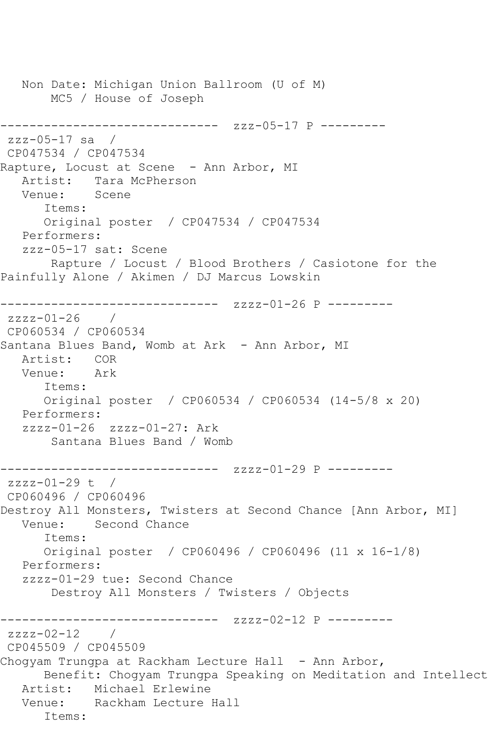Non Date: Michigan Union Ballroom (U of M) MC5 / House of Joseph ------------------------------ zzz-05-17 P -------- zzz-05-17 sa / CP047534 / CP047534 Rapture, Locust at Scene - Ann Arbor, MI Artist: Tara McPherson<br>Venue: Scene Venue: Items: Original poster / CP047534 / CP047534 Performers: zzz-05-17 sat: Scene Rapture / Locust / Blood Brothers / Casiotone for the Painfully Alone / Akimen / DJ Marcus Lowskin ------------------------------ zzzz-01-26 P --------  $zzzz-01-26$  / CP060534 / CP060534 Santana Blues Band, Womb at Ark - Ann Arbor, MI Artist: COR Venue: Ark Items: Original poster / CP060534 / CP060534 (14-5/8 x 20) Performers: zzzz-01-26 zzzz-01-27: Ark Santana Blues Band / Womb ------------------------------ zzzz-01-29 P -------- zzzz-01-29 t / CP060496 / CP060496 Destroy All Monsters, Twisters at Second Chance [Ann Arbor, MI] Venue: Second Chance Items: Original poster / CP060496 / CP060496 (11 x 16-1/8) Performers: zzzz-01-29 tue: Second Chance Destroy All Monsters / Twisters / Objects ------------------------------ zzzz-02-12 P --------  $zzzz-02-12$  / CP045509 / CP045509 Chogyam Trungpa at Rackham Lecture Hall - Ann Arbor, Benefit: Chogyam Trungpa Speaking on Meditation and Intellect Artist: Michael Erlewine Venue: Rackham Lecture Hall Items: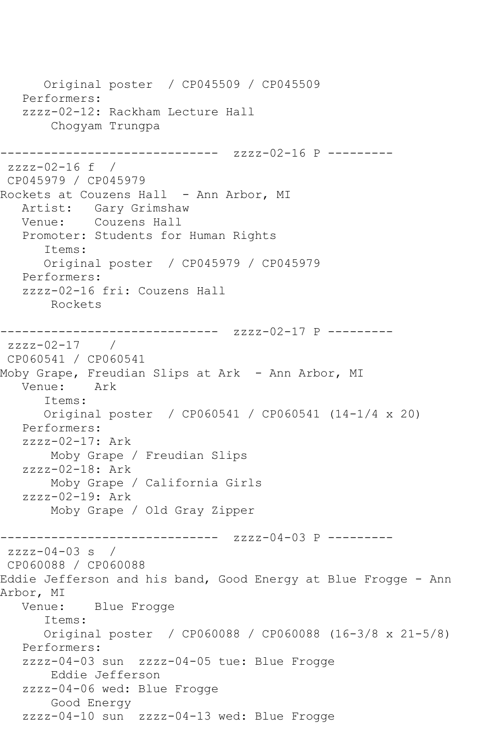Original poster / CP045509 / CP045509 Performers: zzzz-02-12: Rackham Lecture Hall Chogyam Trungpa ------------------------------ zzzz-02-16 P -------- zzzz-02-16 f / CP045979 / CP045979 Rockets at Couzens Hall - Ann Arbor, MI Artist: Gary Grimshaw Venue: Couzens Hall Promoter: Students for Human Rights Items: Original poster / CP045979 / CP045979 Performers: zzzz-02-16 fri: Couzens Hall Rockets ------------------------------ zzzz-02-17 P -------- zzzz-02-17 / CP060541 / CP060541 Moby Grape, Freudian Slips at Ark - Ann Arbor, MI Venue: Ark Items: Original poster / CP060541 / CP060541 (14-1/4 x 20) Performers: zzzz-02-17: Ark Moby Grape / Freudian Slips zzzz-02-18: Ark Moby Grape / California Girls zzzz-02-19: Ark Moby Grape / Old Gray Zipper ------------------------------ zzzz-04-03 P -------- zzzz-04-03 s / CP060088 / CP060088 Eddie Jefferson and his band, Good Energy at Blue Frogge - Ann Arbor, MI Venue: Blue Frogge Items: Original poster / CP060088 / CP060088 (16-3/8 x 21-5/8) Performers: zzzz-04-03 sun zzzz-04-05 tue: Blue Frogge Eddie Jefferson zzzz-04-06 wed: Blue Frogge Good Energy zzzz-04-10 sun zzzz-04-13 wed: Blue Frogge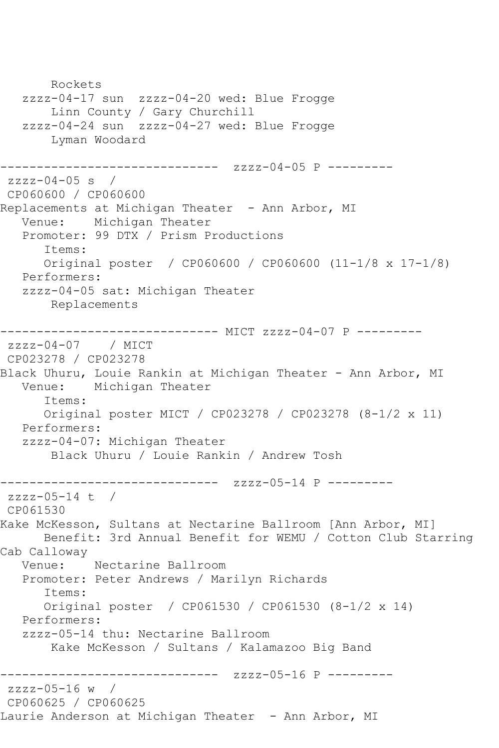Rockets zzzz-04-17 sun zzzz-04-20 wed: Blue Frogge Linn County / Gary Churchill zzzz-04-24 sun zzzz-04-27 wed: Blue Frogge Lyman Woodard ------------------------------ zzzz-04-05 P -------- zzzz-04-05 s / CP060600 / CP060600 Replacements at Michigan Theater - Ann Arbor, MI Venue: Michigan Theater Promoter: 99 DTX / Prism Productions Items: Original poster / CP060600 / CP060600 (11-1/8 x 17-1/8) Performers: zzzz-04-05 sat: Michigan Theater Replacements ------------------------------ MICT zzzz-04-07 P -------- zzzz-04-07 / MICT CP023278 / CP023278 Black Uhuru, Louie Rankin at Michigan Theater - Ann Arbor, MI Venue: Michigan Theater Items: Original poster MICT / CP023278 / CP023278 (8-1/2 x 11) Performers: zzzz-04-07: Michigan Theater Black Uhuru / Louie Rankin / Andrew Tosh ------------------------------ zzzz-05-14 P -------- zzzz-05-14 t / CP061530 Kake McKesson, Sultans at Nectarine Ballroom [Ann Arbor, MI] Benefit: 3rd Annual Benefit for WEMU / Cotton Club Starring Cab Calloway Venue: Nectarine Ballroom Promoter: Peter Andrews / Marilyn Richards Items: Original poster / CP061530 / CP061530 (8-1/2 x 14) Performers: zzzz-05-14 thu: Nectarine Ballroom Kake McKesson / Sultans / Kalamazoo Big Band ------------------------------ zzzz-05-16 P -------- zzzz-05-16 w / CP060625 / CP060625 Laurie Anderson at Michigan Theater - Ann Arbor, MI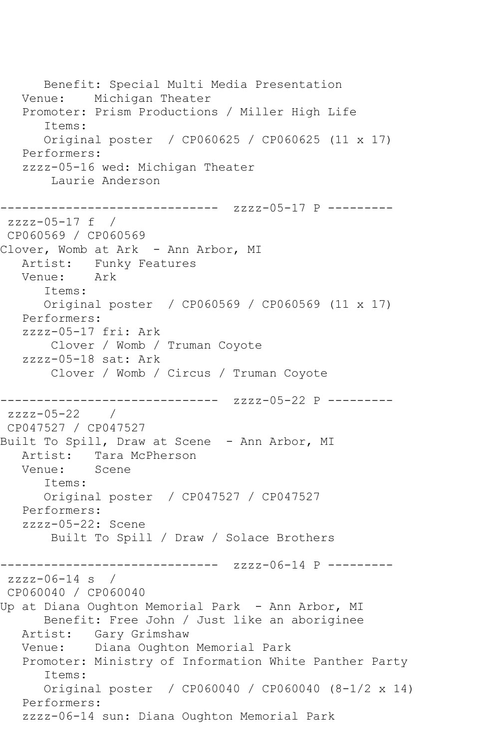Benefit: Special Multi Media Presentation Venue: Michigan Theater Promoter: Prism Productions / Miller High Life Items: Original poster / CP060625 / CP060625 (11 x 17) Performers: zzzz-05-16 wed: Michigan Theater Laurie Anderson ------------------------------ zzzz-05-17 P --------  $zzzz-05-17$  f / CP060569 / CP060569 Clover, Womb at Ark - Ann Arbor, MI Artist: Funky Features Venue: Ark Items: Original poster / CP060569 / CP060569 (11 x 17) Performers: zzzz-05-17 fri: Ark Clover / Womb / Truman Coyote zzzz-05-18 sat: Ark Clover / Womb / Circus / Truman Coyote ------------------------------ zzzz-05-22 P -------- zzzz-05-22 / CP047527 / CP047527 Built To Spill, Draw at Scene - Ann Arbor, MI Artist: Tara McPherson Venue: Scene Items: Original poster / CP047527 / CP047527 Performers: zzzz-05-22: Scene Built To Spill / Draw / Solace Brothers ------------------------------ zzzz-06-14 P -------- zzzz-06-14 s / CP060040 / CP060040 Up at Diana Oughton Memorial Park - Ann Arbor, MI Benefit: Free John / Just like an aboriginee Artist: Gary Grimshaw Venue: Diana Oughton Memorial Park Promoter: Ministry of Information White Panther Party Items: Original poster / CP060040 / CP060040 (8-1/2 x 14) Performers: zzzz-06-14 sun: Diana Oughton Memorial Park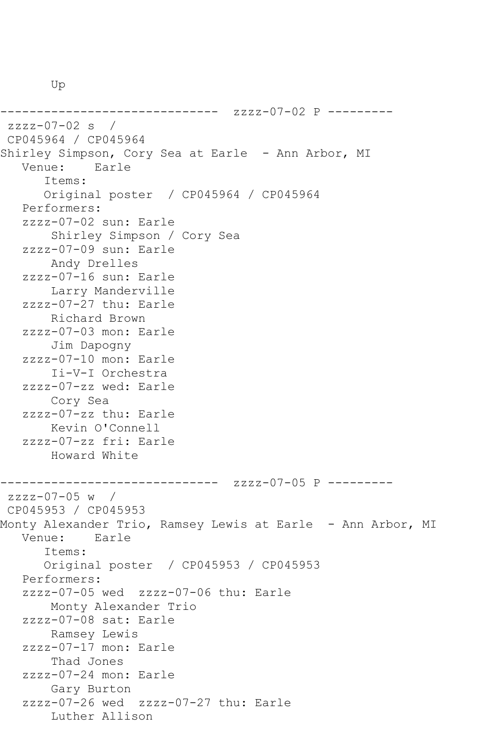Up

------------------------------ zzzz-07-02 P -------- zzzz-07-02 s / CP045964 / CP045964 Shirley Simpson, Cory Sea at Earle - Ann Arbor, MI<br>Venue: Earle Earle Items: Original poster / CP045964 / CP045964 Performers: zzzz-07-02 sun: Earle Shirley Simpson / Cory Sea zzzz-07-09 sun: Earle Andy Drelles zzzz-07-16 sun: Earle Larry Manderville zzzz-07-27 thu: Earle Richard Brown zzzz-07-03 mon: Earle Jim Dapogny zzzz-07-10 mon: Earle Ii-V-I Orchestra zzzz-07-zz wed: Earle Cory Sea zzzz-07-zz thu: Earle Kevin O'Connell zzzz-07-zz fri: Earle Howard White ------------------------------ zzzz-07-05 P -------- zzzz-07-05 w / CP045953 / CP045953 Monty Alexander Trio, Ramsey Lewis at Earle – Ann Arbor, MI<br>Venue: Earle Earle Items: Original poster / CP045953 / CP045953 Performers: zzzz-07-05 wed zzzz-07-06 thu: Earle Monty Alexander Trio zzzz-07-08 sat: Earle Ramsey Lewis zzzz-07-17 mon: Earle Thad Jones zzzz-07-24 mon: Earle Gary Burton zzzz-07-26 wed zzzz-07-27 thu: Earle Luther Allison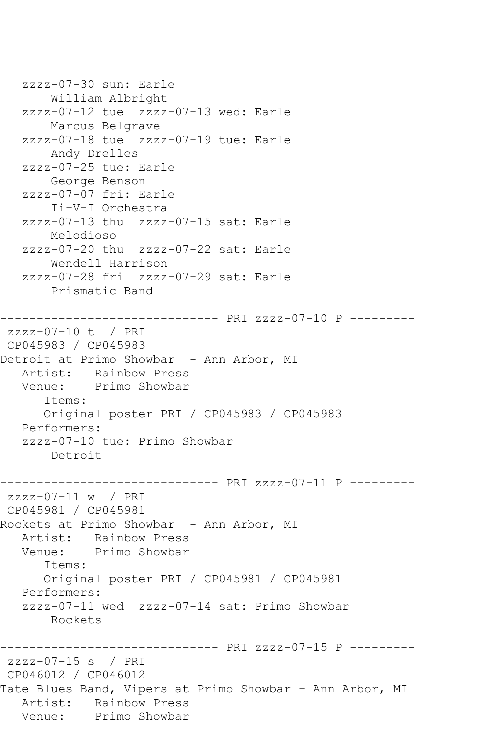zzzz-07-30 sun: Earle William Albright zzzz-07-12 tue zzzz-07-13 wed: Earle Marcus Belgrave zzzz-07-18 tue zzzz-07-19 tue: Earle Andy Drelles zzzz-07-25 tue: Earle George Benson zzzz-07-07 fri: Earle Ii-V-I Orchestra zzzz-07-13 thu zzzz-07-15 sat: Earle Melodioso zzzz-07-20 thu zzzz-07-22 sat: Earle Wendell Harrison zzzz-07-28 fri zzzz-07-29 sat: Earle Prismatic Band ------------------------------ PRI zzzz-07-10 P -------- zzzz-07-10 t / PRI CP045983 / CP045983 Detroit at Primo Showbar - Ann Arbor, MI Artist: Rainbow Press Venue: Primo Showbar Items: Original poster PRI / CP045983 / CP045983 Performers: zzzz-07-10 tue: Primo Showbar Detroit ------------------------------ PRI zzzz-07-11 P -------- zzzz-07-11 w / PRI CP045981 / CP045981 Rockets at Primo Showbar - Ann Arbor, MI Artist: Rainbow Press Venue: Primo Showbar Items: Original poster PRI / CP045981 / CP045981 Performers: zzzz-07-11 wed zzzz-07-14 sat: Primo Showbar Rockets ------------------------------ PRI zzzz-07-15 P -------- zzzz-07-15 s / PRI CP046012 / CP046012 Tate Blues Band, Vipers at Primo Showbar - Ann Arbor, MI Artist: Rainbow Press<br>Venue: Primo Showbar Primo Showbar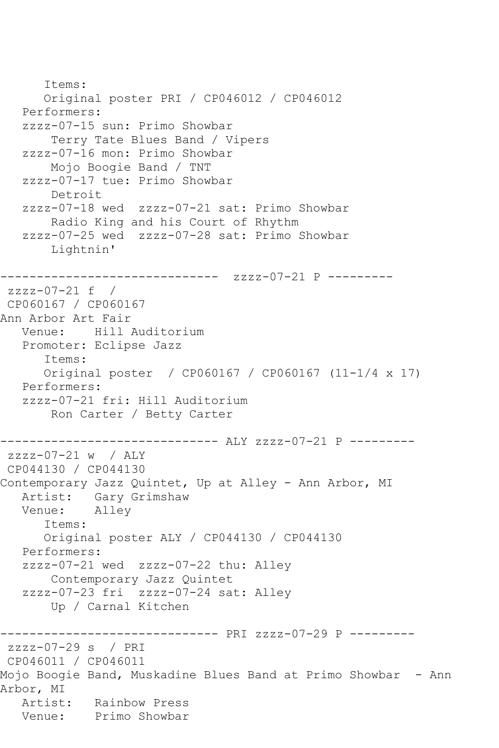Items: Original poster PRI / CP046012 / CP046012 Performers: zzzz-07-15 sun: Primo Showbar Terry Tate Blues Band / Vipers zzzz-07-16 mon: Primo Showbar Mojo Boogie Band / TNT zzzz-07-17 tue: Primo Showbar Detroit zzzz-07-18 wed zzzz-07-21 sat: Primo Showbar Radio King and his Court of Rhythm zzzz-07-25 wed zzzz-07-28 sat: Primo Showbar Lightnin' ------------------------------ zzzz-07-21 P -------- zzzz-07-21 f / CP060167 / CP060167 Ann Arbor Art Fair<br>Venue: Hill *i* Hill Auditorium Promoter: Eclipse Jazz Items: Original poster / CP060167 / CP060167 (11-1/4 x 17) Performers: zzzz-07-21 fri: Hill Auditorium Ron Carter / Betty Carter ------------------------------ ALY zzzz-07-21 P -------- zzzz-07-21 w / ALY CP044130 / CP044130 Contemporary Jazz Quintet, Up at Alley - Ann Arbor, MI Artist: Gary Grimshaw<br>Venue: Alley Venue: Items: Original poster ALY / CP044130 / CP044130 Performers: zzzz-07-21 wed zzzz-07-22 thu: Alley Contemporary Jazz Quintet zzzz-07-23 fri zzzz-07-24 sat: Alley Up / Carnal Kitchen ------------------------------ PRI zzzz-07-29 P -------- zzzz-07-29 s / PRI CP046011 / CP046011 Mojo Boogie Band, Muskadine Blues Band at Primo Showbar - Ann Arbor, MI Artist: Rainbow Press Venue: Primo Showbar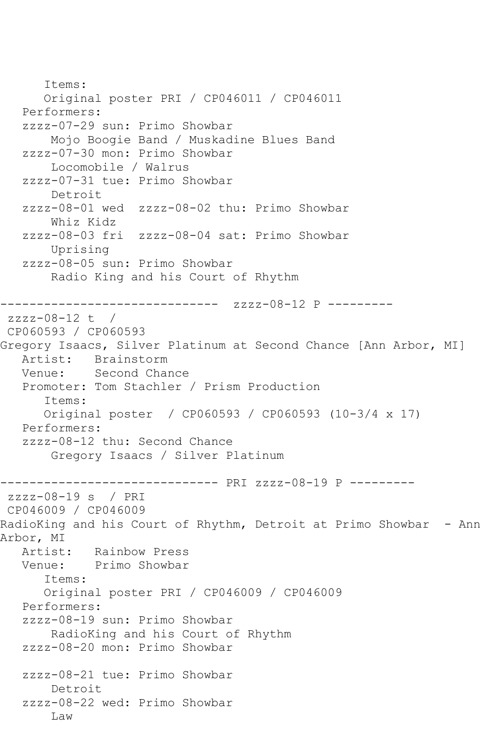Items: Original poster PRI / CP046011 / CP046011 Performers: zzzz-07-29 sun: Primo Showbar Mojo Boogie Band / Muskadine Blues Band zzzz-07-30 mon: Primo Showbar Locomobile / Walrus zzzz-07-31 tue: Primo Showbar Detroit zzzz-08-01 wed zzzz-08-02 thu: Primo Showbar Whiz Kidz zzzz-08-03 fri zzzz-08-04 sat: Primo Showbar Uprising zzzz-08-05 sun: Primo Showbar Radio King and his Court of Rhythm ------------------------------ zzzz-08-12 P --------  $zzzz-08-12$  t / CP060593 / CP060593 Gregory Isaacs, Silver Platinum at Second Chance [Ann Arbor, MI] Artist: Brainstorm Venue: Second Chance Promoter: Tom Stachler / Prism Production Items: Original poster / CP060593 / CP060593 (10-3/4 x 17) Performers: zzzz-08-12 thu: Second Chance Gregory Isaacs / Silver Platinum ------------------------------ PRI zzzz-08-19 P -------- zzzz-08-19 s / PRI CP046009 / CP046009 RadioKing and his Court of Rhythm, Detroit at Primo Showbar - Ann Arbor, MI Artist: Rainbow Press Venue: Primo Showbar Items: Original poster PRI / CP046009 / CP046009 Performers: zzzz-08-19 sun: Primo Showbar RadioKing and his Court of Rhythm zzzz-08-20 mon: Primo Showbar zzzz-08-21 tue: Primo Showbar Detroit zzzz-08-22 wed: Primo Showbar Law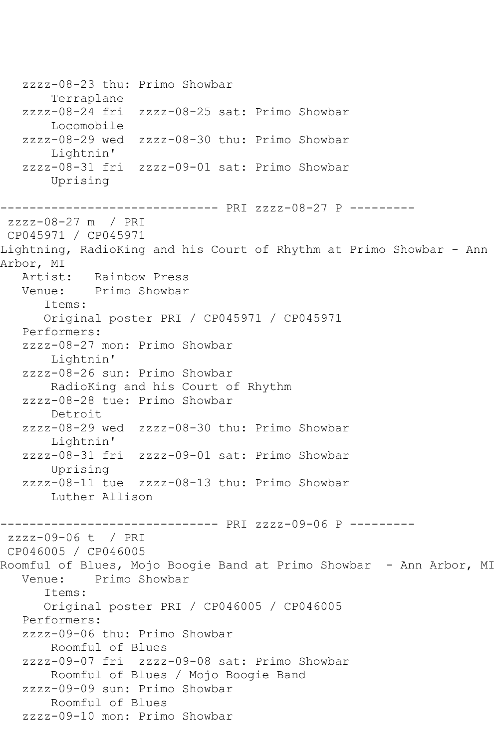zzzz-08-23 thu: Primo Showbar Terraplane<br>zzzz-08-24 fri zzzz-08-25 sat: Primo Showbar Locomobile zzzz-08-29 wed zzzz-08-30 thu: Primo Showbar Lightnin' zzzz-08-31 fri zzzz-09-01 sat: Primo Showbar Uprising ------------------------------ PRI zzzz-08-27 P -------- zzzz-08-27 m / PRI CP045971 / CP045971 Lightning, RadioKing and his Court of Rhythm at Primo Showbar - Ann Arbor, MI<br>Artist: Rainbow Press Venue: Primo Showbar Items: Original poster PRI / CP045971 / CP045971 Performers: zzzz-08-27 mon: Primo Showbar Lightnin' zzzz-08-26 sun: Primo Showbar RadioKing and his Court of Rhythm zzzz-08-28 tue: Primo Showbar Detroit zzzz-08-29 wed zzzz-08-30 thu: Primo Showbar Lightnin' zzzz-08-31 fri zzzz-09-01 sat: Primo Showbar Uprising zzzz-08-11 tue zzzz-08-13 thu: Primo Showbar Luther Allison ------------------------------ PRI zzzz-09-06 P -------- zzzz-09-06 t / PRI CP046005 / CP046005 Roomful of Blues, Mojo Boogie Band at Primo Showbar - Ann Arbor, MI<br>Venue: Primo Showbar Primo Showbar Items: Original poster PRI / CP046005 / CP046005 Performers: zzzz-09-06 thu: Primo Showbar Roomful of Blues zzzz-09-07 fri zzzz-09-08 sat: Primo Showbar Roomful of Blues / Mojo Boogie Band zzzz-09-09 sun: Primo Showbar Roomful of Blues zzzz-09-10 mon: Primo Showbar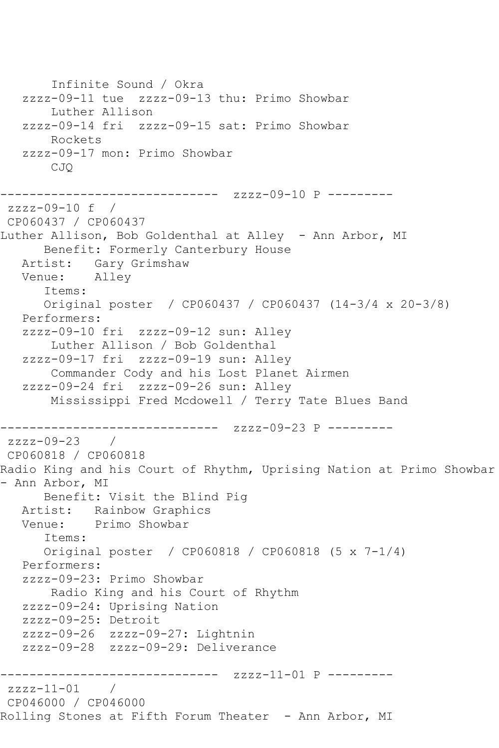Infinite Sound / Okra zzzz-09-11 tue zzzz-09-13 thu: Primo Showbar Luther Allison zzzz-09-14 fri zzzz-09-15 sat: Primo Showbar Rockets zzzz-09-17 mon: Primo Showbar CJQ --------------- zzzz-09-10 P --------zzzz-09-10 f / CP060437 / CP060437 Luther Allison, Bob Goldenthal at Alley - Ann Arbor, MI Benefit: Formerly Canterbury House Artist: Gary Grimshaw<br>Venue: Alley Venue: Items: Original poster / CP060437 / CP060437 (14-3/4 x 20-3/8) Performers: zzzz-09-10 fri zzzz-09-12 sun: Alley Luther Allison / Bob Goldenthal zzzz-09-17 fri zzzz-09-19 sun: Alley Commander Cody and his Lost Planet Airmen zzzz-09-24 fri zzzz-09-26 sun: Alley Mississippi Fred Mcdowell / Terry Tate Blues Band ------------------------------ zzzz-09-23 P -------- zzzz-09-23 / CP060818 / CP060818 Radio King and his Court of Rhythm, Uprising Nation at Primo Showbar - Ann Arbor, MI Benefit: Visit the Blind Pig Artist: Rainbow Graphics Venue: Primo Showbar Items: Original poster / CP060818 / CP060818 (5 x 7-1/4) Performers: zzzz-09-23: Primo Showbar Radio King and his Court of Rhythm zzzz-09-24: Uprising Nation zzzz-09-25: Detroit zzzz-09-26 zzzz-09-27: Lightnin zzzz-09-28 zzzz-09-29: Deliverance ------------------------------ zzzz-11-01 P -------- zzzz-11-01 / CP046000 / CP046000 Rolling Stones at Fifth Forum Theater - Ann Arbor, MI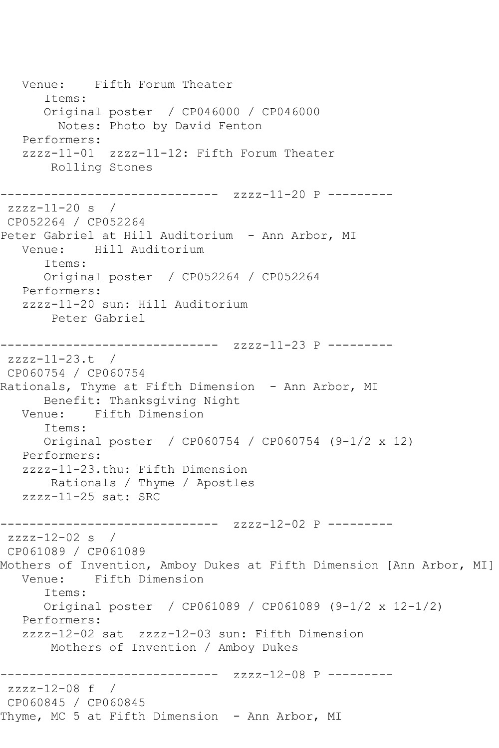Venue: Fifth Forum Theater Items: Original poster / CP046000 / CP046000 Notes: Photo by David Fenton Performers: zzzz-11-01 zzzz-11-12: Fifth Forum Theater Rolling Stones --------------------- zzzz-11-20 P -------- $zzzz-11-20$  s / CP052264 / CP052264 Peter Gabriel at Hill Auditorium - Ann Arbor, MI Venue: Hill Auditorium Items: Original poster / CP052264 / CP052264 Performers: zzzz-11-20 sun: Hill Auditorium Peter Gabriel ------------------------------ zzzz-11-23 P -------- zzzz-11-23.t / CP060754 / CP060754 Rationals, Thyme at Fifth Dimension - Ann Arbor, MI Benefit: Thanksgiving Night Venue: Fifth Dimension Items: Original poster / CP060754 / CP060754 (9-1/2 x 12) Performers: zzzz-11-23.thu: Fifth Dimension Rationals / Thyme / Apostles zzzz-11-25 sat: SRC ------------------------------ zzzz-12-02 P --------  $zzzz-12-02$  s / CP061089 / CP061089 Mothers of Invention, Amboy Dukes at Fifth Dimension [Ann Arbor, MI]<br>Venue: Fifth Dimension Fifth Dimension Items: Original poster / CP061089 / CP061089 (9-1/2 x 12-1/2) Performers: zzzz-12-02 sat zzzz-12-03 sun: Fifth Dimension Mothers of Invention / Amboy Dukes ------------------------------ zzzz-12-08 P -------- zzzz-12-08 f / CP060845 / CP060845 Thyme, MC 5 at Fifth Dimension - Ann Arbor, MI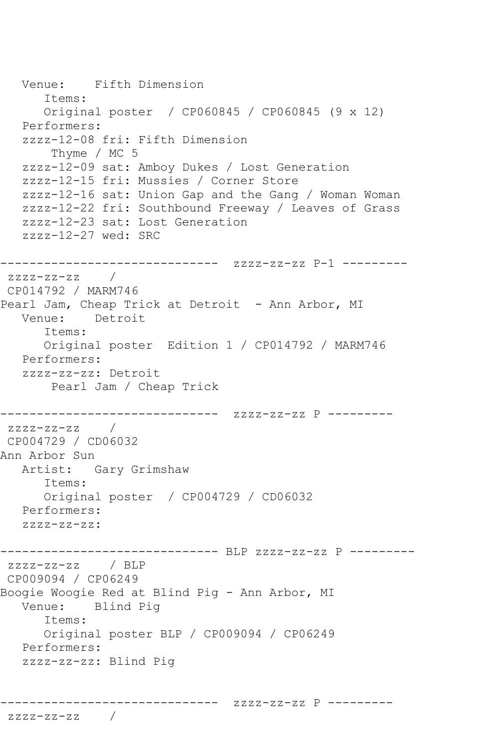```
 Venue: Fifth Dimension
      Items:
      Original poster / CP060845 / CP060845 (9 x 12)
   Performers:
   zzzz-12-08 fri: Fifth Dimension
       Thyme / MC 5
   zzzz-12-09 sat: Amboy Dukes / Lost Generation
   zzzz-12-15 fri: Mussies / Corner Store
   zzzz-12-16 sat: Union Gap and the Gang / Woman Woman
   zzzz-12-22 fri: Southbound Freeway / Leaves of Grass
   zzzz-12-23 sat: Lost Generation
   zzzz-12-27 wed: SRC
------------------------------ zzzz-zz-zz P-1 ---------
zzzz-zz-zz / 
CP014792 / MARM746
Pearl Jam, Cheap Trick at Detroit - Ann Arbor, MI
   Venue: Detroit
      Items:
      Original poster Edition 1 / CP014792 / MARM746
   Performers:
   zzzz-zz-zz: Detroit
       Pearl Jam / Cheap Trick
------------------------------ zzzz-zz-zz P ---------
zzzz-zz-zz /
CP004729 / CD06032
Ann Arbor Sun
   Artist: Gary Grimshaw
      Items:
      Original poster / CP004729 / CD06032
   Performers:
  ZZZZ-ZZ-ZZ:
------------------------------ BLP zzzz-zz-zz P ---------
zzzz-zz-zz / BLP 
CP009094 / CP06249
Boogie Woogie Red at Blind Pig - Ann Arbor, MI
   Venue: Blind Pig
      Items:
      Original poster BLP / CP009094 / CP06249
   Performers:
   zzzz-zz-zz: Blind Pig
------------------------------ zzzz-zz-zz P ---------
```
zzzz-zz-zz /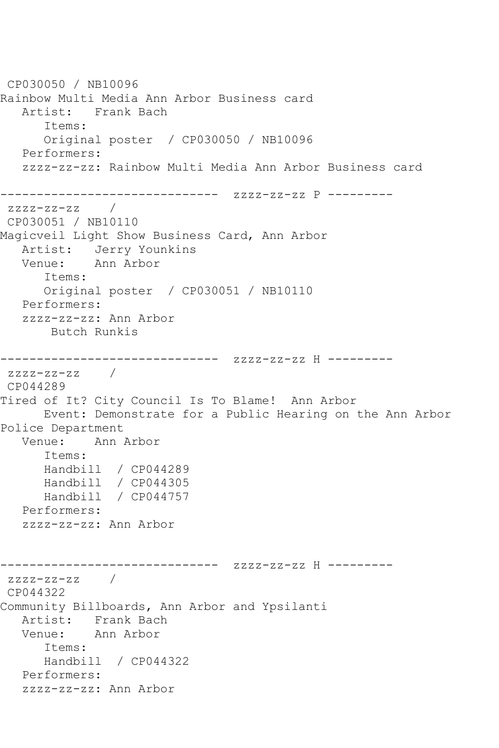CP030050 / NB10096 Rainbow Multi Media Ann Arbor Business card Artist: Frank Bach Items: Original poster / CP030050 / NB10096 Performers: zzzz-zz-zz: Rainbow Multi Media Ann Arbor Business card ------------------------------ zzzz-zz-zz P --------  $zzzz-zz-zz$  / CP030051 / NB10110 Magicveil Light Show Business Card, Ann Arbor Artist: Jerry Younkins Venue: Ann Arbor Items: Original poster / CP030051 / NB10110 Performers: zzzz-zz-zz: Ann Arbor Butch Runkis ------------------------------ zzzz-zz-zz H -------- zzzz-zz-zz / CP044289 Tired of It? City Council Is To Blame! Ann Arbor Event: Demonstrate for a Public Hearing on the Ann Arbor Police Department Venue: Ann Arbor Items: Handbill / CP044289 Handbill / CP044305 Handbill / CP044757 Performers: zzzz-zz-zz: Ann Arbor ------------------------------ zzzz-zz-zz H -------- zzzz-zz-zz / CP044322 Community Billboards, Ann Arbor and Ypsilanti Artist: Frank Bach Venue: Ann Arbor Items: Handbill / CP044322 Performers: zzzz-zz-zz: Ann Arbor